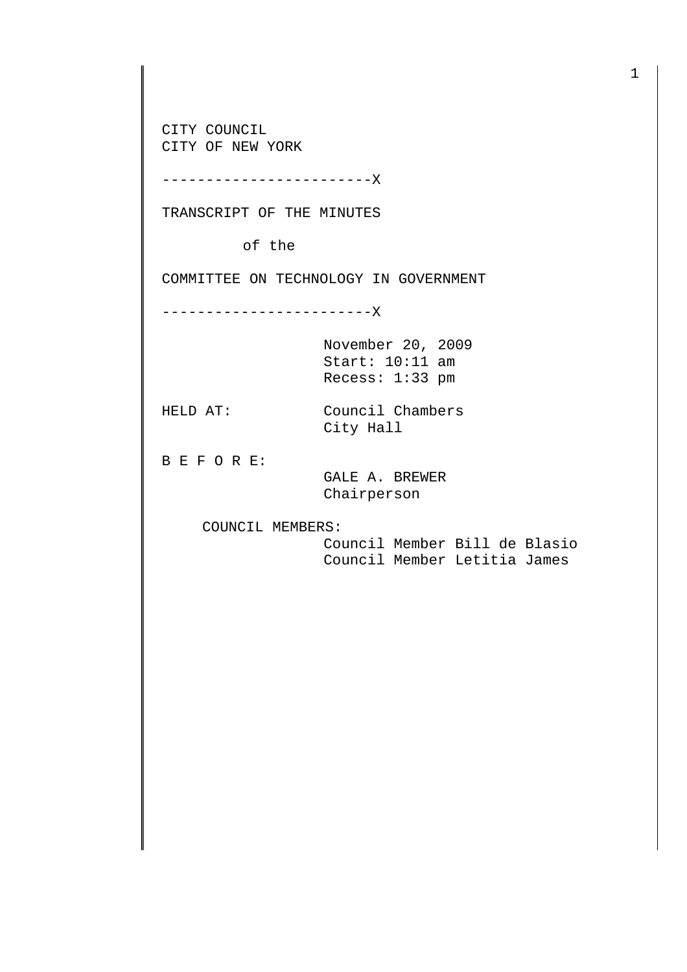CITY COUNCIL CITY OF NEW YORK

------------------------X

TRANSCRIPT OF THE MINUTES

of the

COMMITTEE ON TECHNOLOGY IN GOVERNMENT

------------------------X

November 20, 2009 Start: 10:11 am Recess: 1:33 pm

HELD AT: Council Chambers City Hall

B E F O R E:

 GALE A. BREWER Chairperson

COUNCIL MEMBERS:

 Council Member Bill de Blasio Council Member Letitia James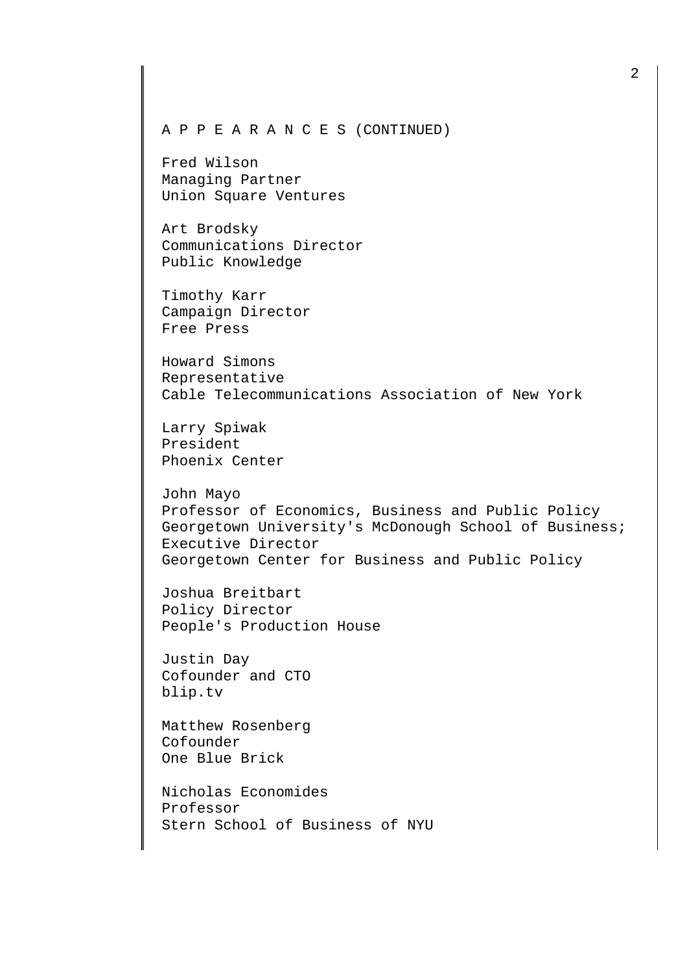A P P E A R A N C E S (CONTINUED)

Fred Wilson Managing Partner Union Square Ventures

Art Brodsky Communications Director Public Knowledge

Timothy Karr Campaign Director Free Press

Howard Simons Representative Cable Telecommunications Association of New York

Larry Spiwak President Phoenix Center

John Mayo Professor of Economics, Business and Public Policy Georgetown University's McDonough School of Business; Executive Director Georgetown Center for Business and Public Policy

Joshua Breitbart Policy Director People's Production House

Justin Day Cofounder and CTO blip.tv

Matthew Rosenberg Cofounder One Blue Brick

Nicholas Economides Professor Stern School of Business of NYU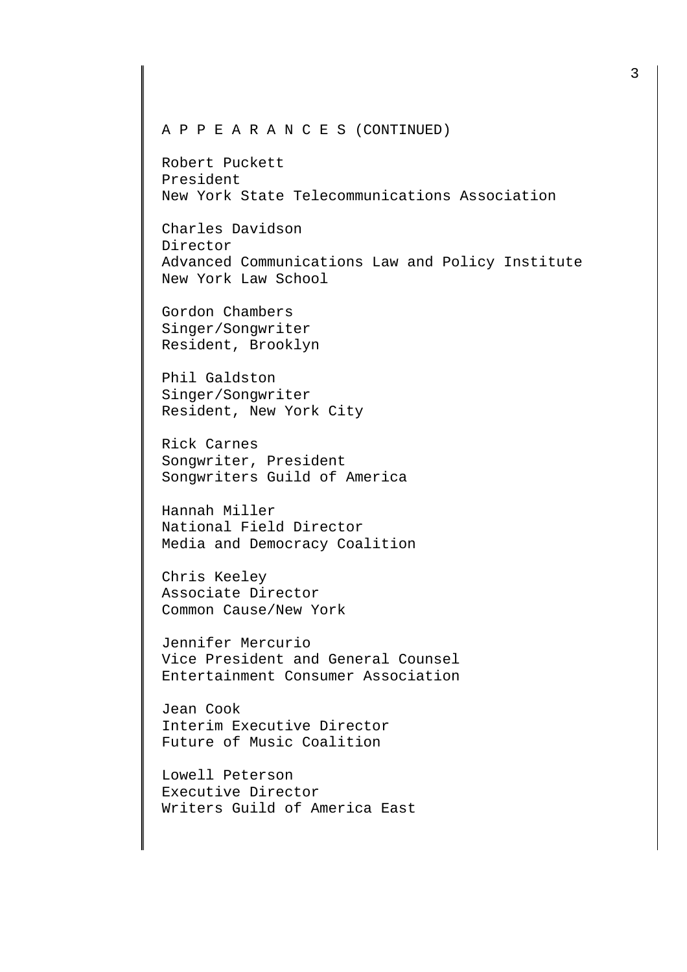## A P P E A R A N C E S (CONTINUED)

Robert Puckett President New York State Telecommunications Association

Charles Davidson Director Advanced Communications Law and Policy Institute New York Law School

Gordon Chambers Singer/Songwriter Resident, Brooklyn

Phil Galdston Singer/Songwriter Resident, New York City

Rick Carnes Songwriter, President Songwriters Guild of America

Hannah Miller National Field Director Media and Democracy Coalition

Chris Keeley Associate Director Common Cause/New York

Jennifer Mercurio Vice President and General Counsel Entertainment Consumer Association

Jean Cook Interim Executive Director Future of Music Coalition

Lowell Peterson Executive Director Writers Guild of America East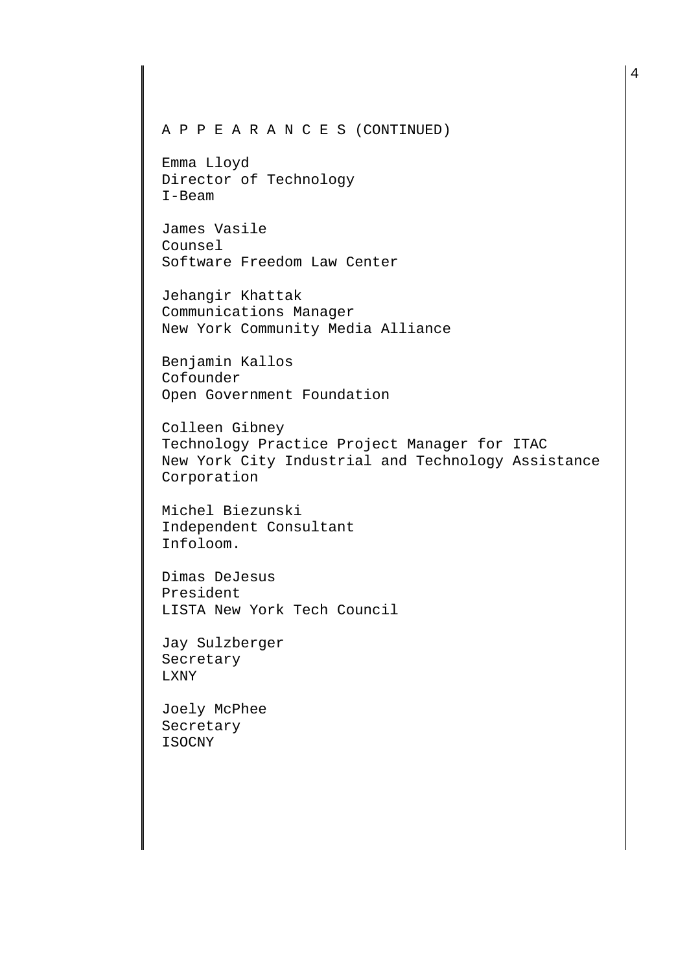## A P P E A R A N C E S (CONTINUED)

Emma Lloyd Director of Technology I-Beam

James Vasile Counsel Software Freedom Law Center

Jehangir Khattak Communications Manager New York Community Media Alliance

Benjamin Kallos Cofounder Open Government Foundation

Colleen Gibney Technology Practice Project Manager for ITAC New York City Industrial and Technology Assistance Corporation

Michel Biezunski Independent Consultant Infoloom.

Dimas DeJesus President LISTA New York Tech Council

Jay Sulzberger Secretary LXNY

Joely McPhee Secretary ISOCNY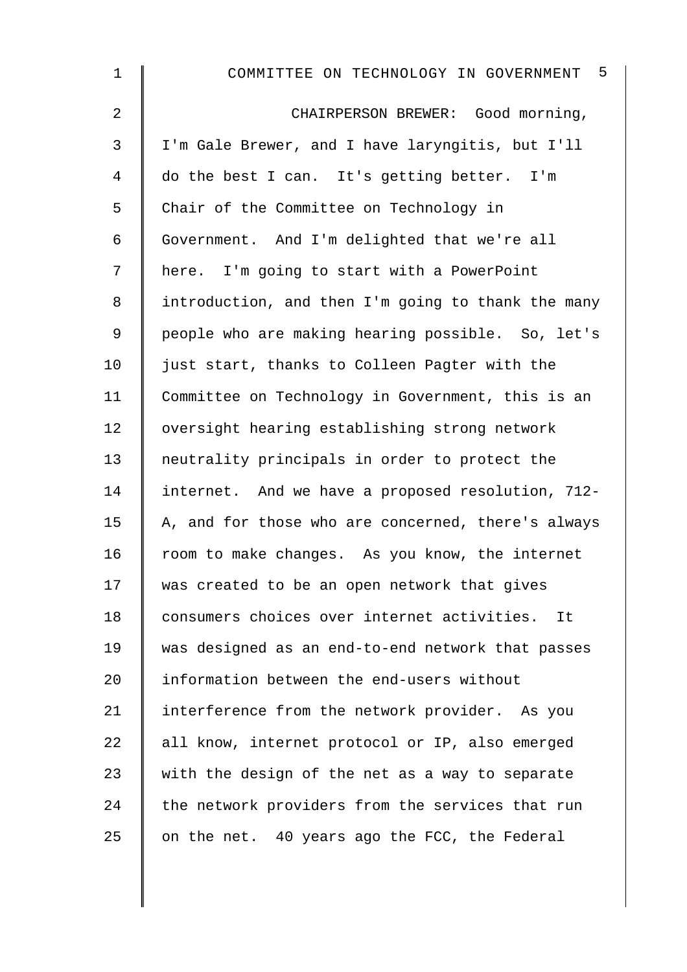| $\mathbf 1$    | COMMITTEE ON TECHNOLOGY IN GOVERNMENT 5            |
|----------------|----------------------------------------------------|
| $\overline{a}$ | CHAIRPERSON BREWER: Good morning,                  |
| $\mathfrak{Z}$ | I'm Gale Brewer, and I have laryngitis, but I'll   |
| 4              | do the best I can. It's getting better. I'm        |
| 5              | Chair of the Committee on Technology in            |
| 6              | Government. And I'm delighted that we're all       |
| 7              | here. I'm going to start with a PowerPoint         |
| 8              | introduction, and then I'm going to thank the many |
| 9              | people who are making hearing possible. So, let's  |
| 10             | just start, thanks to Colleen Pagter with the      |
| 11             | Committee on Technology in Government, this is an  |
| 12             | oversight hearing establishing strong network      |
| 13             | neutrality principals in order to protect the      |
| 14             | internet. And we have a proposed resolution, 712-  |
| 15             | A, and for those who are concerned, there's always |
| 16             | room to make changes. As you know, the internet    |
| 17             | was created to be an open network that gives       |
| 18             | consumers choices over internet activities. It     |
| 19             | was designed as an end-to-end network that passes  |
| 20             | information between the end-users without          |
| 21             | interference from the network provider. As you     |
| 22             | all know, internet protocol or IP, also emerged    |
| 23             | with the design of the net as a way to separate    |
| 24             | the network providers from the services that run   |
| 25             | on the net. 40 years ago the FCC, the Federal      |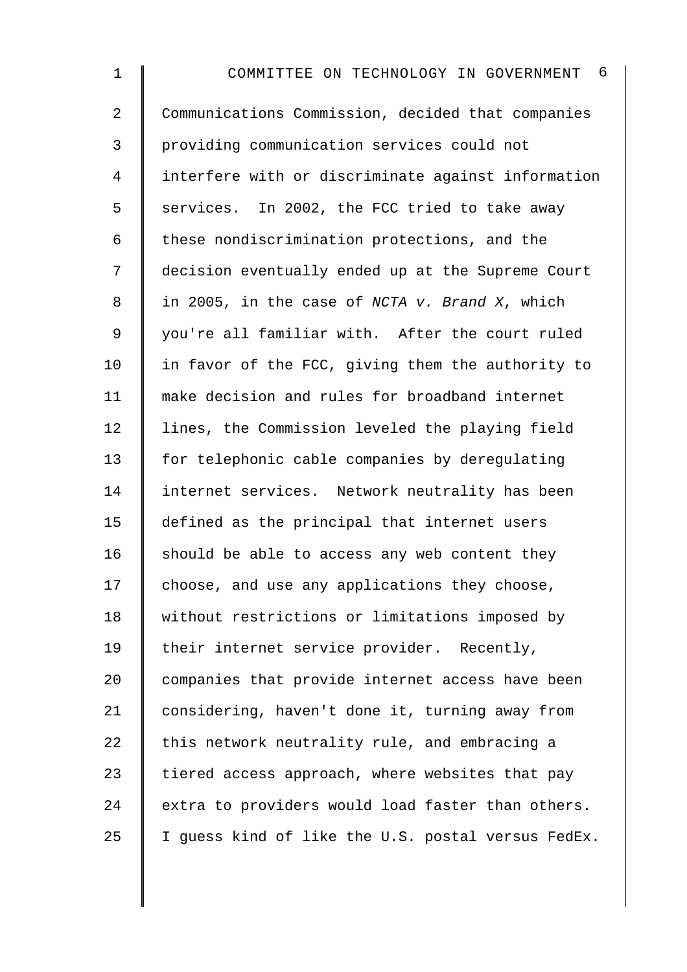| 1              | COMMITTEE ON TECHNOLOGY IN GOVERNMENT 6            |
|----------------|----------------------------------------------------|
| $\overline{2}$ | Communications Commission, decided that companies  |
| $\mathsf{3}$   | providing communication services could not         |
| $\overline{4}$ | interfere with or discriminate against information |
| 5              | services. In 2002, the FCC tried to take away      |
| 6              | these nondiscrimination protections, and the       |
| 7              | decision eventually ended up at the Supreme Court  |
| 8              | in 2005, in the case of NCTA v. Brand X, which     |
| 9              | you're all familiar with. After the court ruled    |
| 10             | in favor of the FCC, giving them the authority to  |
| 11             | make decision and rules for broadband internet     |
| 12             | lines, the Commission leveled the playing field    |
| 13             | for telephonic cable companies by deregulating     |
| 14             | internet services. Network neutrality has been     |
| 15             | defined as the principal that internet users       |
| 16             | should be able to access any web content they      |
| 17             | choose, and use any applications they choose,      |
| 18             | without restrictions or limitations imposed by     |
| 19             | their internet service provider. Recently,         |
| 20             | companies that provide internet access have been   |
| 21             | considering, haven't done it, turning away from    |
| 22             | this network neutrality rule, and embracing a      |
| 23             | tiered access approach, where websites that pay    |
| 24             | extra to providers would load faster than others.  |
| 25             | I guess kind of like the U.S. postal versus FedEx. |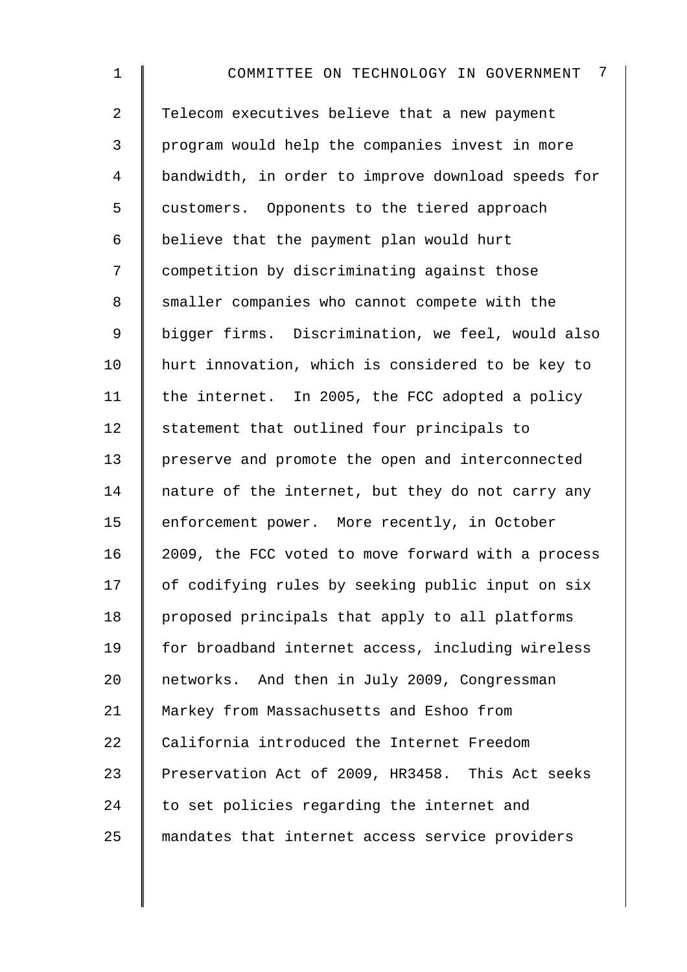1 COMMITTEE ON TECHNOLOGY IN GOVERNMENT 7 2 Telecom executives believe that a new payment 3 program would help the companies invest in more 4 bandwidth, in order to improve download speeds for 5 customers. Opponents to the tiered approach 6 believe that the payment plan would hurt 7 | competition by discriminating against those 8 Smaller companies who cannot compete with the 9 bigger firms. Discrimination, we feel, would also 10 | hurt innovation, which is considered to be key to 11 the internet. In 2005, the FCC adopted a policy  $12$  statement that outlined four principals to 13 preserve and promote the open and interconnected 14  $\parallel$  nature of the internet, but they do not carry any 15 | enforcement power. More recently, in October 16  $\parallel$  2009, the FCC voted to move forward with a process 17 | of codifying rules by seeking public input on six 18 | proposed principals that apply to all platforms 19 | for broadband internet access, including wireless 20 networks. And then in July 2009, Congressman 21 | Markey from Massachusetts and Eshoo from 22 California introduced the Internet Freedom 23 Preservation Act of 2009, HR3458. This Act seeks  $24$   $\parallel$  to set policies regarding the internet and 25 mandates that internet access service providers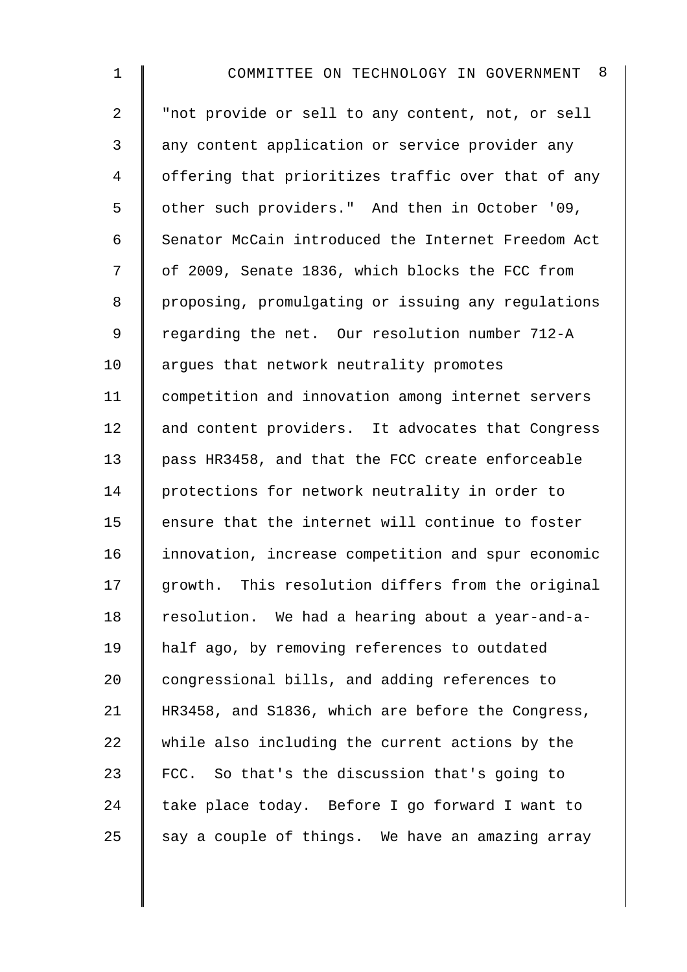1 COMMITTEE ON TECHNOLOGY IN GOVERNMENT 8 2 | "not provide or sell to any content, not, or sell 3 any content application or service provider any 4 | offering that prioritizes traffic over that of any 5 | other such providers." And then in October '09, 6 Senator McCain introduced the Internet Freedom Act 7 | of 2009, Senate 1836, which blocks the FCC from 8 | proposing, promulgating or issuing any regulations 9 | regarding the net. Our resolution number 712-A 10 | arques that network neutrality promotes 11 competition and innovation among internet servers 12 and content providers. It advocates that Congress 13 | pass HR3458, and that the FCC create enforceable 14 | protections for network neutrality in order to 15 ensure that the internet will continue to foster 16 | innovation, increase competition and spur economic 17 growth. This resolution differs from the original 18 resolution. We had a hearing about a year-and-a-19 half ago, by removing references to outdated 20 congressional bills, and adding references to 21 HR3458, and S1836, which are before the Congress, 22 while also including the current actions by the 23 | FCC. So that's the discussion that's going to 24  $\parallel$  take place today. Before I go forward I want to 25  $\parallel$  say a couple of things. We have an amazing array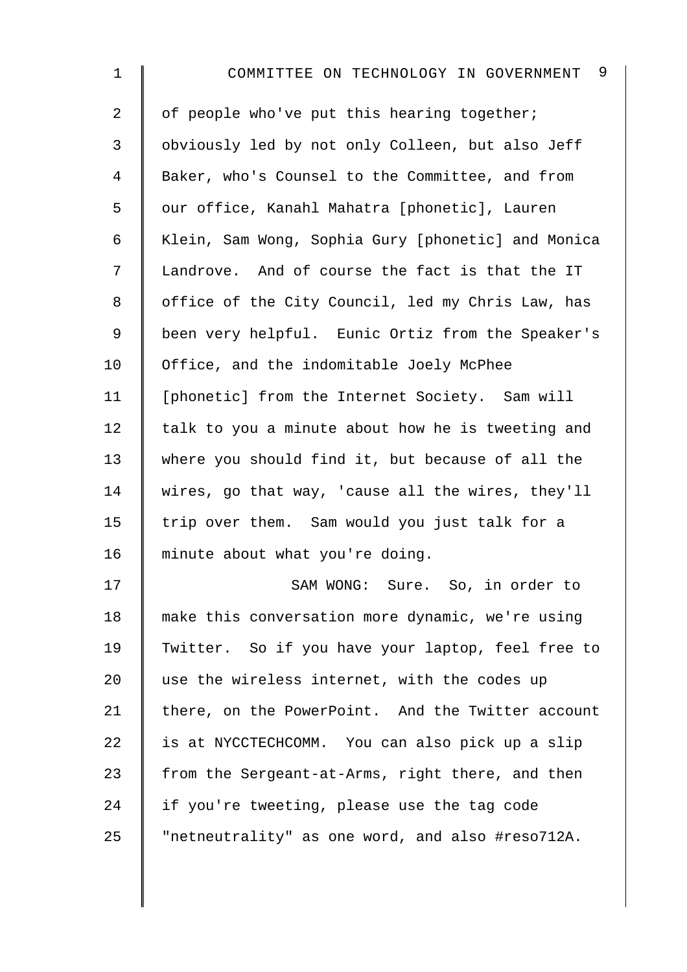| 1              | COMMITTEE ON TECHNOLOGY IN GOVERNMENT 9            |
|----------------|----------------------------------------------------|
| $\overline{a}$ | of people who've put this hearing together;        |
| $\mathsf{3}$   | obviously led by not only Colleen, but also Jeff   |
| 4              | Baker, who's Counsel to the Committee, and from    |
| 5              | our office, Kanahl Mahatra [phonetic], Lauren      |
| 6              | Klein, Sam Wong, Sophia Gury [phonetic] and Monica |
| 7              | Landrove. And of course the fact is that the IT    |
| 8              | office of the City Council, led my Chris Law, has  |
| $\mathsf 9$    | been very helpful. Eunic Ortiz from the Speaker's  |
| 10             | Office, and the indomitable Joely McPhee           |
| 11             | [phonetic] from the Internet Society. Sam will     |
| 12             | talk to you a minute about how he is tweeting and  |
| 13             | where you should find it, but because of all the   |
| 14             | wires, go that way, 'cause all the wires, they'll  |
| 15             | trip over them. Sam would you just talk for a      |
| 16             | minute about what you're doing.                    |
| 17             | SAM WONG: Sure. So, in order to                    |
| 18             | make this conversation more dynamic, we're using   |
| 19             | Twitter. So if you have your laptop, feel free to  |
| 20             | use the wireless internet, with the codes up       |
| 21             | there, on the PowerPoint. And the Twitter account  |
| 22             | is at NYCCTECHCOMM. You can also pick up a slip    |
| 23             | from the Sergeant-at-Arms, right there, and then   |
| 24             | if you're tweeting, please use the tag code        |
| 25             | "netneutrality" as one word, and also #reso712A.   |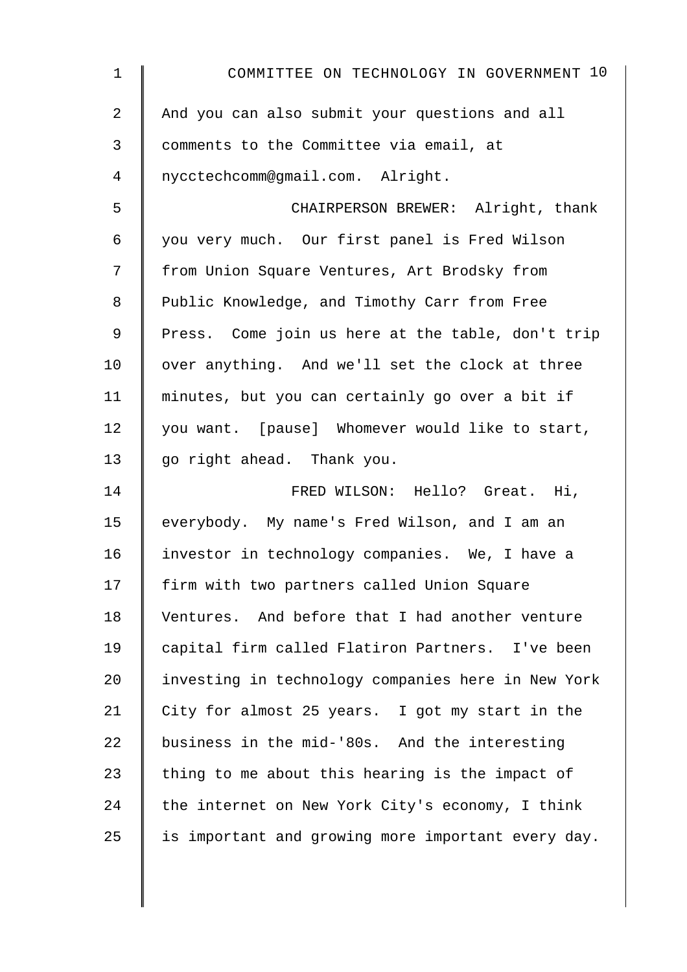| $\mathbf 1$ | COMMITTEE ON TECHNOLOGY IN GOVERNMENT 10           |
|-------------|----------------------------------------------------|
| 2           | And you can also submit your questions and all     |
| 3           | comments to the Committee via email, at            |
| 4           | nycctechcomm@gmail.com. Alright.                   |
| 5           | CHAIRPERSON BREWER: Alright, thank                 |
| 6           | you very much. Our first panel is Fred Wilson      |
| 7           | from Union Square Ventures, Art Brodsky from       |
| 8           | Public Knowledge, and Timothy Carr from Free       |
| 9           | Press. Come join us here at the table, don't trip  |
| 10          | over anything. And we'll set the clock at three    |
| 11          | minutes, but you can certainly go over a bit if    |
| 12          | you want. [pause] Whomever would like to start,    |
| 13          | go right ahead. Thank you.                         |
| 14          | FRED WILSON: Hello? Great. Hi,                     |
| 15          | everybody. My name's Fred Wilson, and I am an      |
| 16          | investor in technology companies. We, I have a     |
| 17          | firm with two partners called Union Square         |
| 18          | Ventures. And before that I had another venture    |
| 19          | capital firm called Flatiron Partners. I've been   |
| 20          | investing in technology companies here in New York |
| 21          | City for almost 25 years. I got my start in the    |
| 22          | business in the mid-'80s. And the interesting      |
| 23          | thing to me about this hearing is the impact of    |
| 24          | the internet on New York City's economy, I think   |
| 25          | is important and growing more important every day. |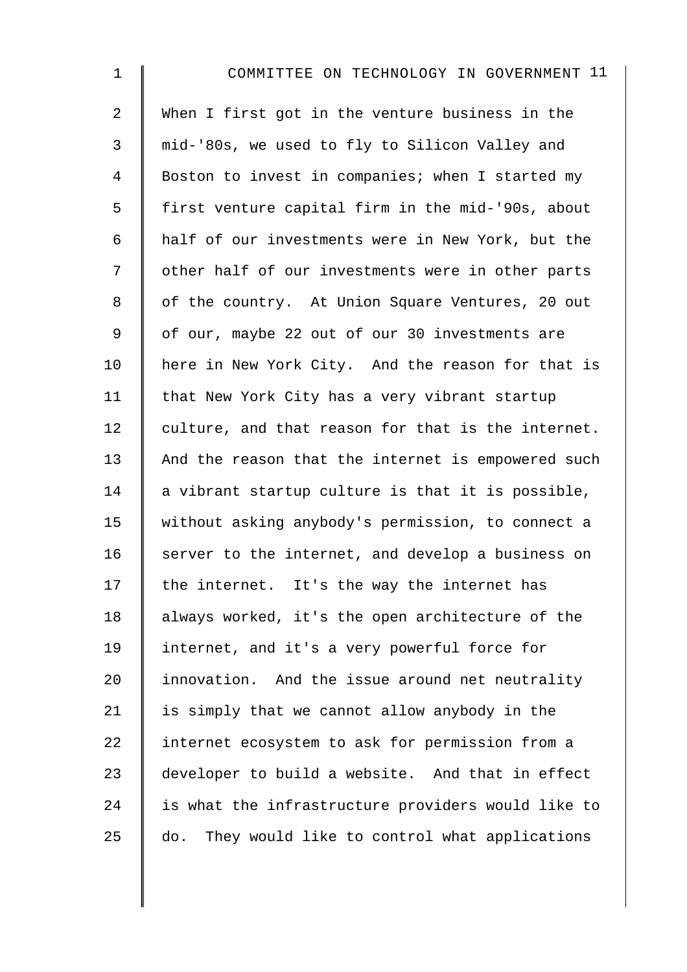| $\mathbf 1$    | COMMITTEE ON TECHNOLOGY IN GOVERNMENT 11           |
|----------------|----------------------------------------------------|
| $\overline{a}$ | When I first got in the venture business in the    |
| $\mathfrak{Z}$ | mid-'80s, we used to fly to Silicon Valley and     |
| 4              | Boston to invest in companies; when I started my   |
| 5              | first venture capital firm in the mid-'90s, about  |
| 6              | half of our investments were in New York, but the  |
| 7              | other half of our investments were in other parts  |
| 8              | of the country. At Union Square Ventures, 20 out   |
| 9              | of our, maybe 22 out of our 30 investments are     |
| 10             | here in New York City. And the reason for that is  |
| 11             | that New York City has a very vibrant startup      |
| 12             | culture, and that reason for that is the internet. |
| 13             | And the reason that the internet is empowered such |
| 14             | a vibrant startup culture is that it is possible,  |
| 15             | without asking anybody's permission, to connect a  |
| 16             | server to the internet, and develop a business on  |
| 17             | the internet. It's the way the internet has        |
| 18             | always worked, it's the open architecture of the   |
| 19             | internet, and it's a very powerful force for       |
| 20             | innovation. And the issue around net neutrality    |
| 21             | is simply that we cannot allow anybody in the      |
| 22             | internet ecosystem to ask for permission from a    |
| 23             | developer to build a website. And that in effect   |
| 24             | is what the infrastructure providers would like to |
| 25             | do. They would like to control what applications   |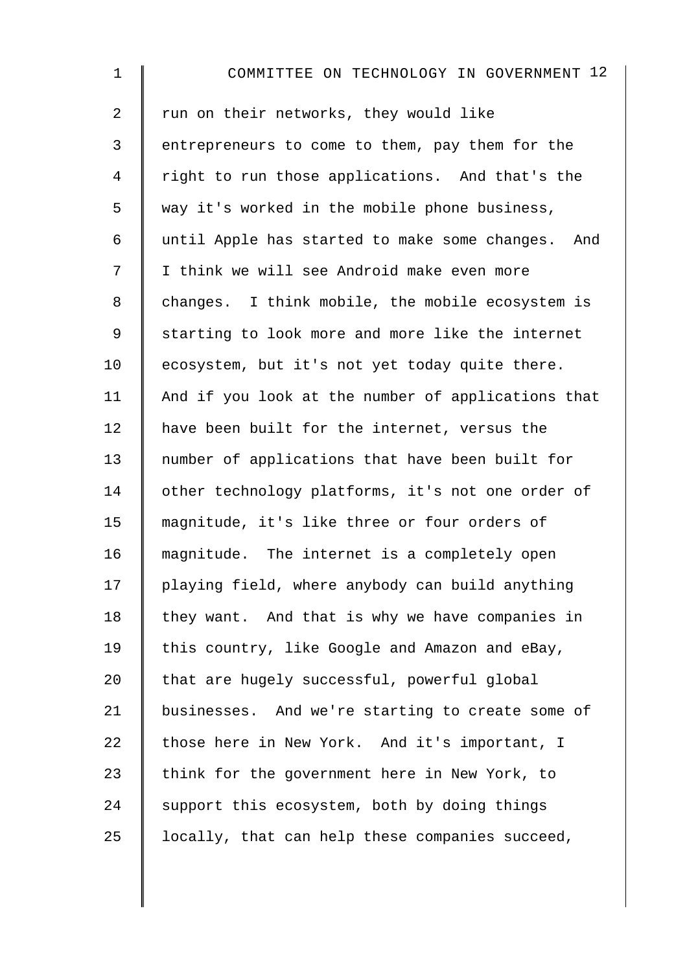| $\mathbf 1$    | COMMITTEE ON TECHNOLOGY IN GOVERNMENT 12             |
|----------------|------------------------------------------------------|
| $\overline{a}$ | run on their networks, they would like               |
| 3              | entrepreneurs to come to them, pay them for the      |
| 4              | right to run those applications. And that's the      |
| 5              | way it's worked in the mobile phone business,        |
| 6              | until Apple has started to make some changes.<br>And |
| 7              | I think we will see Android make even more           |
| 8              | changes. I think mobile, the mobile ecosystem is     |
| 9              | starting to look more and more like the internet     |
| 10             | ecosystem, but it's not yet today quite there.       |
| 11             | And if you look at the number of applications that   |
| 12             | have been built for the internet, versus the         |
| 13             | number of applications that have been built for      |
| 14             | other technology platforms, it's not one order of    |
| 15             | magnitude, it's like three or four orders of         |
| 16             | magnitude. The internet is a completely open         |
| 17             | playing field, where anybody can build anything      |
| 18             | they want. And that is why we have companies in      |
| 19             | this country, like Google and Amazon and eBay,       |
| 20             | that are hugely successful, powerful global          |
| 21             | businesses. And we're starting to create some of     |
| 22             | those here in New York. And it's important, I        |
| 23             | think for the government here in New York, to        |
| 24             | support this ecosystem, both by doing things         |
| 25             | locally, that can help these companies succeed,      |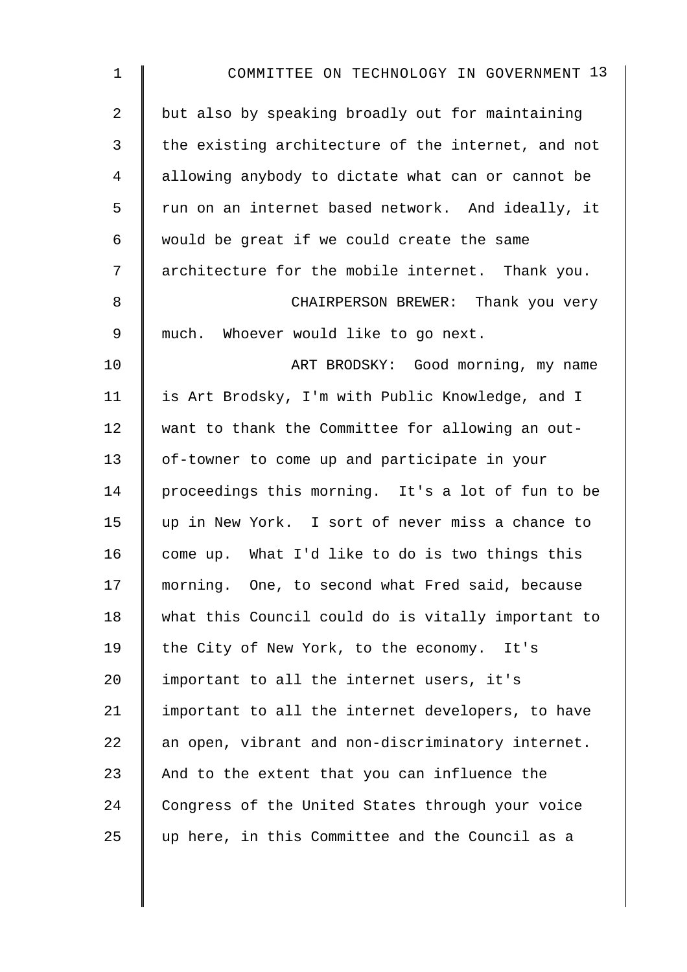| $\mathbf 1$    | COMMITTEE ON TECHNOLOGY IN GOVERNMENT 13           |
|----------------|----------------------------------------------------|
| $\overline{2}$ | but also by speaking broadly out for maintaining   |
| 3              | the existing architecture of the internet, and not |
| 4              | allowing anybody to dictate what can or cannot be  |
| 5              | run on an internet based network. And ideally, it  |
| 6              | would be great if we could create the same         |
| 7              | architecture for the mobile internet. Thank you.   |
| 8              | CHAIRPERSON BREWER: Thank you very                 |
| 9              | much. Whoever would like to go next.               |
| 10             | ART BRODSKY: Good morning, my name                 |
| 11             | is Art Brodsky, I'm with Public Knowledge, and I   |
| 12             | want to thank the Committee for allowing an out-   |
| 13             | of-towner to come up and participate in your       |
| 14             | proceedings this morning. It's a lot of fun to be  |
| 15             | up in New York. I sort of never miss a chance to   |
| 16             | come up. What I'd like to do is two things this    |
| 17             | morning. One, to second what Fred said, because    |
| 18             | what this Council could do is vitally important to |
| 19             | the City of New York, to the economy. It's         |
| 20             | important to all the internet users, it's          |
| 21             | important to all the internet developers, to have  |
| 22             | an open, vibrant and non-discriminatory internet.  |
| 23             | And to the extent that you can influence the       |
| 24             | Congress of the United States through your voice   |
| 25             | up here, in this Committee and the Council as a    |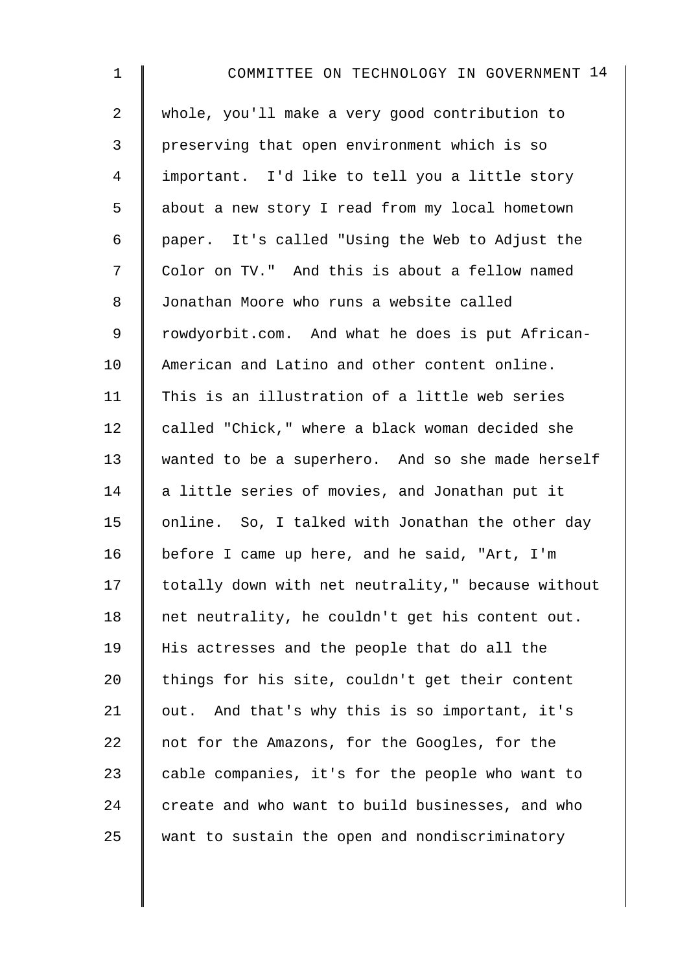| 1              | COMMITTEE ON TECHNOLOGY IN GOVERNMENT 14           |
|----------------|----------------------------------------------------|
| $\overline{2}$ | whole, you'll make a very good contribution to     |
| 3              | preserving that open environment which is so       |
| 4              | important. I'd like to tell you a little story     |
| 5              | about a new story I read from my local hometown    |
| 6              | paper. It's called "Using the Web to Adjust the    |
| 7              | Color on TV." And this is about a fellow named     |
| 8              | Jonathan Moore who runs a website called           |
| 9              | rowdyorbit.com. And what he does is put African-   |
| 10             | American and Latino and other content online.      |
| 11             | This is an illustration of a little web series     |
| 12             | called "Chick," where a black woman decided she    |
| 13             | wanted to be a superhero. And so she made herself  |
| 14             | a little series of movies, and Jonathan put it     |
| 15             | online. So, I talked with Jonathan the other day   |
| 16             | before I came up here, and he said, "Art, I'm      |
| 17             | totally down with net neutrality," because without |
| 18             | net neutrality, he couldn't get his content out.   |
| 19             | His actresses and the people that do all the       |
| 20             | things for his site, couldn't get their content    |
| 21             | out. And that's why this is so important, it's     |
| 22             | not for the Amazons, for the Googles, for the      |
| 23             | cable companies, it's for the people who want to   |
| 24             | create and who want to build businesses, and who   |
| 25             | want to sustain the open and nondiscriminatory     |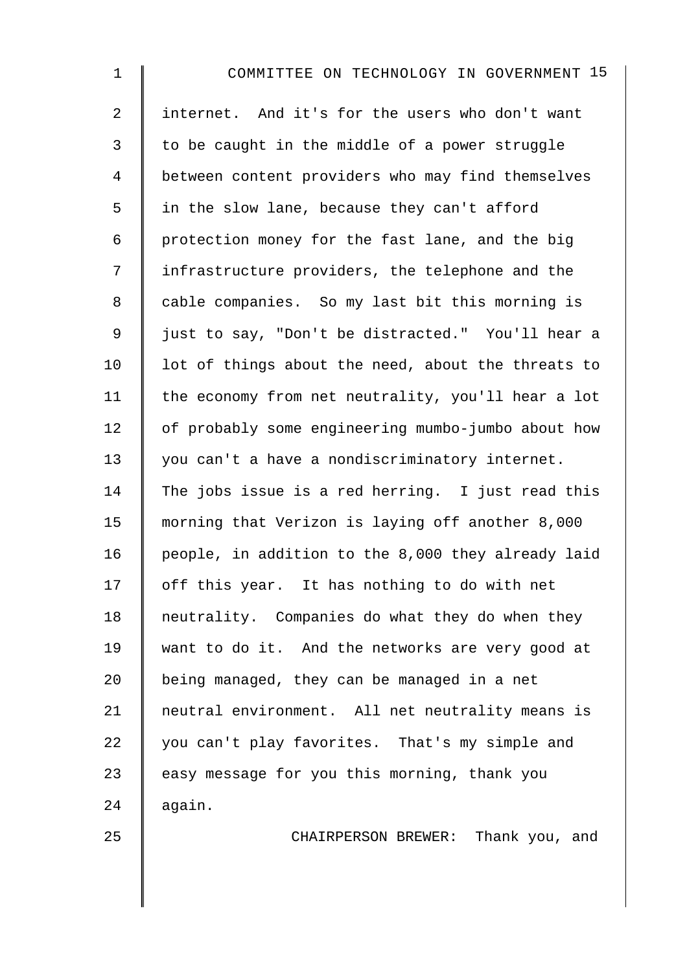| $\mathbf 1$ | COMMITTEE ON TECHNOLOGY IN GOVERNMENT 15           |
|-------------|----------------------------------------------------|
| 2           | internet. And it's for the users who don't want    |
| 3           | to be caught in the middle of a power struggle     |
| 4           | between content providers who may find themselves  |
| 5           | in the slow lane, because they can't afford        |
| 6           | protection money for the fast lane, and the big    |
| 7           | infrastructure providers, the telephone and the    |
| 8           | cable companies. So my last bit this morning is    |
| 9           | just to say, "Don't be distracted." You'll hear a  |
| 10          | lot of things about the need, about the threats to |
| 11          | the economy from net neutrality, you'll hear a lot |
| 12          | of probably some engineering mumbo-jumbo about how |
| 13          | you can't a have a nondiscriminatory internet.     |
| 14          | The jobs issue is a red herring. I just read this  |
| 15          | morning that Verizon is laying off another 8,000   |
| 16          | people, in addition to the 8,000 they already laid |
| 17          | off this year. It has nothing to do with net       |
| 18          | neutrality. Companies do what they do when they    |
| 19          | want to do it. And the networks are very good at   |
| 20          | being managed, they can be managed in a net        |
| 21          | neutral environment. All net neutrality means is   |
| 22          | you can't play favorites. That's my simple and     |
| 23          | easy message for you this morning, thank you       |
| 24          | again.                                             |
| 25          | CHAIRPERSON BREWER: Thank you, and                 |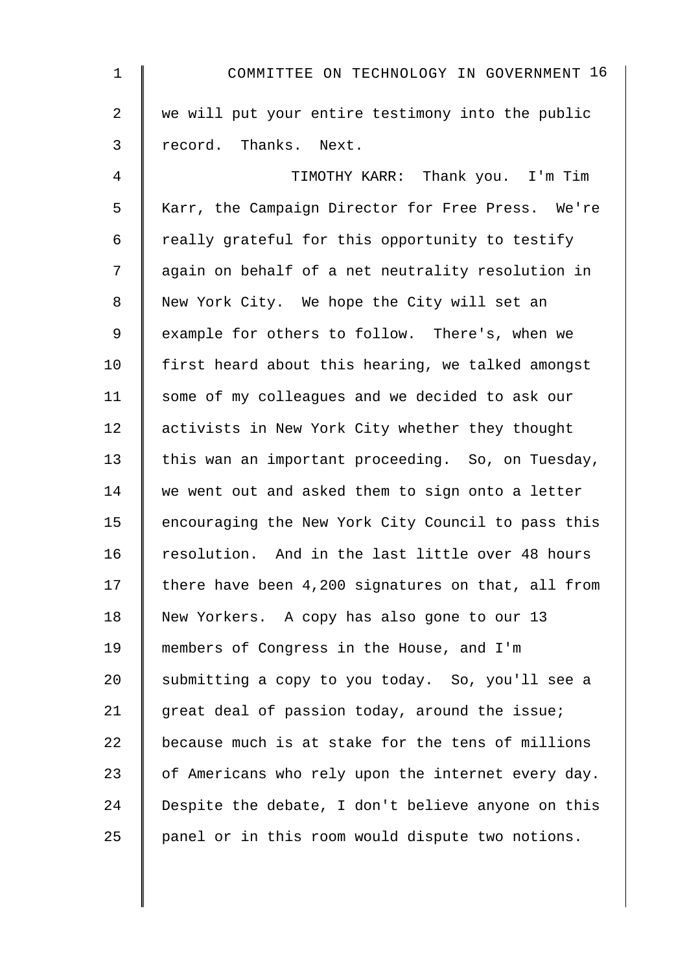| 1              | COMMITTEE ON TECHNOLOGY IN GOVERNMENT 16           |
|----------------|----------------------------------------------------|
| $\overline{a}$ | we will put your entire testimony into the public  |
| 3              | record. Thanks. Next.                              |
| 4              | TIMOTHY KARR: Thank you. I'm Tim                   |
| 5              | Karr, the Campaign Director for Free Press. We're  |
| 6              | really grateful for this opportunity to testify    |
| 7              | again on behalf of a net neutrality resolution in  |
| 8              | New York City. We hope the City will set an        |
| $\mathsf 9$    | example for others to follow. There's, when we     |
| 10             | first heard about this hearing, we talked amongst  |
| 11             | some of my colleagues and we decided to ask our    |
| 12             | activists in New York City whether they thought    |
| 13             | this wan an important proceeding. So, on Tuesday,  |
| 14             | we went out and asked them to sign onto a letter   |
| 15             | encouraging the New York City Council to pass this |
| 16             | resolution. And in the last little over 48 hours   |
| 17             | there have been 4,200 signatures on that, all from |
| 18             | New Yorkers. A copy has also gone to our 13        |
| 19             | members of Congress in the House, and I'm          |
| 20             | submitting a copy to you today. So, you'll see a   |
| 21             | great deal of passion today, around the issue;     |
| 22             | because much is at stake for the tens of millions  |
| 23             | of Americans who rely upon the internet every day. |
| 24             | Despite the debate, I don't believe anyone on this |
| 25             | panel or in this room would dispute two notions.   |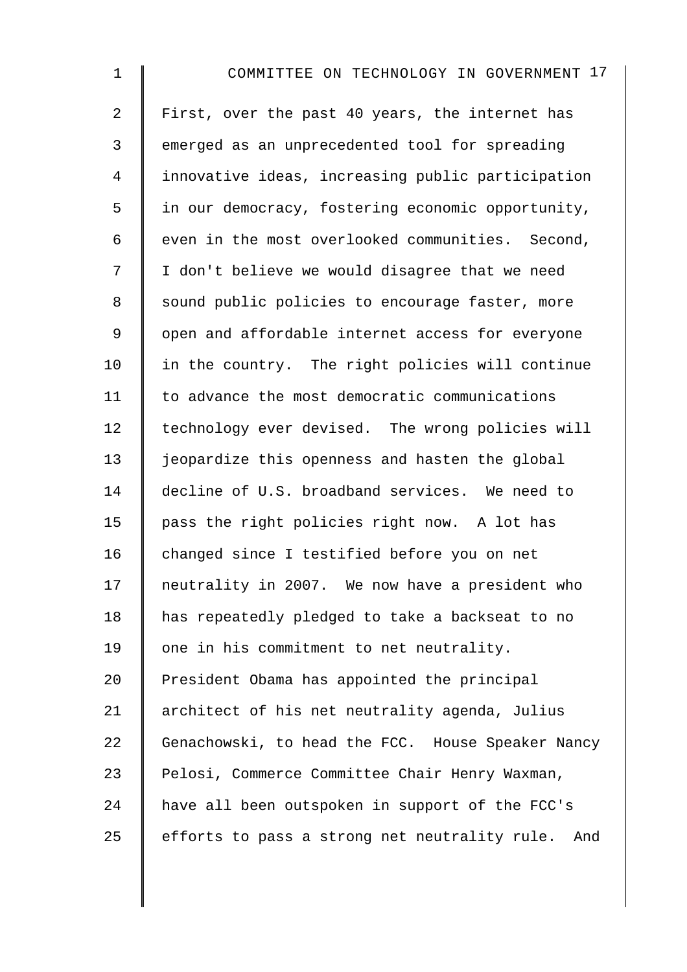| $\mathbf 1$    | COMMITTEE ON TECHNOLOGY IN GOVERNMENT 17          |
|----------------|---------------------------------------------------|
| $\overline{a}$ | First, over the past 40 years, the internet has   |
| 3              | emerged as an unprecedented tool for spreading    |
| 4              | innovative ideas, increasing public participation |
| 5              | in our democracy, fostering economic opportunity, |
| 6              | even in the most overlooked communities. Second,  |
| 7              | I don't believe we would disagree that we need    |
| 8              | sound public policies to encourage faster, more   |
| $\mathsf 9$    | open and affordable internet access for everyone  |
| 10             | in the country. The right policies will continue  |
| 11             | to advance the most democratic communications     |
| 12             | technology ever devised. The wrong policies will  |
| 13             | jeopardize this openness and hasten the global    |
| 14             | decline of U.S. broadband services. We need to    |
| 15             | pass the right policies right now. A lot has      |
| 16             | changed since I testified before you on net       |
| 17             | neutrality in 2007. We now have a president who   |
| 18             | has repeatedly pledged to take a backseat to no   |
| 19             | one in his commitment to net neutrality.          |
| 20             | President Obama has appointed the principal       |
| 21             | architect of his net neutrality agenda, Julius    |
| 22             | Genachowski, to head the FCC. House Speaker Nancy |
| 23             | Pelosi, Commerce Committee Chair Henry Waxman,    |
| 24             | have all been outspoken in support of the FCC's   |
| 25             | efforts to pass a strong net neutrality rule. And |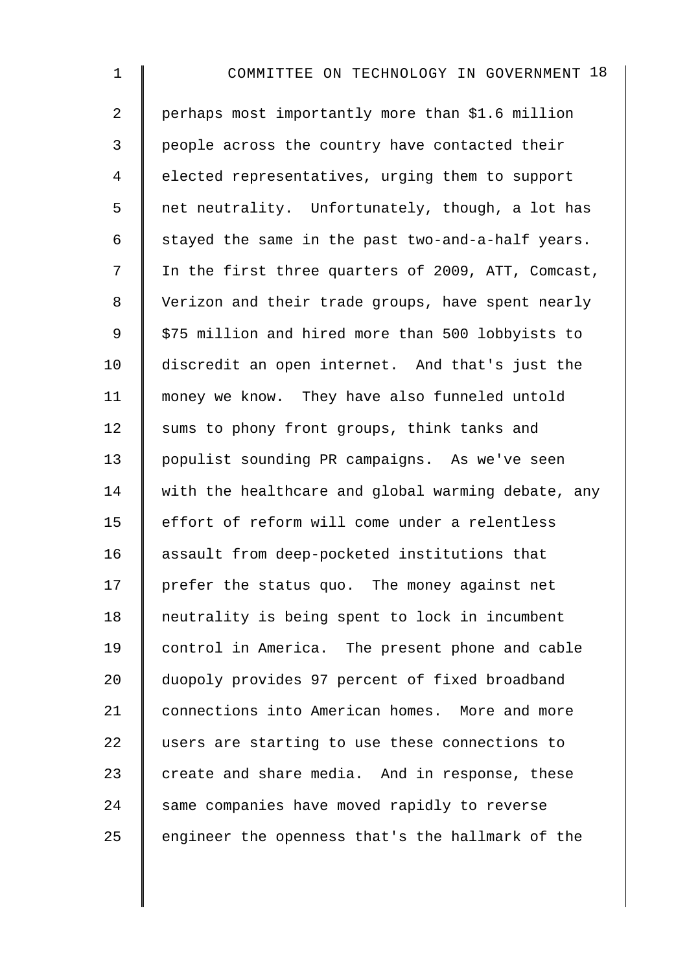1 COMMITTEE ON TECHNOLOGY IN GOVERNMENT 18 2 | perhaps most importantly more than \$1.6 million 3 | people across the country have contacted their 4 elected representatives, urging them to support 5 | net neutrality. Unfortunately, though, a lot has 6  $\parallel$  stayed the same in the past two-and-a-half years. 7 In the first three quarters of 2009, ATT, Comcast, 8 Verizon and their trade groups, have spent nearly 9 | \$75 million and hired more than 500 lobbyists to 10 discredit an open internet. And that's just the 11 money we know. They have also funneled untold 12 sums to phony front groups, think tanks and 13 | populist sounding PR campaigns. As we've seen 14 with the healthcare and global warming debate, any 15 effort of reform will come under a relentless 16 assault from deep-pocketed institutions that 17  $\parallel$  prefer the status quo. The money against net 18 | neutrality is being spent to lock in incumbent 19 control in America. The present phone and cable 20 duopoly provides 97 percent of fixed broadband 21 connections into American homes. More and more 22 users are starting to use these connections to 23  $\parallel$  create and share media. And in response, these 24 same companies have moved rapidly to reverse 25  $\parallel$  engineer the openness that's the hallmark of the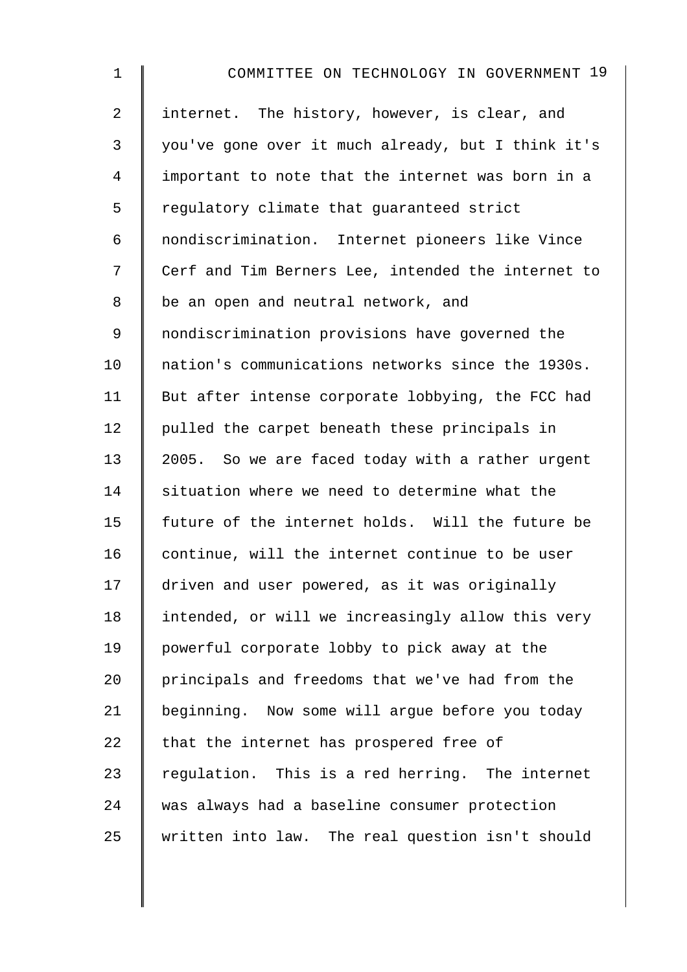| 1              | COMMITTEE ON TECHNOLOGY IN GOVERNMENT 19           |
|----------------|----------------------------------------------------|
| $\overline{2}$ | internet. The history, however, is clear, and      |
| 3              | you've gone over it much already, but I think it's |
| 4              | important to note that the internet was born in a  |
| 5              | regulatory climate that guaranteed strict          |
| 6              | nondiscrimination. Internet pioneers like Vince    |
| 7              | Cerf and Tim Berners Lee, intended the internet to |
| 8              | be an open and neutral network, and                |
| 9              | nondiscrimination provisions have governed the     |
| 10             | nation's communications networks since the 1930s.  |
| 11             | But after intense corporate lobbying, the FCC had  |
| 12             | pulled the carpet beneath these principals in      |
| 13             | 2005. So we are faced today with a rather urgent   |
| 14             | situation where we need to determine what the      |
| 15             | future of the internet holds. Will the future be   |
| 16             | continue, will the internet continue to be user    |
| 17             | driven and user powered, as it was originally      |
| 18             | intended, or will we increasingly allow this very  |
| 19             | powerful corporate lobby to pick away at the       |
| 20             | principals and freedoms that we've had from the    |
| 21             | beginning. Now some will argue before you today    |
| 22             | that the internet has prospered free of            |
| 23             | regulation. This is a red herring. The internet    |
| 24             | was always had a baseline consumer protection      |
| 25             | written into law. The real question isn't should   |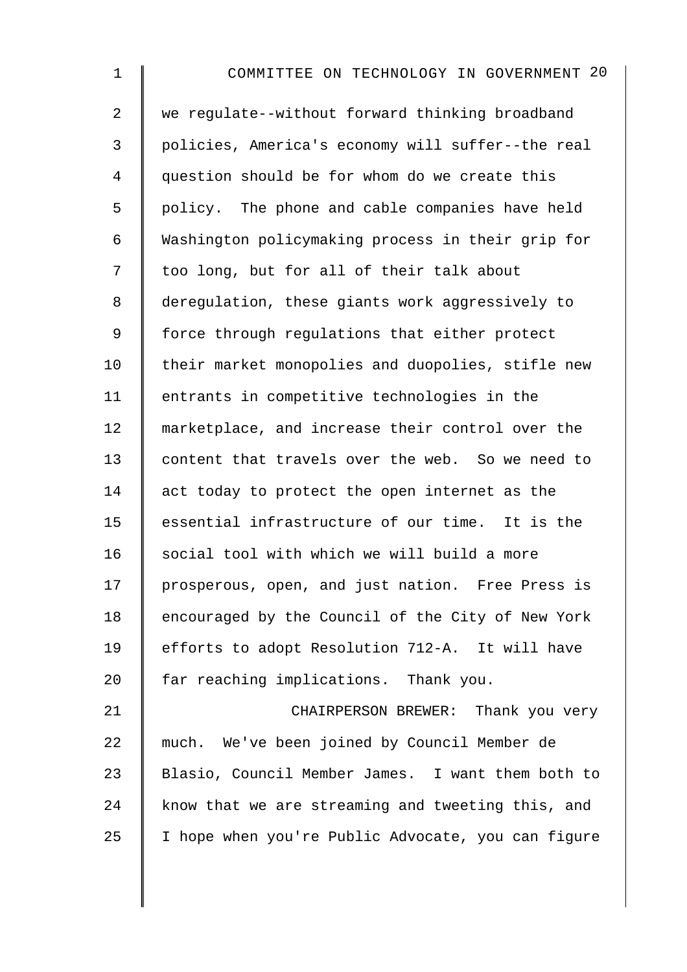| 1              | COMMITTEE ON TECHNOLOGY IN GOVERNMENT 20           |
|----------------|----------------------------------------------------|
| $\overline{2}$ | we regulate--without forward thinking broadband    |
| $\mathfrak{Z}$ | policies, America's economy will suffer--the real  |
| 4              | question should be for whom do we create this      |
| 5              | policy. The phone and cable companies have held    |
| 6              | Washington policymaking process in their grip for  |
| 7              | too long, but for all of their talk about          |
| 8              | deregulation, these giants work aggressively to    |
| 9              | force through regulations that either protect      |
| 10             | their market monopolies and duopolies, stifle new  |
| 11             | entrants in competitive technologies in the        |
| 12             | marketplace, and increase their control over the   |
| 13             | content that travels over the web. So we need to   |
| 14             | act today to protect the open internet as the      |
| 15             | essential infrastructure of our time. It is the    |
| 16             | social tool with which we will build a more        |
| 17             | prosperous, open, and just nation. Free Press is   |
| 18             | encouraged by the Council of the City of New York  |
| 19             | efforts to adopt Resolution 712-A. It will have    |
| 20             | far reaching implications. Thank you.              |
| 21             | CHAIRPERSON BREWER: Thank you very                 |
| 22             | much. We've been joined by Council Member de       |
| 23             | Blasio, Council Member James. I want them both to  |
| 24             | know that we are streaming and tweeting this, and  |
| 25             | I hope when you're Public Advocate, you can figure |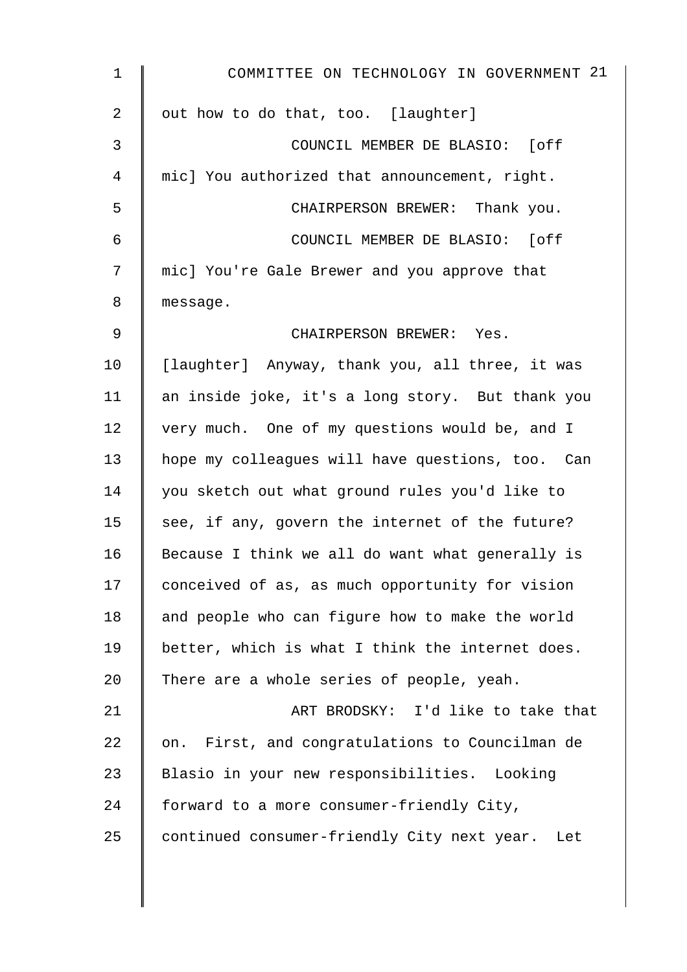| 1  | COMMITTEE ON TECHNOLOGY IN GOVERNMENT 21         |
|----|--------------------------------------------------|
| 2  | out how to do that, too. [laughter]              |
| 3  | COUNCIL MEMBER DE BLASIO: [off                   |
| 4  | mic] You authorized that announcement, right.    |
| 5  | CHAIRPERSON BREWER: Thank you.                   |
| 6  | COUNCIL MEMBER DE BLASIO: [off                   |
| 7  | mic] You're Gale Brewer and you approve that     |
| 8  | message.                                         |
| 9  | CHAIRPERSON BREWER: Yes.                         |
| 10 | [laughter] Anyway, thank you, all three, it was  |
| 11 | an inside joke, it's a long story. But thank you |
| 12 | very much. One of my questions would be, and I   |
| 13 | hope my colleagues will have questions, too. Can |
| 14 | you sketch out what ground rules you'd like to   |
| 15 | see, if any, govern the internet of the future?  |
| 16 | Because I think we all do want what generally is |
| 17 | conceived of as, as much opportunity for vision  |
| 18 | and people who can figure how to make the world  |
| 19 | better, which is what I think the internet does. |
| 20 | There are a whole series of people, yeah.        |
| 21 | ART BRODSKY: I'd like to take that               |
| 22 | on. First, and congratulations to Councilman de  |
| 23 | Blasio in your new responsibilities. Looking     |
| 24 | forward to a more consumer-friendly City,        |
| 25 | continued consumer-friendly City next year. Let  |
|    |                                                  |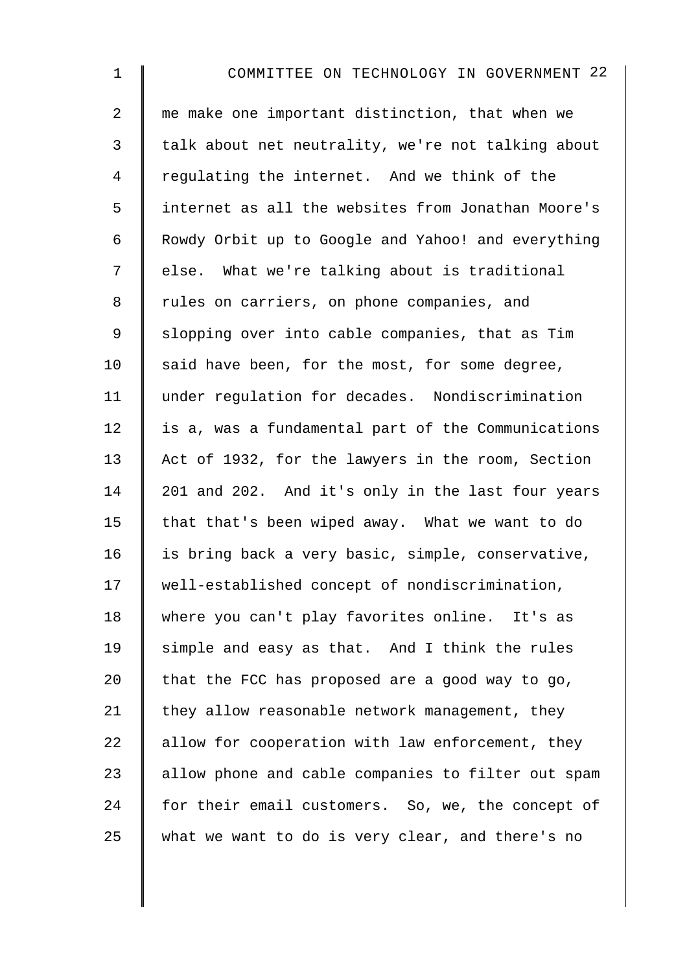1 COMMITTEE ON TECHNOLOGY IN GOVERNMENT 22 2 me make one important distinction, that when we 3 | talk about net neutrality, we're not talking about 4 Tequlating the internet. And we think of the 5 internet as all the websites from Jonathan Moore's 6 Rowdy Orbit up to Google and Yahoo! and everything 7 | else. What we're talking about is traditional 8 | rules on carriers, on phone companies, and 9 Slopping over into cable companies, that as Tim 10  $\parallel$  said have been, for the most, for some degree, 11 under regulation for decades. Nondiscrimination 12 | is a, was a fundamental part of the Communications 13 Act of 1932, for the lawyers in the room, Section 14 201 and 202. And it's only in the last four years 15  $\parallel$  that that's been wiped away. What we want to do 16  $\parallel$  is bring back a very basic, simple, conservative, 17 well-established concept of nondiscrimination, 18 where you can't play favorites online. It's as 19  $\parallel$  simple and easy as that. And I think the rules 20 that the FCC has proposed are a good way to go, 21  $\parallel$  they allow reasonable network management, they 22  $\parallel$  allow for cooperation with law enforcement, they  $23$  | allow phone and cable companies to filter out spam 24 for their email customers. So, we, the concept of 25 what we want to do is very clear, and there's no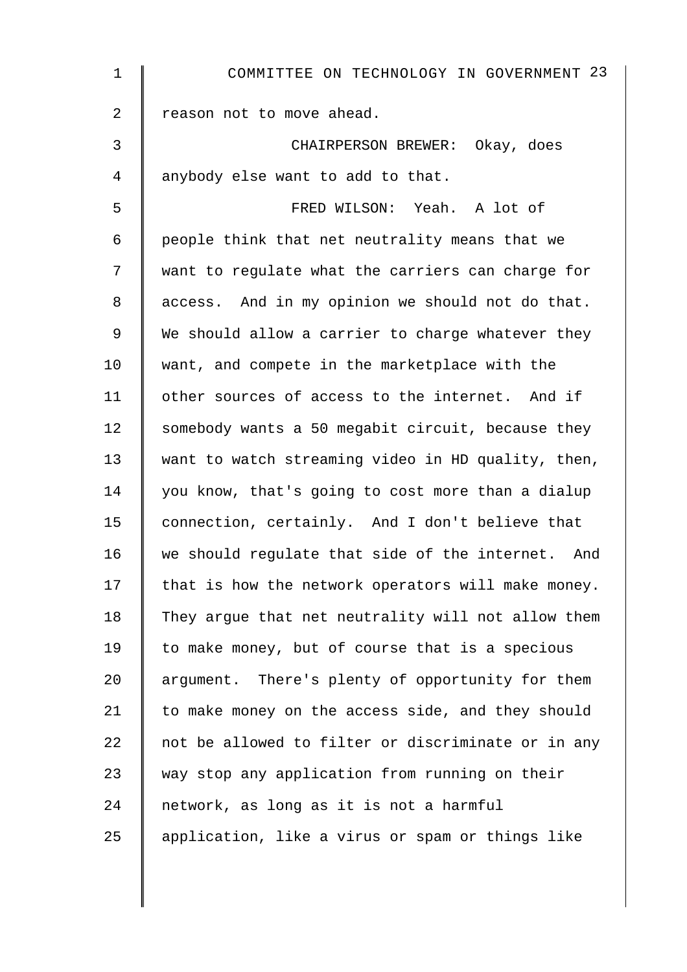| 1  | COMMITTEE ON TECHNOLOGY IN GOVERNMENT 23           |
|----|----------------------------------------------------|
| 2  | reason not to move ahead.                          |
| 3  | CHAIRPERSON BREWER: Okay, does                     |
| 4  | anybody else want to add to that.                  |
| 5  | FRED WILSON: Yeah. A lot of                        |
| 6  | people think that net neutrality means that we     |
| 7  | want to regulate what the carriers can charge for  |
| 8  | access. And in my opinion we should not do that.   |
| 9  | We should allow a carrier to charge whatever they  |
| 10 | want, and compete in the marketplace with the      |
| 11 | other sources of access to the internet. And if    |
| 12 | somebody wants a 50 megabit circuit, because they  |
| 13 | want to watch streaming video in HD quality, then, |
| 14 | you know, that's going to cost more than a dialup  |
| 15 | connection, certainly. And I don't believe that    |
| 16 | we should regulate that side of the internet. And  |
| 17 | that is how the network operators will make money. |
| 18 | They argue that net neutrality will not allow them |
| 19 | to make money, but of course that is a specious    |
| 20 | argument. There's plenty of opportunity for them   |
| 21 | to make money on the access side, and they should  |
| 22 | not be allowed to filter or discriminate or in any |
| 23 | way stop any application from running on their     |
| 24 | network, as long as it is not a harmful            |
| 25 | application, like a virus or spam or things like   |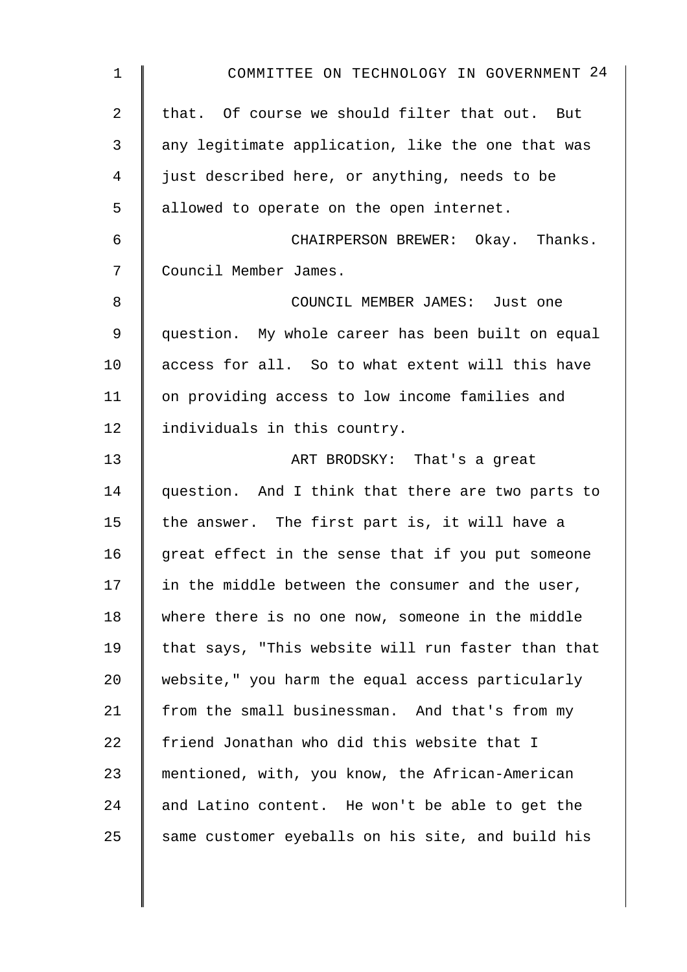| $\mathbf 1$ | COMMITTEE ON TECHNOLOGY IN GOVERNMENT 24           |
|-------------|----------------------------------------------------|
| 2           | that. Of course we should filter that out. But     |
| 3           | any legitimate application, like the one that was  |
| 4           | just described here, or anything, needs to be      |
| 5           | allowed to operate on the open internet.           |
| 6           | CHAIRPERSON BREWER: Okay. Thanks.                  |
| 7           | Council Member James.                              |
| 8           | COUNCIL MEMBER JAMES: Just one                     |
| $\mathsf 9$ | question. My whole career has been built on equal  |
| 10          | access for all. So to what extent will this have   |
| 11          | on providing access to low income families and     |
| 12          | individuals in this country.                       |
| 13          | ART BRODSKY: That's a great                        |
| 14          | question. And I think that there are two parts to  |
| 15          | the answer. The first part is, it will have a      |
| 16          | great effect in the sense that if you put someone  |
| 17          | in the middle between the consumer and the user,   |
| 18          | where there is no one now, someone in the middle   |
| 19          | that says, "This website will run faster than that |
| 20          | website," you harm the equal access particularly   |
| 21          | from the small businessman. And that's from my     |
| 22          | friend Jonathan who did this website that I        |
| 23          | mentioned, with, you know, the African-American    |
| 24          | and Latino content. He won't be able to get the    |
| 25          | same customer eyeballs on his site, and build his  |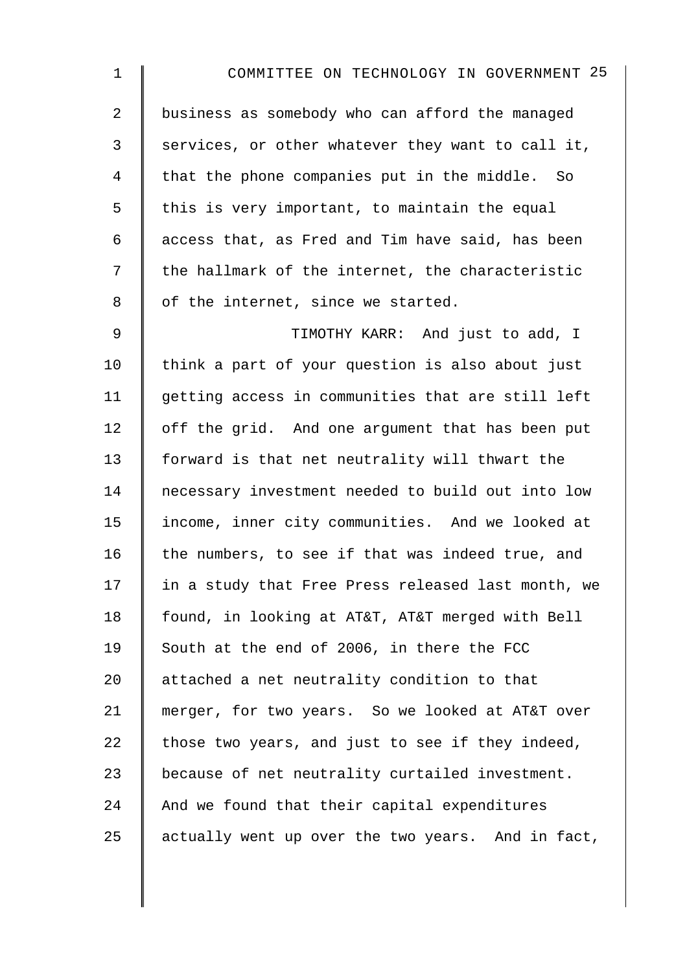| 1              | COMMITTEE ON TECHNOLOGY IN GOVERNMENT 25           |
|----------------|----------------------------------------------------|
| $\overline{a}$ | business as somebody who can afford the managed    |
| $\mathfrak{Z}$ | services, or other whatever they want to call it,  |
| 4              | that the phone companies put in the middle. So     |
| 5              | this is very important, to maintain the equal      |
| 6              | access that, as Fred and Tim have said, has been   |
| 7              | the hallmark of the internet, the characteristic   |
| 8              | of the internet, since we started.                 |
| 9              | TIMOTHY KARR: And just to add, I                   |
| 10             | think a part of your question is also about just   |
| 11             | getting access in communities that are still left  |
| 12             | off the grid. And one argument that has been put   |
| 13             | forward is that net neutrality will thwart the     |
| 14             | necessary investment needed to build out into low  |
| 15             | income, inner city communities. And we looked at   |
| 16             | the numbers, to see if that was indeed true, and   |
| 17             | in a study that Free Press released last month, we |
| 18             | found, in looking at AT&T, AT&T merged with Bell   |
| 19             | South at the end of 2006, in there the FCC         |
| 20             | attached a net neutrality condition to that        |
| 21             | merger, for two years. So we looked at AT&T over   |
| 22             | those two years, and just to see if they indeed,   |
| 23             | because of net neutrality curtailed investment.    |
| 24             | And we found that their capital expenditures       |
| 25             | actually went up over the two years. And in fact,  |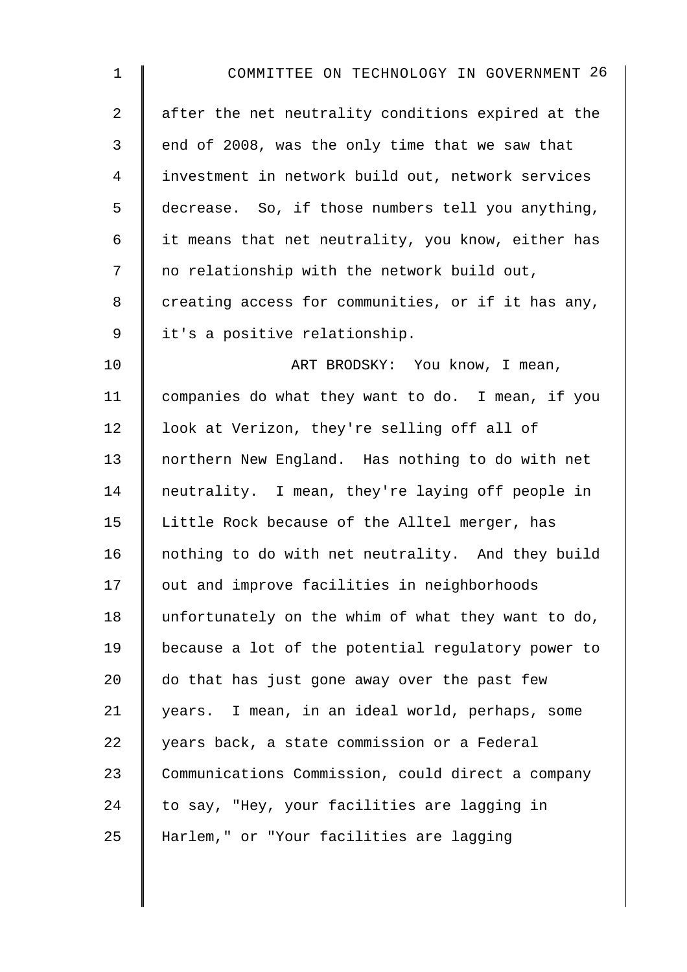| $\mathbf 1$    | COMMITTEE ON TECHNOLOGY IN GOVERNMENT 26           |
|----------------|----------------------------------------------------|
| $\overline{2}$ | after the net neutrality conditions expired at the |
| 3              | end of 2008, was the only time that we saw that    |
| 4              | investment in network build out, network services  |
| 5              | decrease. So, if those numbers tell you anything,  |
| 6              | it means that net neutrality, you know, either has |
| 7              | no relationship with the network build out,        |
| 8              | creating access for communities, or if it has any, |
| 9              | it's a positive relationship.                      |
| 10             | ART BRODSKY: You know, I mean,                     |
| 11             | companies do what they want to do. I mean, if you  |
| 12             | look at Verizon, they're selling off all of        |
| 13             | northern New England. Has nothing to do with net   |
| 14             | neutrality. I mean, they're laying off people in   |
| 15             | Little Rock because of the Alltel merger, has      |
| 16             | nothing to do with net neutrality. And they build  |
| 17             | out and improve facilities in neighborhoods        |
| 18             | unfortunately on the whim of what they want to do, |
| 19             | because a lot of the potential regulatory power to |
| 20             | do that has just gone away over the past few       |
| 21             | years. I mean, in an ideal world, perhaps, some    |
| 22             | years back, a state commission or a Federal        |
| 23             | Communications Commission, could direct a company  |
| 24             | to say, "Hey, your facilities are lagging in       |
| 25             | Harlem," or "Your facilities are lagging           |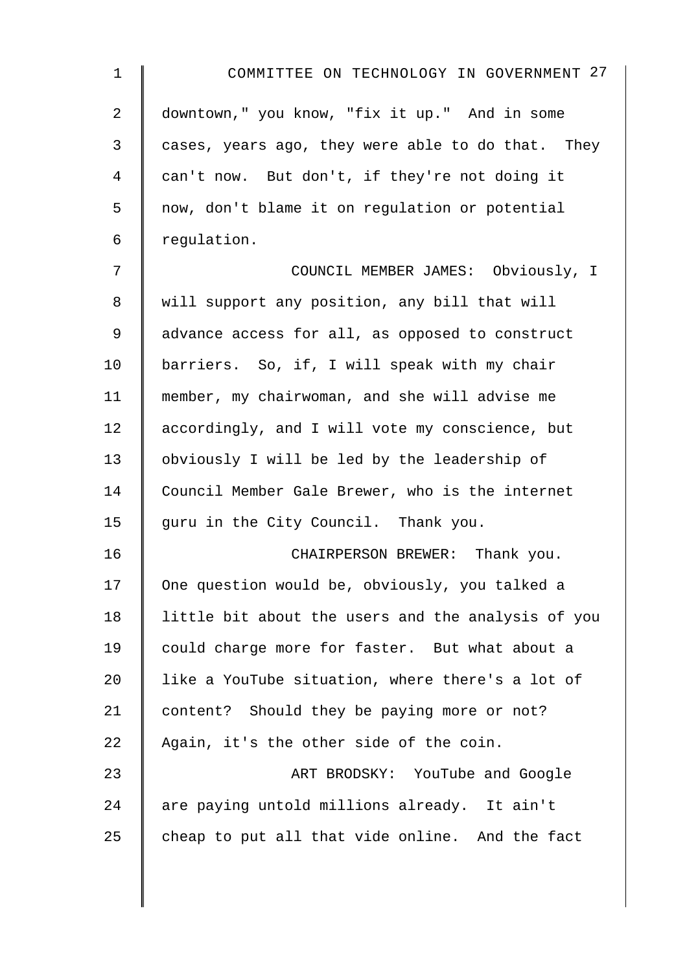| 1  | COMMITTEE ON TECHNOLOGY IN GOVERNMENT 27           |
|----|----------------------------------------------------|
| 2  | downtown," you know, "fix it up." And in some      |
| 3  | cases, years ago, they were able to do that. They  |
| 4  | can't now. But don't, if they're not doing it      |
| 5  | now, don't blame it on regulation or potential     |
| 6  | regulation.                                        |
| 7  | COUNCIL MEMBER JAMES: Obviously, I                 |
| 8  | will support any position, any bill that will      |
| 9  | advance access for all, as opposed to construct    |
| 10 | barriers. So, if, I will speak with my chair       |
| 11 | member, my chairwoman, and she will advise me      |
| 12 | accordingly, and I will vote my conscience, but    |
| 13 | obviously I will be led by the leadership of       |
| 14 | Council Member Gale Brewer, who is the internet    |
| 15 | guru in the City Council. Thank you.               |
| 16 | CHAIRPERSON BREWER: Thank you.                     |
| 17 | One question would be, obviously, you talked a     |
| 18 | little bit about the users and the analysis of you |
| 19 | could charge more for faster. But what about a     |
| 20 | like a YouTube situation, where there's a lot of   |
| 21 | content? Should they be paying more or not?        |
| 22 | Again, it's the other side of the coin.            |
| 23 | ART BRODSKY: YouTube and Google                    |
| 24 | are paying untold millions already. It ain't       |
| 25 | cheap to put all that vide online. And the fact    |
|    |                                                    |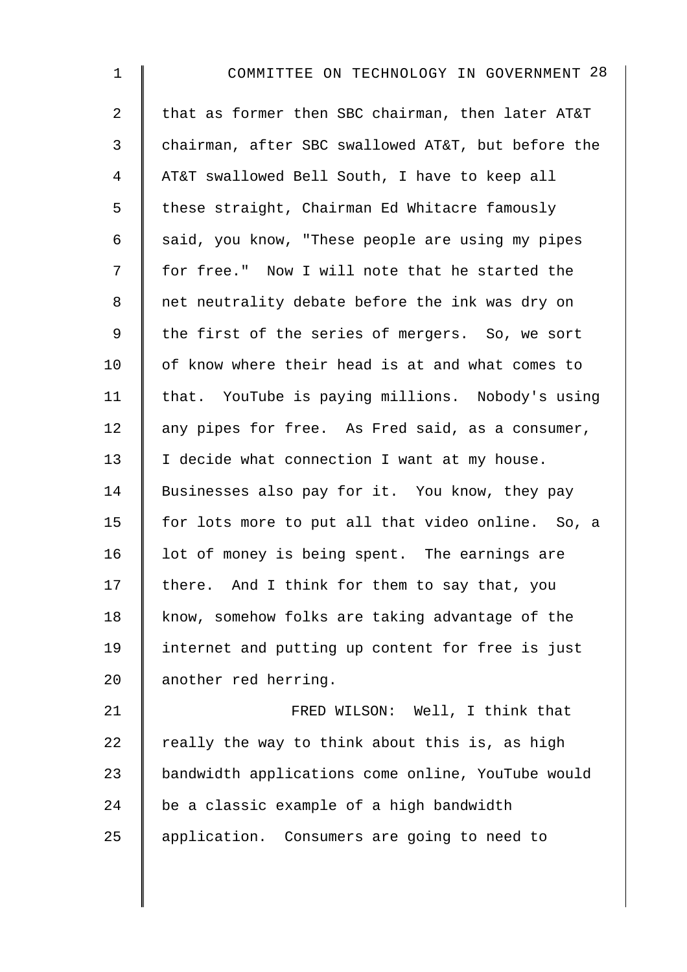| $\mathbf 1$    | COMMITTEE ON TECHNOLOGY IN GOVERNMENT 28           |
|----------------|----------------------------------------------------|
| $\overline{2}$ | that as former then SBC chairman, then later AT&T  |
| 3              | chairman, after SBC swallowed AT&T, but before the |
| 4              | AT&T swallowed Bell South, I have to keep all      |
| 5              | these straight, Chairman Ed Whitacre famously      |
| 6              | said, you know, "These people are using my pipes   |
| 7              | for free." Now I will note that he started the     |
| 8              | net neutrality debate before the ink was dry on    |
| 9              | the first of the series of mergers. So, we sort    |
| 10             | of know where their head is at and what comes to   |
| 11             | that. YouTube is paying millions. Nobody's using   |
| 12             | any pipes for free. As Fred said, as a consumer,   |
| 13             | I decide what connection I want at my house.       |
| 14             | Businesses also pay for it. You know, they pay     |
| 15             | for lots more to put all that video online. So, a  |
| 16             | lot of money is being spent. The earnings are      |
| 17             | there. And I think for them to say that, you       |
| 18             | know, somehow folks are taking advantage of the    |
| 19             | internet and putting up content for free is just   |
| 20             | another red herring.                               |
| 21             | FRED WILSON: Well, I think that                    |
| 22             | really the way to think about this is, as high     |
| 23             | bandwidth applications come online, YouTube would  |
| 24             | be a classic example of a high bandwidth           |

25 | application. Consumers are going to need to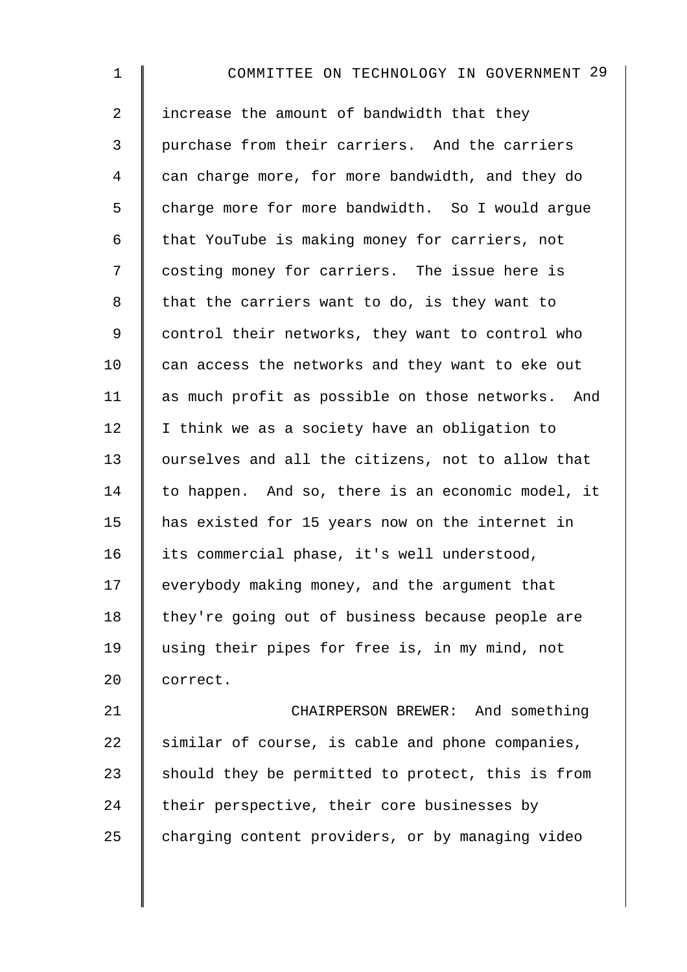1 COMMITTEE ON TECHNOLOGY IN GOVERNMENT 29 2 I increase the amount of bandwidth that they 3 | purchase from their carriers. And the carriers 4 can charge more, for more bandwidth, and they do 5 | charge more for more bandwidth. So I would argue 6  $\parallel$  that YouTube is making money for carriers, not 7 | costing money for carriers. The issue here is  $8 \parallel$  that the carriers want to do, is they want to 9 | control their networks, they want to control who 10 can access the networks and they want to eke out 11  $\parallel$  as much profit as possible on those networks. And 12 | I think we as a society have an obligation to 13 | ourselves and all the citizens, not to allow that 14 to happen. And so, there is an economic model, it 15 has existed for 15 years now on the internet in 16 | its commercial phase, it's well understood, 17 | everybody making money, and the argument that 18 they're going out of business because people are 19 using their pipes for free is, in my mind, not 20 correct. 21 | CHAIRPERSON BREWER: And something  $22$  similar of course, is cable and phone companies, 23 Should they be permitted to protect, this is from

 $25$  charging content providers, or by managing video

 $24$  their perspective, their core businesses by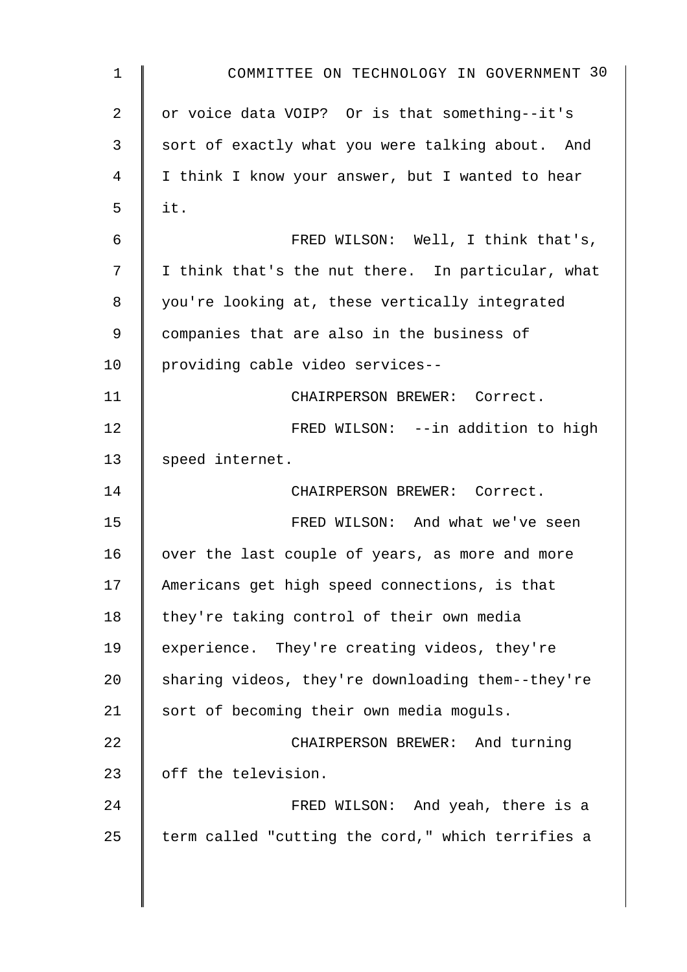| $\mathbf 1$ | COMMITTEE ON TECHNOLOGY IN GOVERNMENT 30          |
|-------------|---------------------------------------------------|
| 2           | or voice data VOIP? Or is that something--it's    |
| 3           | sort of exactly what you were talking about. And  |
| 4           | I think I know your answer, but I wanted to hear  |
| 5           | it.                                               |
| 6           | FRED WILSON: Well, I think that's,                |
| 7           | I think that's the nut there. In particular, what |
| 8           | you're looking at, these vertically integrated    |
| 9           | companies that are also in the business of        |
| 10          | providing cable video services--                  |
| 11          | CHAIRPERSON BREWER: Correct.                      |
| 12          | FRED WILSON: --in addition to high                |
| 13          | speed internet.                                   |
| 14          | CHAIRPERSON BREWER: Correct.                      |
| 15          | FRED WILSON: And what we've seen                  |
| 16          | over the last couple of years, as more and more   |
| 17          | Americans get high speed connections, is that     |
| 18          | they're taking control of their own media         |
| 19          | experience. They're creating videos, they're      |
| 20          | sharing videos, they're downloading them--they're |
| 21          | sort of becoming their own media moguls.          |
| 22          | CHAIRPERSON BREWER: And turning                   |
| 23          | off the television.                               |
| 24          | FRED WILSON: And yeah, there is a                 |
| 25          | term called "cutting the cord," which terrifies a |
|             |                                                   |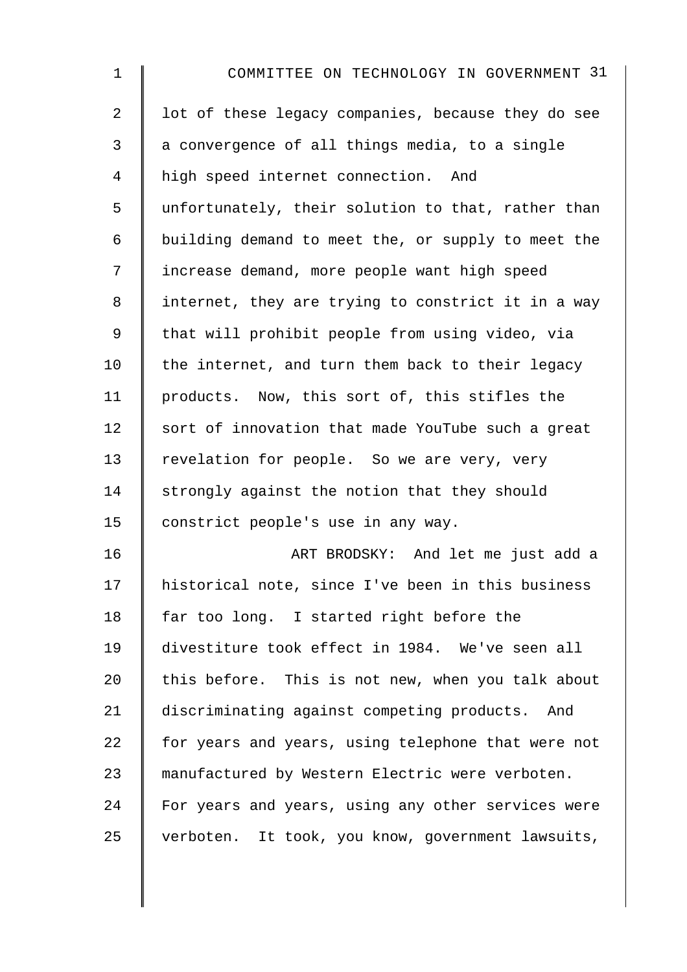| $\mathbf 1$    | COMMITTEE ON TECHNOLOGY IN GOVERNMENT 31           |
|----------------|----------------------------------------------------|
| $\overline{2}$ | lot of these legacy companies, because they do see |
| 3              | a convergence of all things media, to a single     |
| 4              | high speed internet connection. And                |
| 5              | unfortunately, their solution to that, rather than |
| 6              | building demand to meet the, or supply to meet the |
| 7              | increase demand, more people want high speed       |
| 8              | internet, they are trying to constrict it in a way |
| 9              | that will prohibit people from using video, via    |
| 10             | the internet, and turn them back to their legacy   |
| 11             | products. Now, this sort of, this stifles the      |
| 12             | sort of innovation that made YouTube such a great  |
| 13             | revelation for people. So we are very, very        |
| 14             | strongly against the notion that they should       |
| 15             | constrict people's use in any way.                 |
| 16             | ART BRODSKY: And let me just add a                 |
| 17             | historical note, since I've been in this business  |
| 18             | far too long. I started right before the           |
| 19             | divestiture took effect in 1984. We've seen all    |
| 20             | this before. This is not new, when you talk about  |
| 21             | discriminating against competing products. And     |
| 22             | for years and years, using telephone that were not |
| 23             | manufactured by Western Electric were verboten.    |
| 24             | For years and years, using any other services were |
| 25             | verboten. It took, you know, government lawsuits,  |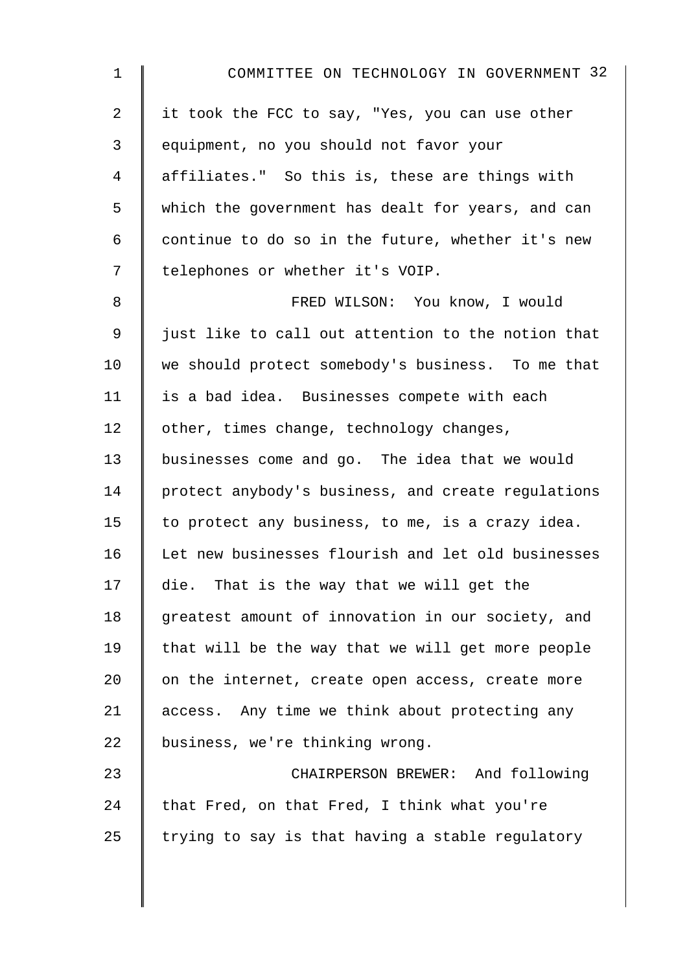| 1              | COMMITTEE ON TECHNOLOGY IN GOVERNMENT 32           |
|----------------|----------------------------------------------------|
| $\overline{2}$ | it took the FCC to say, "Yes, you can use other    |
| 3              | equipment, no you should not favor your            |
| 4              | affiliates." So this is, these are things with     |
| 5              | which the government has dealt for years, and can  |
| 6              | continue to do so in the future, whether it's new  |
| 7              | telephones or whether it's VOIP.                   |
| 8              | FRED WILSON: You know, I would                     |
| 9              | just like to call out attention to the notion that |
| 10             | we should protect somebody's business. To me that  |
| 11             | is a bad idea. Businesses compete with each        |
| 12             | other, times change, technology changes,           |
| 13             | businesses come and go. The idea that we would     |
| 14             | protect anybody's business, and create regulations |
| 15             | to protect any business, to me, is a crazy idea.   |
| 16             | Let new businesses flourish and let old businesses |
| 17             | die. That is the way that we will get the          |
| 18             | greatest amount of innovation in our society, and  |
| 19             | that will be the way that we will get more people  |
| 20             | on the internet, create open access, create more   |
| 21             | access. Any time we think about protecting any     |
| 22             | business, we're thinking wrong.                    |
| 23             | CHAIRPERSON BREWER: And following                  |
| 24             | that Fred, on that Fred, I think what you're       |
| 25             | trying to say is that having a stable regulatory   |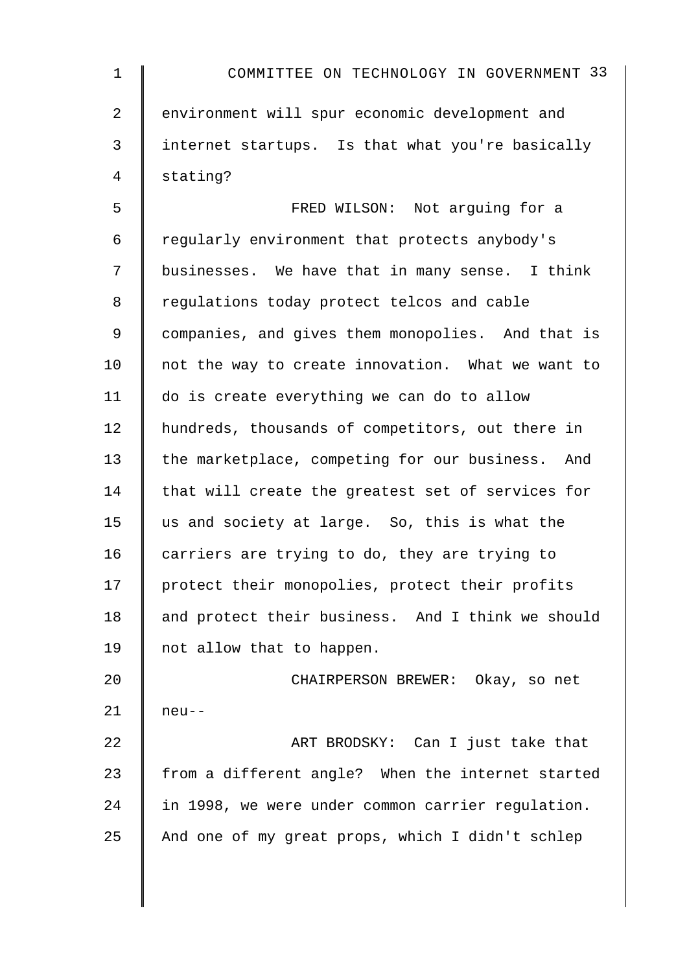| 1               | COMMITTEE ON TECHNOLOGY IN GOVERNMENT 33          |
|-----------------|---------------------------------------------------|
| $\overline{a}$  | environment will spur economic development and    |
| 3               | internet startups. Is that what you're basically  |
| $\overline{4}$  | stating?                                          |
| 5               | FRED WILSON: Not arguing for a                    |
| 6               | regularly environment that protects anybody's     |
| 7               | businesses. We have that in many sense. I think   |
| 8               | regulations today protect telcos and cable        |
| 9               | companies, and gives them monopolies. And that is |
| 10              | not the way to create innovation. What we want to |
| 11              | do is create everything we can do to allow        |
| 12 <sub>1</sub> | hundreds, thousands of competitors, out there in  |
| 13              | the marketplace, competing for our business. And  |
| 14              | that will create the greatest set of services for |
| 15              | us and society at large. So, this is what the     |
| 16              | carriers are trying to do, they are trying to     |
| 17              | protect their monopolies, protect their profits   |
| 18              | and protect their business. And I think we should |
| 19              | not allow that to happen.                         |
| 20              | CHAIRPERSON BREWER: Okay, so net                  |
| 21              | neu--                                             |
| 22              | ART BRODSKY: Can I just take that                 |
| 23              | from a different angle? When the internet started |
| 24              | in 1998, we were under common carrier regulation. |
| 25              | And one of my great props, which I didn't schlep  |
|                 |                                                   |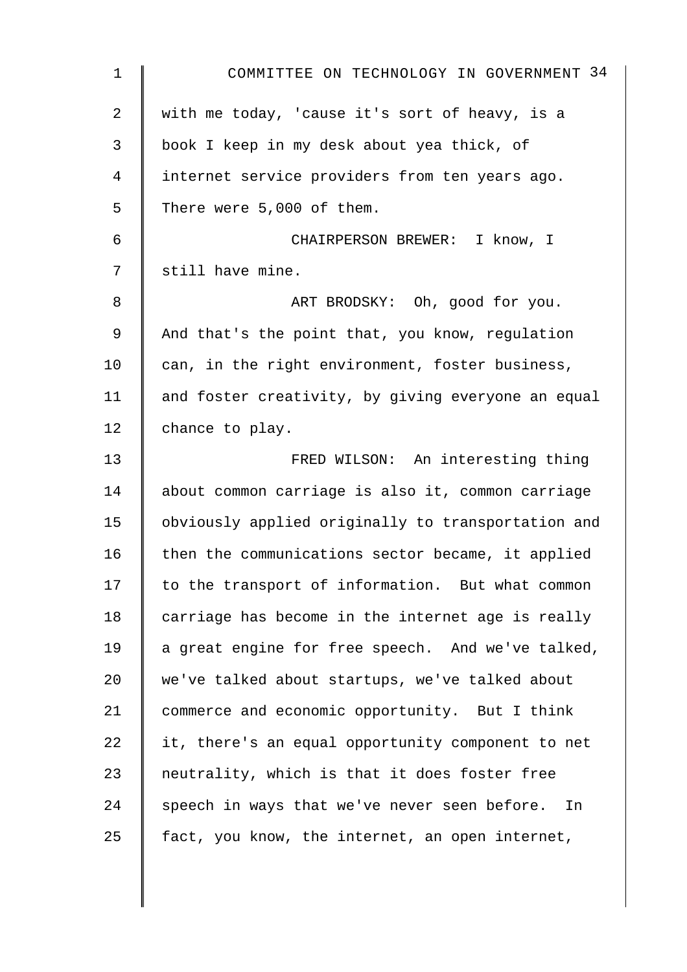| $\mathbf{1}$ | COMMITTEE ON TECHNOLOGY IN GOVERNMENT 34           |
|--------------|----------------------------------------------------|
| 2            | with me today, 'cause it's sort of heavy, is a     |
| 3            | book I keep in my desk about yea thick, of         |
| 4            | internet service providers from ten years ago.     |
| 5            | There were 5,000 of them.                          |
| 6            | CHAIRPERSON BREWER: I know, I                      |
| 7            | still have mine.                                   |
| 8            | ART BRODSKY: Oh, good for you.                     |
| 9            | And that's the point that, you know, regulation    |
| 10           | can, in the right environment, foster business,    |
| 11           | and foster creativity, by giving everyone an equal |
| 12           | chance to play.                                    |
| 13           | FRED WILSON: An interesting thing                  |
| 14           | about common carriage is also it, common carriage  |
| 15           | obviously applied originally to transportation and |
| 16           | then the communications sector became, it applied  |
| 17           | to the transport of information. But what common   |
| 18           | carriage has become in the internet age is really  |
| 19           | a great engine for free speech. And we've talked,  |
| 20           | we've talked about startups, we've talked about    |
| 21           | commerce and economic opportunity. But I think     |
| 22           | it, there's an equal opportunity component to net  |
| 23           | neutrality, which is that it does foster free      |
| 24           | speech in ways that we've never seen before.<br>In |
| 25           | fact, you know, the internet, an open internet,    |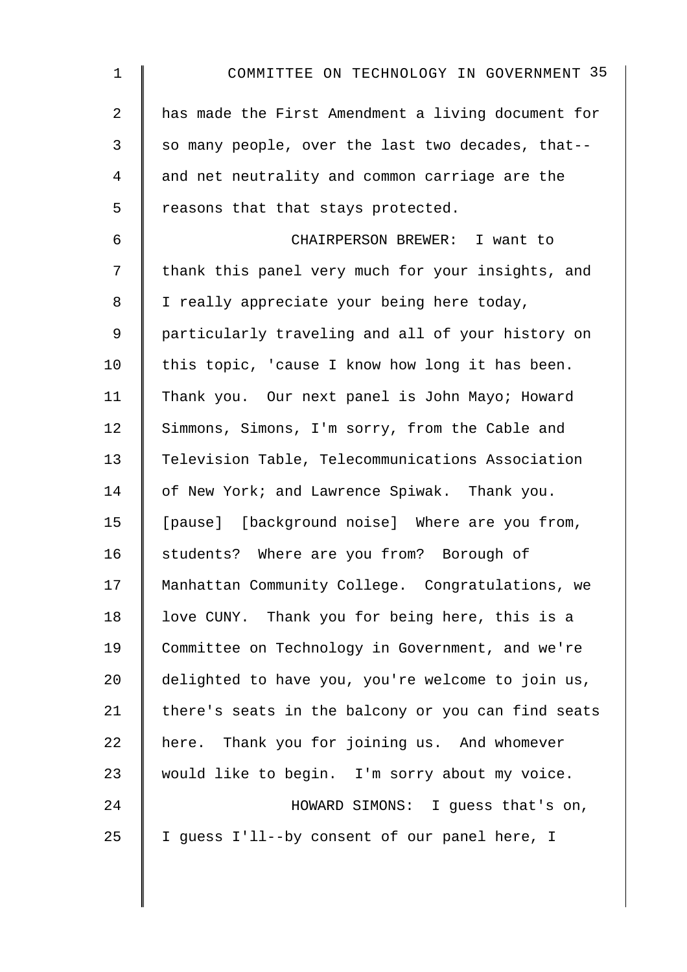| 1              | COMMITTEE ON TECHNOLOGY IN GOVERNMENT 35           |
|----------------|----------------------------------------------------|
| $\overline{2}$ | has made the First Amendment a living document for |
| 3              | so many people, over the last two decades, that--  |
| $\overline{4}$ | and net neutrality and common carriage are the     |
| 5              | reasons that that stays protected.                 |
| 6              | CHAIRPERSON BREWER: I want to                      |
| 7              | thank this panel very much for your insights, and  |
| 8              | I really appreciate your being here today,         |
| 9              | particularly traveling and all of your history on  |
| 10             | this topic, 'cause I know how long it has been.    |
| 11             | Thank you. Our next panel is John Mayo; Howard     |
| 12             | Simmons, Simons, I'm sorry, from the Cable and     |
| 13             | Television Table, Telecommunications Association   |
| 14             | of New York; and Lawrence Spiwak. Thank you.       |
| 15             | [pause] [background noise] Where are you from,     |
| 16             | students? Where are you from? Borough of           |
| 17             | Manhattan Community College. Congratulations, we   |
| 18             | love CUNY. Thank you for being here, this is a     |
| 19             | Committee on Technology in Government, and we're   |
| 20             | delighted to have you, you're welcome to join us,  |
| 21             | there's seats in the balcony or you can find seats |
| 22             | here. Thank you for joining us. And whomever       |
| 23             | would like to begin. I'm sorry about my voice.     |
| 24             | HOWARD SIMONS: I guess that's on,                  |
| 25             | I guess I'll--by consent of our panel here, I      |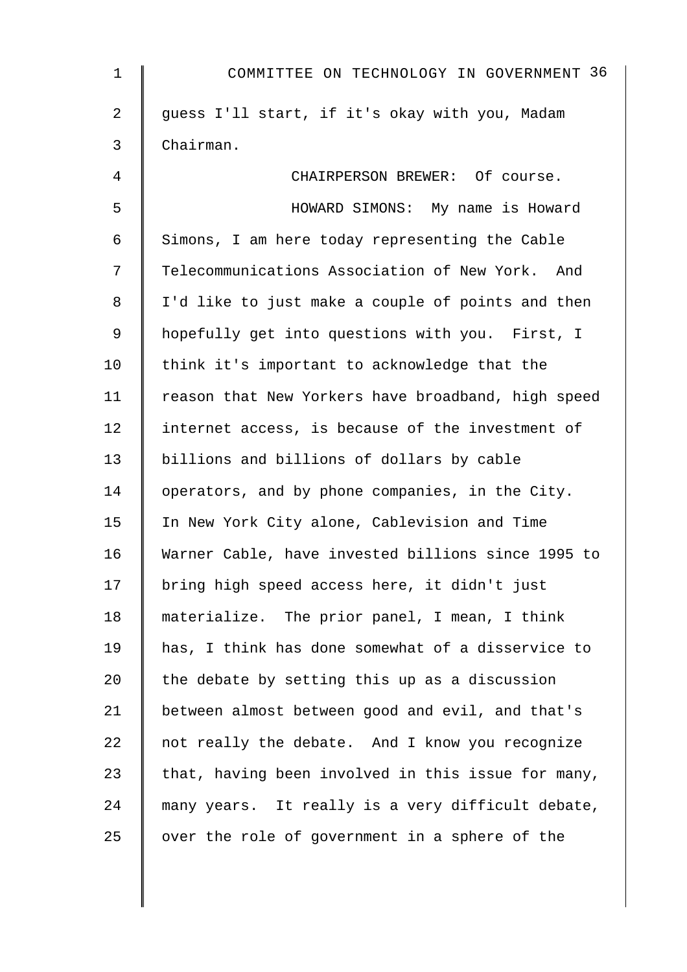| 1  | COMMITTEE ON TECHNOLOGY IN GOVERNMENT 36           |
|----|----------------------------------------------------|
| 2  | guess I'll start, if it's okay with you, Madam     |
| 3  | Chairman.                                          |
| 4  | CHAIRPERSON BREWER: Of course.                     |
| 5  | HOWARD SIMONS: My name is Howard                   |
| 6  | Simons, I am here today representing the Cable     |
| 7  | Telecommunications Association of New York. And    |
| 8  | I'd like to just make a couple of points and then  |
| 9  | hopefully get into questions with you. First, I    |
| 10 | think it's important to acknowledge that the       |
| 11 | reason that New Yorkers have broadband, high speed |
| 12 | internet access, is because of the investment of   |
| 13 | billions and billions of dollars by cable          |
| 14 | operators, and by phone companies, in the City.    |
| 15 | In New York City alone, Cablevision and Time       |
| 16 | Warner Cable, have invested billions since 1995 to |
| 17 | bring high speed access here, it didn't just       |
| 18 | materialize. The prior panel, I mean, I think      |
| 19 | has, I think has done somewhat of a disservice to  |
| 20 | the debate by setting this up as a discussion      |
| 21 | between almost between good and evil, and that's   |
| 22 | not really the debate. And I know you recognize    |
| 23 | that, having been involved in this issue for many, |
| 24 | many years. It really is a very difficult debate,  |
| 25 | over the role of government in a sphere of the     |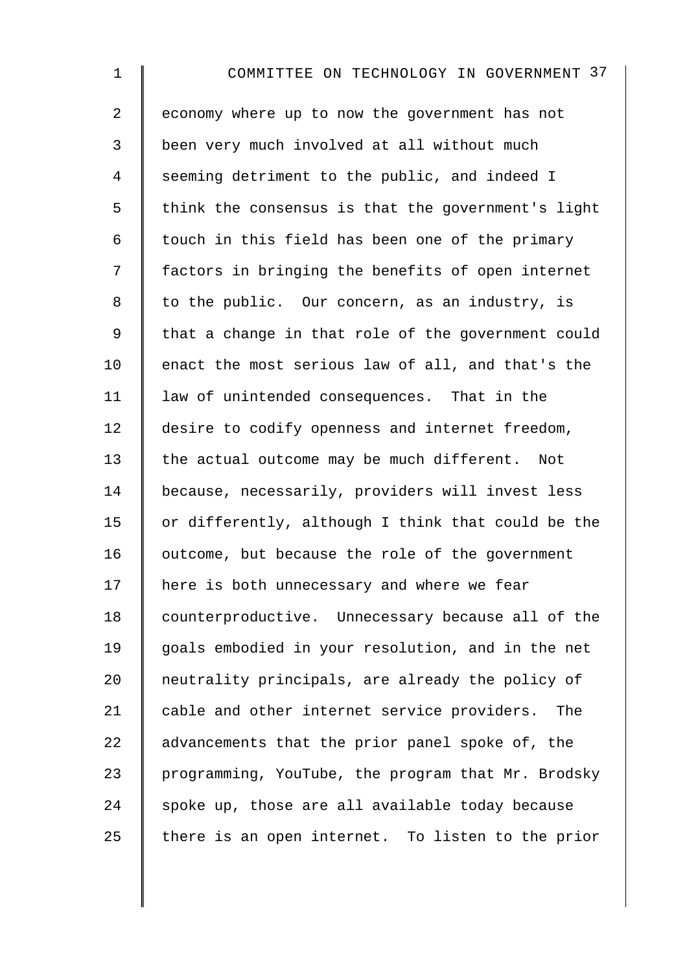| 1              | COMMITTEE ON TECHNOLOGY IN GOVERNMENT 37           |
|----------------|----------------------------------------------------|
| $\overline{2}$ | economy where up to now the government has not     |
| 3              | been very much involved at all without much        |
| 4              | seeming detriment to the public, and indeed I      |
| 5              | think the consensus is that the government's light |
| 6              | touch in this field has been one of the primary    |
| 7              | factors in bringing the benefits of open internet  |
| 8              | to the public. Our concern, as an industry, is     |
| $\mathsf 9$    | that a change in that role of the government could |
| 10             | enact the most serious law of all, and that's the  |
| 11             | law of unintended consequences. That in the        |
| 12             | desire to codify openness and internet freedom,    |
| 13             | the actual outcome may be much different. Not      |
| 14             | because, necessarily, providers will invest less   |
| 15             | or differently, although I think that could be the |
| 16             | outcome, but because the role of the government    |
| 17             | here is both unnecessary and where we fear         |
| 18             | counterproductive. Unnecessary because all of the  |
| 19             | goals embodied in your resolution, and in the net  |
| 20             | neutrality principals, are already the policy of   |
| 21             | cable and other internet service providers. The    |
| 22             | advancements that the prior panel spoke of, the    |
| 23             | programming, YouTube, the program that Mr. Brodsky |
| 24             | spoke up, those are all available today because    |
| 25             | there is an open internet. To listen to the prior  |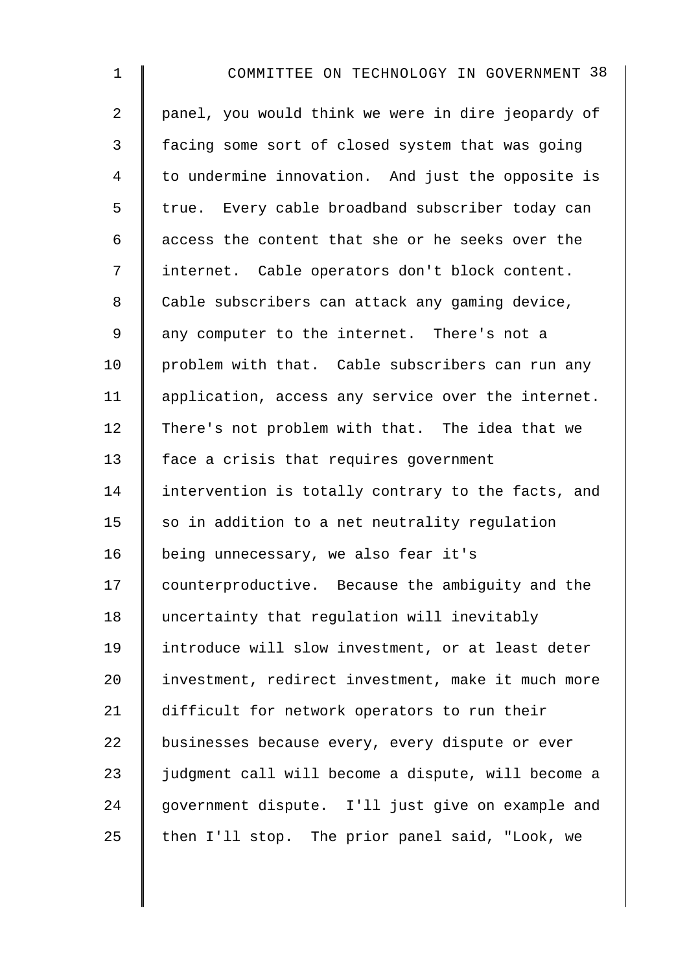| $\mathbf 1$    | COMMITTEE ON TECHNOLOGY IN GOVERNMENT 38           |
|----------------|----------------------------------------------------|
| $\overline{2}$ | panel, you would think we were in dire jeopardy of |
| 3              | facing some sort of closed system that was going   |
| 4              | to undermine innovation. And just the opposite is  |
| 5              | true. Every cable broadband subscriber today can   |
| 6              | access the content that she or he seeks over the   |
| 7              | internet. Cable operators don't block content.     |
| 8              | Cable subscribers can attack any gaming device,    |
| 9              | any computer to the internet. There's not a        |
| 10             | problem with that. Cable subscribers can run any   |
| 11             | application, access any service over the internet. |
| 12             | There's not problem with that. The idea that we    |
| 13             | face a crisis that requires government             |
| 14             | intervention is totally contrary to the facts, and |
| 15             | so in addition to a net neutrality regulation      |
| 16             | being unnecessary, we also fear it's               |
| 17             | counterproductive. Because the ambiguity and the   |
| 18             | uncertainty that regulation will inevitably        |
| 19             | introduce will slow investment, or at least deter  |
| 20             | investment, redirect investment, make it much more |
| 21             | difficult for network operators to run their       |
| 22             | businesses because every, every dispute or ever    |
| 23             | judgment call will become a dispute, will become a |
| 24             | government dispute. I'll just give on example and  |
| 25             | then I'll stop. The prior panel said, "Look, we    |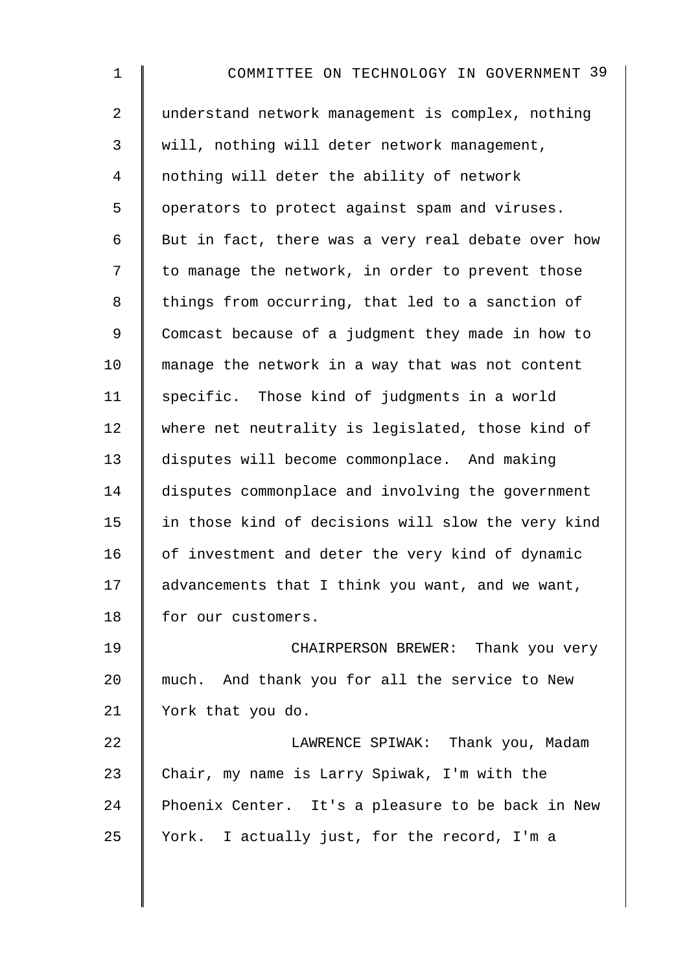1 | COMMITTEE ON TECHNOLOGY IN GOVERNMENT 39 2 understand network management is complex, nothing 3 Wuill, nothing will deter network management, 4 | nothing will deter the ability of network 5 | operators to protect against spam and viruses. 6  $\parallel$  But in fact, there was a very real debate over how 7 | to manage the network, in order to prevent those 8 | things from occurring, that led to a sanction of 9 Comcast because of a judgment they made in how to 10 manage the network in a way that was not content 11 | specific. Those kind of judgments in a world 12 where net neutrality is legislated, those kind of 13 disputes will become commonplace. And making 14 disputes commonplace and involving the government 15 | in those kind of decisions will slow the very kind 16 | of investment and deter the very kind of dynamic 17 advancements that I think you want, and we want, 18 | for our customers. 19 CHAIRPERSON BREWER: Thank you very 20 much. And thank you for all the service to New 21 | York that you do. 22 **Number 22 SEART IN STARK:** Thank you, Madam 23 Chair, my name is Larry Spiwak, I'm with the 24 Phoenix Center. It's a pleasure to be back in New 25  $\parallel$  York. I actually just, for the record, I'm a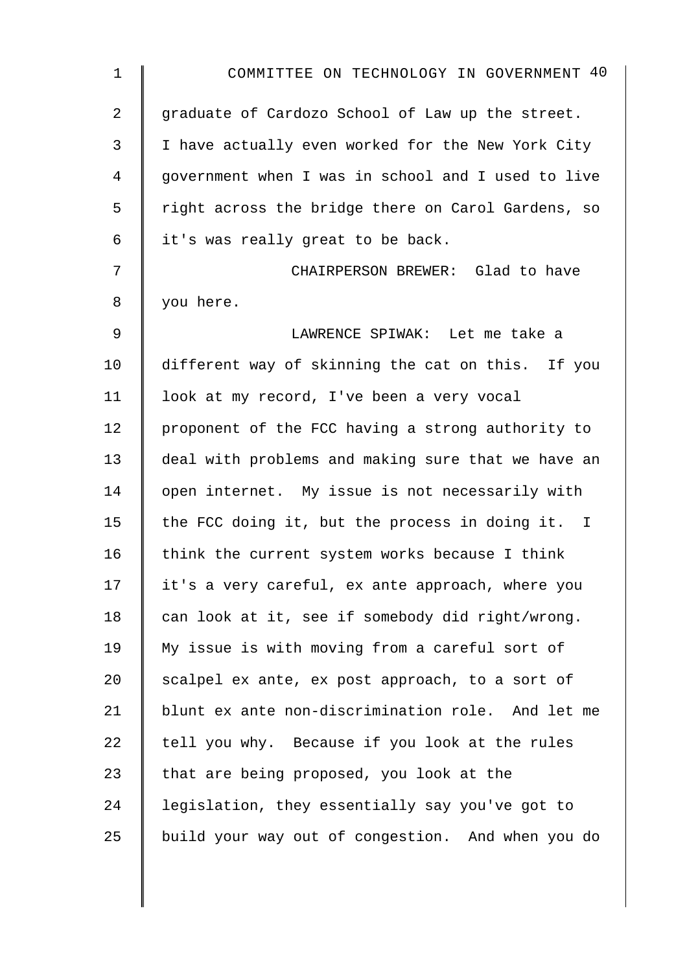| $\mathbf 1$ | COMMITTEE ON TECHNOLOGY IN GOVERNMENT 40           |
|-------------|----------------------------------------------------|
| 2           | graduate of Cardozo School of Law up the street.   |
| 3           | I have actually even worked for the New York City  |
| 4           | government when I was in school and I used to live |
| 5           | right across the bridge there on Carol Gardens, so |
| 6           | it's was really great to be back.                  |
| 7           | CHAIRPERSON BREWER: Glad to have                   |
| 8           | you here.                                          |
| 9           | LAWRENCE SPIWAK: Let me take a                     |
| 10          | different way of skinning the cat on this. If you  |
| 11          | look at my record, I've been a very vocal          |
| 12          | proponent of the FCC having a strong authority to  |
| 13          | deal with problems and making sure that we have an |
| 14          | open internet. My issue is not necessarily with    |
| 15          | the FCC doing it, but the process in doing it. I   |
| 16          | think the current system works because I think     |
| 17          | it's a very careful, ex ante approach, where you   |
| 18          | can look at it, see if somebody did right/wrong.   |
| 19          | My issue is with moving from a careful sort of     |
| 20          | scalpel ex ante, ex post approach, to a sort of    |
| 21          | blunt ex ante non-discrimination role. And let me  |
| 22          | tell you why. Because if you look at the rules     |
| 23          | that are being proposed, you look at the           |
| 24          | legislation, they essentially say you've got to    |
| 25          | build your way out of congestion. And when you do  |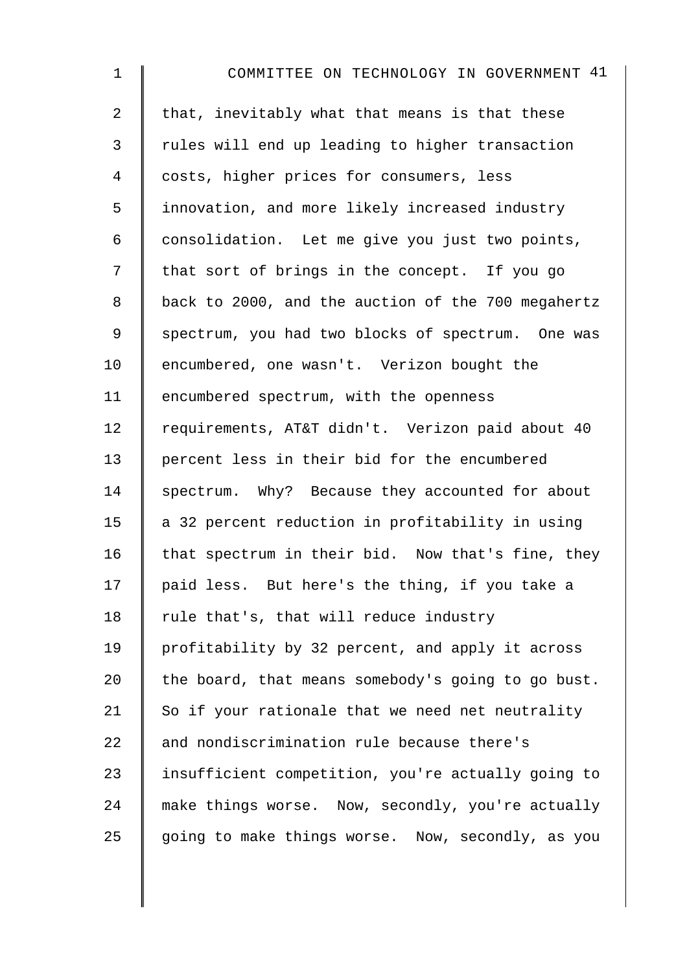| $\mathbf{1}$   | COMMITTEE ON TECHNOLOGY IN GOVERNMENT 41           |
|----------------|----------------------------------------------------|
| $\overline{2}$ | that, inevitably what that means is that these     |
| $\mathfrak{Z}$ | rules will end up leading to higher transaction    |
| $\overline{4}$ | costs, higher prices for consumers, less           |
| 5              | innovation, and more likely increased industry     |
| 6              | consolidation. Let me give you just two points,    |
| 7              | that sort of brings in the concept. If you go      |
| 8              | back to 2000, and the auction of the 700 megahertz |
| $\mathsf 9$    | spectrum, you had two blocks of spectrum. One was  |
| 10             | encumbered, one wasn't. Verizon bought the         |
| 11             | encumbered spectrum, with the openness             |
| 12             | requirements, AT&T didn't. Verizon paid about 40   |
| 13             | percent less in their bid for the encumbered       |
| 14             | spectrum. Why? Because they accounted for about    |
| 15             | a 32 percent reduction in profitability in using   |
| 16             | that spectrum in their bid. Now that's fine, they  |
| 17             | paid less. But here's the thing, if you take a     |
| 18             | rule that's, that will reduce industry             |
| 19             | profitability by 32 percent, and apply it across   |
| 20             | the board, that means somebody's going to go bust. |
| 21             | So if your rationale that we need net neutrality   |
| 22             | and nondiscrimination rule because there's         |
| 23             | insufficient competition, you're actually going to |
| 24             | make things worse. Now, secondly, you're actually  |
| 25             | going to make things worse. Now, secondly, as you  |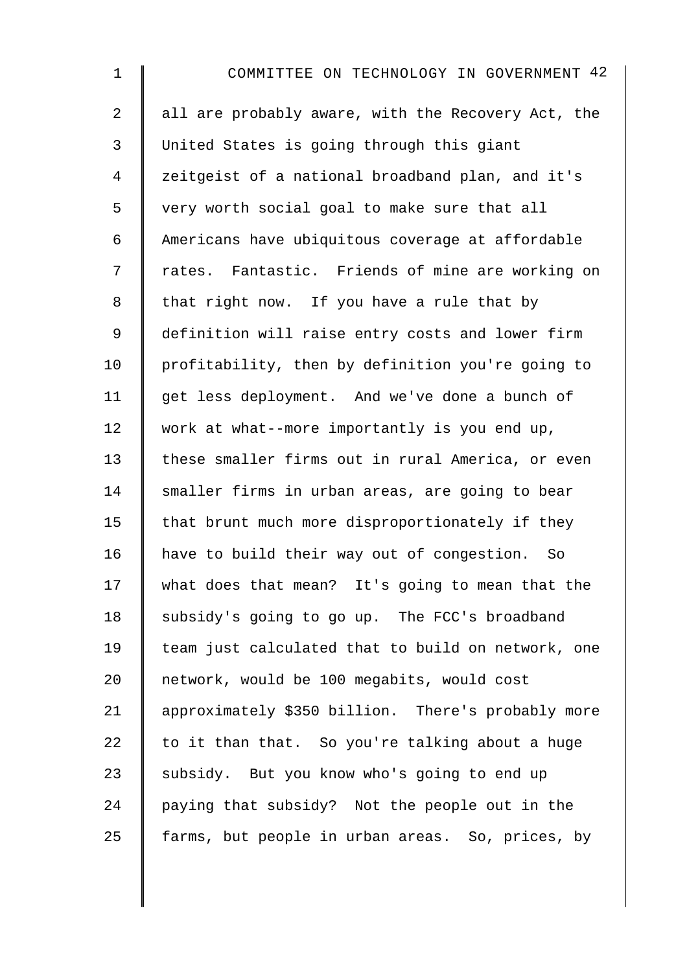| 1              | COMMITTEE ON TECHNOLOGY IN GOVERNMENT 42           |
|----------------|----------------------------------------------------|
| $\overline{2}$ | all are probably aware, with the Recovery Act, the |
| 3              | United States is going through this giant          |
| 4              | zeitgeist of a national broadband plan, and it's   |
| 5              | very worth social goal to make sure that all       |
| 6              | Americans have ubiquitous coverage at affordable   |
| 7              | rates. Fantastic. Friends of mine are working on   |
| 8              | that right now. If you have a rule that by         |
| 9              | definition will raise entry costs and lower firm   |
| 10             | profitability, then by definition you're going to  |
| 11             | get less deployment. And we've done a bunch of     |
| 12             | work at what--more importantly is you end up,      |
| 13             | these smaller firms out in rural America, or even  |
| 14             | smaller firms in urban areas, are going to bear    |
| 15             | that brunt much more disproportionately if they    |
| 16             | have to build their way out of congestion.<br>So   |
| 17             | what does that mean? It's going to mean that the   |
| 18             | subsidy's going to go up. The FCC's broadband      |
| 19             | team just calculated that to build on network, one |
| 20             | network, would be 100 megabits, would cost         |
| 21             | approximately \$350 billion. There's probably more |
| 22             | to it than that. So you're talking about a huge    |
| 23             | subsidy. But you know who's going to end up        |
| 24             | paying that subsidy? Not the people out in the     |
| 25             | farms, but people in urban areas. So, prices, by   |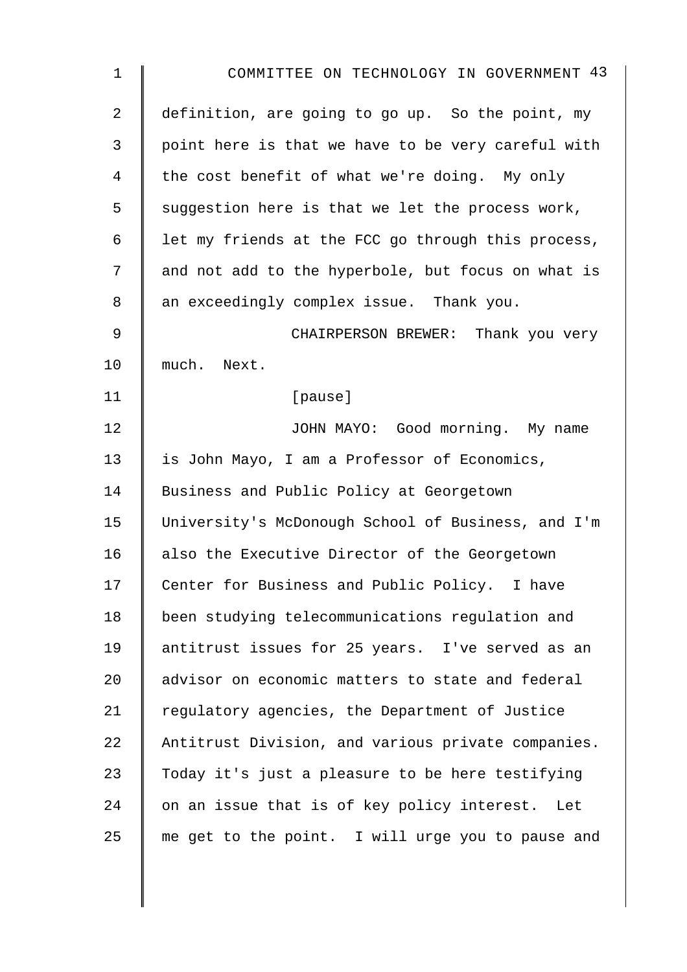| 1  | COMMITTEE ON TECHNOLOGY IN GOVERNMENT 43           |
|----|----------------------------------------------------|
| 2  | definition, are going to go up. So the point, my   |
| 3  | point here is that we have to be very careful with |
| 4  | the cost benefit of what we're doing. My only      |
| 5  | suggestion here is that we let the process work,   |
| 6  | let my friends at the FCC go through this process, |
| 7  | and not add to the hyperbole, but focus on what is |
| 8  | an exceedingly complex issue. Thank you.           |
| 9  | CHAIRPERSON BREWER: Thank you very                 |
| 10 | much. Next.                                        |
| 11 | [pause]                                            |
| 12 | JOHN MAYO: Good morning. My name                   |
| 13 | is John Mayo, I am a Professor of Economics,       |
| 14 | Business and Public Policy at Georgetown           |
| 15 | University's McDonough School of Business, and I'm |
| 16 | also the Executive Director of the Georgetown      |
| 17 | Center for Business and Public Policy. I have      |
| 18 | been studying telecommunications regulation and    |
| 19 | antitrust issues for 25 years. I've served as an   |
| 20 | advisor on economic matters to state and federal   |
| 21 | regulatory agencies, the Department of Justice     |
| 22 | Antitrust Division, and various private companies. |
| 23 | Today it's just a pleasure to be here testifying   |
| 24 | on an issue that is of key policy interest. Let    |
| 25 | me get to the point. I will urge you to pause and  |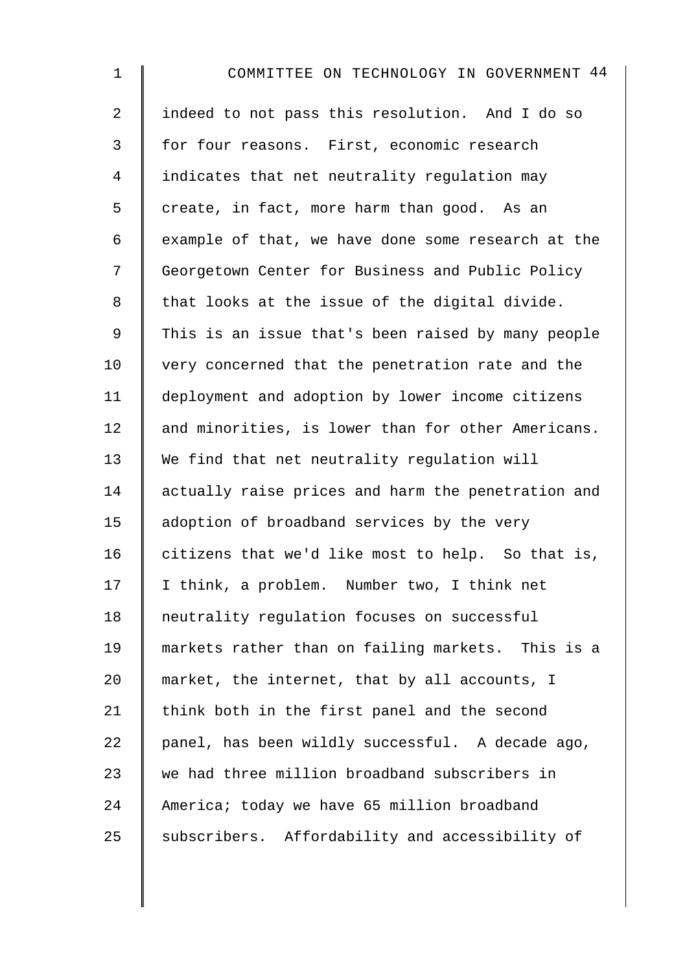| $\mathbf 1$    | COMMITTEE ON TECHNOLOGY IN GOVERNMENT 44           |
|----------------|----------------------------------------------------|
| $\overline{a}$ | indeed to not pass this resolution. And I do so    |
| 3              | for four reasons. First, economic research         |
| 4              | indicates that net neutrality regulation may       |
| 5              | create, in fact, more harm than good. As an        |
| 6              | example of that, we have done some research at the |
| 7              | Georgetown Center for Business and Public Policy   |
| 8              | that looks at the issue of the digital divide.     |
| $\mathsf 9$    | This is an issue that's been raised by many people |
| 10             | very concerned that the penetration rate and the   |
| 11             | deployment and adoption by lower income citizens   |
| 12             | and minorities, is lower than for other Americans. |
| 13             | We find that net neutrality regulation will        |
| 14             | actually raise prices and harm the penetration and |
| 15             | adoption of broadband services by the very         |
| 16             | citizens that we'd like most to help. So that is,  |
| 17             | I think, a problem. Number two, I think net        |
| 18             | neutrality regulation focuses on successful        |
| 19             | markets rather than on failing markets. This is a  |
| 20             | market, the internet, that by all accounts, I      |
| 21             | think both in the first panel and the second       |
| 22             | panel, has been wildly successful. A decade ago,   |
| 23             | we had three million broadband subscribers in      |
| 24             | America; today we have 65 million broadband        |
| 25             | subscribers. Affordability and accessibility of    |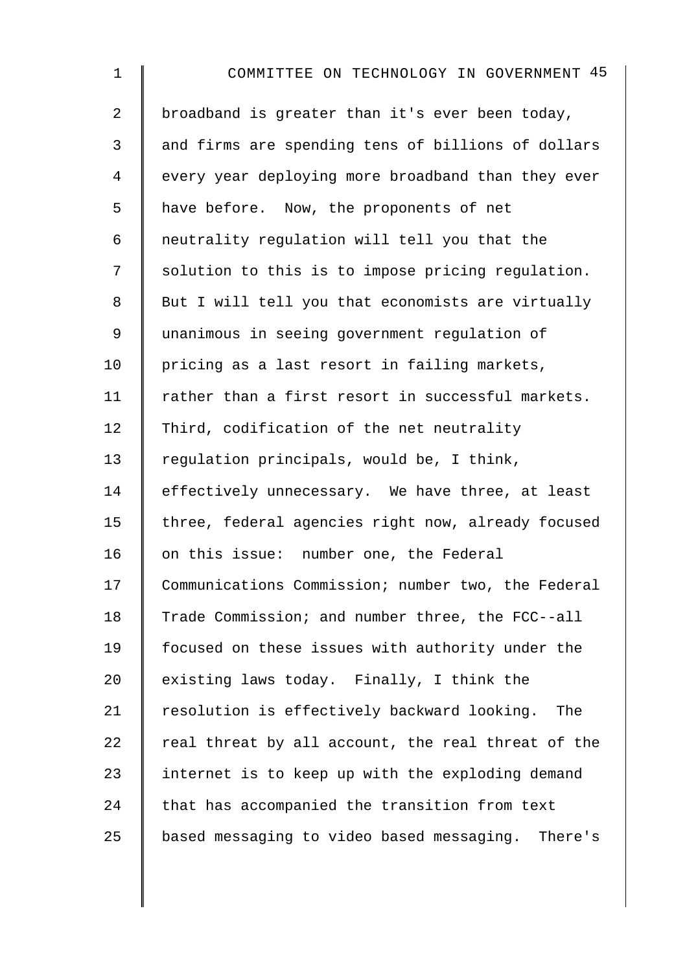1 COMMITTEE ON TECHNOLOGY IN GOVERNMENT 45 2 broadband is greater than it's ever been today, 3 and firms are spending tens of billions of dollars 4 every year deploying more broadband than they ever 5 have before. Now, the proponents of net 6 neutrality regulation will tell you that the 7 | solution to this is to impose pricing regulation. 8 | But I will tell you that economists are virtually 9 unanimous in seeing government regulation of 10 | pricing as a last resort in failing markets,  $11$   $\parallel$  rather than a first resort in successful markets. 12 Third, codification of the net neutrality 13 Tequlation principals, would be, I think, 14 effectively unnecessary. We have three, at least 15 | three, federal agencies right now, already focused 16 | on this issue: number one, the Federal 17 Communications Commission; number two, the Federal 18 Trade Commission; and number three, the FCC--all 19 focused on these issues with authority under the 20  $\parallel$  existing laws today. Finally, I think the 21 | resolution is effectively backward looking. The 22  $\parallel$  real threat by all account, the real threat of the 23  $\parallel$  internet is to keep up with the exploding demand  $24$  that has accompanied the transition from text 25 based messaging to video based messaging. There's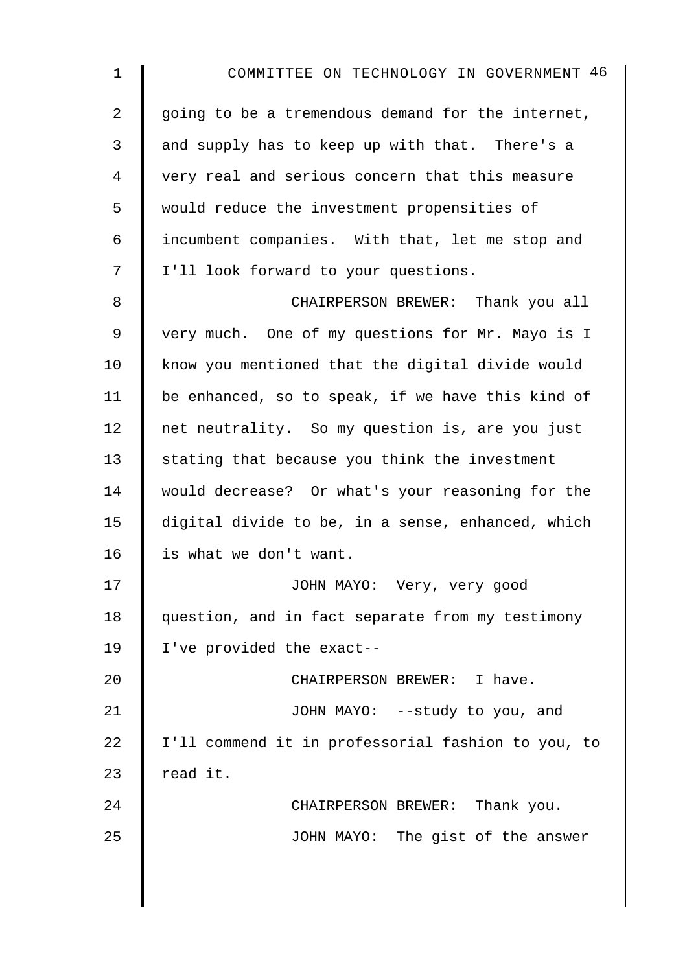| 1               | COMMITTEE ON TECHNOLOGY IN GOVERNMENT 46           |
|-----------------|----------------------------------------------------|
| $\overline{2}$  | going to be a tremendous demand for the internet,  |
| 3               | and supply has to keep up with that. There's a     |
| 4               | very real and serious concern that this measure    |
| 5               | would reduce the investment propensities of        |
| 6               | incumbent companies. With that, let me stop and    |
| 7               | I'll look forward to your questions.               |
| 8               | CHAIRPERSON BREWER: Thank you all                  |
| $\mathsf 9$     | very much. One of my questions for Mr. Mayo is I   |
| 10 <sub>1</sub> | know you mentioned that the digital divide would   |
| 11              | be enhanced, so to speak, if we have this kind of  |
| 12              | net neutrality. So my question is, are you just    |
| 13              | stating that because you think the investment      |
| 14              | would decrease? Or what's your reasoning for the   |
| 15              | digital divide to be, in a sense, enhanced, which  |
| 16              | is what we don't want.                             |
| 17              | JOHN MAYO: Very, very good                         |
| 18              | question, and in fact separate from my testimony   |
| 19              | I've provided the exact--                          |
| 20              | CHAIRPERSON BREWER: I have.                        |
| 21              | JOHN MAYO: --study to you, and                     |
| 22              | I'll commend it in professorial fashion to you, to |
| 23              | read it.                                           |
| 24              | CHAIRPERSON BREWER: Thank you.                     |
| 25              | JOHN MAYO: The gist of the answer                  |
|                 |                                                    |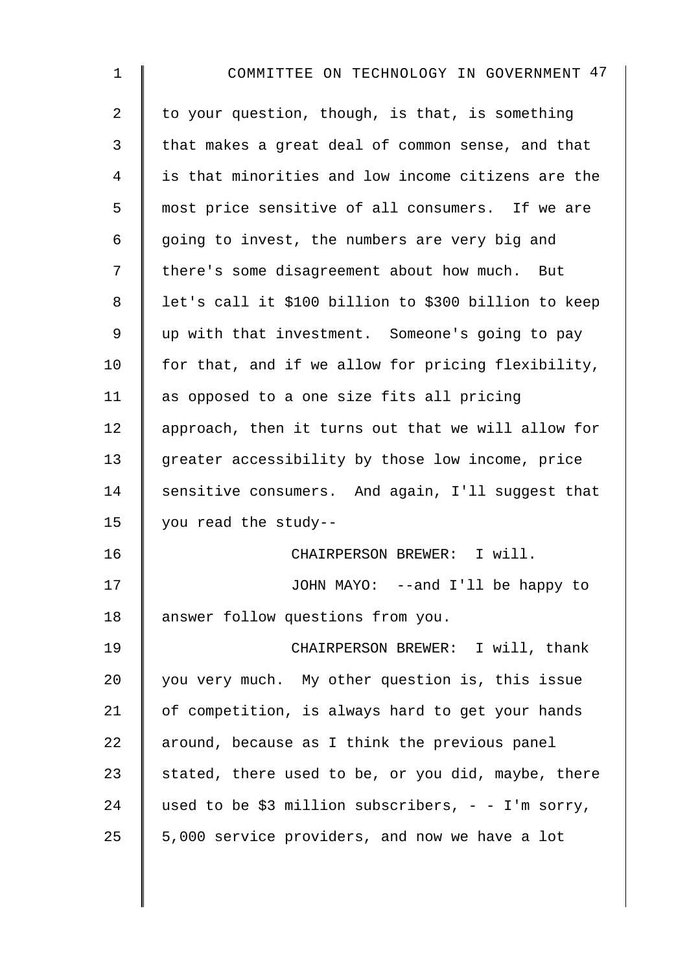| $\mathbf{1}$   | COMMITTEE ON TECHNOLOGY IN GOVERNMENT 47             |
|----------------|------------------------------------------------------|
| $\overline{2}$ | to your question, though, is that, is something      |
| 3              | that makes a great deal of common sense, and that    |
| 4              | is that minorities and low income citizens are the   |
| 5              | most price sensitive of all consumers. If we are     |
| 6              | going to invest, the numbers are very big and        |
| 7              | there's some disagreement about how much. But        |
| 8              | let's call it \$100 billion to \$300 billion to keep |
| 9              | up with that investment. Someone's going to pay      |
| 10             | for that, and if we allow for pricing flexibility,   |
| 11             | as opposed to a one size fits all pricing            |
| 12             | approach, then it turns out that we will allow for   |
| 13             | greater accessibility by those low income, price     |
| 14             | sensitive consumers. And again, I'll suggest that    |
| 15             | you read the study--                                 |
| 16             | CHAIRPERSON BREWER: I will.                          |
| 17             | JOHN MAYO: --and I'll be happy to                    |
| 18             | answer follow questions from you.                    |
| 19             | CHAIRPERSON BREWER: I will, thank                    |
| 20             | you very much. My other question is, this issue      |
| 21             | of competition, is always hard to get your hands     |
| 22             | around, because as I think the previous panel        |
| 23             | stated, there used to be, or you did, maybe, there   |
| 24             | used to be \$3 million subscribers, $-$ - I'm sorry, |
| 25             | 5,000 service providers, and now we have a lot       |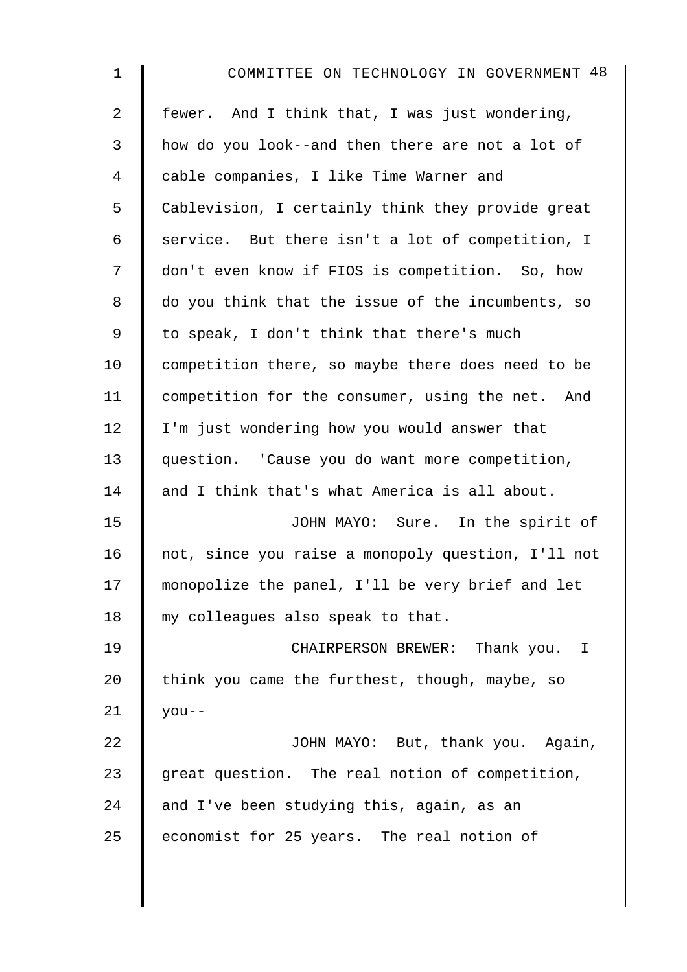| 1           | COMMITTEE ON TECHNOLOGY IN GOVERNMENT 48           |
|-------------|----------------------------------------------------|
| 2           | fewer. And I think that, I was just wondering,     |
| 3           | how do you look--and then there are not a lot of   |
| 4           | cable companies, I like Time Warner and            |
| 5           | Cablevision, I certainly think they provide great  |
| 6           | service. But there isn't a lot of competition, I   |
| 7           | don't even know if FIOS is competition. So, how    |
| 8           | do you think that the issue of the incumbents, so  |
| $\mathsf 9$ | to speak, I don't think that there's much          |
| 10          | competition there, so maybe there does need to be  |
| 11          | competition for the consumer, using the net. And   |
| 12          | I'm just wondering how you would answer that       |
| 13          | question. 'Cause you do want more competition,     |
| 14          | and I think that's what America is all about.      |
| 15          | JOHN MAYO: Sure. In the spirit of                  |
| 16          | not, since you raise a monopoly question, I'll not |
| 17          | monopolize the panel, I'll be very brief and let   |
| 18          | my colleagues also speak to that.                  |
| 19          | CHAIRPERSON BREWER: Thank you. I                   |
| 20          | think you came the furthest, though, maybe, so     |
| 21          | $you--$                                            |
| 22          | JOHN MAYO: But, thank you. Again,                  |
| 23          | great question. The real notion of competition,    |
| 24          | and I've been studying this, again, as an          |
| 25          | economist for 25 years. The real notion of         |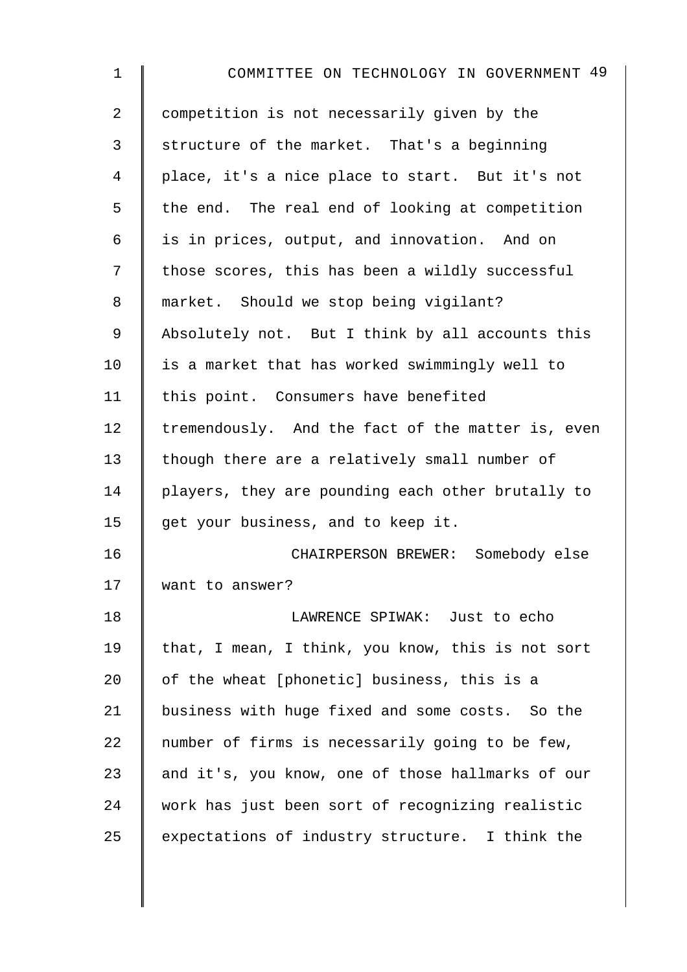| $\mathbf 1$    | COMMITTEE ON TECHNOLOGY IN GOVERNMENT 49          |
|----------------|---------------------------------------------------|
| $\overline{2}$ | competition is not necessarily given by the       |
| 3              | structure of the market. That's a beginning       |
| 4              | place, it's a nice place to start. But it's not   |
| 5              | the end. The real end of looking at competition   |
| 6              | is in prices, output, and innovation. And on      |
| 7              | those scores, this has been a wildly successful   |
| 8              | market. Should we stop being vigilant?            |
| 9              | Absolutely not. But I think by all accounts this  |
| 10             | is a market that has worked swimmingly well to    |
| 11             | this point. Consumers have benefited              |
| 12             | tremendously. And the fact of the matter is, even |
| 13             | though there are a relatively small number of     |
| 14             | players, they are pounding each other brutally to |
| 15             | get your business, and to keep it.                |
| 16             | CHAIRPERSON BREWER: Somebody else                 |
| 17             | want to answer?                                   |
| 18             | LAWRENCE SPIWAK: Just to echo                     |
| 19             | that, I mean, I think, you know, this is not sort |
| 20             | of the wheat [phonetic] business, this is a       |
| 21             | business with huge fixed and some costs. So the   |
| 22             | number of firms is necessarily going to be few,   |
| 23             | and it's, you know, one of those hallmarks of our |
| 24             | work has just been sort of recognizing realistic  |
| 25             | expectations of industry structure. I think the   |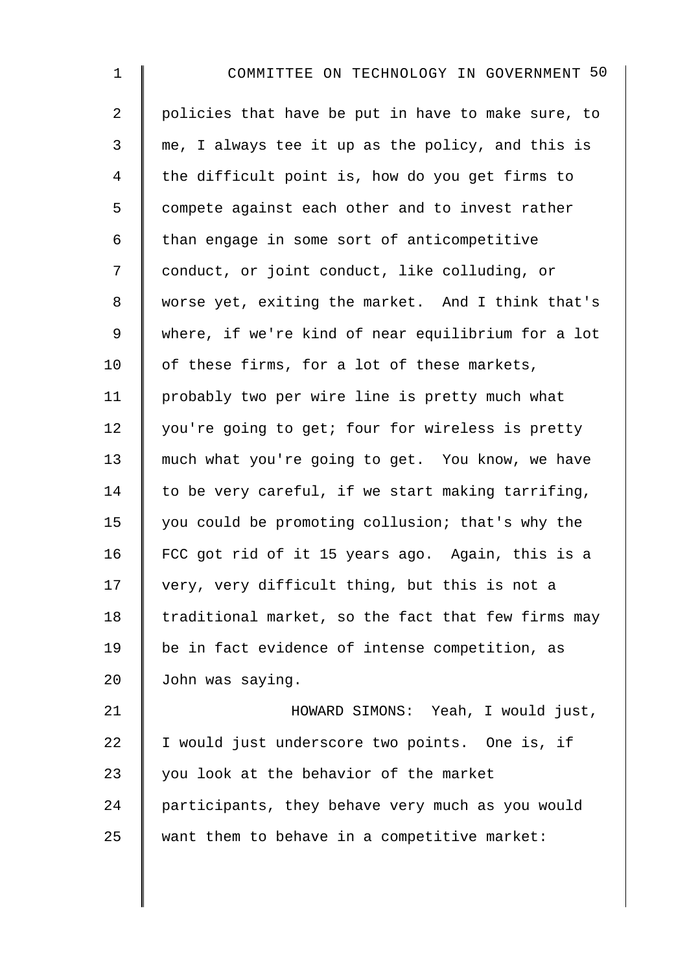1 COMMITTEE ON TECHNOLOGY IN GOVERNMENT 50 2  $\parallel$  policies that have be put in have to make sure, to  $3 \parallel$  me, I always tee it up as the policy, and this is 4 | the difficult point is, how do you get firms to 5 Compete against each other and to invest rather 6  $\parallel$  than engage in some sort of anticompetitive 7 conduct, or joint conduct, like colluding, or 8 | worse yet, exiting the market. And I think that's 9 where, if we're kind of near equilibrium for a lot 10  $\parallel$  of these firms, for a lot of these markets, 11 | probably two per wire line is pretty much what 12 you're going to get; four for wireless is pretty 13 much what you're going to get. You know, we have 14 to be very careful, if we start making tarrifing, 15 you could be promoting collusion; that's why the 16 FCC got rid of it 15 years ago. Again, this is a 17 very, very difficult thing, but this is not a 18  $\parallel$  traditional market, so the fact that few firms may 19 | be in fact evidence of intense competition, as 20 John was saying. 21 | HOWARD SIMONS: Yeah, I would just, 22 | I would just underscore two points. One is, if 23  $\parallel$  you look at the behavior of the market 24 participants, they behave very much as you would

25  $\parallel$  want them to behave in a competitive market: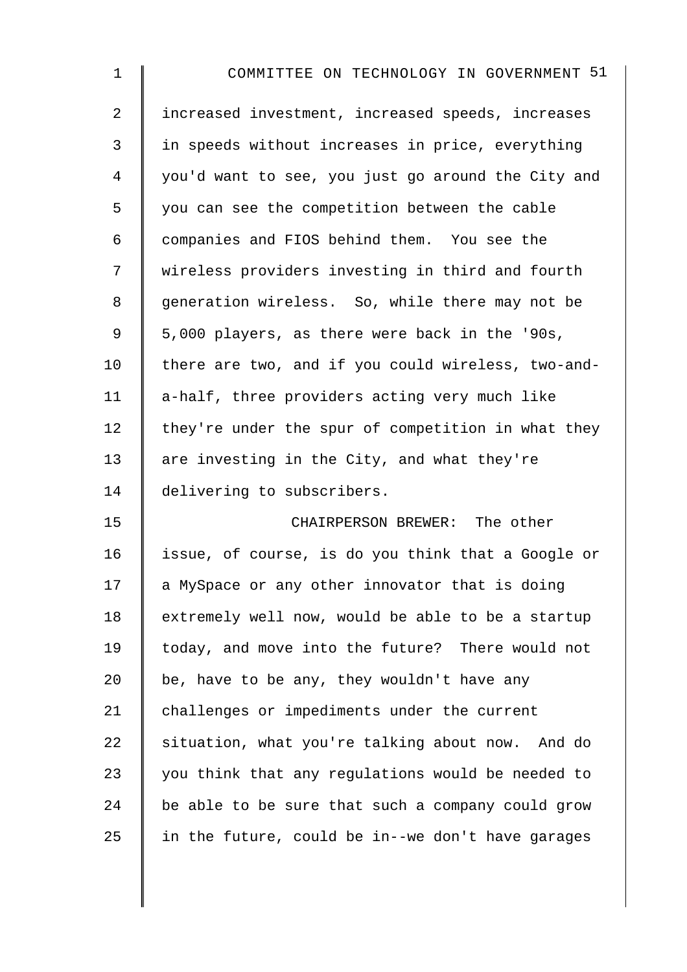| $\mathbf 1$ | COMMITTEE ON TECHNOLOGY IN GOVERNMENT 51           |
|-------------|----------------------------------------------------|
| 2           | increased investment, increased speeds, increases  |
| 3           | in speeds without increases in price, everything   |
| 4           | you'd want to see, you just go around the City and |
| 5           | you can see the competition between the cable      |
| 6           | companies and FIOS behind them. You see the        |
| 7           | wireless providers investing in third and fourth   |
| 8           | generation wireless. So, while there may not be    |
| 9           | 5,000 players, as there were back in the '90s,     |
| 10          | there are two, and if you could wireless, two-and- |
| 11          | a-half, three providers acting very much like      |
| 12          | they're under the spur of competition in what they |
| 13          | are investing in the City, and what they're        |
| 14          | delivering to subscribers.                         |
| 15          | CHAIRPERSON BREWER: The other                      |
| 16          | issue, of course, is do you think that a Google or |
| 17          | a MySpace or any other innovator that is doing     |
| 18          | extremely well now, would be able to be a startup  |
| 19          | today, and move into the future? There would not   |
| 20          | be, have to be any, they wouldn't have any         |
| 21          | challenges or impediments under the current        |
| 22          | situation, what you're talking about now. And do   |
| 23          | you think that any regulations would be needed to  |
| 24          | be able to be sure that such a company could grow  |
| 25          | in the future, could be in--we don't have garages  |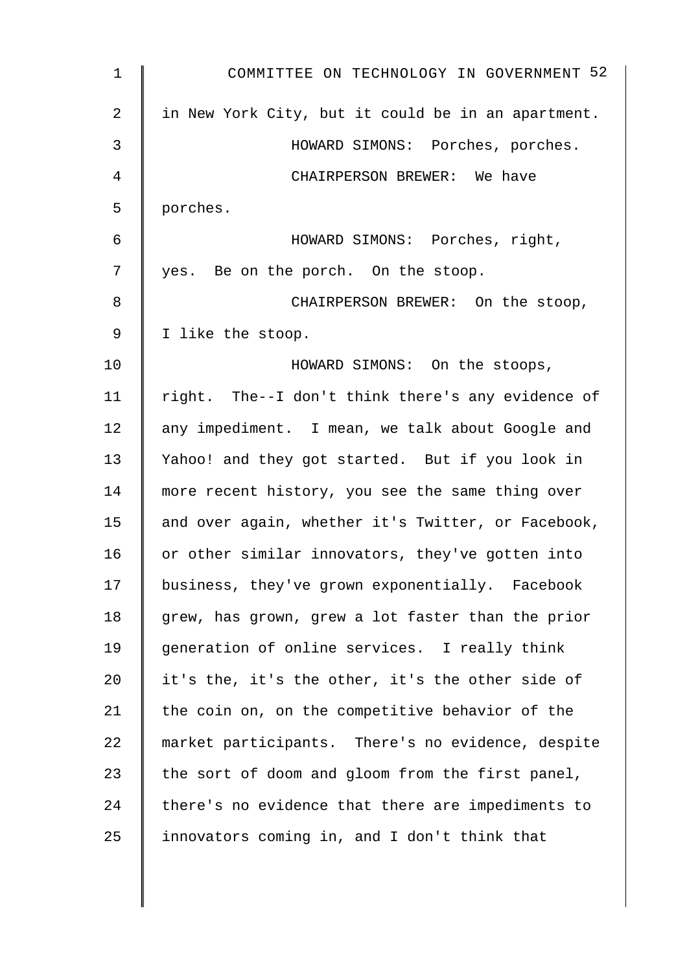| 1  | COMMITTEE ON TECHNOLOGY IN GOVERNMENT 52           |
|----|----------------------------------------------------|
| 2  | in New York City, but it could be in an apartment. |
| 3  | HOWARD SIMONS: Porches, porches.                   |
| 4  | CHAIRPERSON BREWER: We have                        |
| 5  | porches.                                           |
| 6  | HOWARD SIMONS: Porches, right,                     |
| 7  | yes. Be on the porch. On the stoop.                |
| 8  | CHAIRPERSON BREWER: On the stoop,                  |
| 9  | I like the stoop.                                  |
| 10 | HOWARD SIMONS: On the stoops,                      |
| 11 | right. The--I don't think there's any evidence of  |
| 12 | any impediment. I mean, we talk about Google and   |
| 13 | Yahoo! and they got started. But if you look in    |
| 14 | more recent history, you see the same thing over   |
| 15 | and over again, whether it's Twitter, or Facebook, |
| 16 | or other similar innovators, they've gotten into   |
| 17 | business, they've grown exponentially. Facebook    |
| 18 | grew, has grown, grew a lot faster than the prior  |
| 19 | generation of online services. I really think      |
| 20 | it's the, it's the other, it's the other side of   |
| 21 | the coin on, on the competitive behavior of the    |
| 22 | market participants. There's no evidence, despite  |
| 23 | the sort of doom and gloom from the first panel,   |
| 24 | there's no evidence that there are impediments to  |
| 25 | innovators coming in, and I don't think that       |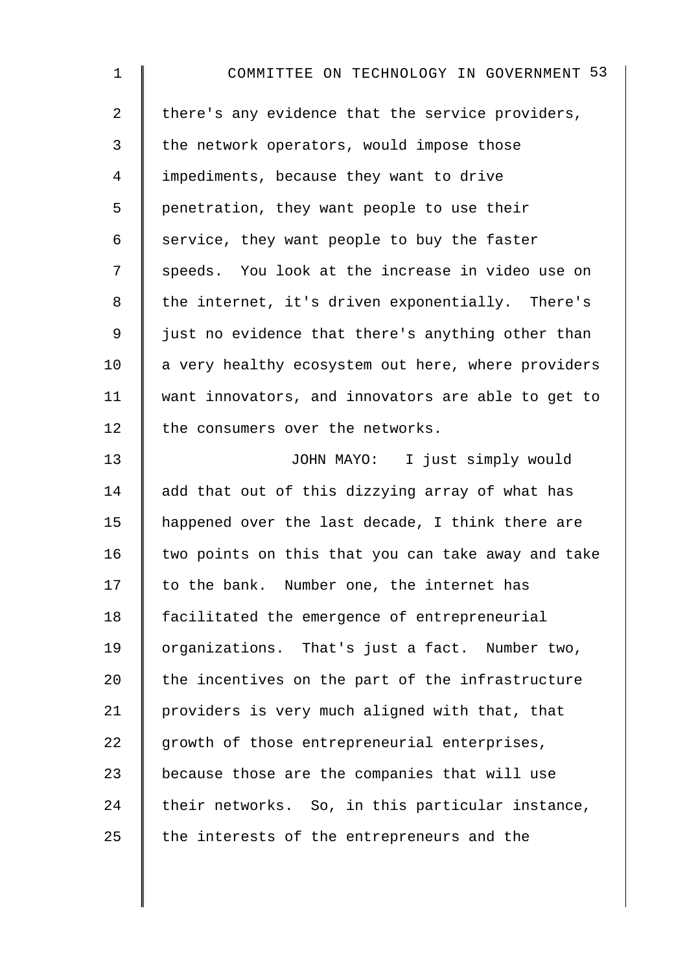| 1              | COMMITTEE ON TECHNOLOGY IN GOVERNMENT 53           |
|----------------|----------------------------------------------------|
| $\overline{2}$ | there's any evidence that the service providers,   |
| 3              | the network operators, would impose those          |
| 4              | impediments, because they want to drive            |
| 5              | penetration, they want people to use their         |
| 6              | service, they want people to buy the faster        |
| 7              | speeds. You look at the increase in video use on   |
| 8              | the internet, it's driven exponentially. There's   |
| $\mathsf 9$    | just no evidence that there's anything other than  |
| 10             | a very healthy ecosystem out here, where providers |
| 11             | want innovators, and innovators are able to get to |
| 12             | the consumers over the networks.                   |
| 13             | JOHN MAYO: I just simply would                     |
| 14             | add that out of this dizzying array of what has    |
| 15             | happened over the last decade, I think there are   |
| 16             | two points on this that you can take away and take |
| 17             | to the bank. Number one, the internet has          |
| 18             | facilitated the emergence of entrepreneurial       |
| 19             | organizations. That's just a fact. Number two,     |
| 20             | the incentives on the part of the infrastructure   |
| 21             | providers is very much aligned with that, that     |
| 22             | growth of those entrepreneurial enterprises,       |
| 23             | because those are the companies that will use      |
| 24             | their networks. So, in this particular instance,   |
| 25             | the interests of the entrepreneurs and the         |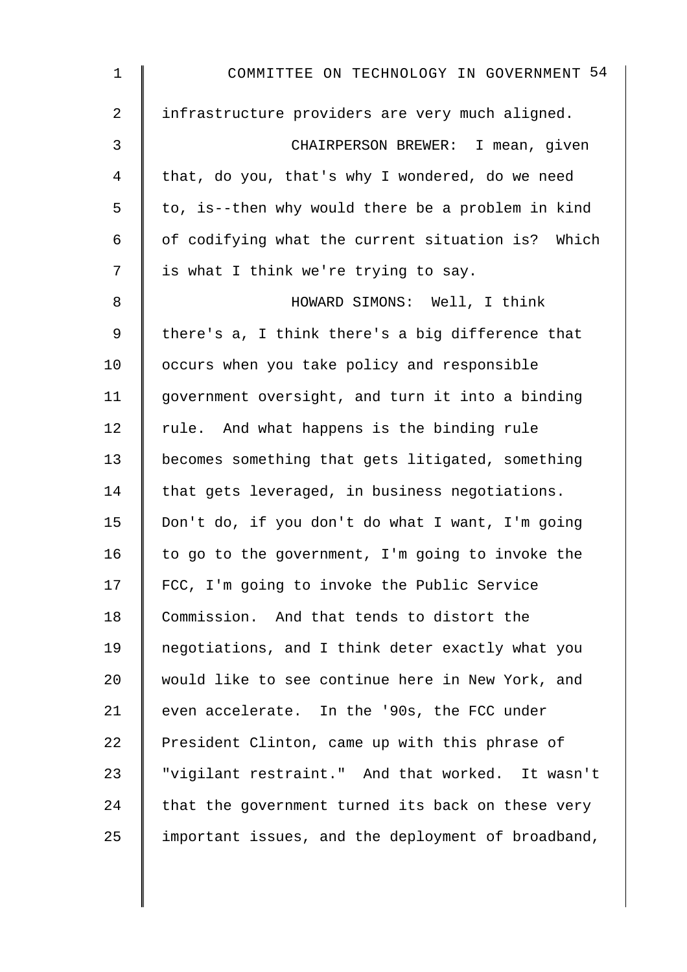| $\mathbf 1$    | COMMITTEE ON TECHNOLOGY IN GOVERNMENT 54           |
|----------------|----------------------------------------------------|
| $\overline{a}$ | infrastructure providers are very much aligned.    |
| 3              | CHAIRPERSON BREWER: I mean, given                  |
| 4              | that, do you, that's why I wondered, do we need    |
| 5              | to, is--then why would there be a problem in kind  |
| 6              | of codifying what the current situation is? Which  |
| 7              | is what I think we're trying to say.               |
| 8              | HOWARD SIMONS: Well, I think                       |
| $\mathsf 9$    | there's a, I think there's a big difference that   |
| 10             | occurs when you take policy and responsible        |
| 11             | government oversight, and turn it into a binding   |
| 12             | rule. And what happens is the binding rule         |
| 13             | becomes something that gets litigated, something   |
| 14             | that gets leveraged, in business negotiations.     |
| 15             | Don't do, if you don't do what I want, I'm going   |
| 16             | to go to the government, I'm going to invoke the   |
| 17             | FCC, I'm going to invoke the Public Service        |
| 18             | Commission. And that tends to distort the          |
| 19             | negotiations, and I think deter exactly what you   |
| 20             | would like to see continue here in New York, and   |
| 21             | even accelerate. In the '90s, the FCC under        |
| 22             | President Clinton, came up with this phrase of     |
| 23             | "vigilant restraint." And that worked. It wasn't   |
| 24             | that the government turned its back on these very  |
| 25             | important issues, and the deployment of broadband, |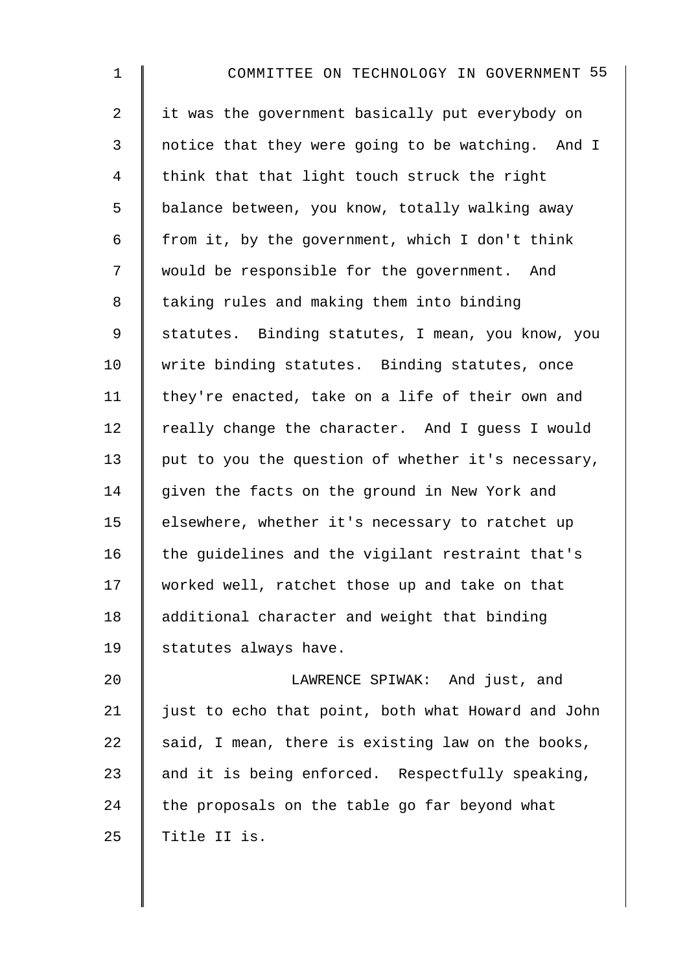| 1              | COMMITTEE ON TECHNOLOGY IN GOVERNMENT 55           |
|----------------|----------------------------------------------------|
| $\overline{2}$ | it was the government basically put everybody on   |
| 3              | notice that they were going to be watching. And I  |
| 4              | think that that light touch struck the right       |
| 5              | balance between, you know, totally walking away    |
| 6              | from it, by the government, which I don't think    |
| 7              | would be responsible for the government. And       |
| 8              | taking rules and making them into binding          |
| 9              | statutes. Binding statutes, I mean, you know, you  |
| 10             | write binding statutes. Binding statutes, once     |
| 11             | they're enacted, take on a life of their own and   |
| 12             | really change the character. And I guess I would   |
| 13             | put to you the question of whether it's necessary, |
| 14             | given the facts on the ground in New York and      |
| 15             | elsewhere, whether it's necessary to ratchet up    |
| 16             | the guidelines and the vigilant restraint that's   |
| 17             | worked well, ratchet those up and take on that     |
| 18             | additional character and weight that binding       |
| 19             | statutes always have.                              |
| 20             | LAWRENCE SPIWAK: And just, and                     |
| 21             | just to echo that point, both what Howard and John |
| 22             | said, I mean, there is existing law on the books,  |
| 23             | and it is being enforced. Respectfully speaking,   |
| 24             | the proposals on the table go far beyond what      |
| 25             | Title II is.                                       |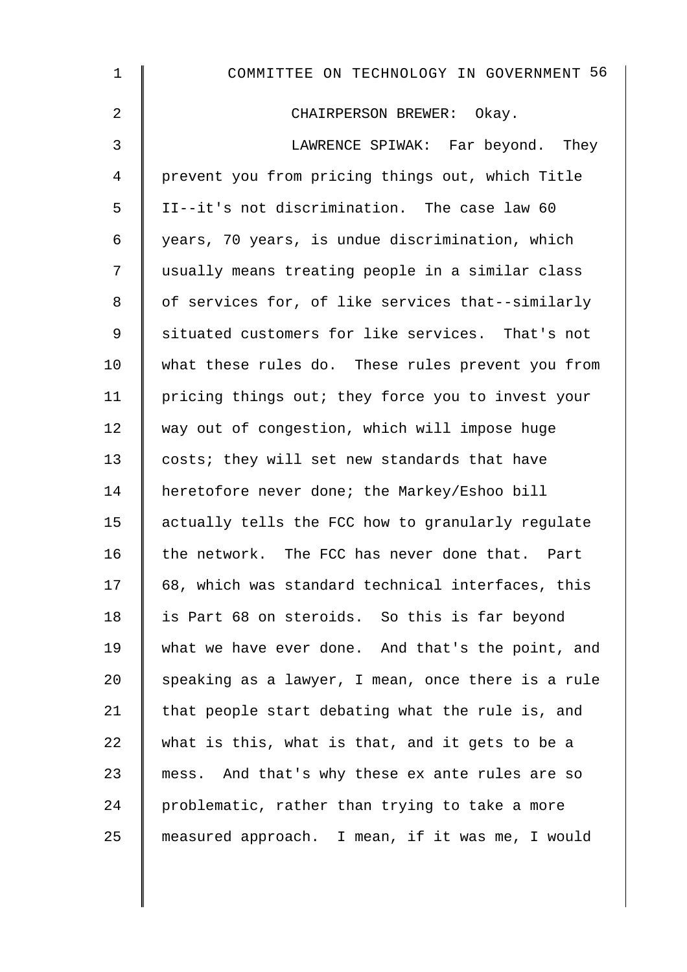| 1              | COMMITTEE ON TECHNOLOGY IN GOVERNMENT 56           |
|----------------|----------------------------------------------------|
| $\overline{2}$ | CHAIRPERSON BREWER: Okay.                          |
| 3              | LAWRENCE SPIWAK: Far beyond. They                  |
| 4              | prevent you from pricing things out, which Title   |
| 5              | II--it's not discrimination. The case law 60       |
| $\epsilon$     | years, 70 years, is undue discrimination, which    |
| 7              | usually means treating people in a similar class   |
| 8              | of services for, of like services that--similarly  |
| $\mathsf 9$    | situated customers for like services. That's not   |
| 10             | what these rules do. These rules prevent you from  |
| 11             | pricing things out; they force you to invest your  |
| 12             | way out of congestion, which will impose huge      |
| 13             | costs; they will set new standards that have       |
| 14             | heretofore never done; the Markey/Eshoo bill       |
| 15             | actually tells the FCC how to granularly regulate  |
| 16             | the network. The FCC has never done that. Part     |
| 17             | 68, which was standard technical interfaces, this  |
| 18             | is Part 68 on steroids. So this is far beyond      |
| 19             | what we have ever done. And that's the point, and  |
| 20             | speaking as a lawyer, I mean, once there is a rule |
| 21             | that people start debating what the rule is, and   |
| 22             | what is this, what is that, and it gets to be a    |
| 23             | mess. And that's why these ex ante rules are so    |
| 24             | problematic, rather than trying to take a more     |
| 25             | measured approach. I mean, if it was me, I would   |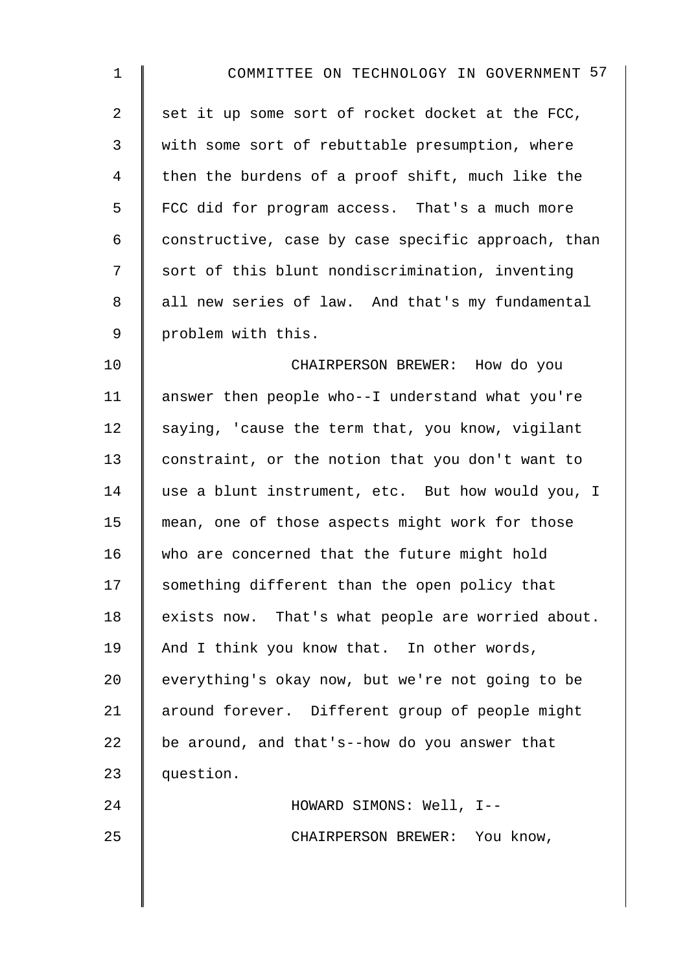| 1               | COMMITTEE ON TECHNOLOGY IN GOVERNMENT 57           |
|-----------------|----------------------------------------------------|
| 2               | set it up some sort of rocket docket at the FCC,   |
| 3               | with some sort of rebuttable presumption, where    |
| 4               | then the burdens of a proof shift, much like the   |
| 5               | FCC did for program access. That's a much more     |
| 6               | constructive, case by case specific approach, than |
| 7               | sort of this blunt nondiscrimination, inventing    |
| 8               | all new series of law. And that's my fundamental   |
| 9               | problem with this.                                 |
| 10 <sub>1</sub> | CHAIRPERSON BREWER: How do you                     |
| 11              | answer then people who--I understand what you're   |
| 12              | saying, 'cause the term that, you know, vigilant   |
| 13              | constraint, or the notion that you don't want to   |
| 14              | use a blunt instrument, etc. But how would you, I  |
| 15              | mean, one of those aspects might work for those    |
| 16              | who are concerned that the future might hold       |
| 17              | something different than the open policy that      |
| 18              | exists now. That's what people are worried about.  |
| 19              | And I think you know that. In other words,         |
| 20              | everything's okay now, but we're not going to be   |
| 21              | around forever. Different group of people might    |
| 22              | be around, and that's--how do you answer that      |
| 23              | question.                                          |
| 24              | HOWARD SIMONS: Well, I--                           |
| 25              | CHAIRPERSON BREWER: You know,                      |
|                 |                                                    |
|                 |                                                    |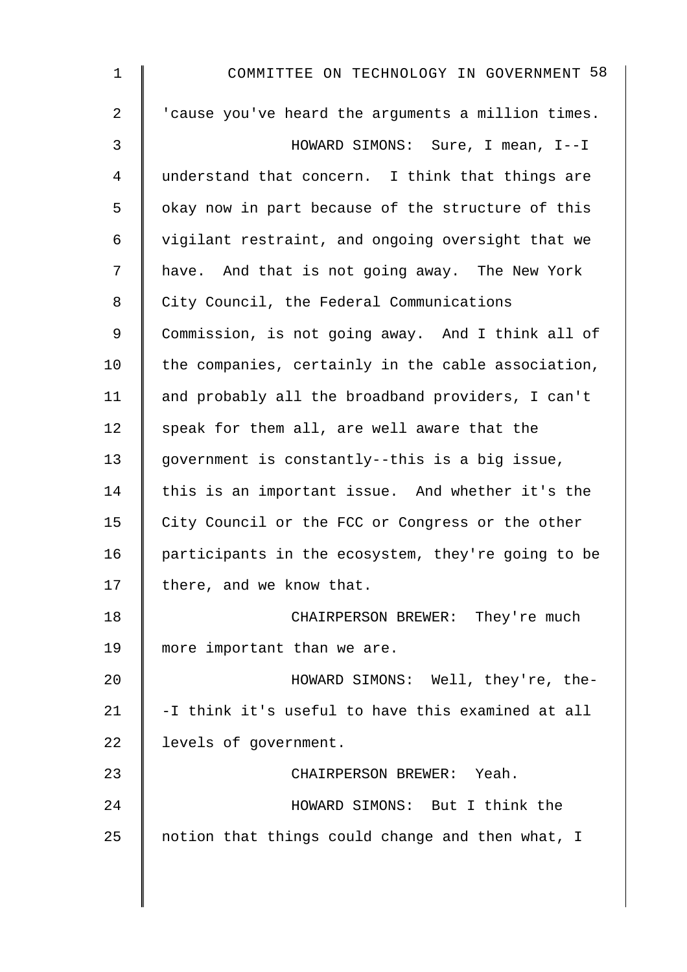| 1              | COMMITTEE ON TECHNOLOGY IN GOVERNMENT 58           |
|----------------|----------------------------------------------------|
| $\overline{a}$ | 'cause you've heard the arguments a million times. |
| 3              | HOWARD SIMONS: Sure, I mean, I--I                  |
| 4              | understand that concern. I think that things are   |
| 5              | okay now in part because of the structure of this  |
| 6              | vigilant restraint, and ongoing oversight that we  |
| 7              | have. And that is not going away. The New York     |
| 8              | City Council, the Federal Communications           |
| $\mathsf 9$    | Commission, is not going away. And I think all of  |
| 10             | the companies, certainly in the cable association, |
| 11             | and probably all the broadband providers, I can't  |
| 12             | speak for them all, are well aware that the        |
| 13             | government is constantly--this is a big issue,     |
| 14             | this is an important issue. And whether it's the   |
| 15             | City Council or the FCC or Congress or the other   |
| 16             | participants in the ecosystem, they're going to be |
| 17             | there, and we know that.                           |
| 18             | CHAIRPERSON BREWER: They're much                   |
| 19             | more important than we are.                        |
| 20             | HOWARD SIMONS: Well, they're, the-                 |
| 21             | -I think it's useful to have this examined at all  |
| 22             | levels of government.                              |
| 23             | CHAIRPERSON BREWER: Yeah.                          |
| 24             | HOWARD SIMONS: But I think the                     |
| 25             | notion that things could change and then what, I   |
|                |                                                    |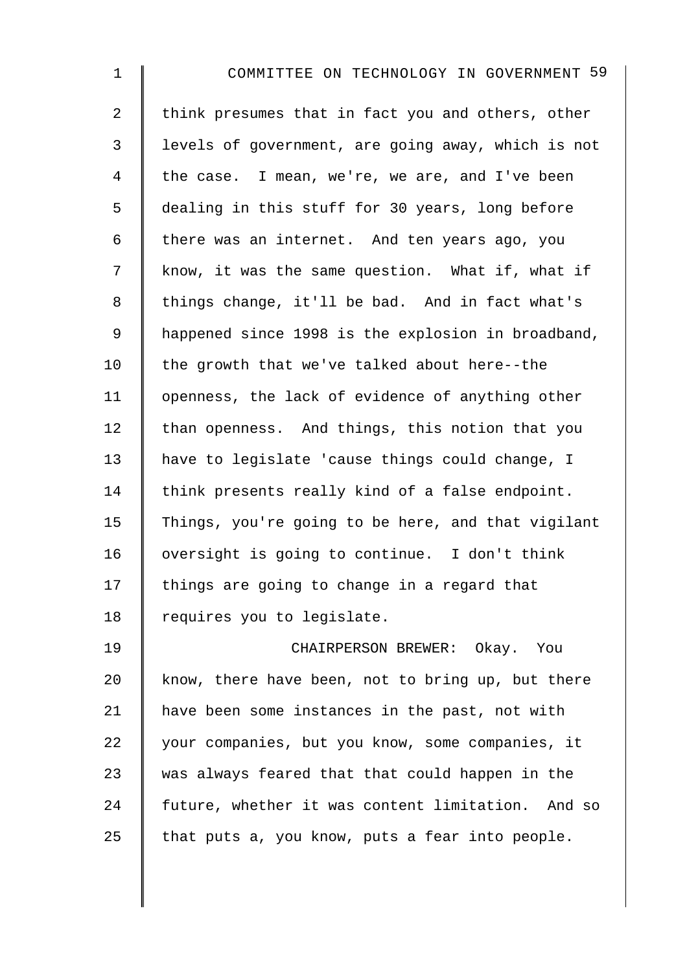| $\mathbf{1}$   | COMMITTEE ON TECHNOLOGY IN GOVERNMENT 59           |
|----------------|----------------------------------------------------|
| $\overline{a}$ | think presumes that in fact you and others, other  |
| 3              | levels of government, are going away, which is not |
| 4              | the case. I mean, we're, we are, and I've been     |
| 5              | dealing in this stuff for 30 years, long before    |
| 6              | there was an internet. And ten years ago, you      |
| 7              | know, it was the same question. What if, what if   |
| $\,8\,$        | things change, it'll be bad. And in fact what's    |
| $\mathsf 9$    | happened since 1998 is the explosion in broadband, |
| 10             | the growth that we've talked about here--the       |
| 11             | openness, the lack of evidence of anything other   |
| 12             | than openness. And things, this notion that you    |
| 13             | have to legislate 'cause things could change, I    |
| 14             | think presents really kind of a false endpoint.    |
| 15             | Things, you're going to be here, and that vigilant |
| 16             | oversight is going to continue. I don't think      |
| 17             | things are going to change in a regard that        |
| 18             | requires you to legislate.                         |
| 19             | CHAIRPERSON BREWER: Okay. You                      |
| 20             | know, there have been, not to bring up, but there  |
| 21             | have been some instances in the past, not with     |
| 22             | your companies, but you know, some companies, it   |
| 23             | was always feared that that could happen in the    |
| 24             | future, whether it was content limitation. And so  |
| 25             | that puts a, you know, puts a fear into people.    |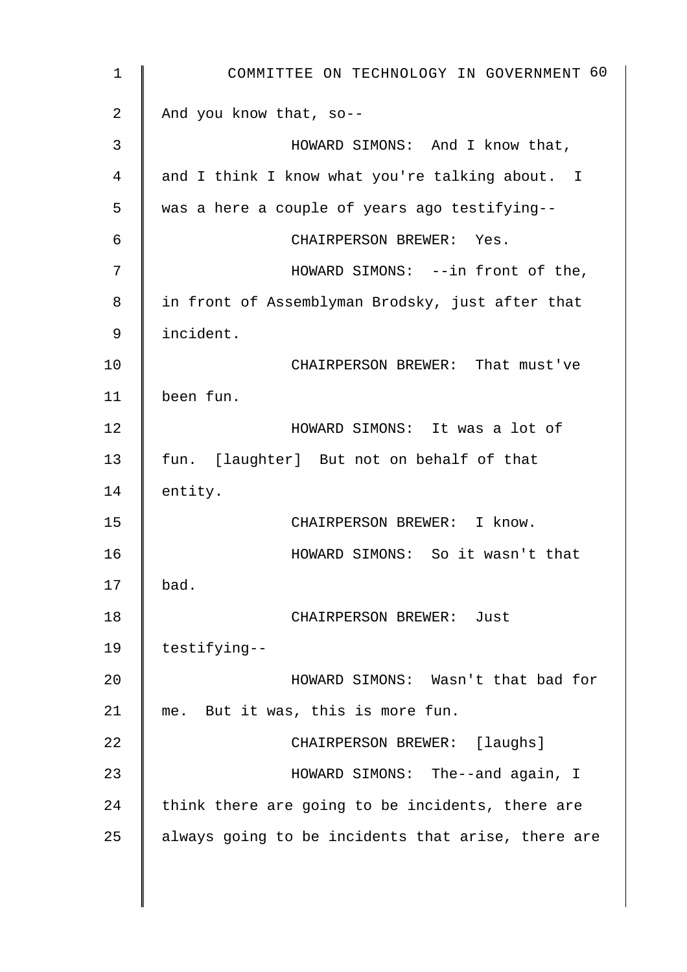| 1  | COMMITTEE ON TECHNOLOGY IN GOVERNMENT 60           |
|----|----------------------------------------------------|
| 2  | And you know that, so--                            |
| 3  | HOWARD SIMONS: And I know that,                    |
| 4  | and I think I know what you're talking about. I    |
| 5  | was a here a couple of years ago testifying--      |
| 6  | CHAIRPERSON BREWER: Yes.                           |
| 7  | HOWARD SIMONS: --in front of the,                  |
| 8  | in front of Assemblyman Brodsky, just after that   |
| 9  | incident.                                          |
| 10 | CHAIRPERSON BREWER: That must've                   |
| 11 | been fun.                                          |
| 12 | HOWARD SIMONS: It was a lot of                     |
| 13 | fun. [laughter] But not on behalf of that          |
| 14 | entity.                                            |
| 15 | CHAIRPERSON BREWER: I know.                        |
| 16 | HOWARD SIMONS: So it wasn't that                   |
| 17 | bad.                                               |
| 18 | CHAIRPERSON BREWER: Just                           |
| 19 | testifying--                                       |
| 20 | HOWARD SIMONS: Wasn't that bad for                 |
| 21 | me. But it was, this is more fun.                  |
| 22 | CHAIRPERSON BREWER: [laughs]                       |
| 23 | HOWARD SIMONS: The--and again, I                   |
| 24 | think there are going to be incidents, there are   |
| 25 | always going to be incidents that arise, there are |
|    |                                                    |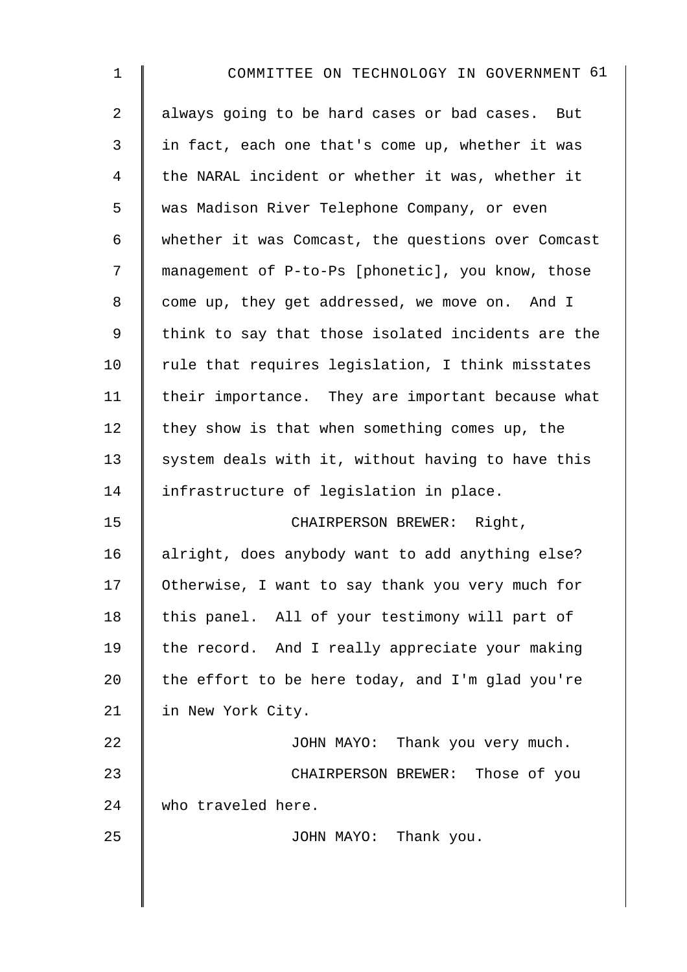| 1              | COMMITTEE ON TECHNOLOGY IN GOVERNMENT 61           |
|----------------|----------------------------------------------------|
| $\overline{a}$ | always going to be hard cases or bad cases. But    |
| 3              | in fact, each one that's come up, whether it was   |
| 4              | the NARAL incident or whether it was, whether it   |
| 5              | was Madison River Telephone Company, or even       |
| 6              | whether it was Comcast, the questions over Comcast |
| 7              | management of P-to-Ps [phonetic], you know, those  |
| 8              | come up, they get addressed, we move on. And I     |
| 9              | think to say that those isolated incidents are the |
| 10             | rule that requires legislation, I think misstates  |
| 11             | their importance. They are important because what  |
| 12             | they show is that when something comes up, the     |
| 13             | system deals with it, without having to have this  |
| 14             | infrastructure of legislation in place.            |
| 15             | CHAIRPERSON BREWER: Right,                         |
| 16             | alright, does anybody want to add anything else?   |
| 17             | Otherwise, I want to say thank you very much for   |
| 18             | this panel. All of your testimony will part of     |
| 19             | the record. And I really appreciate your making    |
| 20             | the effort to be here today, and I'm glad you're   |
| 21             | in New York City.                                  |
| 22             | JOHN MAYO: Thank you very much.                    |
| 23             | CHAIRPERSON BREWER: Those of you                   |
| 24             | who traveled here.                                 |
| 25             | JOHN MAYO: Thank you.                              |
|                |                                                    |
|                |                                                    |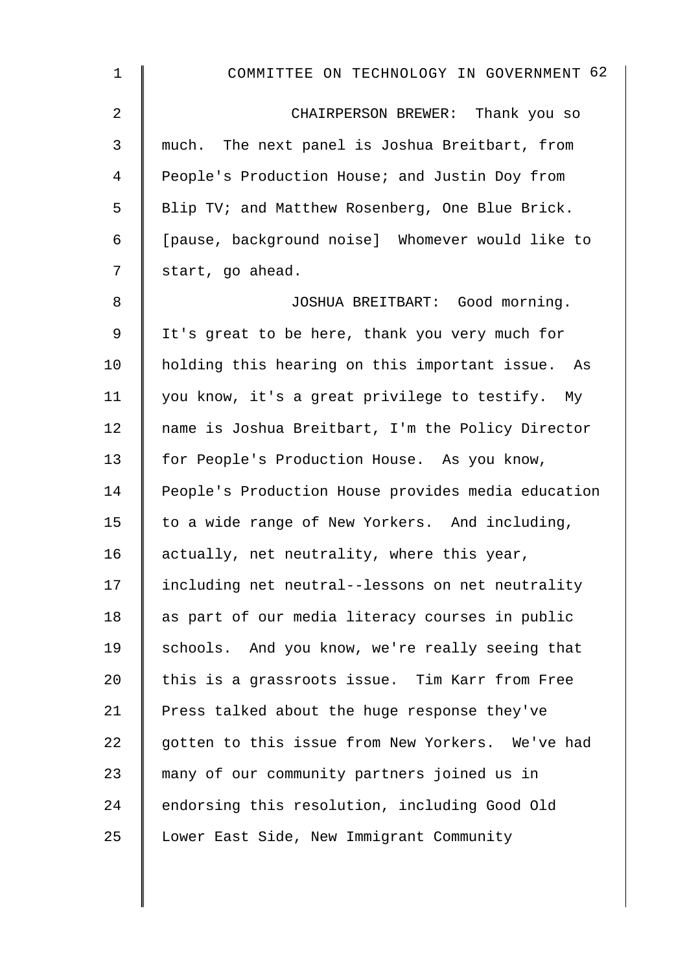| $\mathbf{1}$   | COMMITTEE ON TECHNOLOGY IN GOVERNMENT 62           |
|----------------|----------------------------------------------------|
| $\overline{a}$ | CHAIRPERSON BREWER: Thank you so                   |
| 3              | much. The next panel is Joshua Breitbart, from     |
| 4              | People's Production House; and Justin Doy from     |
| 5              | Blip TV; and Matthew Rosenberg, One Blue Brick.    |
| 6              | [pause, background noise] Whomever would like to   |
| 7              | start, go ahead.                                   |
| 8              | JOSHUA BREITBART: Good morning.                    |
| $\mathsf 9$    | It's great to be here, thank you very much for     |
| 10             | holding this hearing on this important issue. As   |
| 11             | you know, it's a great privilege to testify. My    |
| 12             | name is Joshua Breitbart, I'm the Policy Director  |
| 13             | for People's Production House. As you know,        |
| 14             | People's Production House provides media education |
| 15             | to a wide range of New Yorkers. And including,     |
| 16             | actually, net neutrality, where this year,         |
| 17             | including net neutral--lessons on net neutrality   |
| 18             | as part of our media literacy courses in public    |
| 19             | schools. And you know, we're really seeing that    |
| 20             | this is a grassroots issue. Tim Karr from Free     |
| 21             | Press talked about the huge response they've       |
| 22             | gotten to this issue from New Yorkers. We've had   |
| 23             | many of our community partners joined us in        |
| 24             | endorsing this resolution, including Good Old      |
| 25             | Lower East Side, New Immigrant Community           |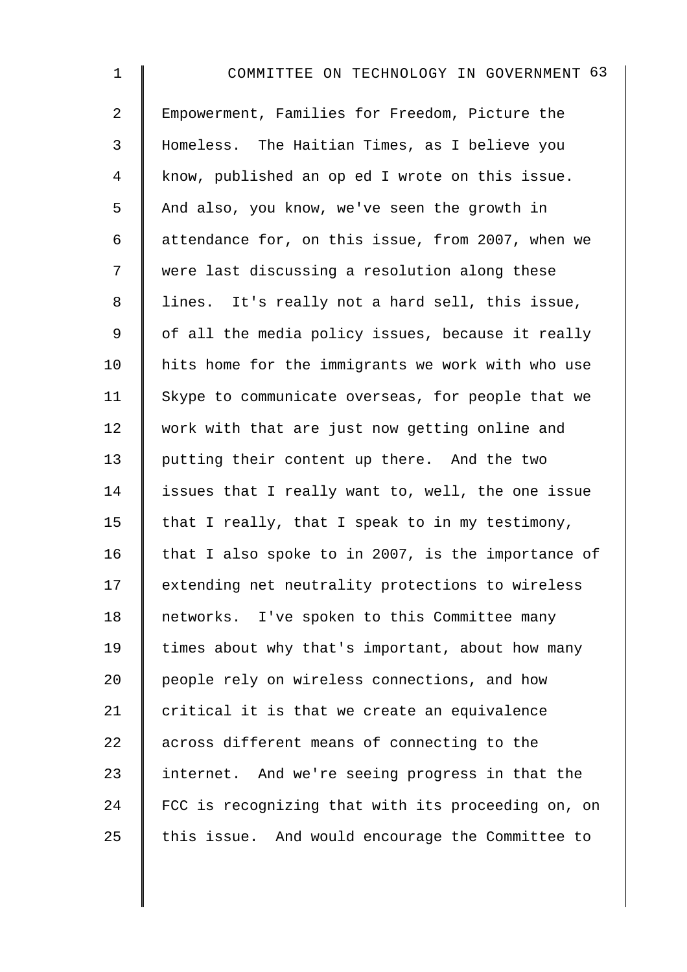| $\mathbf 1$    | COMMITTEE ON TECHNOLOGY IN GOVERNMENT 63           |
|----------------|----------------------------------------------------|
| $\overline{a}$ | Empowerment, Families for Freedom, Picture the     |
| 3              | Homeless. The Haitian Times, as I believe you      |
| 4              | know, published an op ed I wrote on this issue.    |
| 5              | And also, you know, we've seen the growth in       |
| 6              | attendance for, on this issue, from 2007, when we  |
| 7              | were last discussing a resolution along these      |
| 8              | lines. It's really not a hard sell, this issue,    |
| 9              | of all the media policy issues, because it really  |
| 10             | hits home for the immigrants we work with who use  |
| 11             | Skype to communicate overseas, for people that we  |
| 12             | work with that are just now getting online and     |
| 13             | putting their content up there. And the two        |
| 14             | issues that I really want to, well, the one issue  |
| 15             | that I really, that I speak to in my testimony,    |
| 16             | that I also spoke to in 2007, is the importance of |
| 17             | extending net neutrality protections to wireless   |
| 18             | networks. I've spoken to this Committee many       |
| 19             | times about why that's important, about how many   |
| 20             | people rely on wireless connections, and how       |
| 21             | critical it is that we create an equivalence       |
| 22             | across different means of connecting to the        |
| 23             | internet. And we're seeing progress in that the    |
| 24             | FCC is recognizing that with its proceeding on, on |
| 25             | this issue. And would encourage the Committee to   |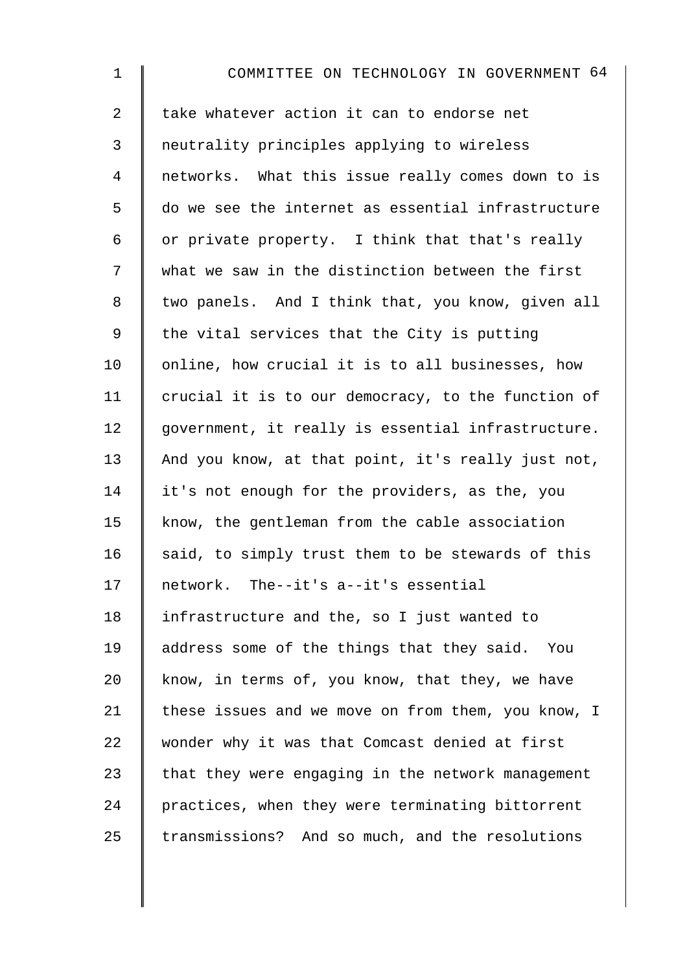| $\mathbf 1$    | COMMITTEE ON TECHNOLOGY IN GOVERNMENT 64           |
|----------------|----------------------------------------------------|
| $\overline{2}$ | take whatever action it can to endorse net         |
| $\mathsf{3}$   | neutrality principles applying to wireless         |
| $\overline{4}$ | networks. What this issue really comes down to is  |
| 5              | do we see the internet as essential infrastructure |
| 6              | or private property. I think that that's really    |
| 7              | what we saw in the distinction between the first   |
| 8              | two panels. And I think that, you know, given all  |
| $\mathsf 9$    | the vital services that the City is putting        |
| 10             | online, how crucial it is to all businesses, how   |
| 11             | crucial it is to our democracy, to the function of |
| 12             | government, it really is essential infrastructure. |
| 13             | And you know, at that point, it's really just not, |
| 14             | it's not enough for the providers, as the, you     |
| 15             | know, the gentleman from the cable association     |
| 16             | said, to simply trust them to be stewards of this  |
| 17             | network. The--it's a--it's essential               |
| 18             | infrastructure and the, so I just wanted to        |
| 19             | address some of the things that they said. You     |
| 20             | know, in terms of, you know, that they, we have    |
| 21             | these issues and we move on from them, you know, I |
| 22             | wonder why it was that Comcast denied at first     |
| 23             | that they were engaging in the network management  |
| 24             | practices, when they were terminating bittorrent   |
| 25             | transmissions? And so much, and the resolutions    |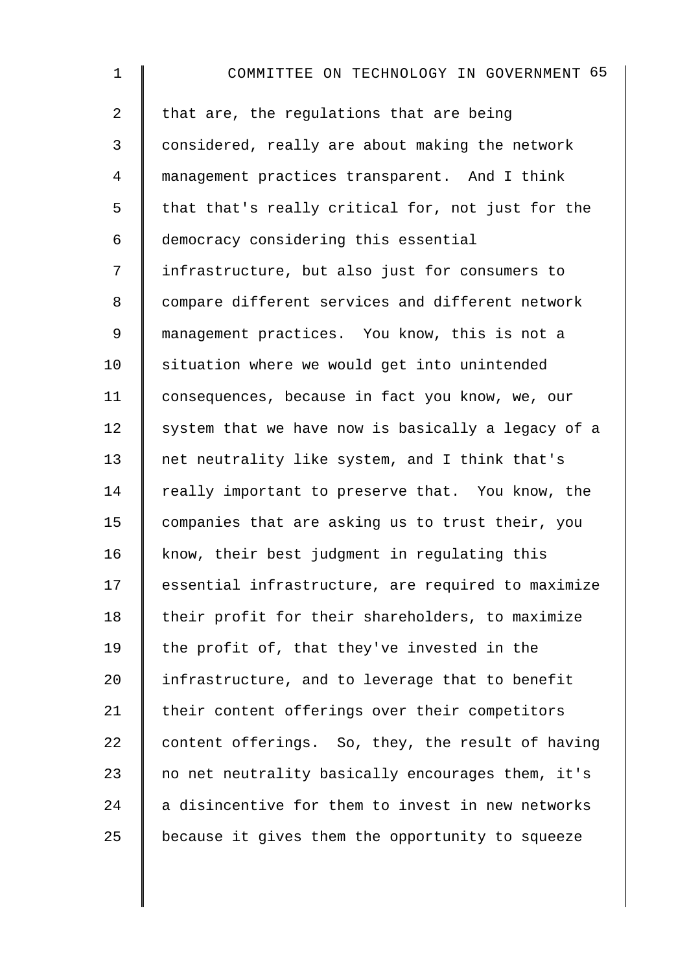1 COMMITTEE ON TECHNOLOGY IN GOVERNMENT 65 2  $\parallel$  that are, the regulations that are being 3 considered, really are about making the network 4 management practices transparent. And I think  $5 \parallel$  that that's really critical for, not just for the 6 democracy considering this essential 7 | infrastructure, but also just for consumers to 8 Compare different services and different network 9 management practices. You know, this is not a 10 | situation where we would get into unintended 11 | consequences, because in fact you know, we, our 12  $\parallel$  system that we have now is basically a legacy of a 13  $\parallel$  net neutrality like system, and I think that's 14  $\parallel$  really important to preserve that. You know, the 15 | companies that are asking us to trust their, you 16 know, their best judgment in regulating this 17 essential infrastructure, are required to maximize 18 their profit for their shareholders, to maximize 19  $\parallel$  the profit of, that they've invested in the 20  $\parallel$  infrastructure, and to leverage that to benefit 21 their content offerings over their competitors 22 content offerings. So, they, the result of having 23  $\parallel$  no net neutrality basically encourages them, it's 24  $\parallel$  a disincentive for them to invest in new networks  $25$  because it gives them the opportunity to squeeze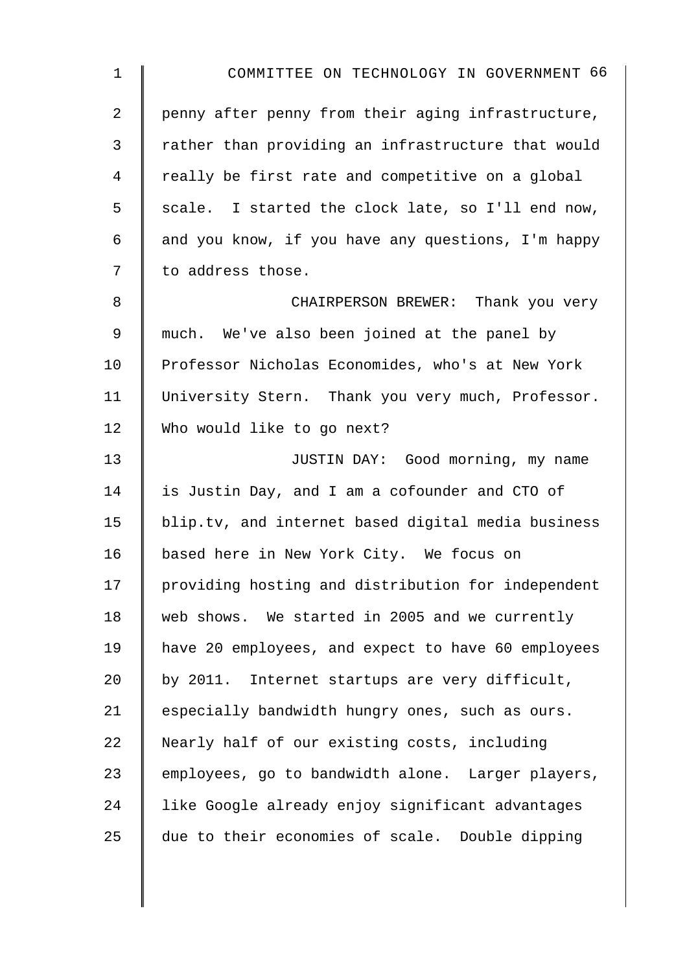| $\mathbf 1$ | COMMITTEE ON TECHNOLOGY IN GOVERNMENT 66           |
|-------------|----------------------------------------------------|
| 2           | penny after penny from their aging infrastructure, |
| 3           | rather than providing an infrastructure that would |
| 4           | really be first rate and competitive on a global   |
| 5           | scale. I started the clock late, so I'll end now,  |
| 6           | and you know, if you have any questions, I'm happy |
| 7           | to address those.                                  |
| 8           | CHAIRPERSON BREWER: Thank you very                 |
| 9           | much. We've also been joined at the panel by       |
| 10          | Professor Nicholas Economides, who's at New York   |
| 11          | University Stern. Thank you very much, Professor.  |
| 12          | Who would like to go next?                         |
| 13          | JUSTIN DAY: Good morning, my name                  |
| 14          | is Justin Day, and I am a cofounder and CTO of     |
| 15          | blip.tv, and internet based digital media business |
| 16          | based here in New York City. We focus on           |
| 17          | providing hosting and distribution for independent |
| 18          | web shows. We started in 2005 and we currently     |
| 19          | have 20 employees, and expect to have 60 employees |
| 20          | by 2011. Internet startups are very difficult,     |
| 21          | especially bandwidth hungry ones, such as ours.    |
| 22          | Nearly half of our existing costs, including       |
| 23          | employees, go to bandwidth alone. Larger players,  |
| 24          | like Google already enjoy significant advantages   |
| 25          | due to their economies of scale. Double dipping    |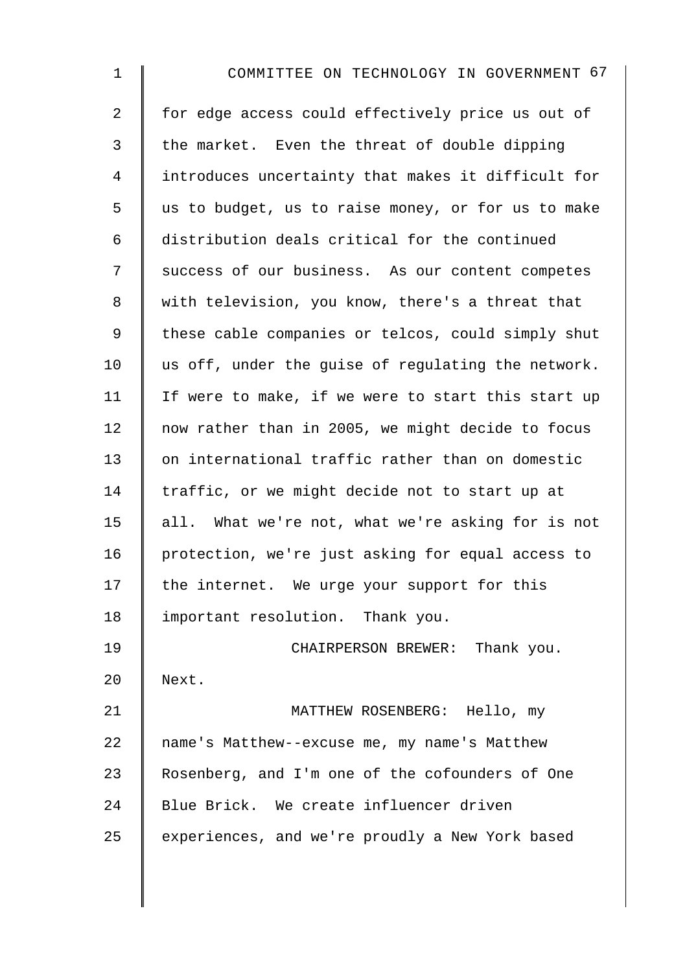| 1  | COMMITTEE ON TECHNOLOGY IN GOVERNMENT 67           |
|----|----------------------------------------------------|
| 2  | for edge access could effectively price us out of  |
| 3  | the market. Even the threat of double dipping      |
| 4  | introduces uncertainty that makes it difficult for |
| 5  | us to budget, us to raise money, or for us to make |
| 6  | distribution deals critical for the continued      |
| 7  | success of our business. As our content competes   |
| 8  | with television, you know, there's a threat that   |
| 9  | these cable companies or telcos, could simply shut |
| 10 | us off, under the guise of regulating the network. |
| 11 | If were to make, if we were to start this start up |
| 12 | now rather than in 2005, we might decide to focus  |
| 13 | on international traffic rather than on domestic   |
| 14 | traffic, or we might decide not to start up at     |
| 15 | all. What we're not, what we're asking for is not  |
| 16 | protection, we're just asking for equal access to  |
| 17 | the internet. We urge your support for this        |
| 18 | important resolution. Thank you.                   |
| 19 | CHAIRPERSON BREWER: Thank you.                     |
| 20 | Next.                                              |
| 21 | MATTHEW ROSENBERG: Hello, my                       |
| 22 | name's Matthew--excuse me, my name's Matthew       |
| 23 | Rosenberg, and I'm one of the cofounders of One    |
| 24 | Blue Brick. We create influencer driven            |
| 25 | experiences, and we're proudly a New York based    |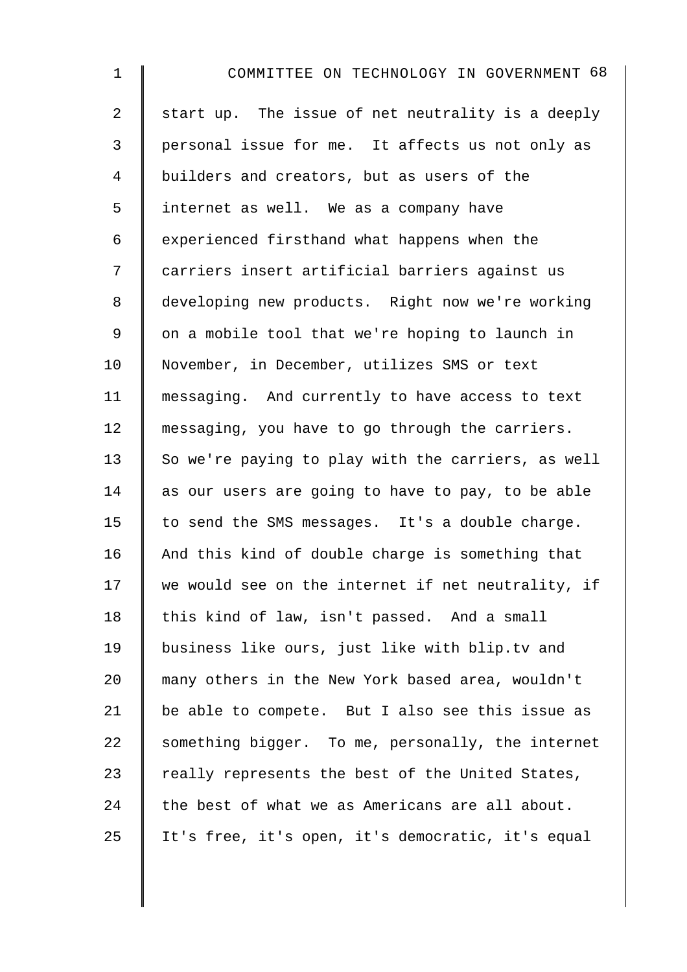1 COMMITTEE ON TECHNOLOGY IN GOVERNMENT 68 2  $\parallel$  start up. The issue of net neutrality is a deeply 3 personal issue for me. It affects us not only as 4 | builders and creators, but as users of the 5 | internet as well. We as a company have  $6 \parallel$  experienced firsthand what happens when the 7 carriers insert artificial barriers against us 8 developing new products. Right now we're working 9 | on a mobile tool that we're hoping to launch in 10 November, in December, utilizes SMS or text 11 messaging. And currently to have access to text 12 messaging, you have to go through the carriers.  $13$  So we're paying to play with the carriers, as well 14 as our users are going to have to pay, to be able 15  $\parallel$  to send the SMS messages. It's a double charge. 16 And this kind of double charge is something that  $17$  we would see on the internet if net neutrality, if 18 this kind of law, isn't passed. And a small 19 | business like ours, just like with blip.tv and 20 many others in the New York based area, wouldn't 21  $\parallel$  be able to compete. But I also see this issue as  $22$  something bigger. To me, personally, the internet 23  $\parallel$  really represents the best of the United States, 24 the best of what we as Americans are all about. 25 It's free, it's open, it's democratic, it's equal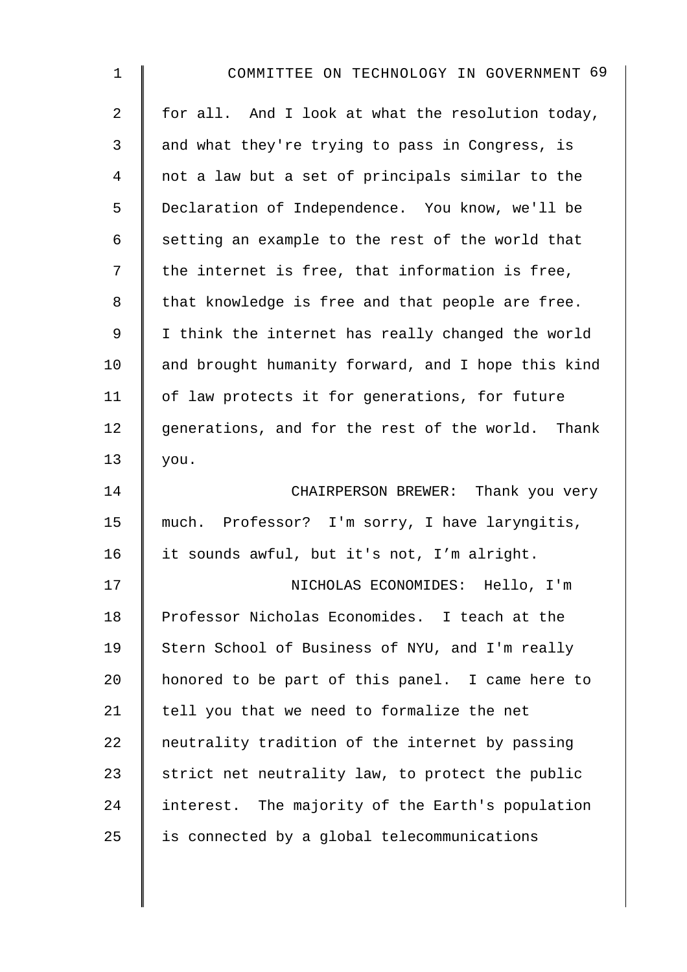| $\mathbf 1$ | COMMITTEE ON TECHNOLOGY IN GOVERNMENT 69           |
|-------------|----------------------------------------------------|
| 2           | for all. And I look at what the resolution today,  |
| 3           | and what they're trying to pass in Congress, is    |
| 4           | not a law but a set of principals similar to the   |
| 5           | Declaration of Independence. You know, we'll be    |
| 6           | setting an example to the rest of the world that   |
| 7           | the internet is free, that information is free,    |
| 8           | that knowledge is free and that people are free.   |
| 9           | I think the internet has really changed the world  |
| 10          | and brought humanity forward, and I hope this kind |
| 11          | of law protects it for generations, for future     |
| 12          | generations, and for the rest of the world. Thank  |
| 13          | you.                                               |
| 14          | CHAIRPERSON BREWER: Thank you very                 |
| 15          | much. Professor? I'm sorry, I have laryngitis,     |
| 16          | it sounds awful, but it's not, I'm alright.        |
| 17          | NICHOLAS ECONOMIDES: Hello, I'm                    |
| 18          | Professor Nicholas Economides. I teach at the      |
| 19          | Stern School of Business of NYU, and I'm really    |
| 20          | honored to be part of this panel. I came here to   |
| 21          | tell you that we need to formalize the net         |
| 22          | neutrality tradition of the internet by passing    |
| 23          | strict net neutrality law, to protect the public   |
| 24          | interest. The majority of the Earth's population   |
| 25          | is connected by a global telecommunications        |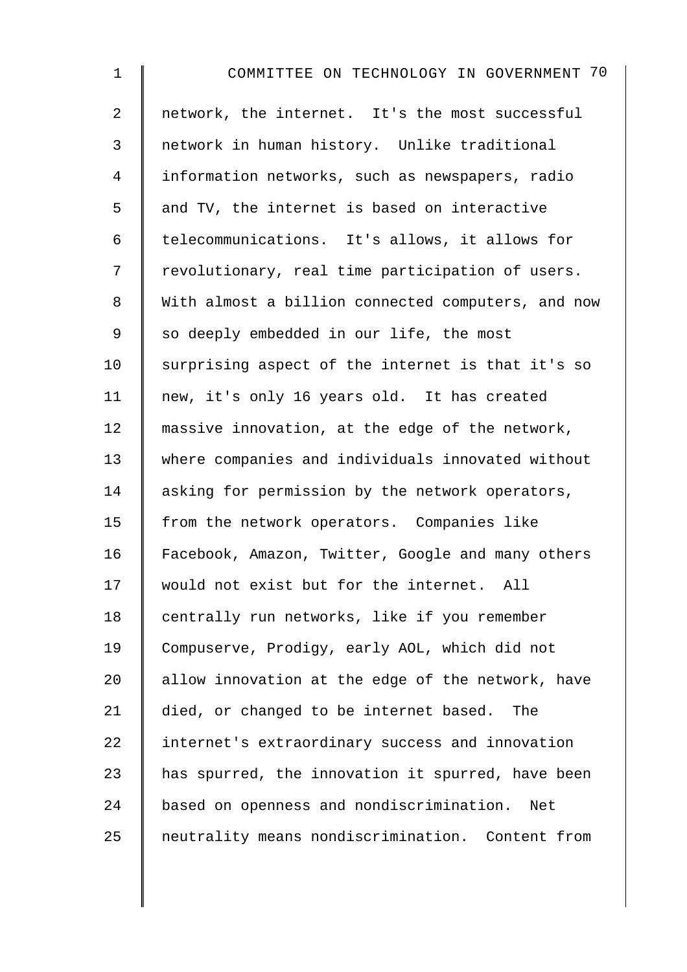| $\mathbf 1$    | COMMITTEE ON TECHNOLOGY IN GOVERNMENT 70           |
|----------------|----------------------------------------------------|
| $\overline{2}$ | network, the internet. It's the most successful    |
| 3              | network in human history. Unlike traditional       |
| 4              | information networks, such as newspapers, radio    |
| 5              | and TV, the internet is based on interactive       |
| 6              | telecommunications. It's allows, it allows for     |
| 7              | revolutionary, real time participation of users.   |
| 8              | With almost a billion connected computers, and now |
| 9              | so deeply embedded in our life, the most           |
| 10             | surprising aspect of the internet is that it's so  |
| 11             | new, it's only 16 years old. It has created        |
| 12             | massive innovation, at the edge of the network,    |
| 13             | where companies and individuals innovated without  |
| 14             | asking for permission by the network operators,    |
| 15             | from the network operators. Companies like         |
| 16             | Facebook, Amazon, Twitter, Google and many others  |
| 17             | would not exist but for the internet. All          |
| 18             | centrally run networks, like if you remember       |
| 19             | Compuserve, Prodigy, early AOL, which did not      |
| 20             | allow innovation at the edge of the network, have  |
| 21             | died, or changed to be internet based. The         |
| 22             | internet's extraordinary success and innovation    |
| 23             | has spurred, the innovation it spurred, have been  |
| 24             | based on openness and nondiscrimination.<br>Net    |
| 25             | neutrality means nondiscrimination. Content from   |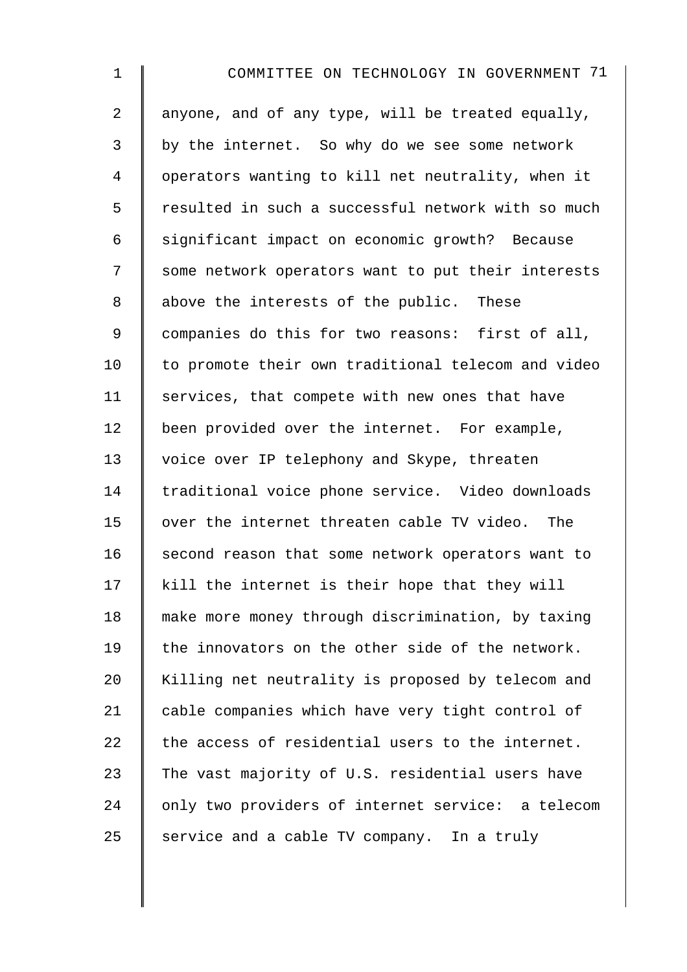1 COMMITTEE ON TECHNOLOGY IN GOVERNMENT 71 2  $\parallel$  anyone, and of any type, will be treated equally, 3 by the internet. So why do we see some network 4 operators wanting to kill net neutrality, when it 5 | resulted in such a successful network with so much 6 Significant impact on economic growth? Because 7 Some network operators want to put their interests 8 above the interests of the public. These 9 | companies do this for two reasons: first of all,  $10$   $\parallel$  to promote their own traditional telecom and video  $11$  services, that compete with new ones that have 12 | been provided over the internet. For example, 13 voice over IP telephony and Skype, threaten 14 Traditional voice phone service. Video downloads 15 | over the internet threaten cable TV video. The 16 second reason that some network operators want to  $17$  | kill the internet is their hope that they will 18 make more money through discrimination, by taxing 19  $\parallel$  the innovators on the other side of the network. 20 | Killing net neutrality is proposed by telecom and 21 cable companies which have very tight control of  $22$  the access of residential users to the internet. 23 The vast majority of U.S. residential users have 24 only two providers of internet service: a telecom 25 service and a cable TV company. In a truly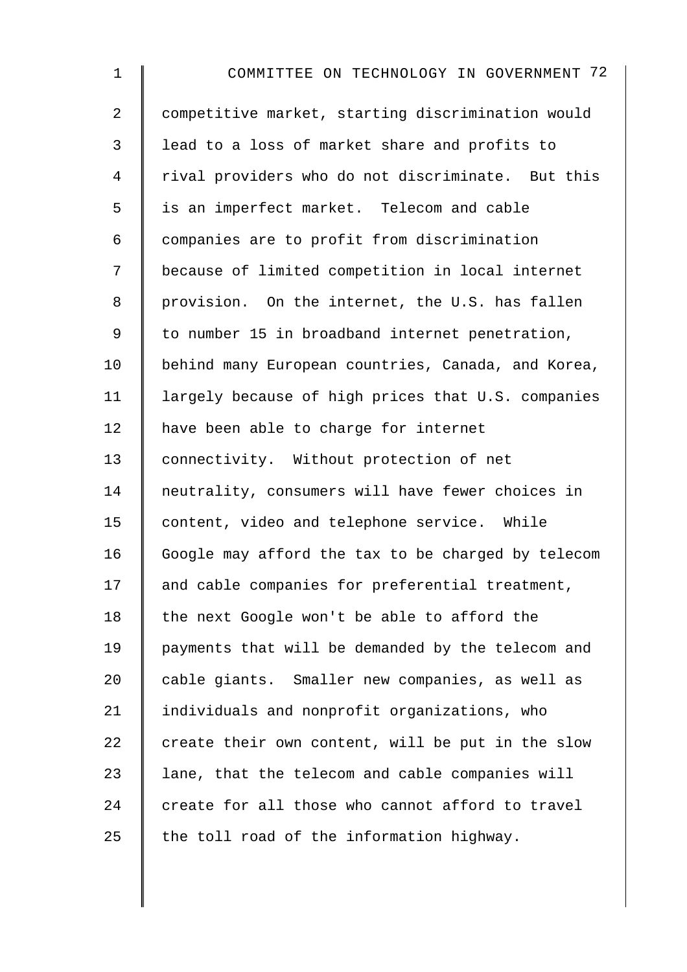| $\mathbf 1$    | COMMITTEE ON TECHNOLOGY IN GOVERNMENT 72           |
|----------------|----------------------------------------------------|
| $\overline{a}$ | competitive market, starting discrimination would  |
| 3              | lead to a loss of market share and profits to      |
| 4              | rival providers who do not discriminate. But this  |
| 5              | is an imperfect market. Telecom and cable          |
| 6              | companies are to profit from discrimination        |
| 7              | because of limited competition in local internet   |
| 8              | provision. On the internet, the U.S. has fallen    |
| $\mathsf 9$    | to number 15 in broadband internet penetration,    |
| 10             | behind many European countries, Canada, and Korea, |
| 11             | largely because of high prices that U.S. companies |
| 12             | have been able to charge for internet              |
| 13             | connectivity. Without protection of net            |
| 14             | neutrality, consumers will have fewer choices in   |
| 15             | content, video and telephone service. While        |
| 16             | Google may afford the tax to be charged by telecom |
| 17             | and cable companies for preferential treatment,    |
| 18             | the next Google won't be able to afford the        |
| 19             | payments that will be demanded by the telecom and  |
| 20             | cable giants. Smaller new companies, as well as    |
| 21             | individuals and nonprofit organizations, who       |
| 22             | create their own content, will be put in the slow  |
| 23             | lane, that the telecom and cable companies will    |
| 24             | create for all those who cannot afford to travel   |
| 25             | the toll road of the information highway.          |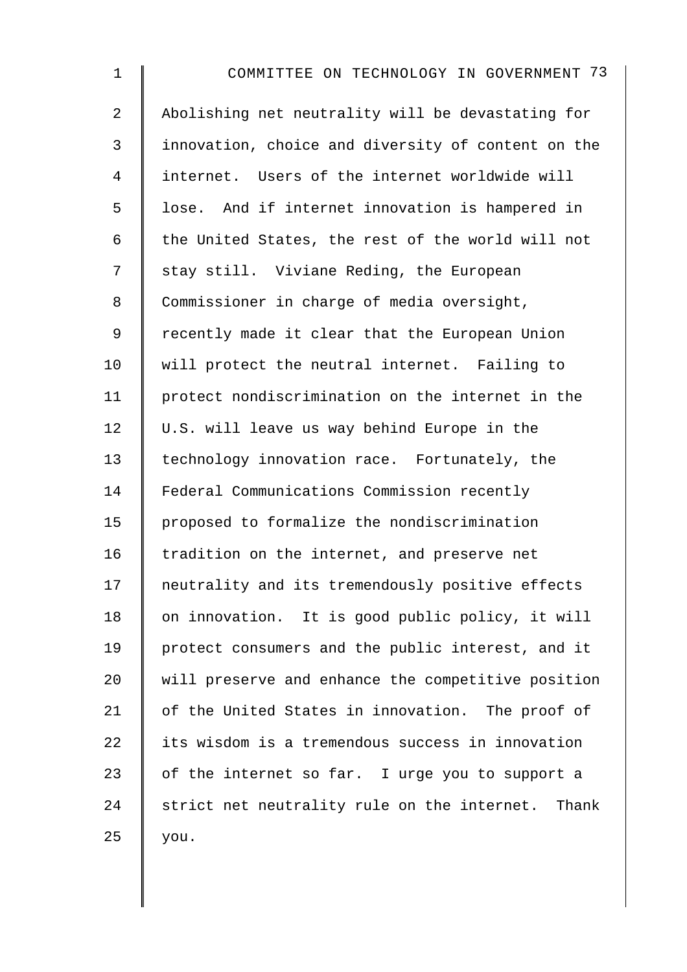| $\mathbf 1$    | COMMITTEE ON TECHNOLOGY IN GOVERNMENT 73           |
|----------------|----------------------------------------------------|
| $\overline{a}$ | Abolishing net neutrality will be devastating for  |
| 3              | innovation, choice and diversity of content on the |
| 4              | internet. Users of the internet worldwide will     |
| 5              | lose. And if internet innovation is hampered in    |
| 6              | the United States, the rest of the world will not  |
| 7              | stay still. Viviane Reding, the European           |
| 8              | Commissioner in charge of media oversight,         |
| $\mathsf 9$    | recently made it clear that the European Union     |
| 10             | will protect the neutral internet. Failing to      |
| 11             | protect nondiscrimination on the internet in the   |
| 12             | U.S. will leave us way behind Europe in the        |
| 13             | technology innovation race. Fortunately, the       |
| 14             | Federal Communications Commission recently         |
| 15             | proposed to formalize the nondiscrimination        |
| 16             | tradition on the internet, and preserve net        |
| 17             | neutrality and its tremendously positive effects   |
| 18             | on innovation. It is good public policy, it will   |
| 19             | protect consumers and the public interest, and it  |
| 20             | will preserve and enhance the competitive position |
| 21             | of the United States in innovation. The proof of   |
| 22             | its wisdom is a tremendous success in innovation   |
| 23             | of the internet so far. I urge you to support a    |
| 24             | strict net neutrality rule on the internet. Thank  |
| 25             | you.                                               |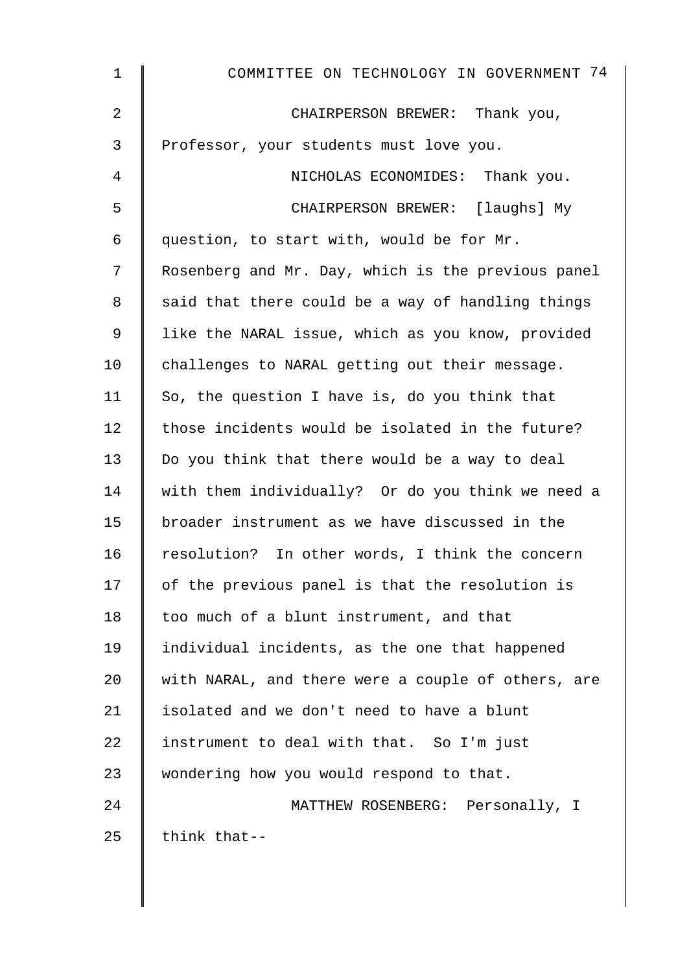| $\mathbf 1$    | COMMITTEE ON TECHNOLOGY IN GOVERNMENT 74           |
|----------------|----------------------------------------------------|
| $\overline{a}$ | CHAIRPERSON BREWER: Thank you,                     |
| 3              | Professor, your students must love you.            |
| 4              | NICHOLAS ECONOMIDES: Thank you.                    |
| 5              | CHAIRPERSON BREWER: [laughs] My                    |
| 6              | question, to start with, would be for Mr.          |
| 7              | Rosenberg and Mr. Day, which is the previous panel |
| 8              | said that there could be a way of handling things  |
| 9              | like the NARAL issue, which as you know, provided  |
| 10             | challenges to NARAL getting out their message.     |
| 11             | So, the question I have is, do you think that      |
| 12             | those incidents would be isolated in the future?   |
| 13             | Do you think that there would be a way to deal     |
| 14             | with them individually? Or do you think we need a  |
| 15             | broader instrument as we have discussed in the     |
| 16             | resolution? In other words, I think the concern    |
| 17             | of the previous panel is that the resolution is    |
| 18             | too much of a blunt instrument, and that           |
| 19             | individual incidents, as the one that happened     |
| 20             | with NARAL, and there were a couple of others, are |
| 21             | isolated and we don't need to have a blunt         |
| 22             | instrument to deal with that. So I'm just          |
| 23             | wondering how you would respond to that.           |
| 24             | MATTHEW ROSENBERG: Personally, I                   |
| 25             | think that--                                       |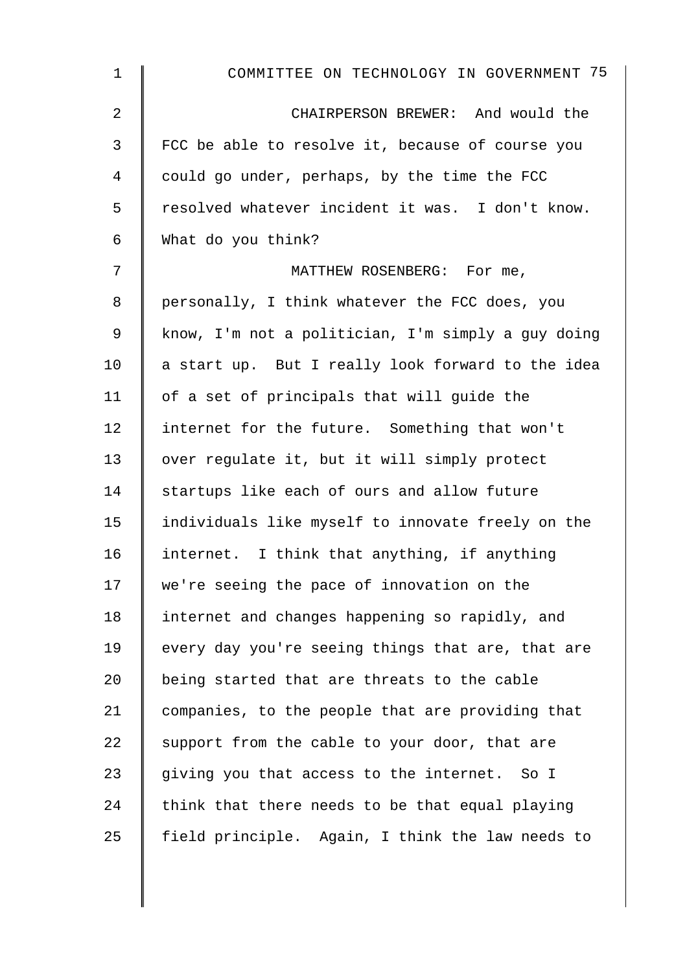| 1  | COMMITTEE ON TECHNOLOGY IN GOVERNMENT 75           |
|----|----------------------------------------------------|
| 2  | CHAIRPERSON BREWER: And would the                  |
| 3  | FCC be able to resolve it, because of course you   |
| 4  | could go under, perhaps, by the time the FCC       |
| 5  | resolved whatever incident it was. I don't know.   |
| 6  | What do you think?                                 |
| 7  | MATTHEW ROSENBERG: For me,                         |
| 8  | personally, I think whatever the FCC does, you     |
| 9  | know, I'm not a politician, I'm simply a guy doing |
| 10 | a start up. But I really look forward to the idea  |
| 11 | of a set of principals that will guide the         |
| 12 | internet for the future. Something that won't      |
| 13 | over regulate it, but it will simply protect       |
| 14 | startups like each of ours and allow future        |
| 15 | individuals like myself to innovate freely on the  |
| 16 | internet. I think that anything, if anything       |
| 17 | we're seeing the pace of innovation on the         |
| 18 | internet and changes happening so rapidly, and     |
| 19 | every day you're seeing things that are, that are  |
| 20 | being started that are threats to the cable        |
| 21 | companies, to the people that are providing that   |
| 22 | support from the cable to your door, that are      |
| 23 | giving you that access to the internet. So I       |
| 24 | think that there needs to be that equal playing    |
| 25 | field principle. Again, I think the law needs to   |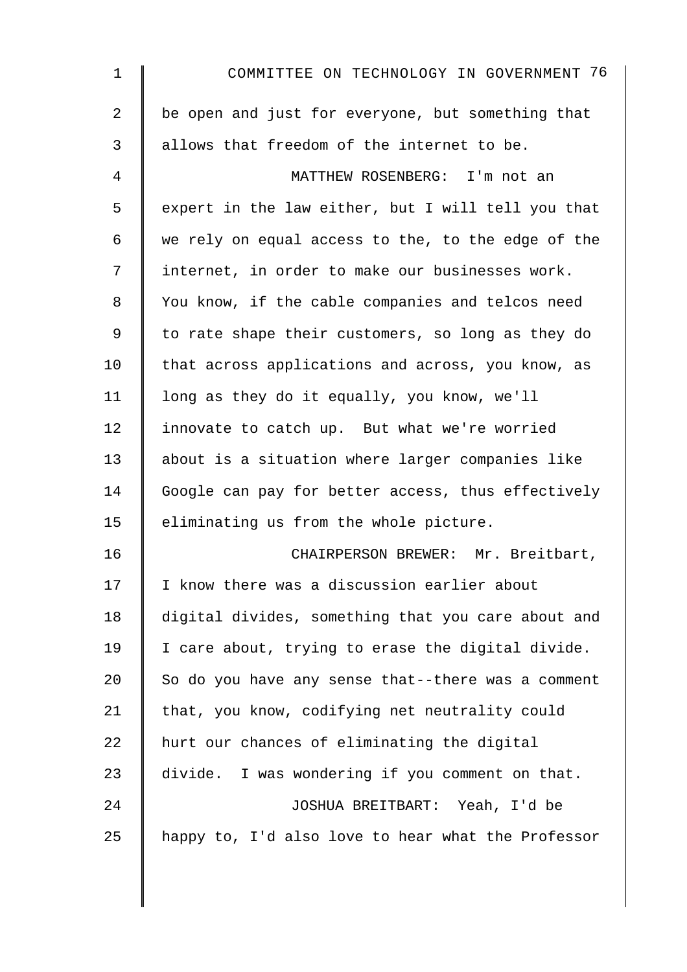| 1  | COMMITTEE ON TECHNOLOGY IN GOVERNMENT 76           |
|----|----------------------------------------------------|
| 2  | be open and just for everyone, but something that  |
| 3  | allows that freedom of the internet to be.         |
| 4  | MATTHEW ROSENBERG: I'm not an                      |
| 5  | expert in the law either, but I will tell you that |
| 6  | we rely on equal access to the, to the edge of the |
| 7  | internet, in order to make our businesses work.    |
| 8  | You know, if the cable companies and telcos need   |
| 9  | to rate shape their customers, so long as they do  |
| 10 | that across applications and across, you know, as  |
| 11 | long as they do it equally, you know, we'll        |
| 12 | innovate to catch up. But what we're worried       |
| 13 | about is a situation where larger companies like   |
| 14 | Google can pay for better access, thus effectively |
| 15 | eliminating us from the whole picture.             |
| 16 | CHAIRPERSON BREWER: Mr. Breitbart,                 |
| 17 | I know there was a discussion earlier about        |
| 18 | digital divides, something that you care about and |
| 19 | I care about, trying to erase the digital divide.  |
| 20 | So do you have any sense that--there was a comment |
| 21 | that, you know, codifying net neutrality could     |
| 22 | hurt our chances of eliminating the digital        |
| 23 | divide. I was wondering if you comment on that.    |
| 24 | JOSHUA BREITBART: Yeah, I'd be                     |
| 25 | happy to, I'd also love to hear what the Professor |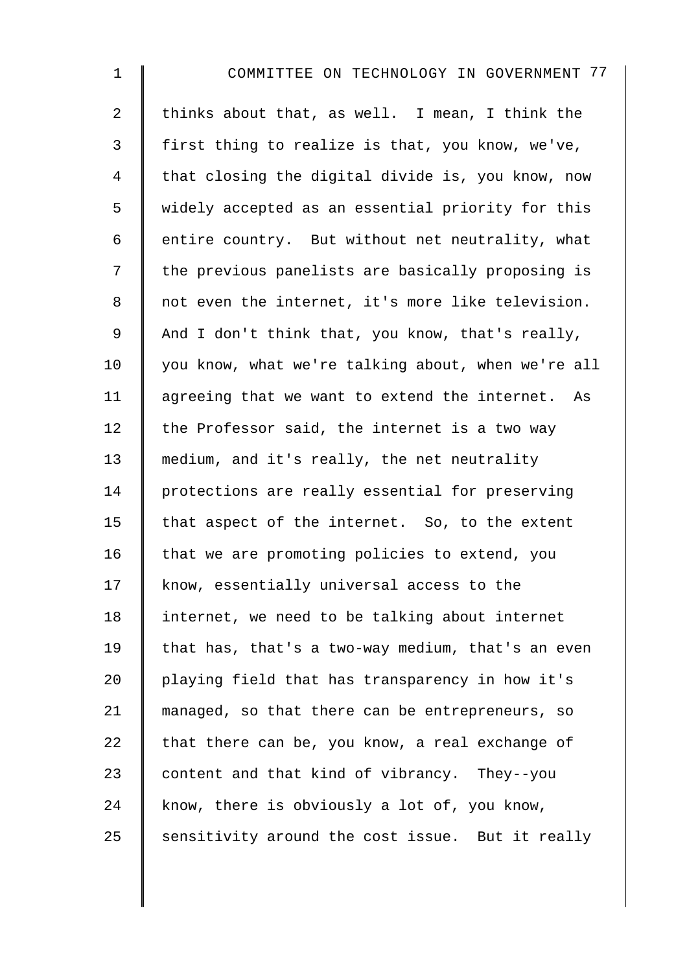| 1              | COMMITTEE ON TECHNOLOGY IN GOVERNMENT 77           |
|----------------|----------------------------------------------------|
| $\overline{a}$ | thinks about that, as well. I mean, I think the    |
| 3              | first thing to realize is that, you know, we've,   |
| 4              | that closing the digital divide is, you know, now  |
| 5              | widely accepted as an essential priority for this  |
| 6              | entire country. But without net neutrality, what   |
| 7              | the previous panelists are basically proposing is  |
| 8              | not even the internet, it's more like television.  |
| 9              | And I don't think that, you know, that's really,   |
| 10             | you know, what we're talking about, when we're all |
| 11             | agreeing that we want to extend the internet. As   |
| 12             | the Professor said, the internet is a two way      |
| 13             | medium, and it's really, the net neutrality        |
| 14             | protections are really essential for preserving    |
| 15             | that aspect of the internet. So, to the extent     |
| 16             | that we are promoting policies to extend, you      |
| 17             | know, essentially universal access to the          |
| 18             | internet, we need to be talking about internet     |
| 19             | that has, that's a two-way medium, that's an even  |
| 20             | playing field that has transparency in how it's    |
| 21             | managed, so that there can be entrepreneurs, so    |
| 22             | that there can be, you know, a real exchange of    |
| 23             | content and that kind of vibrancy. They--you       |
| 24             | know, there is obviously a lot of, you know,       |
| 25             | sensitivity around the cost issue. But it really   |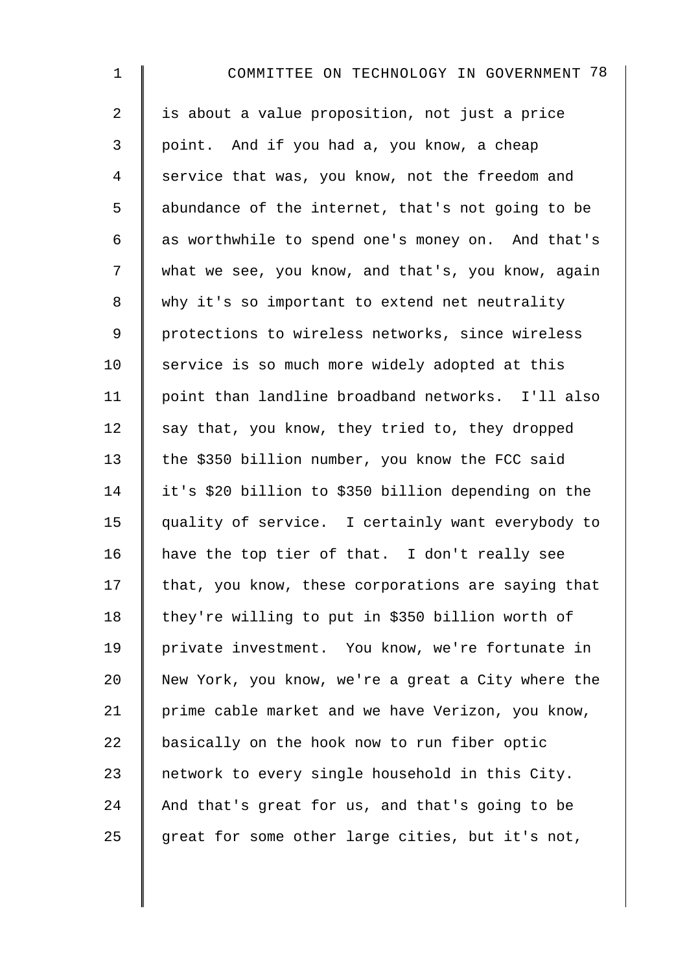1 COMMITTEE ON TECHNOLOGY IN GOVERNMENT 78  $2 \parallel$  is about a value proposition, not just a price 3 point. And if you had a, you know, a cheap 4 service that was, you know, not the freedom and 5 abundance of the internet, that's not going to be 6  $\parallel$  as worthwhile to spend one's money on. And that's 7 | what we see, you know, and that's, you know, again 8 why it's so important to extend net neutrality 9 | protections to wireless networks, since wireless  $10$  service is so much more widely adopted at this 11 point than landline broadband networks. I'll also 12  $\parallel$  say that, you know, they tried to, they dropped 13  $\parallel$  the \$350 billion number, you know the FCC said 14 it's \$20 billion to \$350 billion depending on the 15 quality of service. I certainly want everybody to 16 have the top tier of that. I don't really see  $17$  that, you know, these corporations are saying that 18 they're willing to put in \$350 billion worth of 19 | private investment. You know, we're fortunate in 20 New York, you know, we're a great a City where the 21 | prime cable market and we have Verizon, you know, 22 basically on the hook now to run fiber optic 23  $\parallel$  network to every single household in this City. 24  $\parallel$  And that's great for us, and that's going to be 25  $\parallel$  great for some other large cities, but it's not,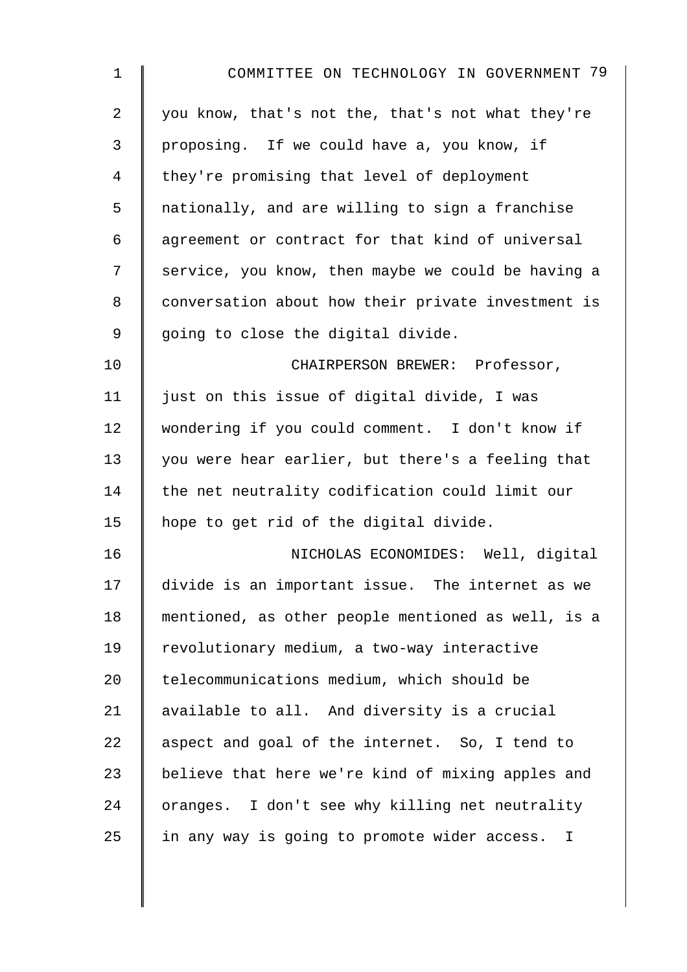| $\mathbf 1$    | COMMITTEE ON TECHNOLOGY IN GOVERNMENT 79                     |
|----------------|--------------------------------------------------------------|
| $\overline{a}$ | you know, that's not the, that's not what they're            |
| 3              | proposing. If we could have a, you know, if                  |
| 4              | they're promising that level of deployment                   |
| 5              | nationally, and are willing to sign a franchise              |
| 6              | agreement or contract for that kind of universal             |
| 7              | service, you know, then maybe we could be having a           |
| 8              | conversation about how their private investment is           |
| 9              | going to close the digital divide.                           |
| 10             | CHAIRPERSON BREWER: Professor,                               |
| 11             | just on this issue of digital divide, I was                  |
| 12             | wondering if you could comment. I don't know if              |
| 13             | you were hear earlier, but there's a feeling that            |
| 14             | the net neutrality codification could limit our              |
| 15             | hope to get rid of the digital divide.                       |
| 16             | NICHOLAS ECONOMIDES: Well, digital                           |
| 17             | divide is an important issue. The internet as we             |
| 18             | mentioned, as other people mentioned as well, is a           |
| 19             | revolutionary medium, a two-way interactive                  |
| 20             | telecommunications medium, which should be                   |
| 21             | available to all. And diversity is a crucial                 |
| 22             | aspect and goal of the internet. So, I tend to               |
| 23             | believe that here we're kind of mixing apples and            |
| 24             | oranges. I don't see why killing net neutrality              |
| 25             | in any way is going to promote wider access.<br>$\mathbf{I}$ |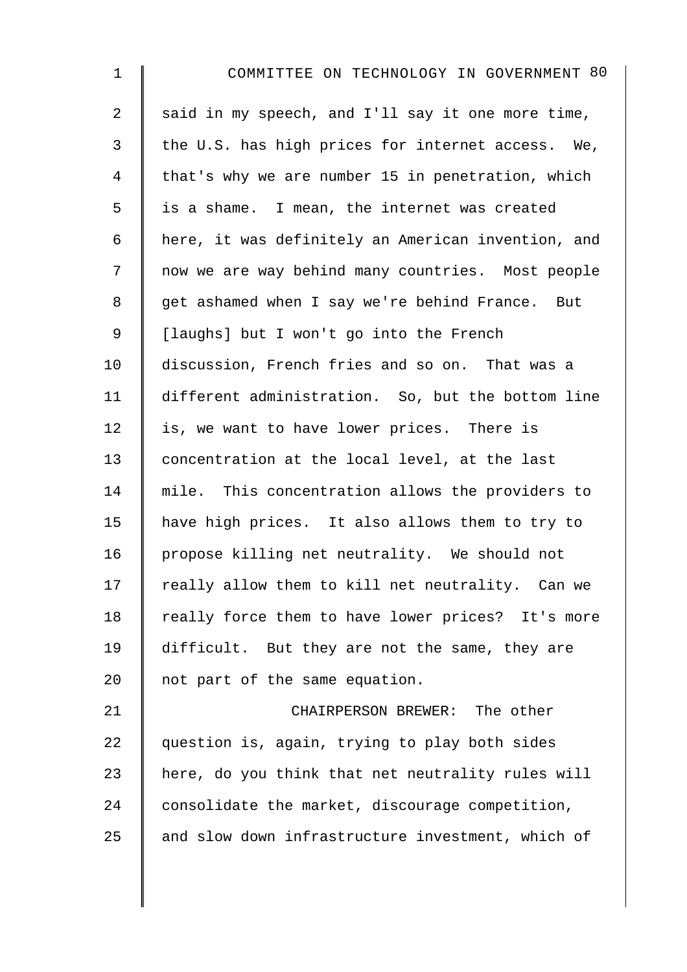| 1              | COMMITTEE ON TECHNOLOGY IN GOVERNMENT 80           |
|----------------|----------------------------------------------------|
| $\overline{2}$ | said in my speech, and I'll say it one more time,  |
| 3              | the U.S. has high prices for internet access. We,  |
| 4              | that's why we are number 15 in penetration, which  |
| 5              | is a shame. I mean, the internet was created       |
| 6              | here, it was definitely an American invention, and |
| 7              | now we are way behind many countries. Most people  |
| 8              | get ashamed when I say we're behind France. But    |
| 9              | [laughs] but I won't go into the French            |
| 10             | discussion, French fries and so on. That was a     |
| 11             | different administration. So, but the bottom line  |
| 12             | is, we want to have lower prices. There is         |
| 13             | concentration at the local level, at the last      |
| 14             | mile. This concentration allows the providers to   |
| 15             | have high prices. It also allows them to try to    |
| 16             | propose killing net neutrality. We should not      |
| 17             | really allow them to kill net neutrality. Can we   |
| 18             | really force them to have lower prices? It's more  |
| 19             | difficult. But they are not the same, they are     |
| 20             | not part of the same equation.                     |
| 21             | CHAIRPERSON BREWER: The other                      |
| 22             | question is, again, trying to play both sides      |
| 23             | here, do you think that net neutrality rules will  |
| 24             | consolidate the market, discourage competition,    |
| 25             | and slow down infrastructure investment, which of  |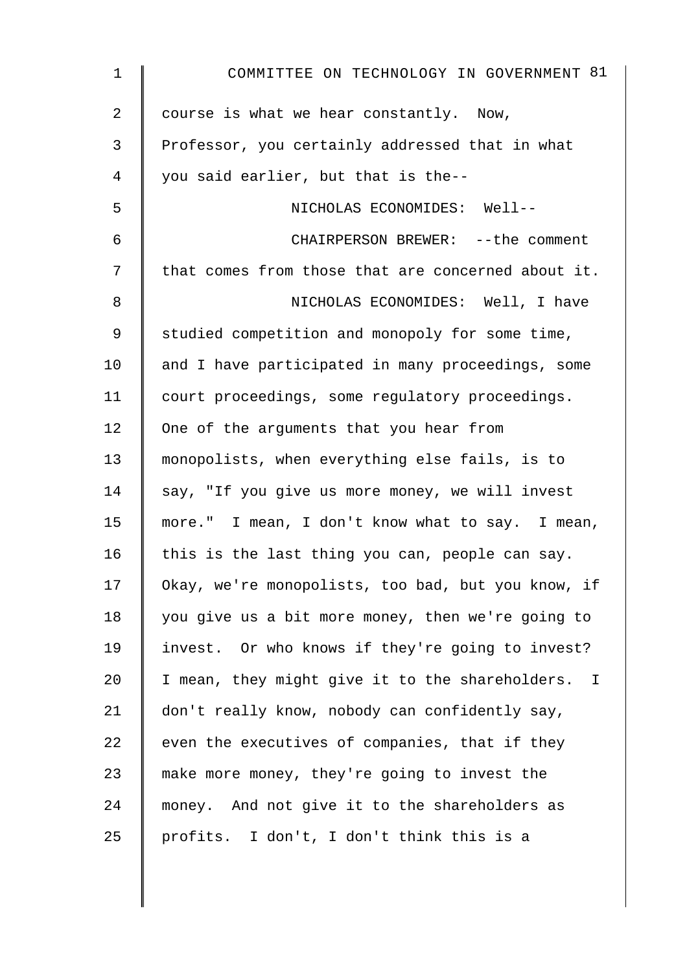| $\mathbf{1}$   | COMMITTEE ON TECHNOLOGY IN GOVERNMENT 81                        |
|----------------|-----------------------------------------------------------------|
| $\overline{a}$ | course is what we hear constantly. Now,                         |
| 3              | Professor, you certainly addressed that in what                 |
| 4              | you said earlier, but that is the--                             |
| 5              | NICHOLAS ECONOMIDES: Well--                                     |
| 6              | CHAIRPERSON BREWER: -- the comment                              |
| 7              | that comes from those that are concerned about it.              |
| 8              | NICHOLAS ECONOMIDES: Well, I have                               |
| 9              | studied competition and monopoly for some time,                 |
| 10             | and I have participated in many proceedings, some               |
| 11             | court proceedings, some regulatory proceedings.                 |
| 12             | One of the arguments that you hear from                         |
| 13             | monopolists, when everything else fails, is to                  |
| 14             | say, "If you give us more money, we will invest                 |
| 15             | more." I mean, I don't know what to say. I mean,                |
| 16             | this is the last thing you can, people can say.                 |
| 17             | Okay, we're monopolists, too bad, but you know, if              |
| 18             | you give us a bit more money, then we're going to               |
| 19             | invest. Or who knows if they're going to invest?                |
| 20             | I mean, they might give it to the shareholders.<br>$\mathbb{I}$ |
| 21             | don't really know, nobody can confidently say,                  |
| 22             | even the executives of companies, that if they                  |
| 23             | make more money, they're going to invest the                    |
| 24             | money. And not give it to the shareholders as                   |
| 25             | profits. I don't, I don't think this is a                       |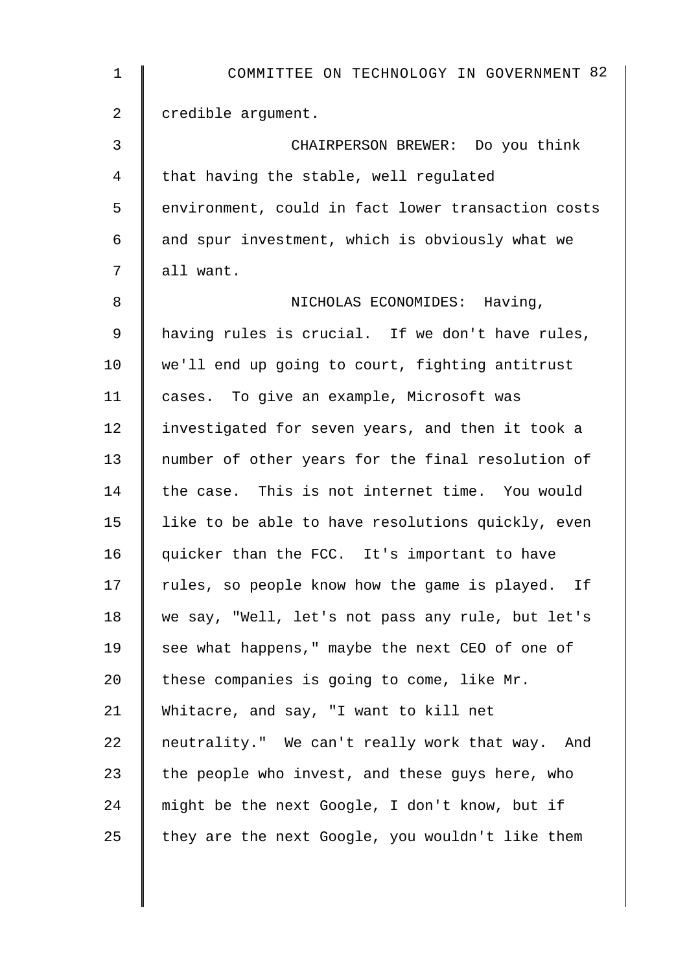| $\mathbf 1$ | COMMITTEE ON TECHNOLOGY IN GOVERNMENT 82           |
|-------------|----------------------------------------------------|
| 2           | credible argument.                                 |
| 3           | CHAIRPERSON BREWER: Do you think                   |
| 4           | that having the stable, well regulated             |
| 5           | environment, could in fact lower transaction costs |
| 6           | and spur investment, which is obviously what we    |
| 7           | all want.                                          |
| 8           | NICHOLAS ECONOMIDES: Having,                       |
| 9           | having rules is crucial. If we don't have rules,   |
| 10          | we'll end up going to court, fighting antitrust    |
| 11          | cases. To give an example, Microsoft was           |
| 12          | investigated for seven years, and then it took a   |
| 13          | number of other years for the final resolution of  |
| 14          | the case. This is not internet time. You would     |
| 15          | like to be able to have resolutions quickly, even  |
| 16          | quicker than the FCC. It's important to have       |
| 17          | rules, so people know how the game is played. If   |
| 18          | we say, "Well, let's not pass any rule, but let's  |
| 19          | see what happens," maybe the next CEO of one of    |
| 20          | these companies is going to come, like Mr.         |
| 21          | Whitacre, and say, "I want to kill net             |
| 22          | neutrality." We can't really work that way. And    |
| 23          | the people who invest, and these guys here, who    |
| 24          | might be the next Google, I don't know, but if     |
| 25          | they are the next Google, you wouldn't like them   |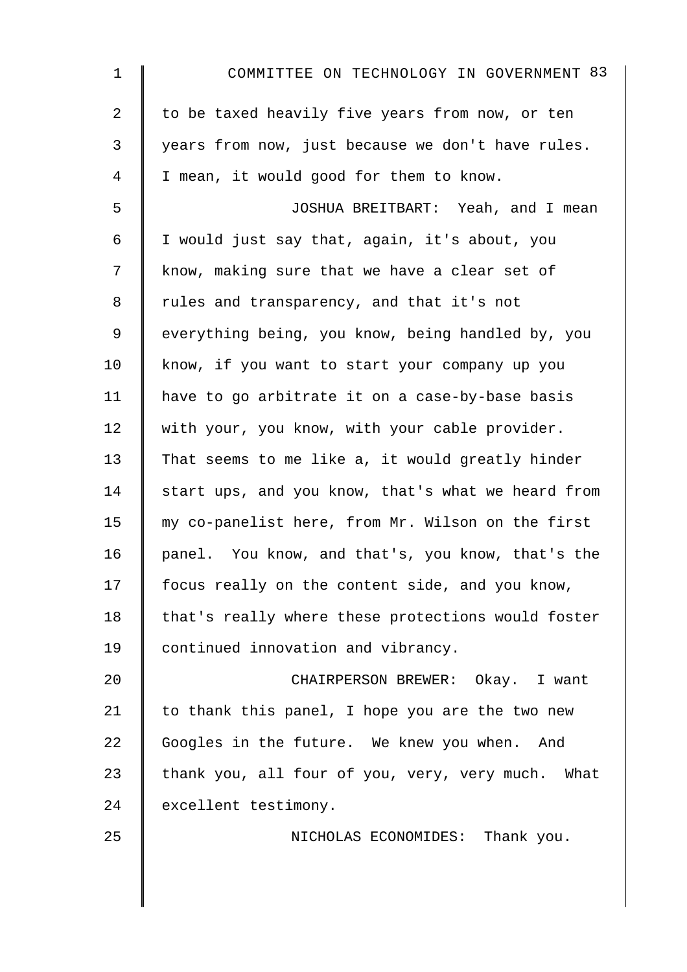| $\mathbf 1$ | COMMITTEE ON TECHNOLOGY IN GOVERNMENT 83           |
|-------------|----------------------------------------------------|
| 2           | to be taxed heavily five years from now, or ten    |
| 3           | years from now, just because we don't have rules.  |
| 4           | I mean, it would good for them to know.            |
| 5           | JOSHUA BREITBART: Yeah, and I mean                 |
| 6           | I would just say that, again, it's about, you      |
| 7           | know, making sure that we have a clear set of      |
| 8           | rules and transparency, and that it's not          |
| 9           | everything being, you know, being handled by, you  |
| 10          | know, if you want to start your company up you     |
| 11          | have to go arbitrate it on a case-by-base basis    |
| 12          | with your, you know, with your cable provider.     |
| 13          | That seems to me like a, it would greatly hinder   |
| 14          | start ups, and you know, that's what we heard from |
| 15          | my co-panelist here, from Mr. Wilson on the first  |
| 16          | panel. You know, and that's, you know, that's the  |
| 17          | focus really on the content side, and you know,    |
| 18          | that's really where these protections would foster |
| 19          | continued innovation and vibrancy.                 |
| 20          | CHAIRPERSON BREWER: Okay. I want                   |
| 21          | to thank this panel, I hope you are the two new    |
| 22          | Googles in the future. We knew you when. And       |
| 23          | thank you, all four of you, very, very much. What  |
| 24          | excellent testimony.                               |
| 25          | NICHOLAS ECONOMIDES: Thank you.                    |
|             |                                                    |
|             |                                                    |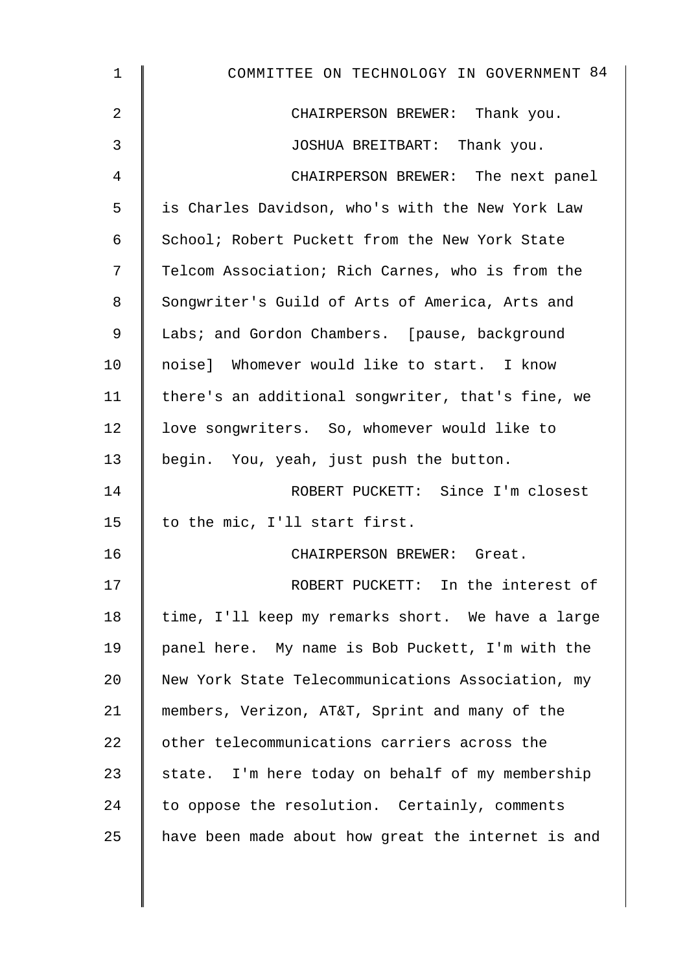| $\mathbf 1$ | COMMITTEE ON TECHNOLOGY IN GOVERNMENT 84           |
|-------------|----------------------------------------------------|
| 2           | CHAIRPERSON BREWER: Thank you.                     |
| 3           | JOSHUA BREITBART: Thank you.                       |
| 4           | CHAIRPERSON BREWER: The next panel                 |
| 5           | is Charles Davidson, who's with the New York Law   |
| 6           | School; Robert Puckett from the New York State     |
| 7           | Telcom Association; Rich Carnes, who is from the   |
| 8           | Songwriter's Guild of Arts of America, Arts and    |
| 9           | Labs; and Gordon Chambers. [pause, background      |
| 10          | noise] Whomever would like to start. I know        |
| 11          | there's an additional songwriter, that's fine, we  |
| 12          | love songwriters. So, whomever would like to       |
| 13          | begin. You, yeah, just push the button.            |
| 14          | ROBERT PUCKETT: Since I'm closest                  |
| 15          | to the mic, I'll start first.                      |
| 16          | CHAIRPERSON BREWER: Great.                         |
| 17          | ROBERT PUCKETT: In the interest of                 |
| 18          | time, I'll keep my remarks short. We have a large  |
| 19          | panel here. My name is Bob Puckett, I'm with the   |
| 20          | New York State Telecommunications Association, my  |
| 21          | members, Verizon, AT&T, Sprint and many of the     |
| 22          | other telecommunications carriers across the       |
| 23          | state. I'm here today on behalf of my membership   |
| 24          | to oppose the resolution. Certainly, comments      |
| 25          | have been made about how great the internet is and |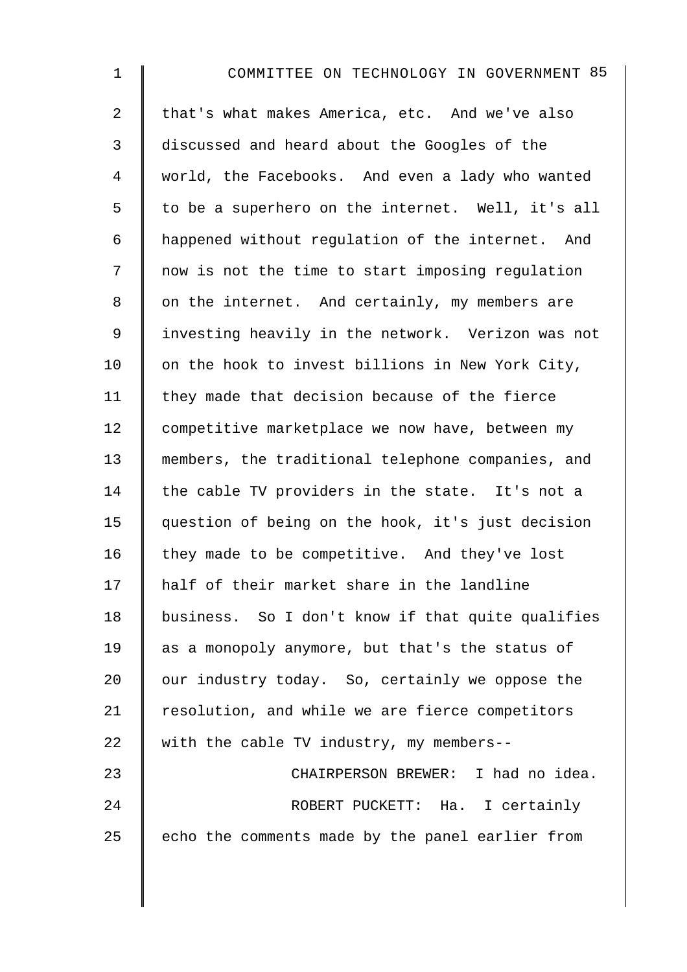| 1              | COMMITTEE ON TECHNOLOGY IN GOVERNMENT 85          |
|----------------|---------------------------------------------------|
| $\overline{2}$ | that's what makes America, etc. And we've also    |
| $\mathsf{3}$   | discussed and heard about the Googles of the      |
| 4              | world, the Facebooks. And even a lady who wanted  |
| 5              | to be a superhero on the internet. Well, it's all |
| 6              | happened without regulation of the internet. And  |
| 7              | now is not the time to start imposing regulation  |
| 8              | on the internet. And certainly, my members are    |
| 9              | investing heavily in the network. Verizon was not |
| 10             | on the hook to invest billions in New York City,  |
| 11             | they made that decision because of the fierce     |
| 12             | competitive marketplace we now have, between my   |
| 13             | members, the traditional telephone companies, and |
| 14             | the cable TV providers in the state. It's not a   |
| 15             | question of being on the hook, it's just decision |
| 16             | they made to be competitive. And they've lost     |
| 17             | half of their market share in the landline        |
| 18             | business. So I don't know if that quite qualifies |
| 19             | as a monopoly anymore, but that's the status of   |
| 20             | our industry today. So, certainly we oppose the   |
| 21             | resolution, and while we are fierce competitors   |
| 22             | with the cable TV industry, my members--          |
| 23             | CHAIRPERSON BREWER: I had no idea.                |
| 24             | ROBERT PUCKETT: Ha. I certainly                   |
| 25             | echo the comments made by the panel earlier from  |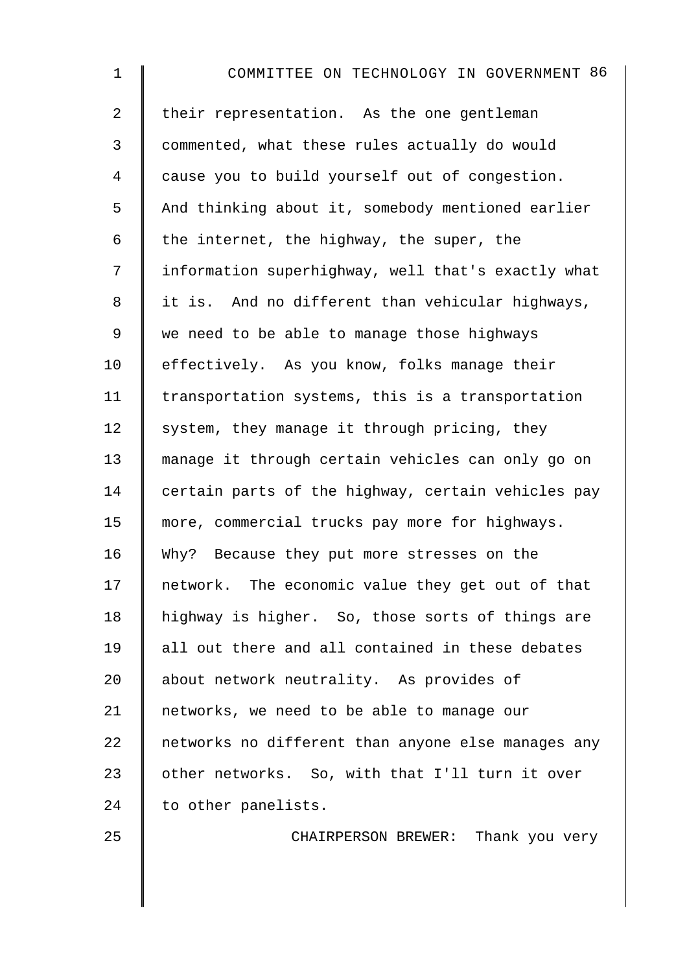| $\mathbf 1$    | COMMITTEE ON TECHNOLOGY IN GOVERNMENT 86           |
|----------------|----------------------------------------------------|
| $\overline{a}$ | their representation. As the one gentleman         |
| 3              | commented, what these rules actually do would      |
| 4              | cause you to build yourself out of congestion.     |
| 5              | And thinking about it, somebody mentioned earlier  |
| 6              | the internet, the highway, the super, the          |
| 7              | information superhighway, well that's exactly what |
| 8              | it is. And no different than vehicular highways,   |
| 9              | we need to be able to manage those highways        |
| 10             | effectively. As you know, folks manage their       |
| 11             | transportation systems, this is a transportation   |
| 12             | system, they manage it through pricing, they       |
| 13             | manage it through certain vehicles can only go on  |
| 14             | certain parts of the highway, certain vehicles pay |
| 15             | more, commercial trucks pay more for highways.     |
| 16             | Why? Because they put more stresses on the         |
| 17             | network. The economic value they get out of that   |
| 18             | highway is higher. So, those sorts of things are   |
| 19             | all out there and all contained in these debates   |
| 20             | about network neutrality. As provides of           |
| 21             | networks, we need to be able to manage our         |
| 22             | networks no different than anyone else manages any |
| 23             | other networks. So, with that I'll turn it over    |
| 24             | to other panelists.                                |
|                |                                                    |

25 CHAIRPERSON BREWER: Thank you very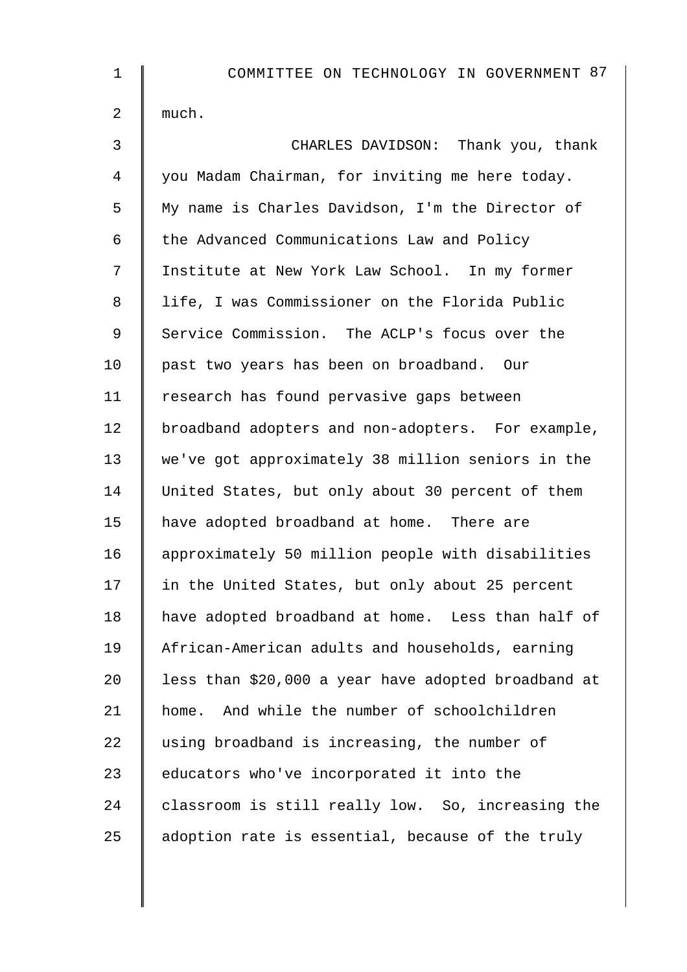| 1  | COMMITTEE ON TECHNOLOGY IN GOVERNMENT 87            |
|----|-----------------------------------------------------|
| 2  | much.                                               |
| 3  | CHARLES DAVIDSON: Thank you, thank                  |
| 4  | you Madam Chairman, for inviting me here today.     |
| 5  | My name is Charles Davidson, I'm the Director of    |
| 6  | the Advanced Communications Law and Policy          |
| 7  | Institute at New York Law School. In my former      |
| 8  | life, I was Commissioner on the Florida Public      |
| 9  | Service Commission. The ACLP's focus over the       |
| 10 | past two years has been on broadband. Our           |
| 11 | research has found pervasive gaps between           |
| 12 | broadband adopters and non-adopters. For example,   |
| 13 | we've got approximately 38 million seniors in the   |
| 14 | United States, but only about 30 percent of them    |
| 15 | have adopted broadband at home. There are           |
| 16 | approximately 50 million people with disabilities   |
| 17 | in the United States, but only about 25 percent     |
| 18 | have adopted broadband at home. Less than half of   |
| 19 | African-American adults and households, earning     |
| 20 | less than \$20,000 a year have adopted broadband at |
| 21 | home. And while the number of schoolchildren        |
| 22 | using broadband is increasing, the number of        |
| 23 | educators who've incorporated it into the           |
| 24 | classroom is still really low. So, increasing the   |
| 25 | adoption rate is essential, because of the truly    |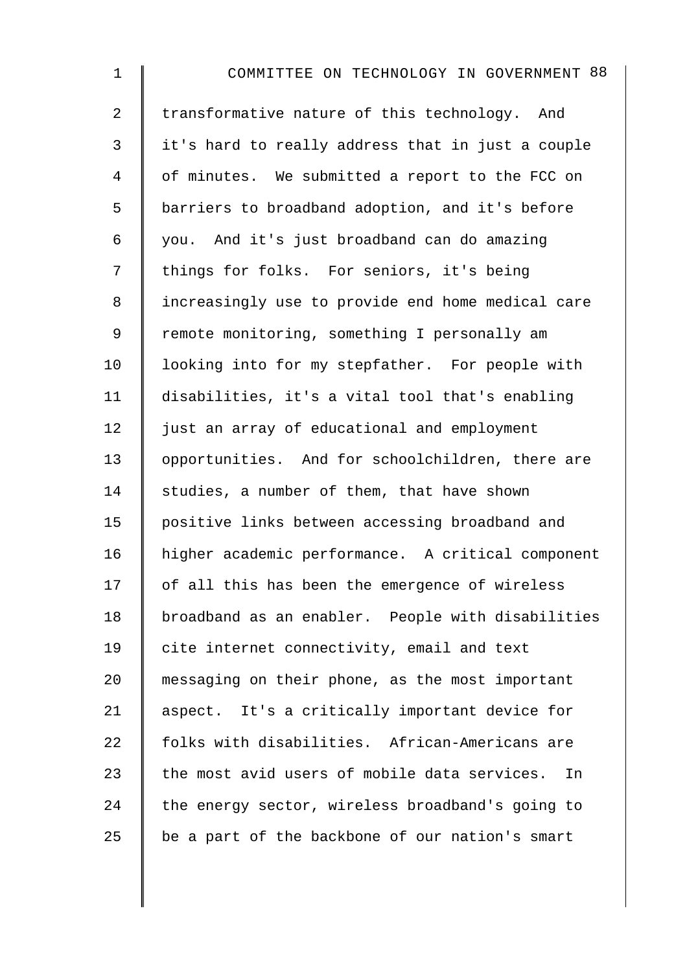| $\mathbf 1$    | COMMITTEE ON TECHNOLOGY IN GOVERNMENT 88           |
|----------------|----------------------------------------------------|
| $\overline{2}$ | transformative nature of this technology. And      |
| 3              | it's hard to really address that in just a couple  |
| 4              | of minutes. We submitted a report to the FCC on    |
| 5              | barriers to broadband adoption, and it's before    |
| 6              | you. And it's just broadband can do amazing        |
| 7              | things for folks. For seniors, it's being          |
| 8              | increasingly use to provide end home medical care  |
| 9              | remote monitoring, something I personally am       |
| 10             | looking into for my stepfather. For people with    |
| 11             | disabilities, it's a vital tool that's enabling    |
| 12             | just an array of educational and employment        |
| 13             | opportunities. And for schoolchildren, there are   |
| 14             | studies, a number of them, that have shown         |
| 15             | positive links between accessing broadband and     |
| 16             | higher academic performance. A critical component  |
| 17             | of all this has been the emergence of wireless     |
| 18             | broadband as an enabler. People with disabilities  |
| 19             | cite internet connectivity, email and text         |
| 20             | messaging on their phone, as the most important    |
| 21             | aspect. It's a critically important device for     |
| 22             | folks with disabilities. African-Americans are     |
| 23             | the most avid users of mobile data services.<br>In |
| 24             | the energy sector, wireless broadband's going to   |
| 25             | be a part of the backbone of our nation's smart    |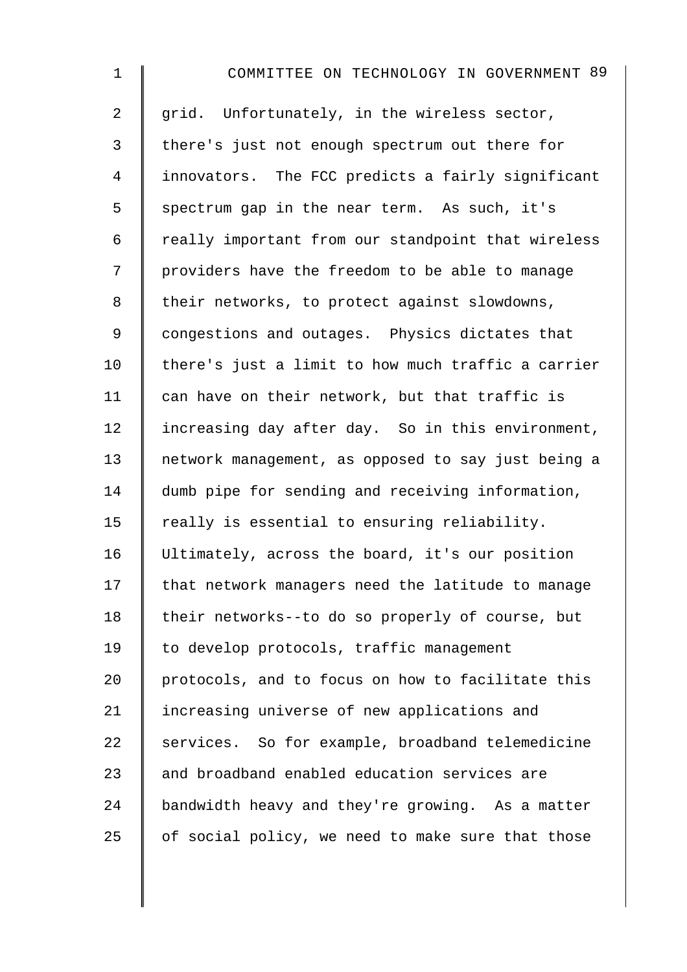| 1              | COMMITTEE ON TECHNOLOGY IN GOVERNMENT 89           |
|----------------|----------------------------------------------------|
| $\overline{a}$ | grid. Unfortunately, in the wireless sector,       |
| 3              | there's just not enough spectrum out there for     |
| 4              | innovators. The FCC predicts a fairly significant  |
| 5              | spectrum gap in the near term. As such, it's       |
| 6              | really important from our standpoint that wireless |
| 7              | providers have the freedom to be able to manage    |
| 8              | their networks, to protect against slowdowns,      |
| 9              | congestions and outages. Physics dictates that     |
| 10             | there's just a limit to how much traffic a carrier |
| 11             | can have on their network, but that traffic is     |
| 12             | increasing day after day. So in this environment,  |
| 13             | network management, as opposed to say just being a |
| 14             | dumb pipe for sending and receiving information,   |
| 15             | really is essential to ensuring reliability.       |
| 16             | Ultimately, across the board, it's our position    |
| 17             | that network managers need the latitude to manage  |
| 18             | their networks--to do so properly of course, but   |
| 19             | to develop protocols, traffic management           |
| 20             | protocols, and to focus on how to facilitate this  |
| 21             | increasing universe of new applications and        |
| 22             | services. So for example, broadband telemedicine   |
| 23             | and broadband enabled education services are       |
| 24             | bandwidth heavy and they're growing. As a matter   |
| 25             | of social policy, we need to make sure that those  |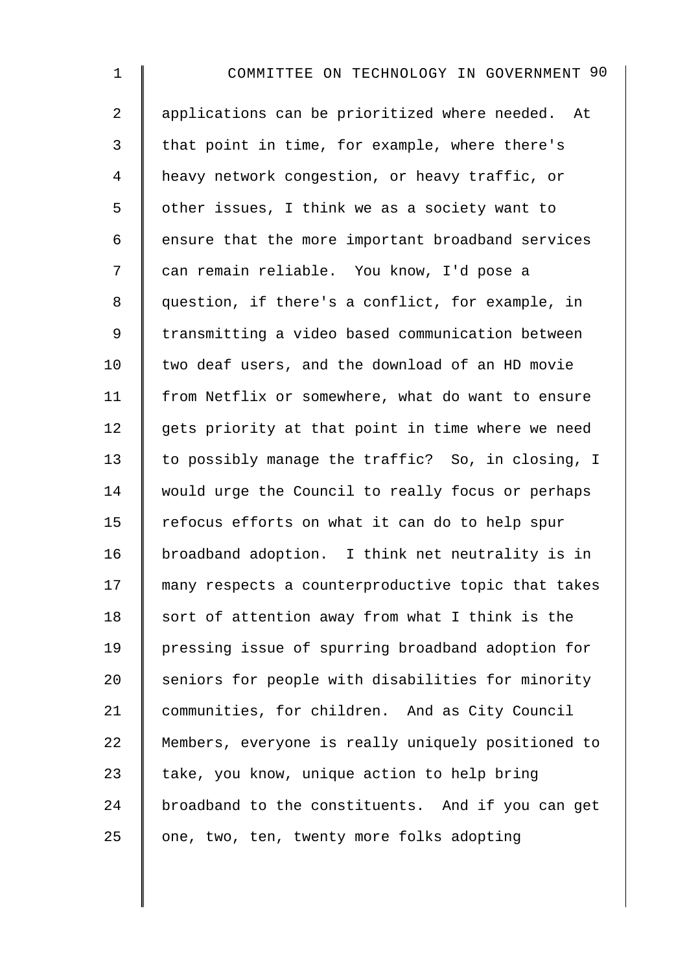| $\mathbf 1$    | COMMITTEE ON TECHNOLOGY IN GOVERNMENT 90           |
|----------------|----------------------------------------------------|
| $\overline{2}$ | applications can be prioritized where needed. At   |
| 3              | that point in time, for example, where there's     |
| 4              | heavy network congestion, or heavy traffic, or     |
| 5              | other issues, I think we as a society want to      |
| 6              | ensure that the more important broadband services  |
| 7              | can remain reliable. You know, I'd pose a          |
| 8              | question, if there's a conflict, for example, in   |
| 9              | transmitting a video based communication between   |
| 10             | two deaf users, and the download of an HD movie    |
| 11             | from Netflix or somewhere, what do want to ensure  |
| 12             | gets priority at that point in time where we need  |
| 13             | to possibly manage the traffic? So, in closing, I  |
| 14             | would urge the Council to really focus or perhaps  |
| 15             | refocus efforts on what it can do to help spur     |
| 16             | broadband adoption. I think net neutrality is in   |
| 17             | many respects a counterproductive topic that takes |
| 18             | sort of attention away from what I think is the    |
| 19             | pressing issue of spurring broadband adoption for  |
| 20             | seniors for people with disabilities for minority  |
| 21             | communities, for children. And as City Council     |
| 22             | Members, everyone is really uniquely positioned to |
| 23             | take, you know, unique action to help bring        |
| 24             | broadband to the constituents. And if you can get  |
| 25             | one, two, ten, twenty more folks adopting          |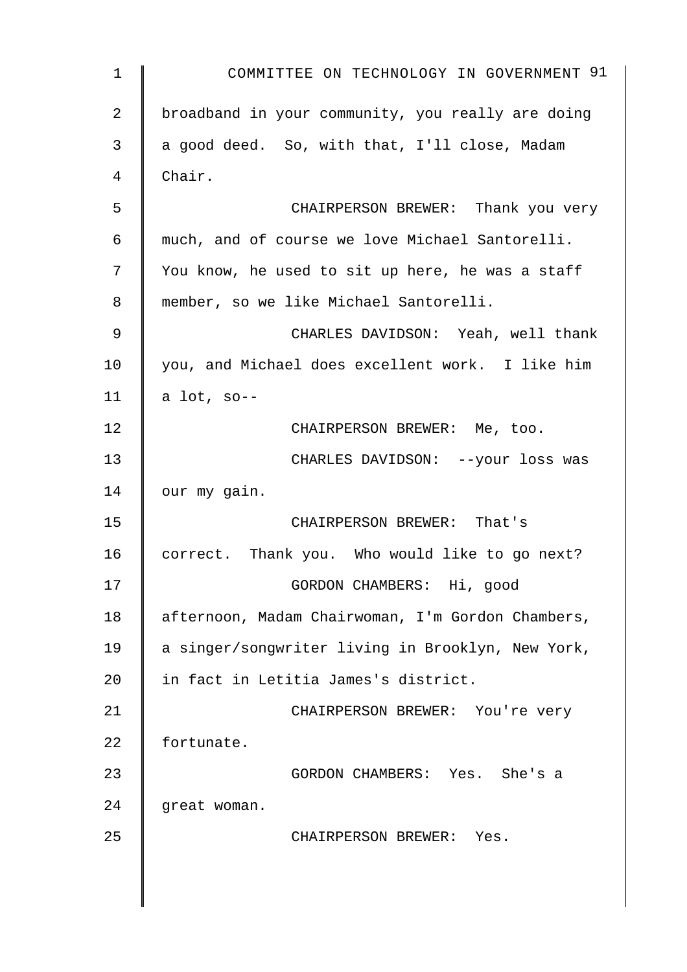1 | COMMITTEE ON TECHNOLOGY IN GOVERNMENT 91 2 | broadband in your community, you really are doing  $3 \parallel a \text{ good deed.}$  So, with that, I'll close, Madam 4 Chair. 5 CHAIRPERSON BREWER: Thank you very 6 much, and of course we love Michael Santorelli. 7 | You know, he used to sit up here, he was a staff 8 member, so we like Michael Santorelli. 9 || CHARLES DAVIDSON: Yeah, well thank 10 vou, and Michael does excellent work. I like him 11  $\parallel$  a lot, so--12 **CHAIRPERSON BREWER:** Me, too. 13 CHARLES DAVIDSON: --your loss was 14 | our my gain. 15 | CHAIRPERSON BREWER: That's 16 correct. Thank you. Who would like to go next? 17 || GORDON CHAMBERS: Hi, qood 18 | afternoon, Madam Chairwoman, I'm Gordon Chambers, 19 | a singer/songwriter living in Brooklyn, New York, 20 | in fact in Letitia James's district. 21 | CHAIRPERSON BREWER: You're very 22 fortunate. 23 GORDON CHAMBERS: Yes. She's a 24 | great woman. 25 || CHAIRPERSON BREWER: Yes.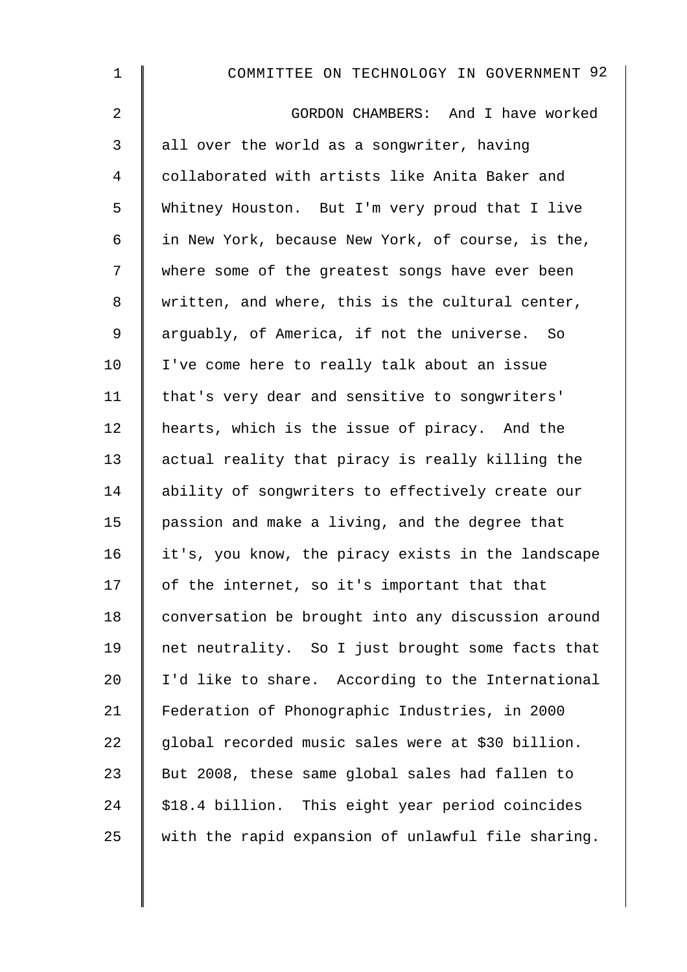| 1              | COMMITTEE ON TECHNOLOGY IN GOVERNMENT 92           |
|----------------|----------------------------------------------------|
| $\overline{2}$ | GORDON CHAMBERS: And I have worked                 |
| $\mathsf{3}$   | all over the world as a songwriter, having         |
| 4              | collaborated with artists like Anita Baker and     |
| 5              | Whitney Houston. But I'm very proud that I live    |
| 6              | in New York, because New York, of course, is the,  |
| 7              | where some of the greatest songs have ever been    |
| 8              | written, and where, this is the cultural center,   |
| 9              | arguably, of America, if not the universe. So      |
| 10             | I've come here to really talk about an issue       |
| 11             | that's very dear and sensitive to songwriters'     |
| 12             | hearts, which is the issue of piracy. And the      |
| 13             | actual reality that piracy is really killing the   |
| 14             | ability of songwriters to effectively create our   |
| 15             | passion and make a living, and the degree that     |
| 16             | it's, you know, the piracy exists in the landscape |
| 17             | of the internet, so it's important that that       |
| 18             | conversation be brought into any discussion around |
| 19             | net neutrality. So I just brought some facts that  |
| 20             | I'd like to share. According to the International  |
| 21             | Federation of Phonographic Industries, in 2000     |
| 22             | global recorded music sales were at \$30 billion.  |
| 23             | But 2008, these same global sales had fallen to    |
| 24             | \$18.4 billion. This eight year period coincides   |
| 25             | with the rapid expansion of unlawful file sharing. |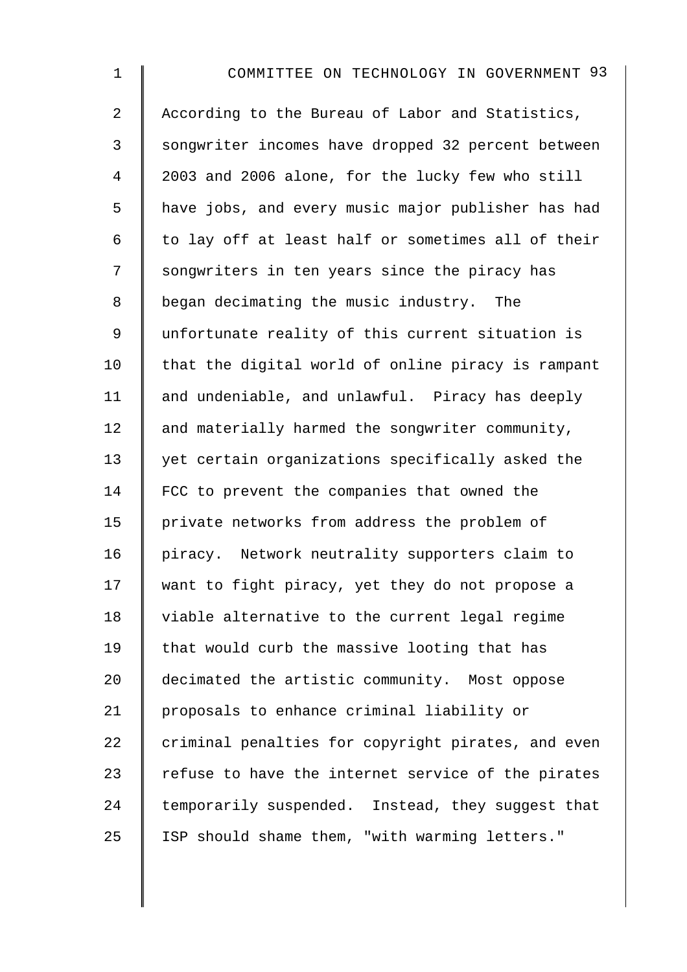| $\mathbf 1$    | COMMITTEE ON TECHNOLOGY IN GOVERNMENT 93           |
|----------------|----------------------------------------------------|
| $\overline{a}$ | According to the Bureau of Labor and Statistics,   |
| 3              | songwriter incomes have dropped 32 percent between |
| $\overline{4}$ | 2003 and 2006 alone, for the lucky few who still   |
| 5              | have jobs, and every music major publisher has had |
| 6              | to lay off at least half or sometimes all of their |
| 7              | songwriters in ten years since the piracy has      |
| 8              | began decimating the music industry. The           |
| 9              | unfortunate reality of this current situation is   |
| 10             | that the digital world of online piracy is rampant |
| 11             | and undeniable, and unlawful. Piracy has deeply    |
| 12             | and materially harmed the songwriter community,    |
| 13             | yet certain organizations specifically asked the   |
| 14             | FCC to prevent the companies that owned the        |
| 15             | private networks from address the problem of       |
| 16             | piracy. Network neutrality supporters claim to     |
| 17             | want to fight piracy, yet they do not propose a    |
| 18             | viable alternative to the current legal regime     |
| 19             | that would curb the massive looting that has       |
| 20             | decimated the artistic community. Most oppose      |
| 21             | proposals to enhance criminal liability or         |
| 22             | criminal penalties for copyright pirates, and even |
| 23             | refuse to have the internet service of the pirates |
| 24             | temporarily suspended. Instead, they suggest that  |
| 25             | ISP should shame them, "with warming letters."     |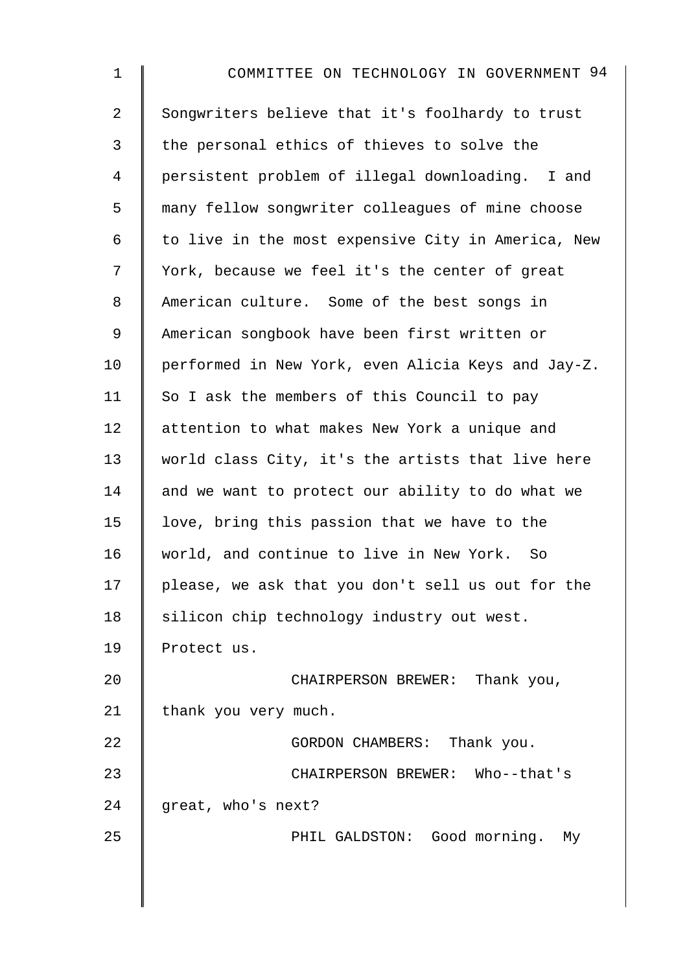| 1  | COMMITTEE ON TECHNOLOGY IN GOVERNMENT 94           |
|----|----------------------------------------------------|
| 2  | Songwriters believe that it's foolhardy to trust   |
| 3  | the personal ethics of thieves to solve the        |
| 4  | persistent problem of illegal downloading. I and   |
| 5  | many fellow songwriter colleagues of mine choose   |
| 6  | to live in the most expensive City in America, New |
| 7  | York, because we feel it's the center of great     |
| 8  | American culture. Some of the best songs in        |
| 9  | American songbook have been first written or       |
| 10 | performed in New York, even Alicia Keys and Jay-Z. |
| 11 | So I ask the members of this Council to pay        |
| 12 | attention to what makes New York a unique and      |
| 13 | world class City, it's the artists that live here  |
| 14 | and we want to protect our ability to do what we   |
| 15 | love, bring this passion that we have to the       |
| 16 | world, and continue to live in New York. So        |
| 17 | please, we ask that you don't sell us out for the  |
| 18 | silicon chip technology industry out west.         |
| 19 | Protect us.                                        |
| 20 | CHAIRPERSON BREWER: Thank you,                     |
| 21 | thank you very much.                               |
| 22 | GORDON CHAMBERS: Thank you.                        |
| 23 | CHAIRPERSON BREWER: Who--that's                    |
| 24 | great, who's next?                                 |
| 25 | PHIL GALDSTON: Good morning. My                    |
|    |                                                    |
|    |                                                    |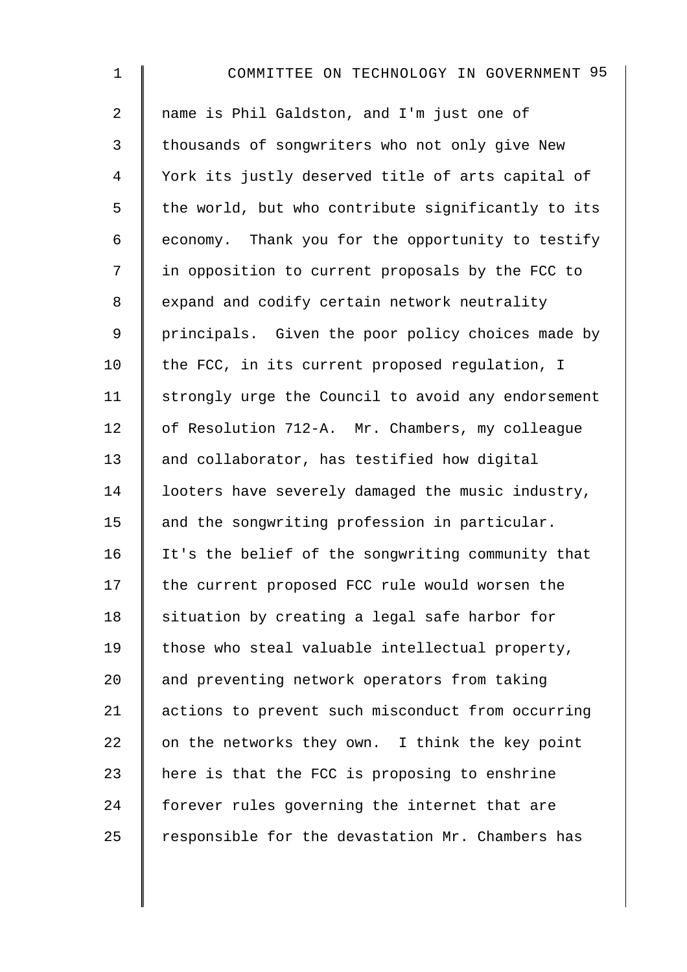| 1              | COMMITTEE ON TECHNOLOGY IN GOVERNMENT 95           |
|----------------|----------------------------------------------------|
| $\overline{a}$ | name is Phil Galdston, and I'm just one of         |
| 3              | thousands of songwriters who not only give New     |
| $\overline{4}$ | York its justly deserved title of arts capital of  |
| 5              | the world, but who contribute significantly to its |
| 6              | economy. Thank you for the opportunity to testify  |
| 7              | in opposition to current proposals by the FCC to   |
| 8              | expand and codify certain network neutrality       |
| 9              | principals. Given the poor policy choices made by  |
| 10             | the FCC, in its current proposed regulation, I     |
| 11             | strongly urge the Council to avoid any endorsement |
| 12             | of Resolution 712-A. Mr. Chambers, my colleague    |
| 13             | and collaborator, has testified how digital        |
| 14             | looters have severely damaged the music industry,  |
| 15             | and the songwriting profession in particular.      |
| 16             | It's the belief of the songwriting community that  |
| 17             | the current proposed FCC rule would worsen the     |
| 18             | situation by creating a legal safe harbor for      |
| 19             | those who steal valuable intellectual property,    |
| 20             | and preventing network operators from taking       |
| 21             | actions to prevent such misconduct from occurring  |
| 22             | on the networks they own. I think the key point    |
| 23             | here is that the FCC is proposing to enshrine      |
| 24             | forever rules governing the internet that are      |
| 25             | responsible for the devastation Mr. Chambers has   |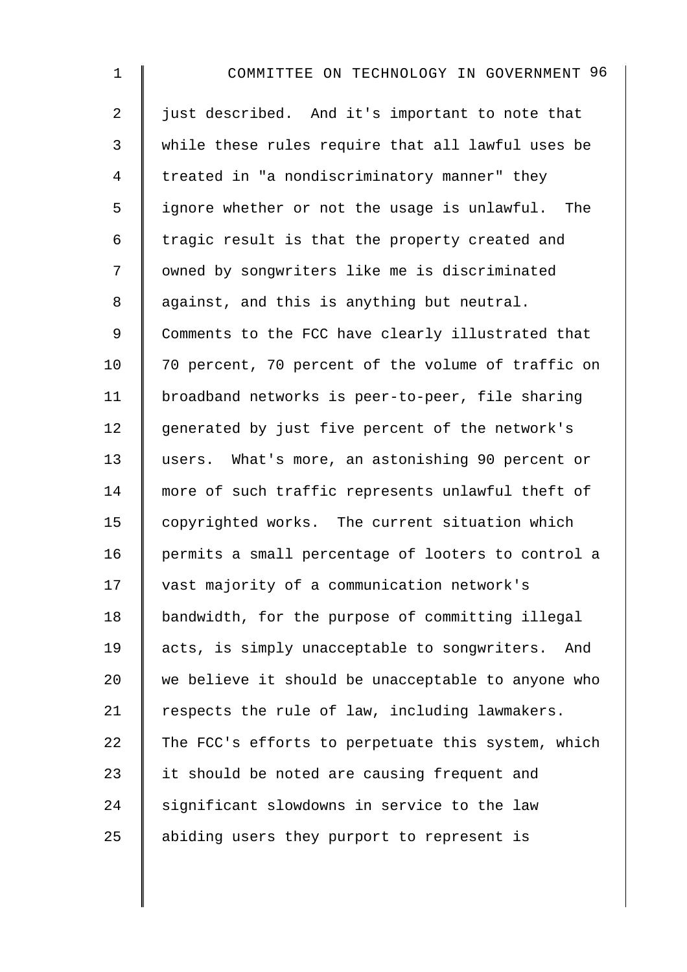1 COMMITTEE ON TECHNOLOGY IN GOVERNMENT 96 2 iust described. And it's important to note that 3 while these rules require that all lawful uses be 4 | treated in "a nondiscriminatory manner" they 5 | ignore whether or not the usage is unlawful. The 6  $\parallel$  tragic result is that the property created and 7 | owned by songwriters like me is discriminated 8 | against, and this is anything but neutral. 9 | Comments to the FCC have clearly illustrated that 10 | 70 percent, 70 percent of the volume of traffic on 11 broadband networks is peer-to-peer, file sharing 12  $\parallel$  generated by just five percent of the network's 13 users. What's more, an astonishing 90 percent or 14 more of such traffic represents unlawful theft of 15 | copyrighted works. The current situation which 16 permits a small percentage of looters to control a 17 | vast majority of a communication network's 18 bandwidth, for the purpose of committing illegal 19 acts, is simply unacceptable to songwriters. And 20  $\parallel$  we believe it should be unacceptable to anyone who 21  $\parallel$  respects the rule of law, including lawmakers. 22 The FCC's efforts to perpetuate this system, which 23  $\parallel$  it should be noted are causing frequent and  $24$  significant slowdowns in service to the law 25  $\parallel$  abiding users they purport to represent is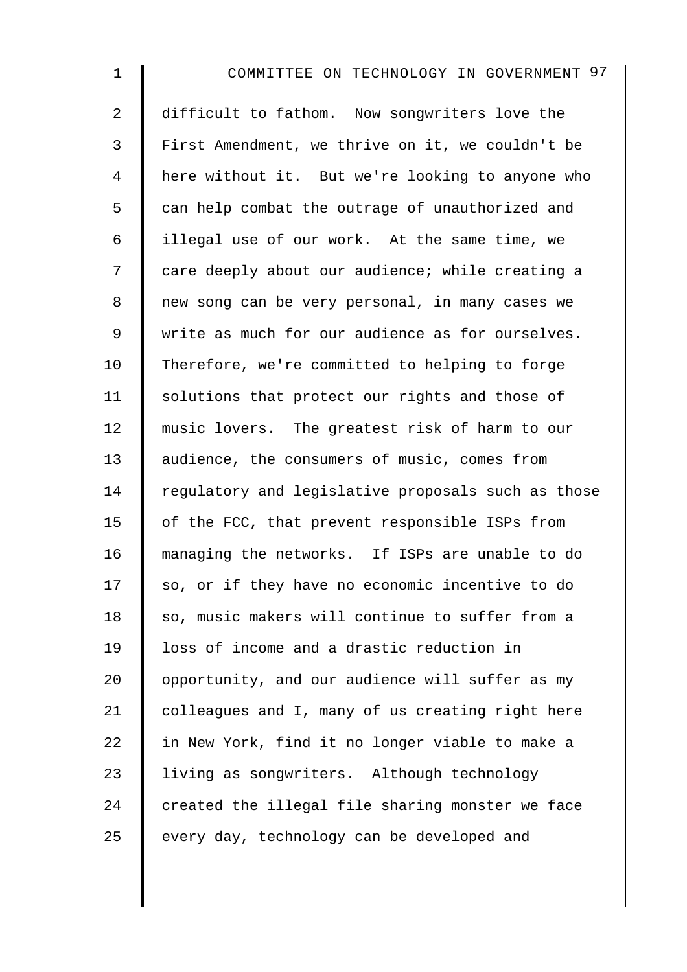| $\mathbf 1$    | COMMITTEE ON TECHNOLOGY IN GOVERNMENT 97           |
|----------------|----------------------------------------------------|
| $\overline{a}$ | difficult to fathom. Now songwriters love the      |
| 3              | First Amendment, we thrive on it, we couldn't be   |
| 4              | here without it. But we're looking to anyone who   |
| 5              | can help combat the outrage of unauthorized and    |
| 6              | illegal use of our work. At the same time, we      |
| 7              | care deeply about our audience; while creating a   |
| 8              | new song can be very personal, in many cases we    |
| 9              | write as much for our audience as for ourselves.   |
| 10             | Therefore, we're committed to helping to forge     |
| 11             | solutions that protect our rights and those of     |
| 12             | music lovers. The greatest risk of harm to our     |
| 13             | audience, the consumers of music, comes from       |
| 14             | regulatory and legislative proposals such as those |
| 15             | of the FCC, that prevent responsible ISPs from     |
| 16             | managing the networks. If ISPs are unable to do    |
| 17             | so, or if they have no economic incentive to do    |
| 18             | so, music makers will continue to suffer from a    |
| 19             | loss of income and a drastic reduction in          |
| 20             | opportunity, and our audience will suffer as my    |
| 21             | colleagues and I, many of us creating right here   |
| 22             | in New York, find it no longer viable to make a    |
| 23             | living as songwriters. Although technology         |
| 24             | created the illegal file sharing monster we face   |
| 25             | every day, technology can be developed and         |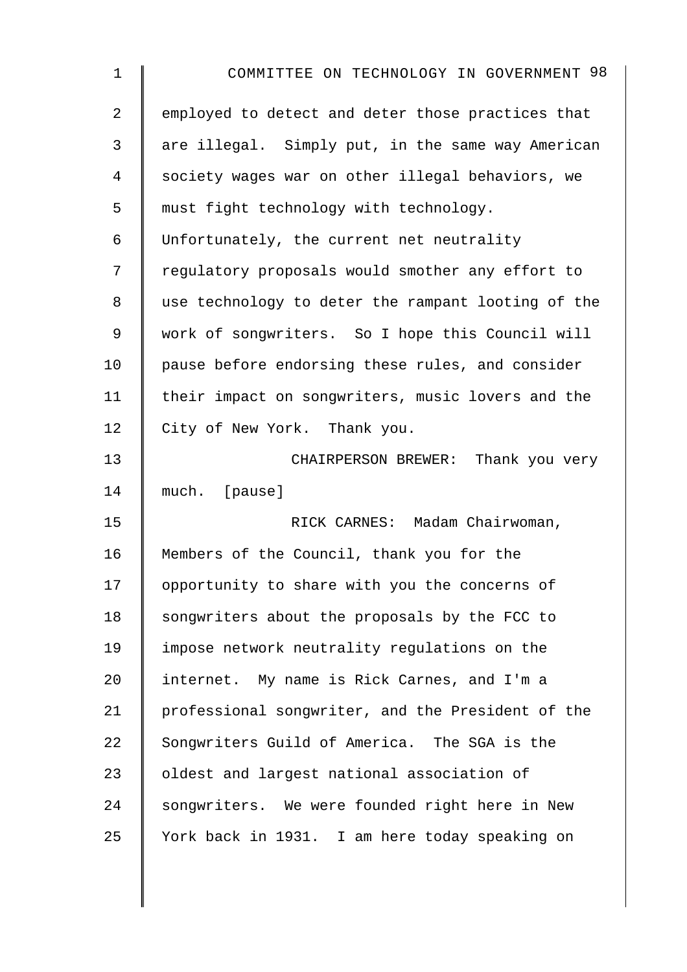| 1              | COMMITTEE ON TECHNOLOGY IN GOVERNMENT 98           |
|----------------|----------------------------------------------------|
| $\overline{2}$ | employed to detect and deter those practices that  |
| 3              | are illegal. Simply put, in the same way American  |
| 4              | society wages war on other illegal behaviors, we   |
| 5              | must fight technology with technology.             |
| 6              | Unfortunately, the current net neutrality          |
| 7              | regulatory proposals would smother any effort to   |
| 8              | use technology to deter the rampant looting of the |
| 9              | work of songwriters. So I hope this Council will   |
| 10             | pause before endorsing these rules, and consider   |
| 11             | their impact on songwriters, music lovers and the  |
| 12             | City of New York. Thank you.                       |
| 13             | CHAIRPERSON BREWER: Thank you very                 |
| 14             | much. [pause]                                      |
| 15             | RICK CARNES: Madam Chairwoman,                     |
| 16             | Members of the Council, thank you for the          |
| 17             | opportunity to share with you the concerns of      |
| 18             | songwriters about the proposals by the FCC to      |
| 19             | impose network neutrality regulations on the       |
| 20             | internet. My name is Rick Carnes, and I'm a        |
| 21             | professional songwriter, and the President of the  |
| 22             | Songwriters Guild of America. The SGA is the       |
| 23             | oldest and largest national association of         |
| 24             | songwriters. We were founded right here in New     |
| 25             | York back in 1931. I am here today speaking on     |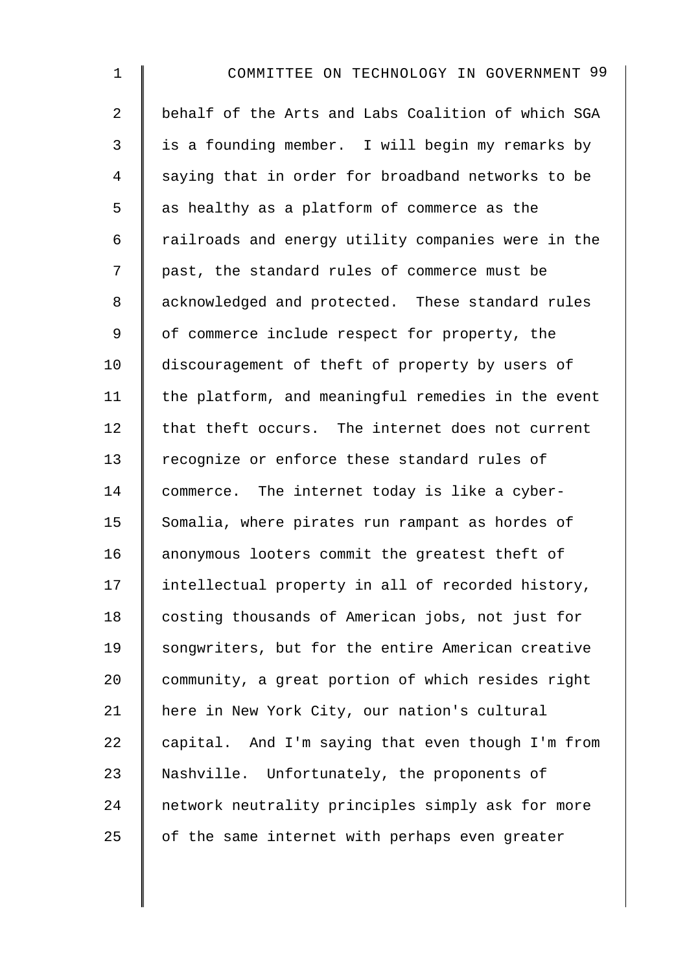| 1              | COMMITTEE ON TECHNOLOGY IN GOVERNMENT 99           |
|----------------|----------------------------------------------------|
| $\overline{a}$ | behalf of the Arts and Labs Coalition of which SGA |
| 3              | is a founding member. I will begin my remarks by   |
| 4              | saying that in order for broadband networks to be  |
| 5              | as healthy as a platform of commerce as the        |
| 6              | railroads and energy utility companies were in the |
| 7              | past, the standard rules of commerce must be       |
| 8              | acknowledged and protected. These standard rules   |
| $\mathsf 9$    | of commerce include respect for property, the      |
| 10             | discouragement of theft of property by users of    |
| 11             | the platform, and meaningful remedies in the event |
| 12             | that theft occurs. The internet does not current   |
| 13             | recognize or enforce these standard rules of       |
| 14             | commerce. The internet today is like a cyber-      |
| 15             | Somalia, where pirates run rampant as hordes of    |
| 16             | anonymous looters commit the greatest theft of     |
| 17             | intellectual property in all of recorded history,  |
| 18             | costing thousands of American jobs, not just for   |
| 19             | songwriters, but for the entire American creative  |
| 20             | community, a great portion of which resides right  |
| 21             | here in New York City, our nation's cultural       |
| 22             | capital. And I'm saying that even though I'm from  |
| 23             | Nashville. Unfortunately, the proponents of        |
| 24             | network neutrality principles simply ask for more  |
| 25             | of the same internet with perhaps even greater     |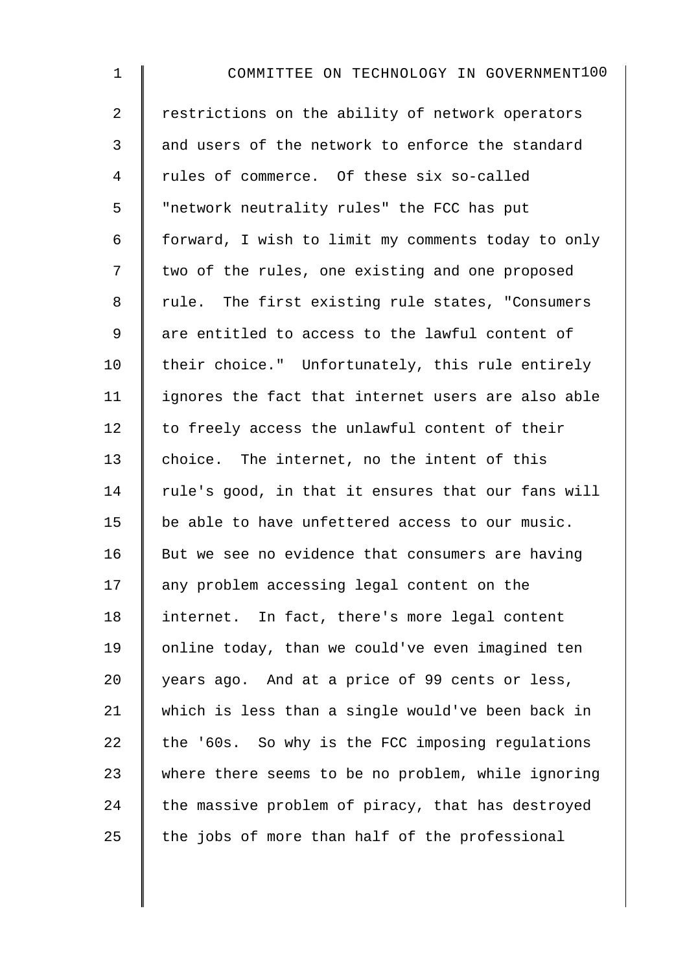1 COMMITTEE ON TECHNOLOGY IN GOVERNMENT100 2 | restrictions on the ability of network operators 3 and users of the network to enforce the standard 4 Tules of commerce. Of these six so-called 5 | "network neutrality rules" the FCC has put 6  $\parallel$  forward, I wish to limit my comments today to only 7 I two of the rules, one existing and one proposed 8 Trule. The first existing rule states, "Consumers" 9 || are entitled to access to the lawful content of  $10$  their choice." Unfortunately, this rule entirely 11 ignores the fact that internet users are also able  $12$  to freely access the unlawful content of their 13 choice. The internet, no the intent of this  $14$  rule's good, in that it ensures that our fans will  $15$  be able to have unfettered access to our music. 16 But we see no evidence that consumers are having  $17$  any problem accessing legal content on the 18 internet. In fact, there's more legal content 19 | online today, than we could've even imagined ten 20 years ago. And at a price of 99 cents or less, 21 which is less than a single would've been back in 22 the '60s. So why is the FCC imposing regulations 23 where there seems to be no problem, while ignoring 24 the massive problem of piracy, that has destroyed 25  $\parallel$  the jobs of more than half of the professional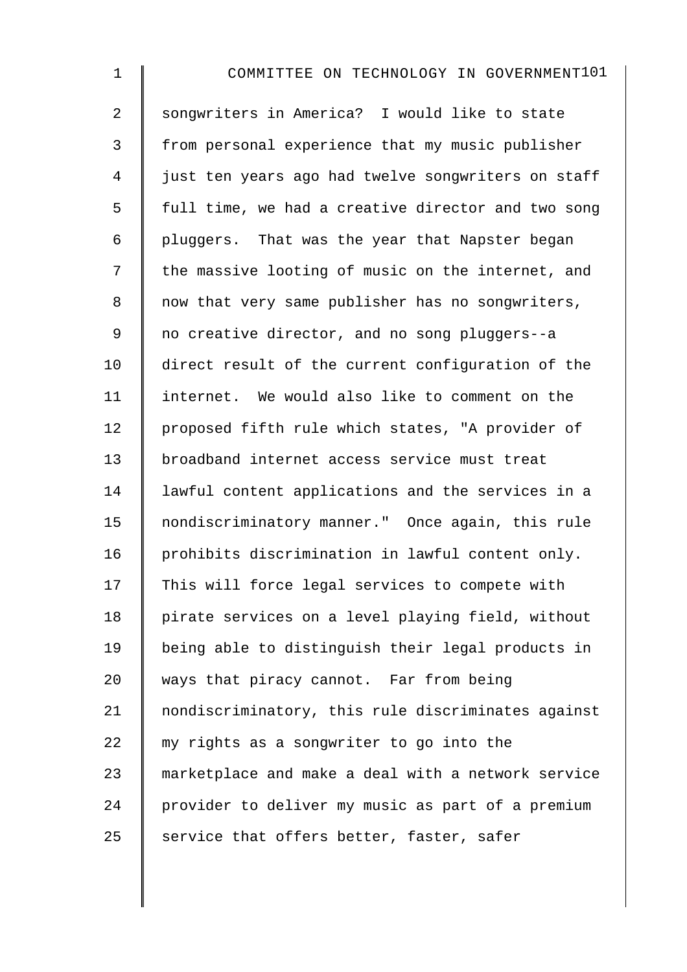| $\mathbf 1$    | COMMITTEE ON TECHNOLOGY IN GOVERNMENT101           |
|----------------|----------------------------------------------------|
| $\overline{2}$ | songwriters in America? I would like to state      |
| 3              | from personal experience that my music publisher   |
| 4              | just ten years ago had twelve songwriters on staff |
| 5              | full time, we had a creative director and two song |
| 6              | pluggers. That was the year that Napster began     |
| 7              | the massive looting of music on the internet, and  |
| 8              | now that very same publisher has no songwriters,   |
| $\mathsf 9$    | no creative director, and no song pluggers--a      |
| 10             | direct result of the current configuration of the  |
| 11             | internet. We would also like to comment on the     |
| 12             | proposed fifth rule which states, "A provider of   |
| 13             | broadband internet access service must treat       |
| 14             | lawful content applications and the services in a  |
| 15             | nondiscriminatory manner." Once again, this rule   |
| 16             | prohibits discrimination in lawful content only.   |
| 17             | This will force legal services to compete with     |
| 18             | pirate services on a level playing field, without  |
| 19             | being able to distinguish their legal products in  |
| 20             | ways that piracy cannot. Far from being            |
| 21             | nondiscriminatory, this rule discriminates against |
| 22             | my rights as a songwriter to go into the           |
| 23             | marketplace and make a deal with a network service |
| 24             | provider to deliver my music as part of a premium  |
| 25             | service that offers better, faster, safer          |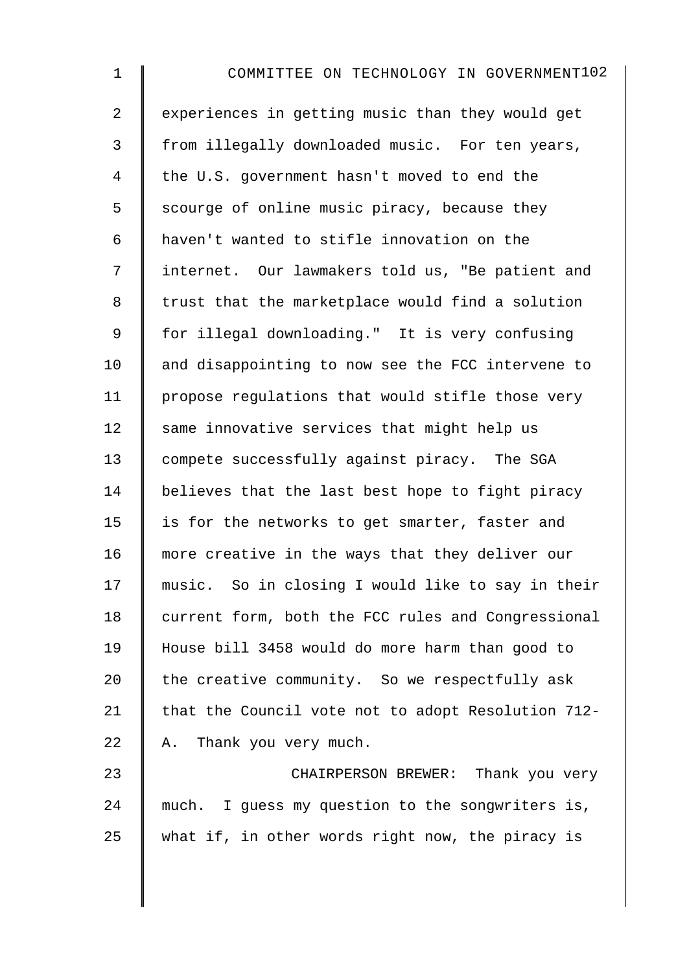| 1              | COMMITTEE ON TECHNOLOGY IN GOVERNMENT102           |
|----------------|----------------------------------------------------|
| $\overline{2}$ | experiences in getting music than they would get   |
| 3              | from illegally downloaded music. For ten years,    |
| 4              | the U.S. government hasn't moved to end the        |
| 5              | scourge of online music piracy, because they       |
| 6              | haven't wanted to stifle innovation on the         |
| 7              | internet. Our lawmakers told us, "Be patient and   |
| 8              | trust that the marketplace would find a solution   |
| 9              | for illegal downloading." It is very confusing     |
| 10             | and disappointing to now see the FCC intervene to  |
| 11             | propose regulations that would stifle those very   |
| 12             | same innovative services that might help us        |
| 13             | compete successfully against piracy. The SGA       |
| 14             | believes that the last best hope to fight piracy   |
| 15             | is for the networks to get smarter, faster and     |
| 16             | more creative in the ways that they deliver our    |
| 17             | music. So in closing I would like to say in their  |
| 18             | current form, both the FCC rules and Congressional |
| 19             | House bill 3458 would do more harm than good to    |
| 20             | the creative community. So we respectfully ask     |
| 21             | that the Council vote not to adopt Resolution 712- |
| 22             | A. Thank you very much.                            |
| 23             | CHAIRPERSON BREWER: Thank you very                 |
| 24             | much. I guess my question to the songwriters is,   |
| 25             | what if, in other words right now, the piracy is   |
|                |                                                    |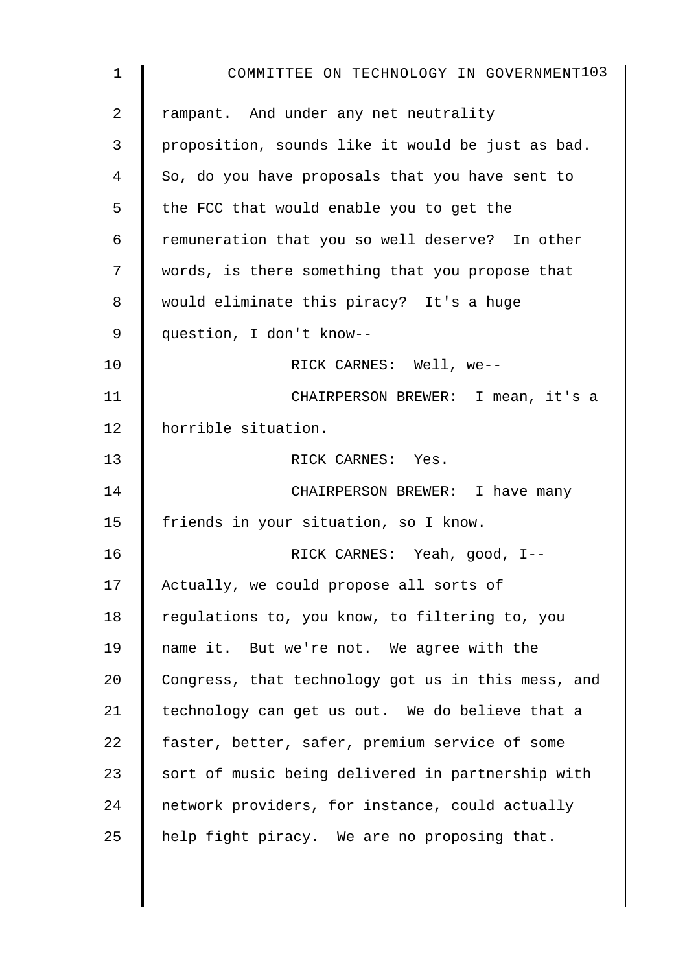| $\mathbf 1$    | COMMITTEE ON TECHNOLOGY IN GOVERNMENT103           |
|----------------|----------------------------------------------------|
| $\overline{2}$ | rampant. And under any net neutrality              |
| 3              | proposition, sounds like it would be just as bad.  |
| 4              | So, do you have proposals that you have sent to    |
| 5              | the FCC that would enable you to get the           |
| 6              | remuneration that you so well deserve? In other    |
| 7              | words, is there something that you propose that    |
| 8              | would eliminate this piracy? It's a huge           |
| 9              | question, I don't know--                           |
| 10             | RICK CARNES: Well, we--                            |
| 11             | CHAIRPERSON BREWER: I mean, it's a                 |
| 12             | horrible situation.                                |
| 13             | RICK CARNES: Yes.                                  |
| 14             | CHAIRPERSON BREWER: I have many                    |
| 15             | friends in your situation, so I know.              |
| 16             | RICK CARNES: Yeah, good, I--                       |
| 17             | Actually, we could propose all sorts of            |
| 18             | regulations to, you know, to filtering to, you     |
| 19             | name it. But we're not. We agree with the          |
| 20             | Congress, that technology got us in this mess, and |
| 21             | technology can get us out. We do believe that a    |
| 22             | faster, better, safer, premium service of some     |
| 23             | sort of music being delivered in partnership with  |
| 24             | network providers, for instance, could actually    |
| 25             | help fight piracy. We are no proposing that.       |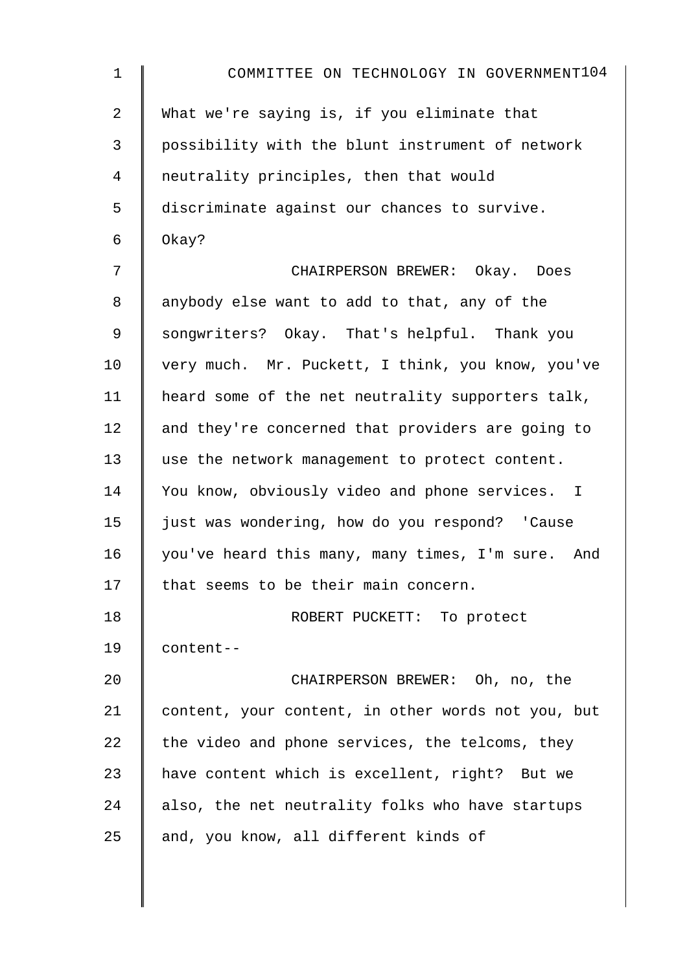| $\mathbf 1$ | COMMITTEE ON TECHNOLOGY IN GOVERNMENT104           |
|-------------|----------------------------------------------------|
| 2           | What we're saying is, if you eliminate that        |
| 3           | possibility with the blunt instrument of network   |
| 4           | neutrality principles, then that would             |
| 5           | discriminate against our chances to survive.       |
| 6           | Okay?                                              |
| 7           | CHAIRPERSON BREWER: Okay. Does                     |
| 8           | anybody else want to add to that, any of the       |
| 9           | songwriters? Okay. That's helpful. Thank you       |
| 10          | very much. Mr. Puckett, I think, you know, you've  |
| 11          | heard some of the net neutrality supporters talk,  |
| 12          | and they're concerned that providers are going to  |
| 13          | use the network management to protect content.     |
| 14          | You know, obviously video and phone services. I    |
| 15          | just was wondering, how do you respond? 'Cause     |
| 16          | you've heard this many, many times, I'm sure. And  |
| 17          | that seems to be their main concern.               |
| 18          | ROBERT PUCKETT: To protect                         |
| 19          | content--                                          |
| 20          | CHAIRPERSON BREWER: Oh, no, the                    |
| 21          | content, your content, in other words not you, but |
| 22          | the video and phone services, the telcoms, they    |
| 23          | have content which is excellent, right? But we     |
| 24          | also, the net neutrality folks who have startups   |
| 25          | and, you know, all different kinds of              |
|             |                                                    |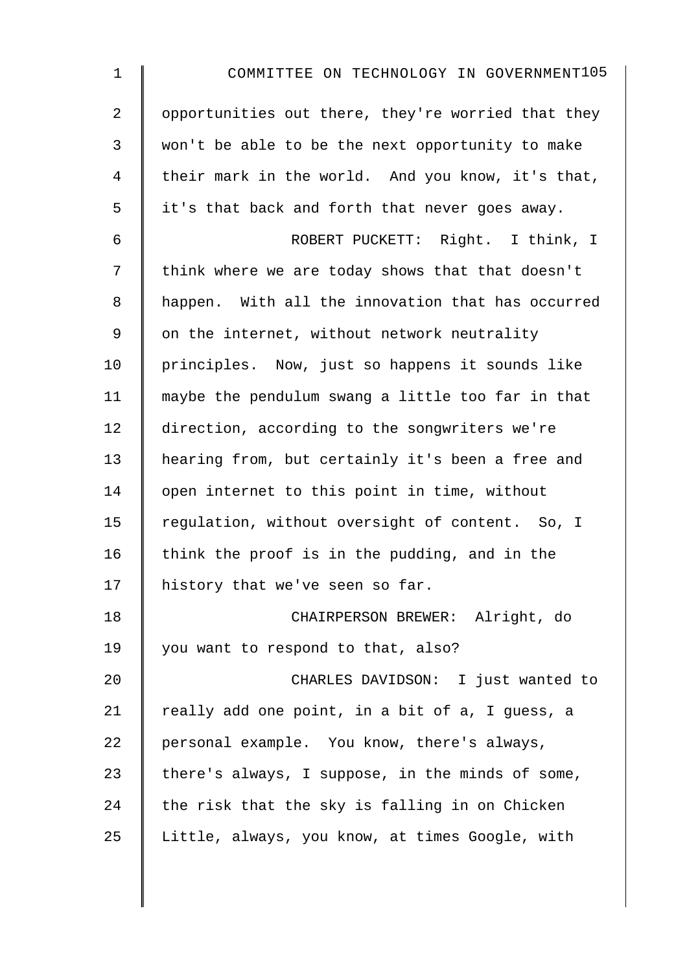| 1              | COMMITTEE ON TECHNOLOGY IN GOVERNMENT105           |
|----------------|----------------------------------------------------|
| $\overline{2}$ | opportunities out there, they're worried that they |
| 3              | won't be able to be the next opportunity to make   |
| 4              | their mark in the world. And you know, it's that,  |
| 5              | it's that back and forth that never goes away.     |
| 6              | ROBERT PUCKETT: Right. I think, I                  |
| 7              | think where we are today shows that that doesn't   |
| 8              | happen. With all the innovation that has occurred  |
| 9              | on the internet, without network neutrality        |
| 10             | principles. Now, just so happens it sounds like    |
| 11             | maybe the pendulum swang a little too far in that  |
| 12             | direction, according to the songwriters we're      |
| 13             | hearing from, but certainly it's been a free and   |
| 14             | open internet to this point in time, without       |
| 15             | regulation, without oversight of content. So, I    |
| 16             | think the proof is in the pudding, and in the      |
| 17             | history that we've seen so far.                    |
| 18             | CHAIRPERSON BREWER: Alright, do                    |
| 19             | you want to respond to that, also?                 |
| 20             | CHARLES DAVIDSON: I just wanted to                 |
| 21             | really add one point, in a bit of a, I guess, a    |
| 22             | personal example. You know, there's always,        |
| 23             | there's always, I suppose, in the minds of some,   |
| 24             | the risk that the sky is falling in on Chicken     |
| 25             | Little, always, you know, at times Google, with    |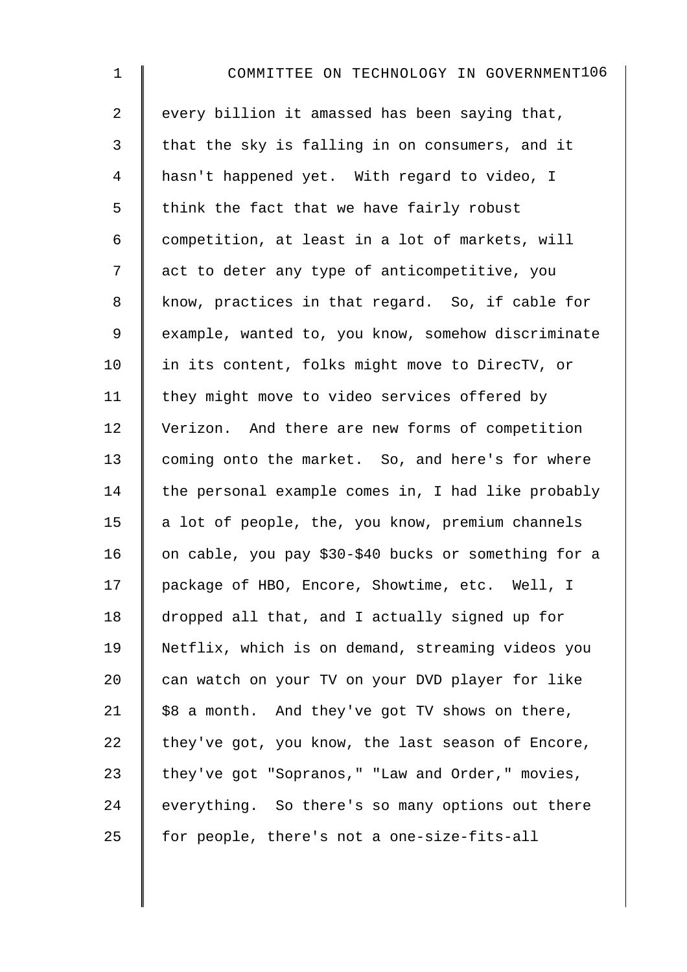| 1              | COMMITTEE ON TECHNOLOGY IN GOVERNMENT106             |
|----------------|------------------------------------------------------|
| $\overline{2}$ | every billion it amassed has been saying that,       |
| 3              | that the sky is falling in on consumers, and it      |
| 4              | hasn't happened yet. With regard to video, I         |
| 5              | think the fact that we have fairly robust            |
| 6              | competition, at least in a lot of markets, will      |
| 7              | act to deter any type of anticompetitive, you        |
| 8              | know, practices in that regard. So, if cable for     |
| 9              | example, wanted to, you know, somehow discriminate   |
| 10             | in its content, folks might move to DirecTV, or      |
| 11             | they might move to video services offered by         |
| 12             | Verizon. And there are new forms of competition      |
| 13             | coming onto the market. So, and here's for where     |
| 14             | the personal example comes in, I had like probably   |
| 15             | a lot of people, the, you know, premium channels     |
| 16             | on cable, you pay \$30-\$40 bucks or something for a |
| 17             | package of HBO, Encore, Showtime, etc. Well, I       |
| 18             | dropped all that, and I actually signed up for       |
| 19             | Netflix, which is on demand, streaming videos you    |
| 20             | can watch on your TV on your DVD player for like     |
| 21             | \$8 a month. And they've got TV shows on there,      |
| 22             | they've got, you know, the last season of Encore,    |
| 23             | they've got "Sopranos," "Law and Order," movies,     |
| 24             | everything. So there's so many options out there     |
| 25             | for people, there's not a one-size-fits-all          |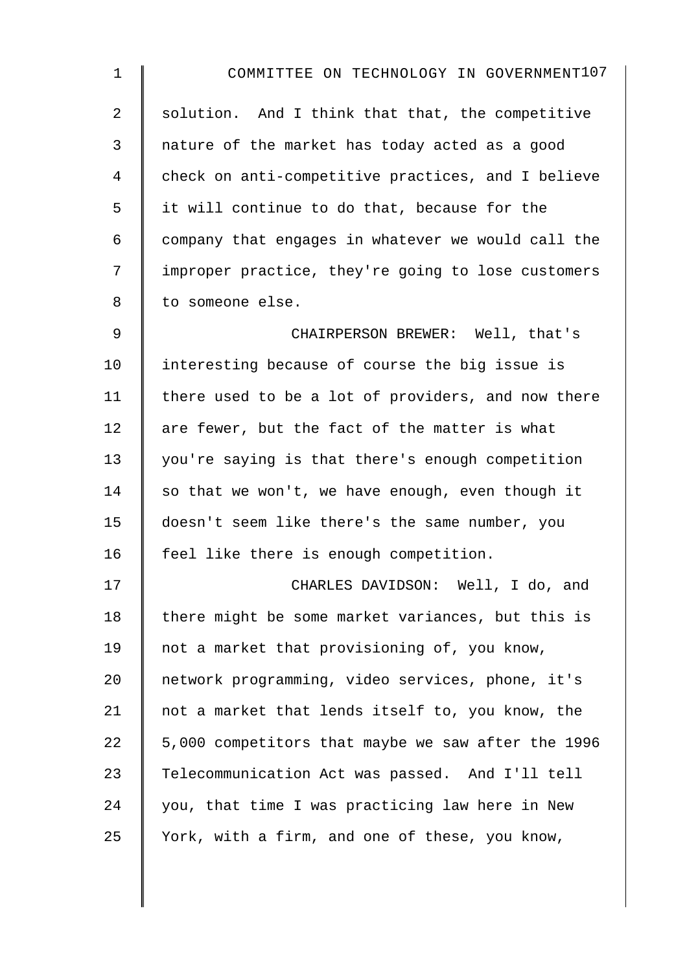| 1  | COMMITTEE ON TECHNOLOGY IN GOVERNMENT107           |
|----|----------------------------------------------------|
| 2  | solution. And I think that that, the competitive   |
| 3  | nature of the market has today acted as a good     |
| 4  | check on anti-competitive practices, and I believe |
| 5  | it will continue to do that, because for the       |
| 6  | company that engages in whatever we would call the |
| 7  | improper practice, they're going to lose customers |
| 8  | to someone else.                                   |
| 9  | CHAIRPERSON BREWER: Well, that's                   |
| 10 | interesting because of course the big issue is     |
| 11 | there used to be a lot of providers, and now there |
| 12 | are fewer, but the fact of the matter is what      |
| 13 | you're saying is that there's enough competition   |
| 14 | so that we won't, we have enough, even though it   |
| 15 | doesn't seem like there's the same number, you     |
| 16 | feel like there is enough competition.             |
| 17 | CHARLES DAVIDSON: Well, I do, and                  |
| 18 | there might be some market variances, but this is  |
| 19 | not a market that provisioning of, you know,       |
| 20 | network programming, video services, phone, it's   |
| 21 | not a market that lends itself to, you know, the   |
| 22 | 5,000 competitors that maybe we saw after the 1996 |
| 23 | Telecommunication Act was passed. And I'll tell    |
| 24 | you, that time I was practicing law here in New    |
| 25 | York, with a firm, and one of these, you know,     |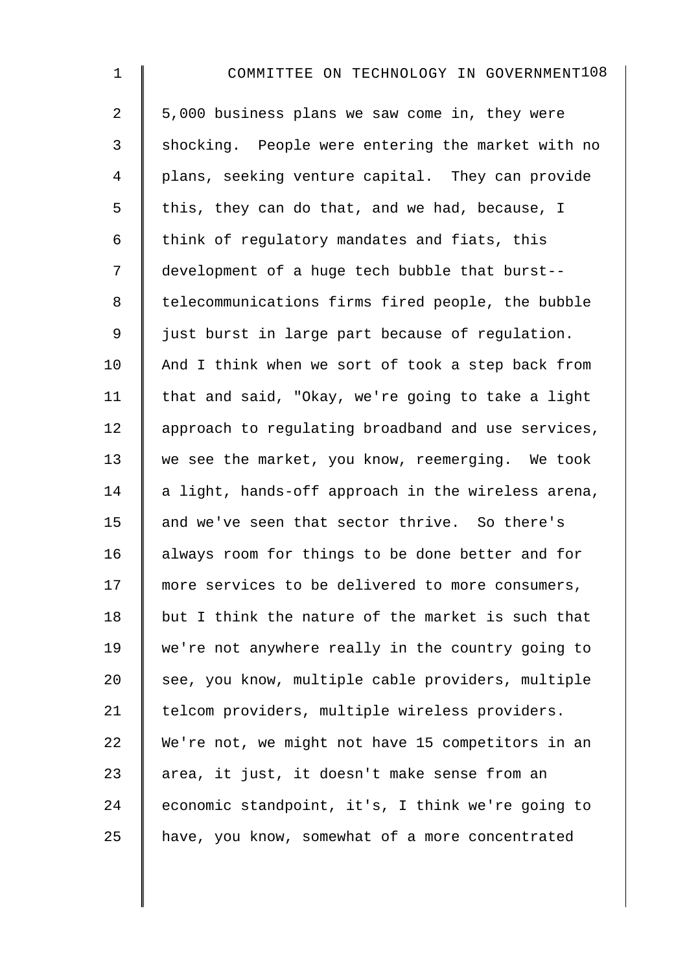| 1              | COMMITTEE ON TECHNOLOGY IN GOVERNMENT108           |
|----------------|----------------------------------------------------|
| $\overline{2}$ | 5,000 business plans we saw come in, they were     |
| 3              | shocking. People were entering the market with no  |
| 4              | plans, seeking venture capital. They can provide   |
| 5              | this, they can do that, and we had, because, I     |
| 6              | think of regulatory mandates and fiats, this       |
| 7              | development of a huge tech bubble that burst--     |
| 8              | telecommunications firms fired people, the bubble  |
| 9              | just burst in large part because of regulation.    |
| 10             | And I think when we sort of took a step back from  |
| 11             | that and said, "Okay, we're going to take a light  |
| 12             | approach to regulating broadband and use services, |
| 13             | we see the market, you know, reemerging. We took   |
| 14             | a light, hands-off approach in the wireless arena, |
| 15             | and we've seen that sector thrive. So there's      |
| 16             | always room for things to be done better and for   |
| 17             | more services to be delivered to more consumers,   |
| 18             | but I think the nature of the market is such that  |
| 19             | we're not anywhere really in the country going to  |
| 20             | see, you know, multiple cable providers, multiple  |
| 21             | telcom providers, multiple wireless providers.     |
| 22             | We're not, we might not have 15 competitors in an  |
| 23             | area, it just, it doesn't make sense from an       |
| 24             | economic standpoint, it's, I think we're going to  |
| 25             | have, you know, somewhat of a more concentrated    |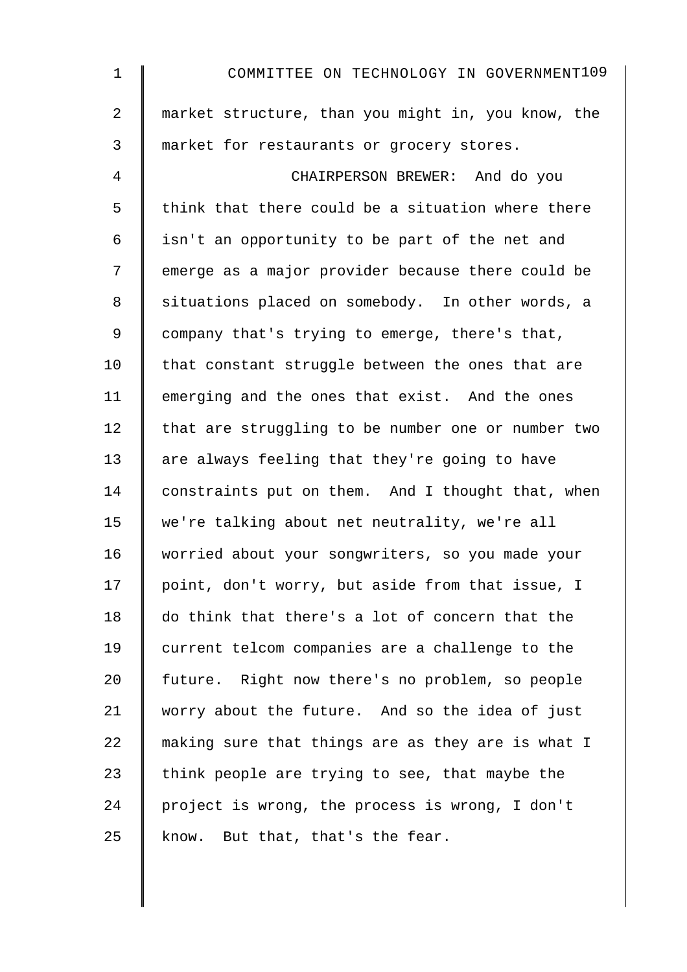| 1              | COMMITTEE ON TECHNOLOGY IN GOVERNMENT109           |
|----------------|----------------------------------------------------|
| $\overline{a}$ | market structure, than you might in, you know, the |
| 3              | market for restaurants or grocery stores.          |
| 4              | CHAIRPERSON BREWER: And do you                     |
| 5              | think that there could be a situation where there  |
| 6              | isn't an opportunity to be part of the net and     |
| 7              | emerge as a major provider because there could be  |
| 8              | situations placed on somebody. In other words, a   |
| 9              | company that's trying to emerge, there's that,     |
| 10             | that constant struggle between the ones that are   |
| 11             | emerging and the ones that exist. And the ones     |
| 12             | that are struggling to be number one or number two |
| 13             | are always feeling that they're going to have      |
| 14             | constraints put on them. And I thought that, when  |
| 15             | we're talking about net neutrality, we're all      |
| 16             | worried about your songwriters, so you made your   |
| 17             | point, don't worry, but aside from that issue, I   |
| 18             | do think that there's a lot of concern that the    |
| 19             | current telcom companies are a challenge to the    |
| 20             | future. Right now there's no problem, so people    |
| 21             | worry about the future. And so the idea of just    |
| 22             | making sure that things are as they are is what I  |
| 23             | think people are trying to see, that maybe the     |
| 24             | project is wrong, the process is wrong, I don't    |
| 25             | know. But that, that's the fear.                   |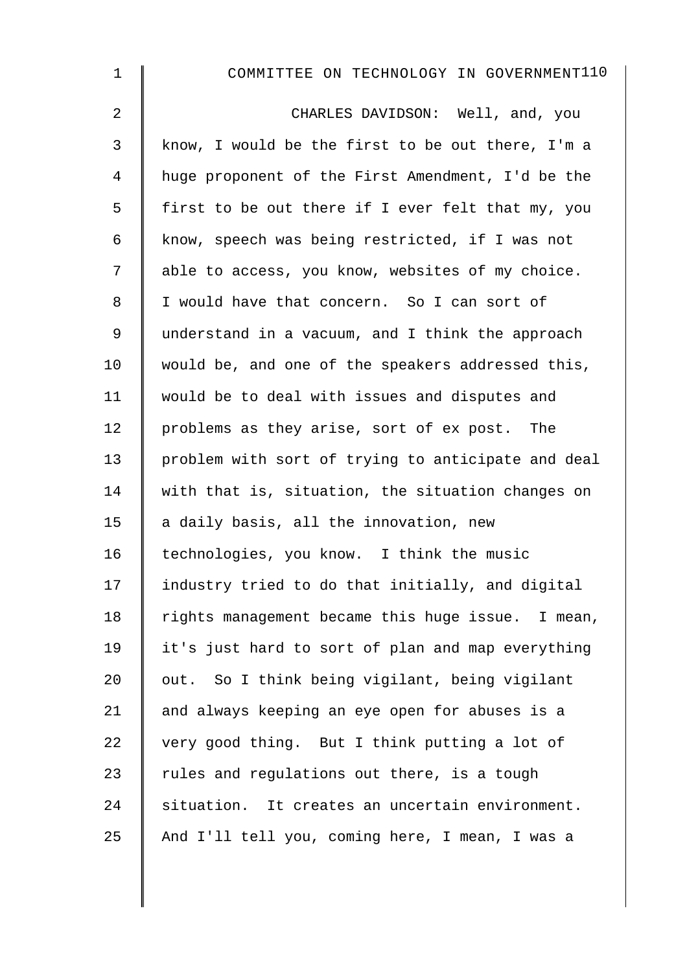| 1              | COMMITTEE ON TECHNOLOGY IN GOVERNMENT110           |
|----------------|----------------------------------------------------|
| $\overline{2}$ | CHARLES DAVIDSON: Well, and, you                   |
| 3              | know, I would be the first to be out there, I'm a  |
| 4              | huge proponent of the First Amendment, I'd be the  |
| 5              | first to be out there if I ever felt that my, you  |
| 6              | know, speech was being restricted, if I was not    |
| 7              | able to access, you know, websites of my choice.   |
| 8              | I would have that concern. So I can sort of        |
| 9              | understand in a vacuum, and I think the approach   |
| 10             | would be, and one of the speakers addressed this,  |
| 11             | would be to deal with issues and disputes and      |
| 12             | problems as they arise, sort of ex post. The       |
| 13             | problem with sort of trying to anticipate and deal |
| 14             | with that is, situation, the situation changes on  |
| 15             | a daily basis, all the innovation, new             |
| 16             | technologies, you know. I think the music          |
| 17             | industry tried to do that initially, and digital   |
| 18             | rights management became this huge issue. I mean,  |
| 19             | it's just hard to sort of plan and map everything  |
| 20             | out. So I think being vigilant, being vigilant     |
| 21             | and always keeping an eye open for abuses is a     |
| 22             | very good thing. But I think putting a lot of      |
| 23             | rules and regulations out there, is a tough        |
| 24             | situation. It creates an uncertain environment.    |
| 25             | And I'll tell you, coming here, I mean, I was a    |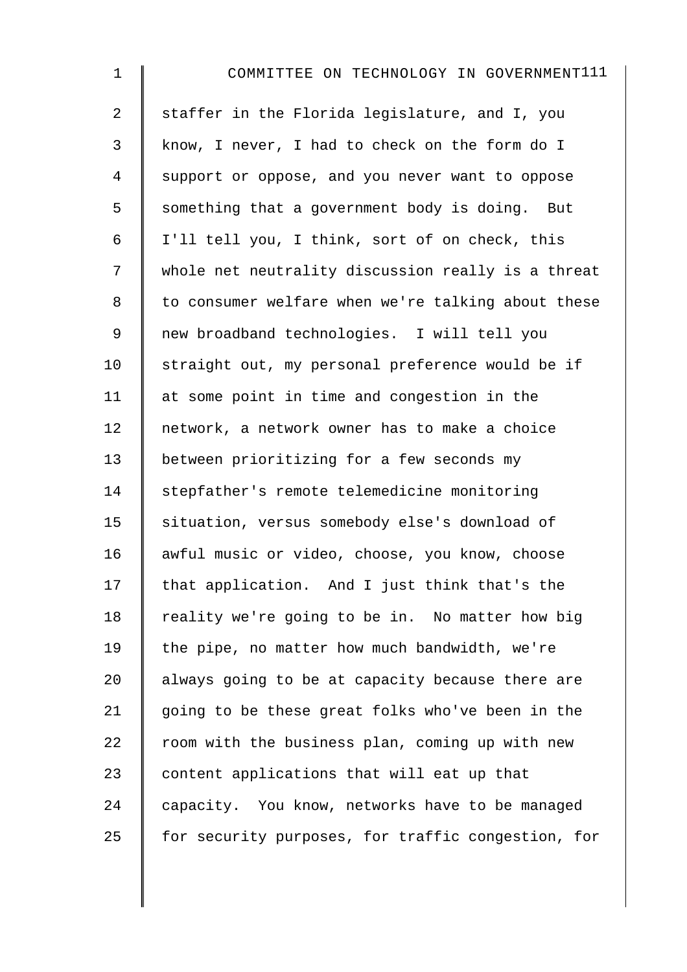| $\mathbf 1$    | COMMITTEE ON TECHNOLOGY IN GOVERNMENT111           |
|----------------|----------------------------------------------------|
| $\overline{2}$ | staffer in the Florida legislature, and I, you     |
| 3              | know, I never, I had to check on the form do I     |
| 4              | support or oppose, and you never want to oppose    |
| 5              | something that a government body is doing. But     |
| 6              | I'll tell you, I think, sort of on check, this     |
| 7              | whole net neutrality discussion really is a threat |
| 8              | to consumer welfare when we're talking about these |
| $\mathsf 9$    | new broadband technologies. I will tell you        |
| 10             | straight out, my personal preference would be if   |
| 11             | at some point in time and congestion in the        |
| 12             | network, a network owner has to make a choice      |
| 13             | between prioritizing for a few seconds my          |
| 14             | stepfather's remote telemedicine monitoring        |
| 15             | situation, versus somebody else's download of      |
| 16             | awful music or video, choose, you know, choose     |
| 17             | that application. And I just think that's the      |
| 18             | reality we're going to be in. No matter how big    |
| 19             | the pipe, no matter how much bandwidth, we're      |
| 20             | always going to be at capacity because there are   |
| 21             | going to be these great folks who've been in the   |
| 22             | room with the business plan, coming up with new    |
| 23             | content applications that will eat up that         |
| 24             | capacity. You know, networks have to be managed    |
| 25             | for security purposes, for traffic congestion, for |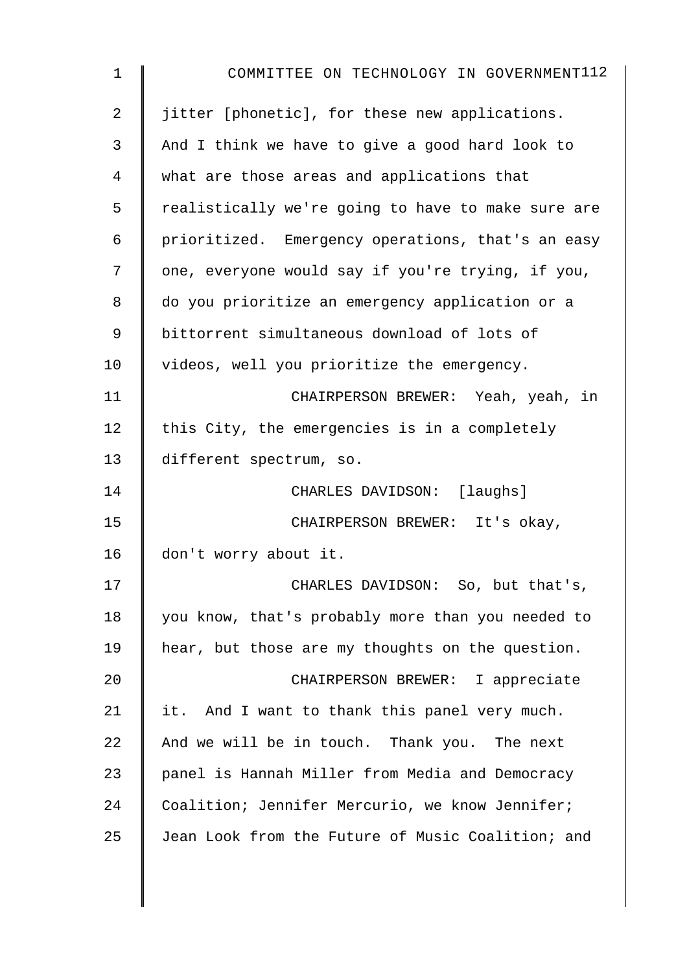| $\mathbf 1$    | COMMITTEE ON TECHNOLOGY IN GOVERNMENT112           |
|----------------|----------------------------------------------------|
| $\overline{a}$ | jitter [phonetic], for these new applications.     |
| 3              | And I think we have to give a good hard look to    |
| 4              | what are those areas and applications that         |
| 5              | realistically we're going to have to make sure are |
| 6              | prioritized. Emergency operations, that's an easy  |
| 7              | one, everyone would say if you're trying, if you,  |
| 8              | do you prioritize an emergency application or a    |
| 9              | bittorrent simultaneous download of lots of        |
| 10             | videos, well you prioritize the emergency.         |
| 11             | CHAIRPERSON BREWER: Yeah, yeah, in                 |
| 12             | this City, the emergencies is in a completely      |
| 13             | different spectrum, so.                            |
| 14             | CHARLES DAVIDSON: [laughs]                         |
| 15             | CHAIRPERSON BREWER: It's okay,                     |
| 16             | don't worry about it.                              |
| 17             | CHARLES DAVIDSON: So, but that's,                  |
| 18             | you know, that's probably more than you needed to  |
| 19             | hear, but those are my thoughts on the question.   |
| 20             | CHAIRPERSON BREWER: I appreciate                   |
| 21             | it. And I want to thank this panel very much.      |
| 22             | And we will be in touch. Thank you. The next       |
| 23             | panel is Hannah Miller from Media and Democracy    |
| 24             | Coalition; Jennifer Mercurio, we know Jennifer;    |
| 25             | Jean Look from the Future of Music Coalition; and  |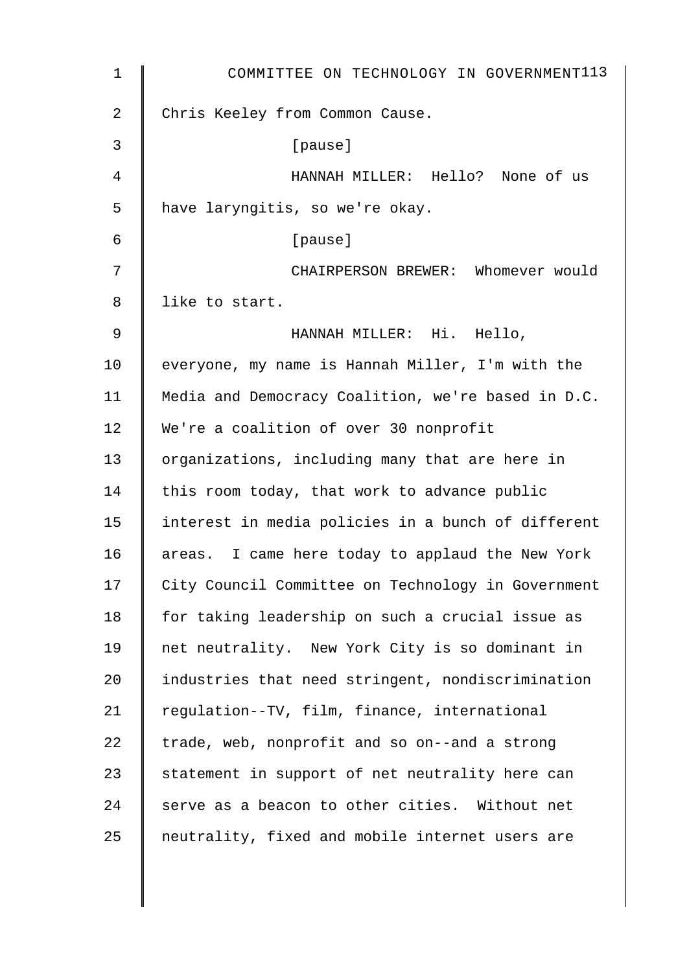| 1  | COMMITTEE ON TECHNOLOGY IN GOVERNMENT113           |
|----|----------------------------------------------------|
| 2  | Chris Keeley from Common Cause.                    |
| 3  | [pause]                                            |
| 4  | HANNAH MILLER: Hello? None of us                   |
| 5  | have laryngitis, so we're okay.                    |
| 6  | [pause]                                            |
| 7  | CHAIRPERSON BREWER: Whomever would                 |
| 8  | like to start.                                     |
| 9  | HANNAH MILLER: Hi. Hello,                          |
| 10 | everyone, my name is Hannah Miller, I'm with the   |
| 11 | Media and Democracy Coalition, we're based in D.C. |
| 12 | We're a coalition of over 30 nonprofit             |
| 13 | organizations, including many that are here in     |
| 14 | this room today, that work to advance public       |
| 15 | interest in media policies in a bunch of different |
| 16 | areas. I came here today to applaud the New York   |
| 17 | City Council Committee on Technology in Government |
| 18 | for taking leadership on such a crucial issue as   |
| 19 | net neutrality. New York City is so dominant in    |
| 20 | industries that need stringent, nondiscrimination  |
| 21 | regulation--TV, film, finance, international       |
| 22 | trade, web, nonprofit and so on--and a strong      |
| 23 | statement in support of net neutrality here can    |
| 24 | serve as a beacon to other cities. Without net     |
| 25 | neutrality, fixed and mobile internet users are    |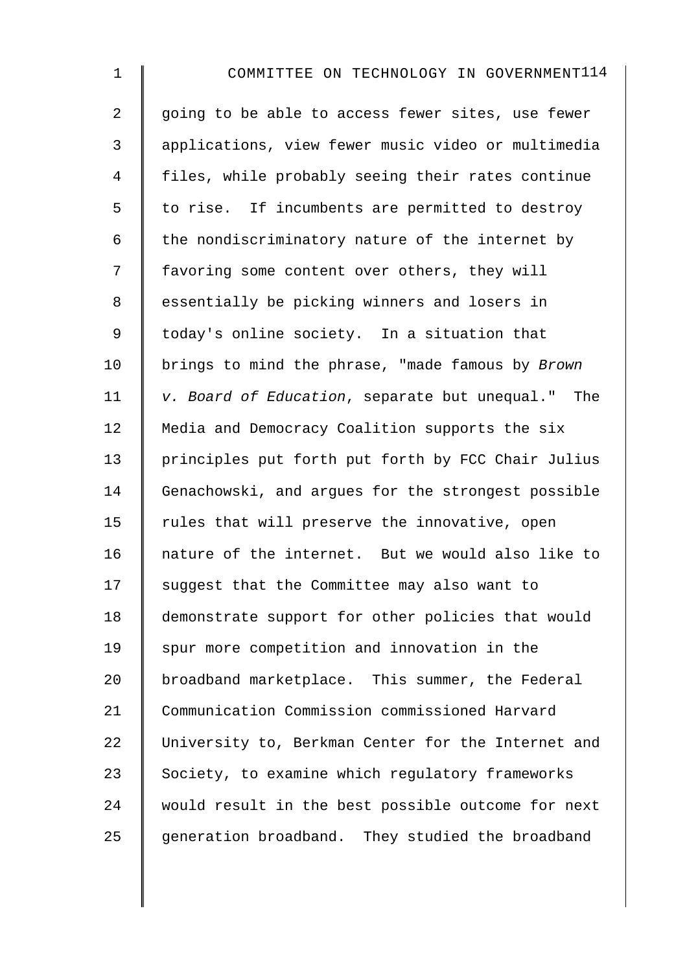| $\mathbf 1$    | COMMITTEE ON TECHNOLOGY IN GOVERNMENT114           |
|----------------|----------------------------------------------------|
| $\overline{a}$ | going to be able to access fewer sites, use fewer  |
| 3              | applications, view fewer music video or multimedia |
| $\overline{4}$ | files, while probably seeing their rates continue  |
| 5              | to rise. If incumbents are permitted to destroy    |
| 6              | the nondiscriminatory nature of the internet by    |
| 7              | favoring some content over others, they will       |
| 8              | essentially be picking winners and losers in       |
| $\mathsf 9$    | today's online society. In a situation that        |
| 10             | brings to mind the phrase, "made famous by Brown   |
| 11             | v. Board of Education, separate but unequal." The  |
| 12             | Media and Democracy Coalition supports the six     |
| 13             | principles put forth put forth by FCC Chair Julius |
| 14             | Genachowski, and argues for the strongest possible |
| 15             | rules that will preserve the innovative, open      |
| 16             | nature of the internet. But we would also like to  |
| 17             | suggest that the Committee may also want to        |
| 18             | demonstrate support for other policies that would  |
| 19             | spur more competition and innovation in the        |
| 20             | broadband marketplace. This summer, the Federal    |
| 21             | Communication Commission commissioned Harvard      |
| 22             | University to, Berkman Center for the Internet and |
| 23             | Society, to examine which regulatory frameworks    |
| 24             | would result in the best possible outcome for next |
| 25             | generation broadband. They studied the broadband   |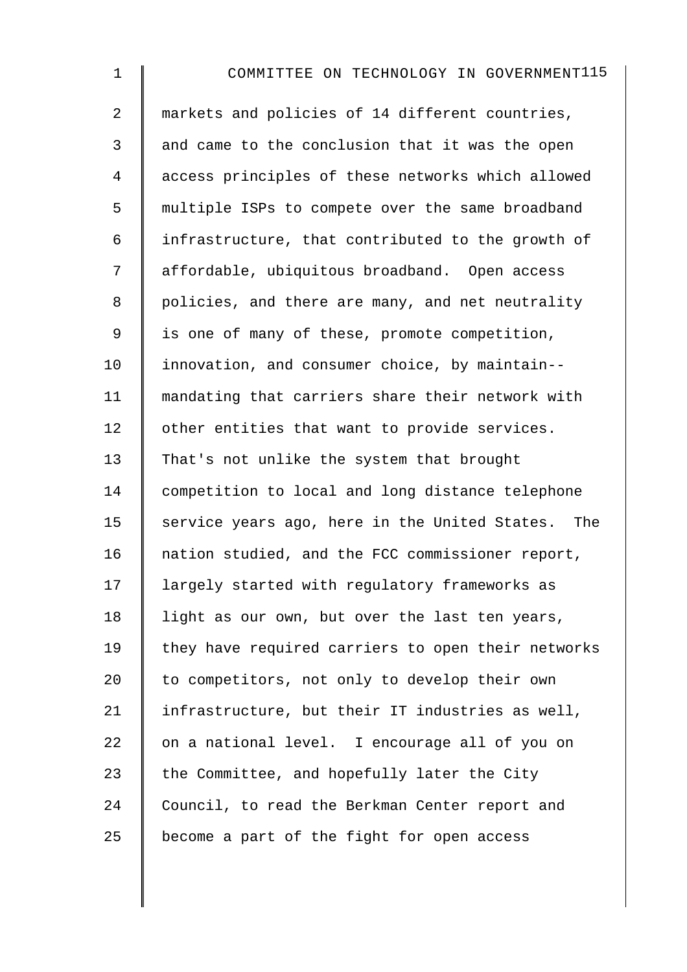1 COMMITTEE ON TECHNOLOGY IN GOVERNMENT115 2 markets and policies of 14 different countries,  $3 \parallel$  and came to the conclusion that it was the open 4 | access principles of these networks which allowed 5 || multiple ISPs to compete over the same broadband 6 | infrastructure, that contributed to the growth of 7 | affordable, ubiquitous broadband. Open access 8 | policies, and there are many, and net neutrality 9 | is one of many of these, promote competition, 10 | innovation, and consumer choice, by maintain--11 mandating that carriers share their network with 12 | other entities that want to provide services. 13 That's not unlike the system that brought 14 competition to local and long distance telephone 15  $\parallel$  service years ago, here in the United States. The 16 | nation studied, and the FCC commissioner report, 17 | largely started with regulatory frameworks as 18 | light as our own, but over the last ten years, 19 they have required carriers to open their networks 20  $\parallel$  to competitors, not only to develop their own 21 | infrastructure, but their IT industries as well,  $22$   $\parallel$  on a national level. I encourage all of you on 23  $\parallel$  the Committee, and hopefully later the City 24 Council, to read the Berkman Center report and 25  $\parallel$  become a part of the fight for open access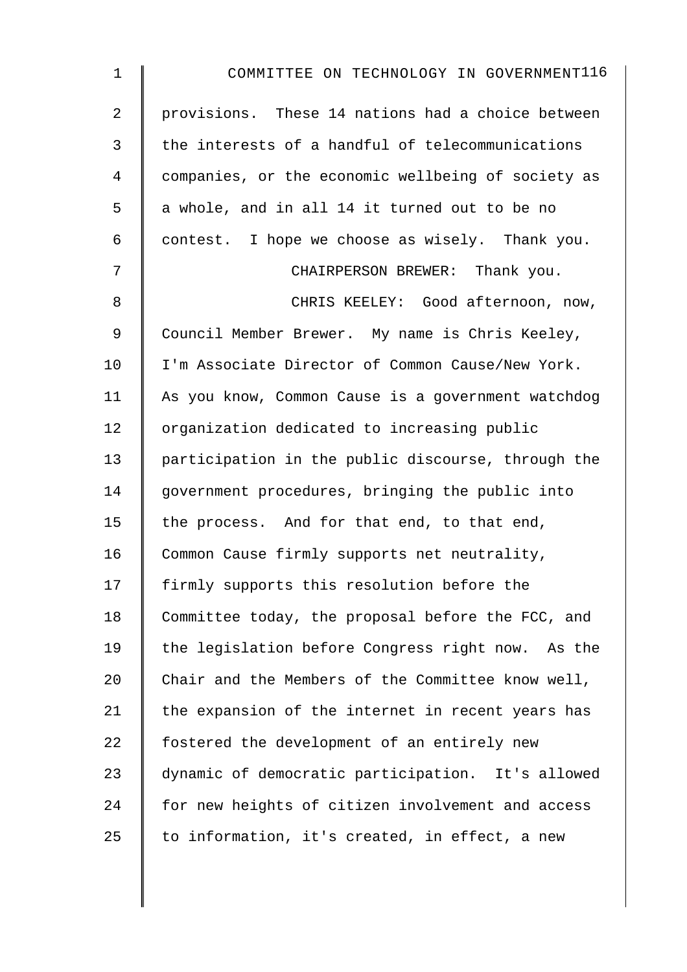| 1              | COMMITTEE ON TECHNOLOGY IN GOVERNMENT116           |
|----------------|----------------------------------------------------|
| $\overline{2}$ | provisions. These 14 nations had a choice between  |
| 3              | the interests of a handful of telecommunications   |
| 4              | companies, or the economic wellbeing of society as |
| 5              | a whole, and in all 14 it turned out to be no      |
| 6              | contest. I hope we choose as wisely. Thank you.    |
| 7              | CHAIRPERSON BREWER: Thank you.                     |
| 8              | CHRIS KEELEY: Good afternoon, now,                 |
| 9              | Council Member Brewer. My name is Chris Keeley,    |
| 10             | I'm Associate Director of Common Cause/New York.   |
| 11             | As you know, Common Cause is a government watchdog |
| 12             | organization dedicated to increasing public        |
| 13             | participation in the public discourse, through the |
| 14             | government procedures, bringing the public into    |
| 15             | the process. And for that end, to that end,        |
| 16             | Common Cause firmly supports net neutrality,       |
| 17             | firmly supports this resolution before the         |
| 18             | Committee today, the proposal before the FCC, and  |
| 19             | the legislation before Congress right now. As the  |
| 20             | Chair and the Members of the Committee know well,  |
| 21             | the expansion of the internet in recent years has  |
| 22             | fostered the development of an entirely new        |
| 23             | dynamic of democratic participation. It's allowed  |
| 24             | for new heights of citizen involvement and access  |
| 25             | to information, it's created, in effect, a new     |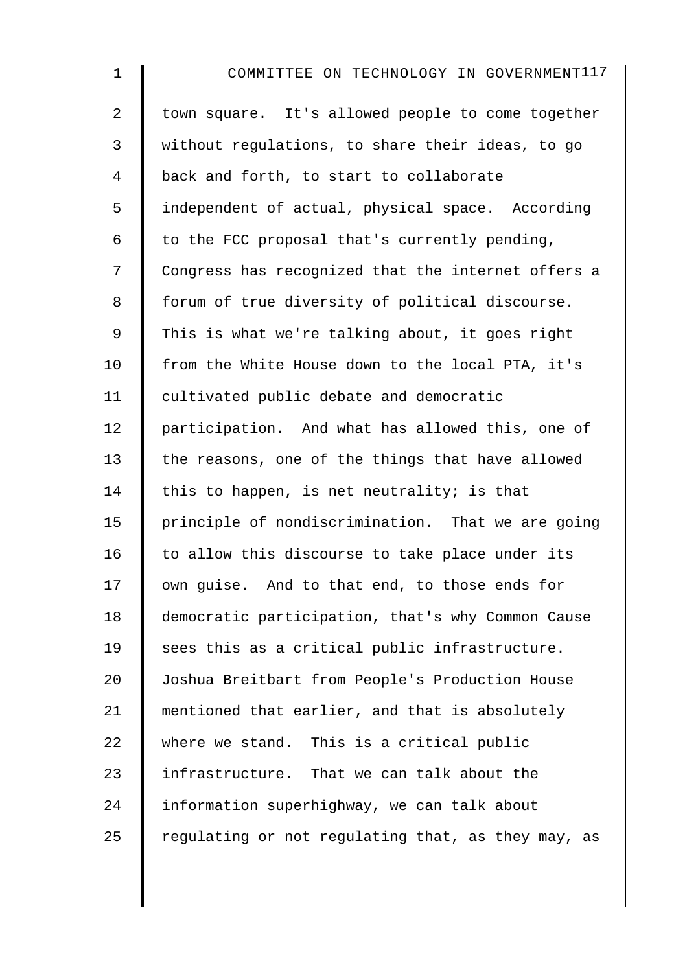1 COMMITTEE ON TECHNOLOGY IN GOVERNMENT117 2 | town square. It's allowed people to come together 3 without regulations, to share their ideas, to go 4 back and forth, to start to collaborate 5 I independent of actual, physical space. According 6 | to the FCC proposal that's currently pending, 7 | Congress has recognized that the internet offers a 8 | forum of true diversity of political discourse. 9 This is what we're talking about, it goes right 10 from the White House down to the local PTA, it's 11 | cultivated public debate and democratic 12 | participation. And what has allowed this, one of 13 the reasons, one of the things that have allowed 14 this to happen, is net neutrality; is that 15 | principle of nondiscrimination. That we are going  $16$  to allow this discourse to take place under its  $17$  own quise. And to that end, to those ends for 18 democratic participation, that's why Common Cause 19  $\parallel$  sees this as a critical public infrastructure. 20 Joshua Breitbart from People's Production House 21 mentioned that earlier, and that is absolutely 22  $\parallel$  where we stand. This is a critical public 23  $\parallel$  infrastructure. That we can talk about the 24 information superhighway, we can talk about 25 Tequlating or not regulating that, as they may, as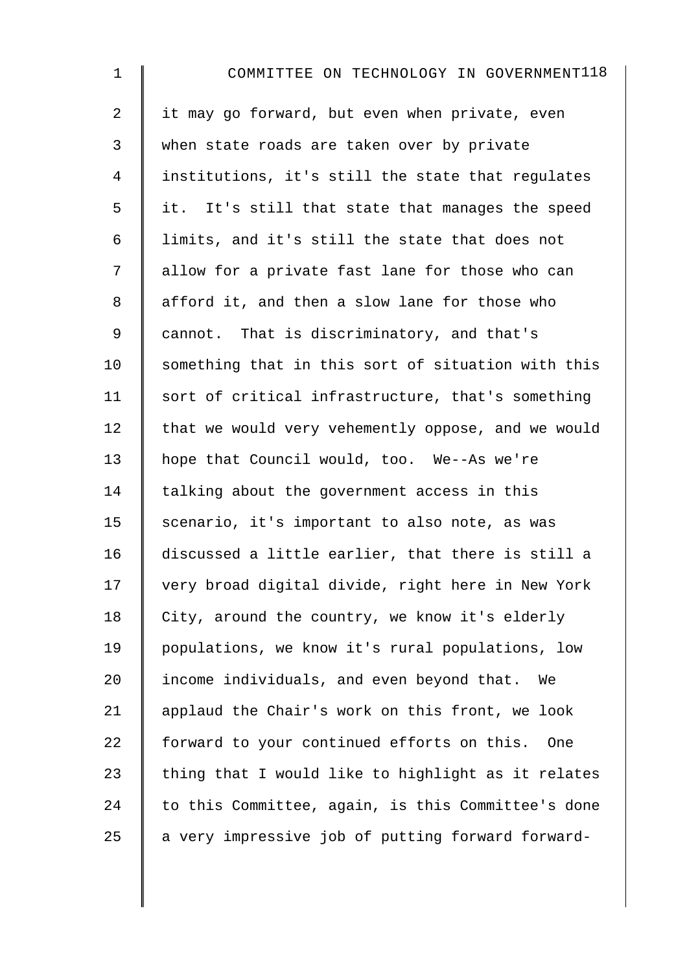| $\mathbf 1$    | COMMITTEE ON TECHNOLOGY IN GOVERNMENT118           |
|----------------|----------------------------------------------------|
| $\overline{2}$ | it may go forward, but even when private, even     |
| $\mathfrak{Z}$ | when state roads are taken over by private         |
| 4              | institutions, it's still the state that regulates  |
| 5              | it. It's still that state that manages the speed   |
| 6              | limits, and it's still the state that does not     |
| 7              | allow for a private fast lane for those who can    |
| 8              | afford it, and then a slow lane for those who      |
| 9              | cannot. That is discriminatory, and that's         |
| 10             | something that in this sort of situation with this |
| 11             | sort of critical infrastructure, that's something  |
| 12             | that we would very vehemently oppose, and we would |
| 13             | hope that Council would, too. We--As we're         |
| 14             | talking about the government access in this        |
| 15             | scenario, it's important to also note, as was      |
| 16             | discussed a little earlier, that there is still a  |
| 17             | very broad digital divide, right here in New York  |
| 18             | City, around the country, we know it's elderly     |
| 19             | populations, we know it's rural populations, low   |
| 20             | income individuals, and even beyond that.<br>We    |
| 21             | applaud the Chair's work on this front, we look    |
| 22             | forward to your continued efforts on this.<br>One  |
| 23             | thing that I would like to highlight as it relates |
| 24             | to this Committee, again, is this Committee's done |
| 25             | a very impressive job of putting forward forward-  |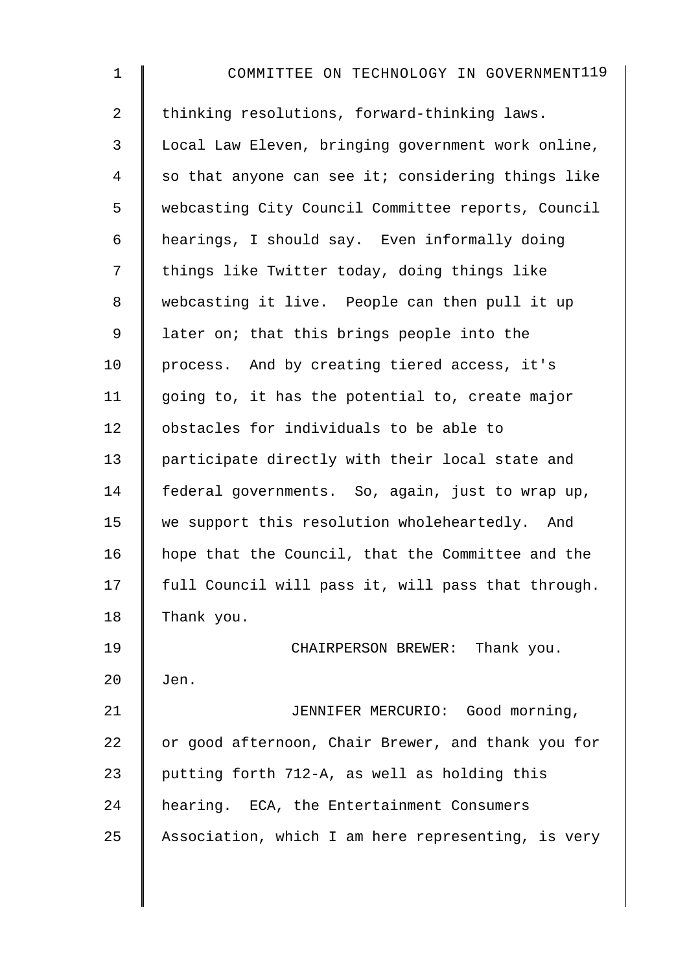| 1              | COMMITTEE ON TECHNOLOGY IN GOVERNMENT119           |
|----------------|----------------------------------------------------|
| $\overline{a}$ | thinking resolutions, forward-thinking laws.       |
| 3              | Local Law Eleven, bringing government work online, |
| 4              | so that anyone can see it; considering things like |
| 5              | webcasting City Council Committee reports, Council |
| 6              | hearings, I should say. Even informally doing      |
| 7              | things like Twitter today, doing things like       |
| 8              | webcasting it live. People can then pull it up     |
| 9              | later on; that this brings people into the         |
| 10             | process. And by creating tiered access, it's       |
| 11             | going to, it has the potential to, create major    |
| 12             | obstacles for individuals to be able to            |
| 13             | participate directly with their local state and    |
| 14             | federal governments. So, again, just to wrap up,   |
| 15             | we support this resolution wholeheartedly. And     |
| 16             | hope that the Council, that the Committee and the  |
| 17             | full Council will pass it, will pass that through. |
| 18             | Thank you.                                         |
| 19             | CHAIRPERSON BREWER: Thank you.                     |
| 20             | Jen.                                               |
| 21             | JENNIFER MERCURIO: Good morning,                   |
| 22             | or good afternoon, Chair Brewer, and thank you for |
| 23             | putting forth 712-A, as well as holding this       |
| 24             | hearing. ECA, the Entertainment Consumers          |
| 25             | Association, which I am here representing, is very |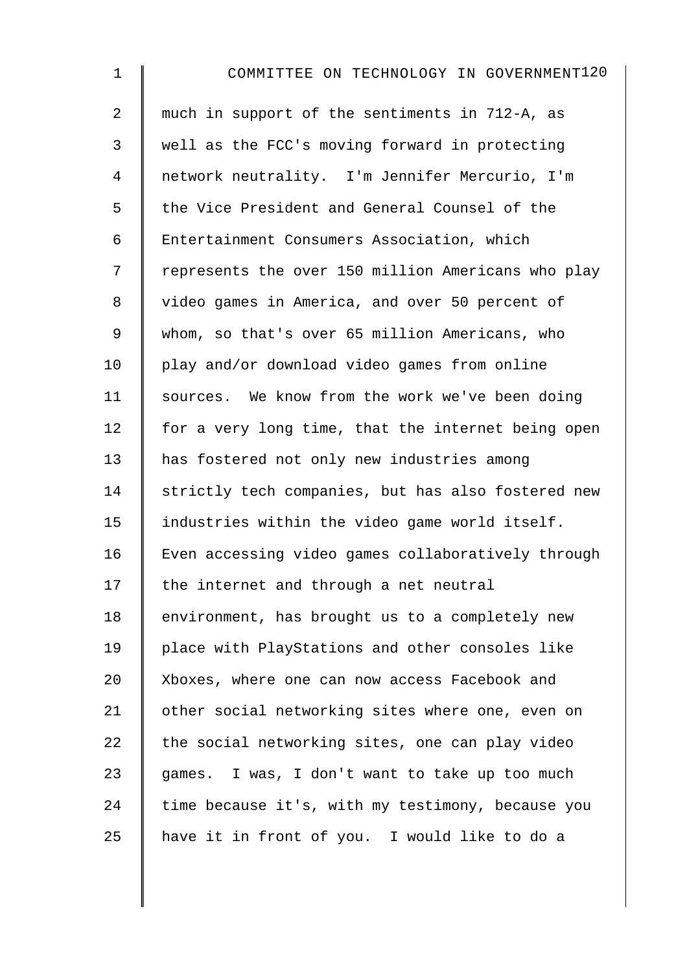| 1           | COMMITTEE ON TECHNOLOGY IN GOVERNMENT120           |
|-------------|----------------------------------------------------|
| 2           | much in support of the sentiments in 712-A, as     |
| 3           | well as the FCC's moving forward in protecting     |
| 4           | network neutrality. I'm Jennifer Mercurio, I'm     |
| 5           | the Vice President and General Counsel of the      |
| 6           | Entertainment Consumers Association, which         |
| 7           | represents the over 150 million Americans who play |
| 8           | video games in America, and over 50 percent of     |
| $\mathsf 9$ | whom, so that's over 65 million Americans, who     |
| 10          | play and/or download video games from online       |
| 11          | sources. We know from the work we've been doing    |
| 12          | for a very long time, that the internet being open |
| 13          | has fostered not only new industries among         |
| 14          | strictly tech companies, but has also fostered new |
| 15          | industries within the video game world itself.     |
| 16          | Even accessing video games collaboratively through |
| 17          | the internet and through a net neutral             |
| 18          | environment, has brought us to a completely new    |
| 19          | place with PlayStations and other consoles like    |
| 20          | Xboxes, where one can now access Facebook and      |
| 21          | other social networking sites where one, even on   |
| 22          | the social networking sites, one can play video    |
| 23          | games. I was, I don't want to take up too much     |
| 24          | time because it's, with my testimony, because you  |
| 25          | have it in front of you. I would like to do a      |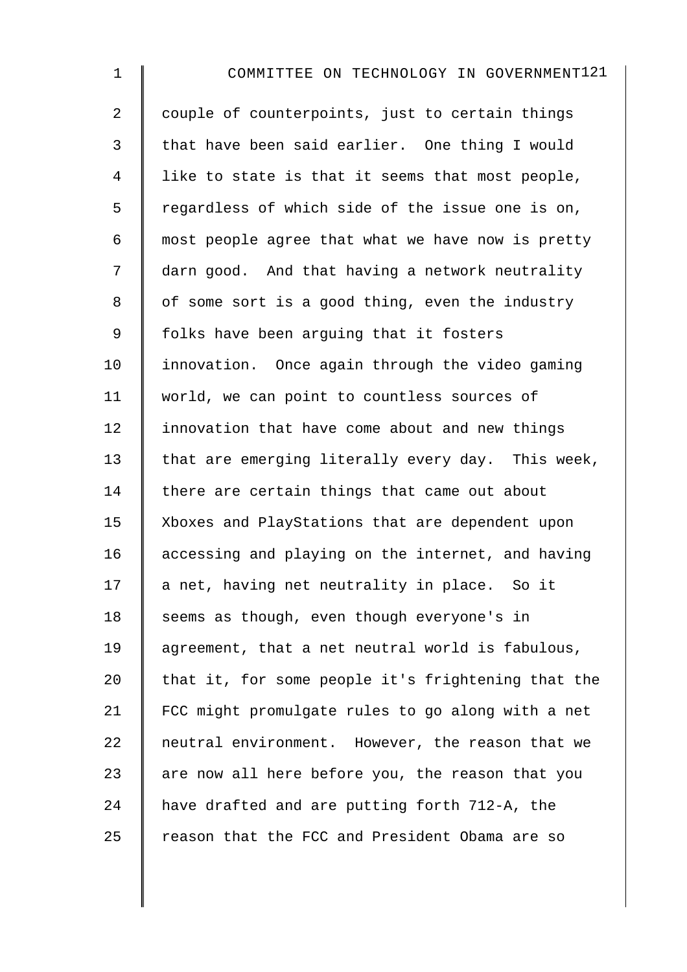1 COMMITTEE ON TECHNOLOGY IN GOVERNMENT121 2 | couple of counterpoints, just to certain things 3 I that have been said earlier. One thing I would  $4 \parallel$  like to state is that it seems that most people, 5 | regardless of which side of the issue one is on,  $6 \parallel$  most people agree that what we have now is pretty 7 darn good. And that having a network neutrality  $8 \parallel$  of some sort is a good thing, even the industry 9 | folks have been arguing that it fosters 10 Imnovation. Once again through the video gaming 11 | world, we can point to countless sources of 12 I innovation that have come about and new things 13  $\parallel$  that are emerging literally every day. This week,  $14$  there are certain things that came out about 15 | Xboxes and PlayStations that are dependent upon 16 accessing and playing on the internet, and having  $17$  anet, having net neutrality in place. So it 18  $\parallel$  seems as though, even though everyone's in 19 agreement, that a net neutral world is fabulous, 20  $\parallel$  that it, for some people it's frightening that the 21 FCC might promulgate rules to go along with a net 22 neutral environment. However, the reason that we 23  $\parallel$  are now all here before you, the reason that you 24  $\parallel$  have drafted and are putting forth 712-A, the 25  $\parallel$  reason that the FCC and President Obama are so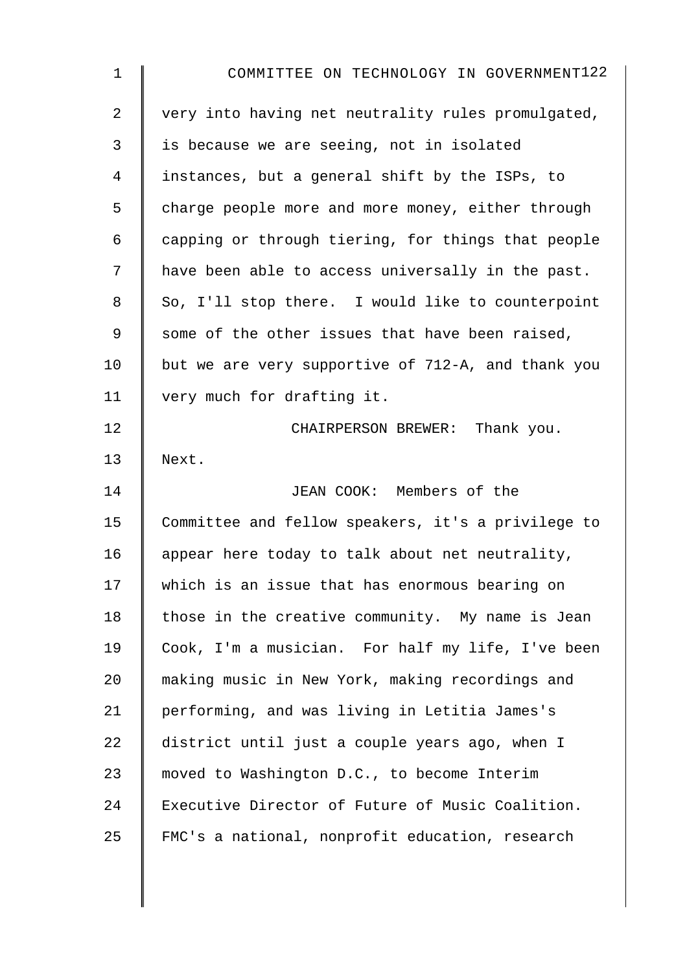| 1  | COMMITTEE ON TECHNOLOGY IN GOVERNMENT122           |
|----|----------------------------------------------------|
| 2  | very into having net neutrality rules promulgated, |
| 3  | is because we are seeing, not in isolated          |
| 4  | instances, but a general shift by the ISPs, to     |
| 5  | charge people more and more money, either through  |
| 6  | capping or through tiering, for things that people |
| 7  | have been able to access universally in the past.  |
| 8  | So, I'll stop there. I would like to counterpoint  |
| 9  | some of the other issues that have been raised,    |
| 10 | but we are very supportive of 712-A, and thank you |
| 11 | very much for drafting it.                         |
| 12 | CHAIRPERSON BREWER: Thank you.                     |
| 13 | Next.                                              |
| 14 | JEAN COOK: Members of the                          |
| 15 | Committee and fellow speakers, it's a privilege to |
| 16 | appear here today to talk about net neutrality,    |
| 17 | which is an issue that has enormous bearing on     |
| 18 | those in the creative community. My name is Jean   |
| 19 | Cook, I'm a musician. For half my life, I've been  |
| 20 | making music in New York, making recordings and    |
| 21 | performing, and was living in Letitia James's      |
| 22 | district until just a couple years ago, when I     |
| 23 | moved to Washington D.C., to become Interim        |
| 24 | Executive Director of Future of Music Coalition.   |
| 25 | FMC's a national, nonprofit education, research    |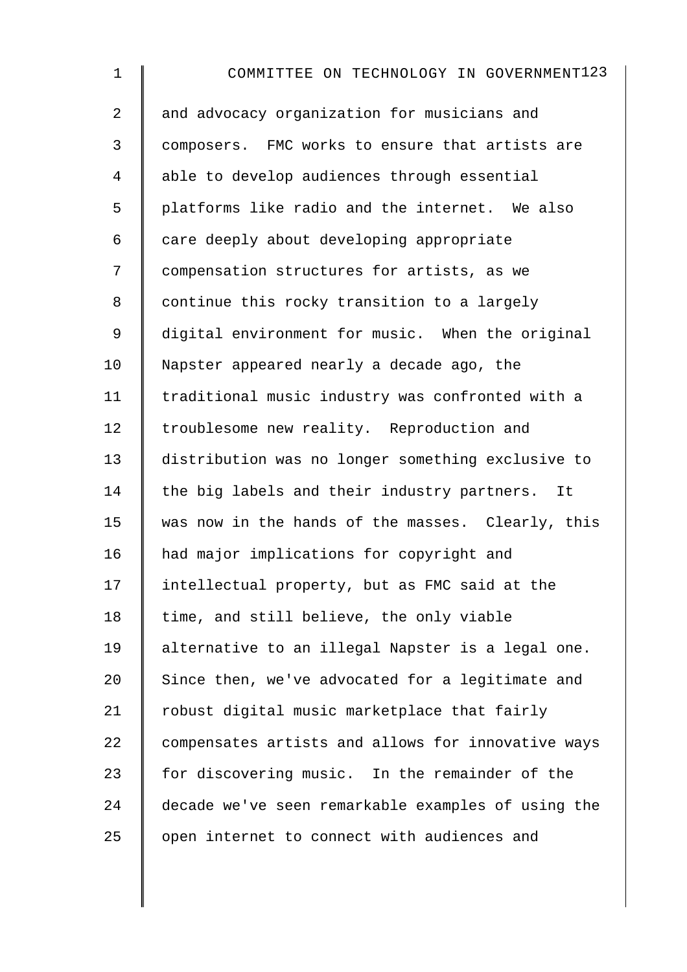1 COMMITTEE ON TECHNOLOGY IN GOVERNMENT123 2 and advocacy organization for musicians and 3 composers. FMC works to ensure that artists are 4 able to develop audiences through essential 5 | platforms like radio and the internet. We also  $6 \parallel$  care deeply about developing appropriate 7 | compensation structures for artists, as we 8 | continue this rocky transition to a largely 9 | digital environment for music. When the original 10 Napster appeared nearly a decade ago, the 11 | traditional music industry was confronted with a 12 Troublesome new reality. Reproduction and 13 distribution was no longer something exclusive to 14  $\parallel$  the big labels and their industry partners. It 15 was now in the hands of the masses. Clearly, this 16 | had major implications for copyright and 17 intellectual property, but as FMC said at the  $18$  | time, and still believe, the only viable 19 | alternative to an illegal Napster is a legal one. 20 Since then, we've advocated for a legitimate and 21  $\parallel$  robust digital music marketplace that fairly 22 compensates artists and allows for innovative ways 23  $\parallel$  for discovering music. In the remainder of the 24 decade we've seen remarkable examples of using the 25 | open internet to connect with audiences and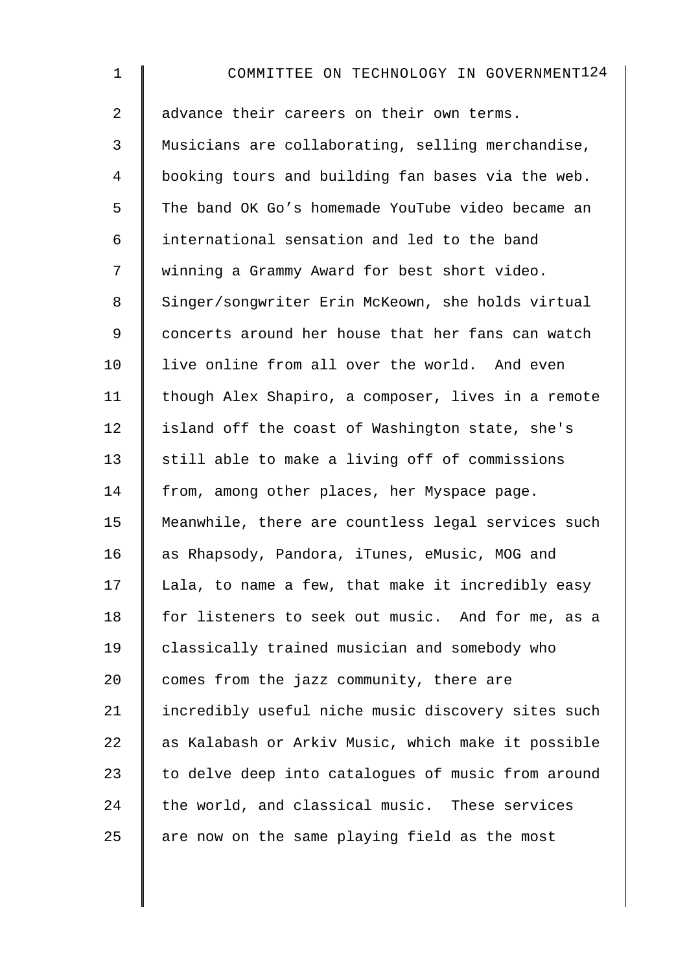1 COMMITTEE ON TECHNOLOGY IN GOVERNMENT124 2 advance their careers on their own terms. 3 Musicians are collaborating, selling merchandise, 4 | booking tours and building fan bases via the web. 5 The band OK Go's homemade YouTube video became an 6 international sensation and led to the band 7 We winning a Grammy Award for best short video. 8 Singer/songwriter Erin McKeown, she holds virtual 9 | concerts around her house that her fans can watch  $10$  | live online from all over the world. And even 11 | though Alex Shapiro, a composer, lives in a remote 12 | island off the coast of Washington state, she's 13  $\parallel$  still able to make a living off of commissions 14 from, among other places, her Myspace page. 15 Meanwhile, there are countless legal services such 16 as Rhapsody, Pandora, iTunes, eMusic, MOG and  $17$  | Lala, to name a few, that make it incredibly easy 18 | for listeners to seek out music. And for me, as a 19 classically trained musician and somebody who 20  $\parallel$  comes from the jazz community, there are 21 | incredibly useful niche music discovery sites such 22  $\parallel$  as Kalabash or Arkiv Music, which make it possible 23  $\parallel$  to delve deep into catalogues of music from around  $24$  the world, and classical music. These services  $25$  are now on the same playing field as the most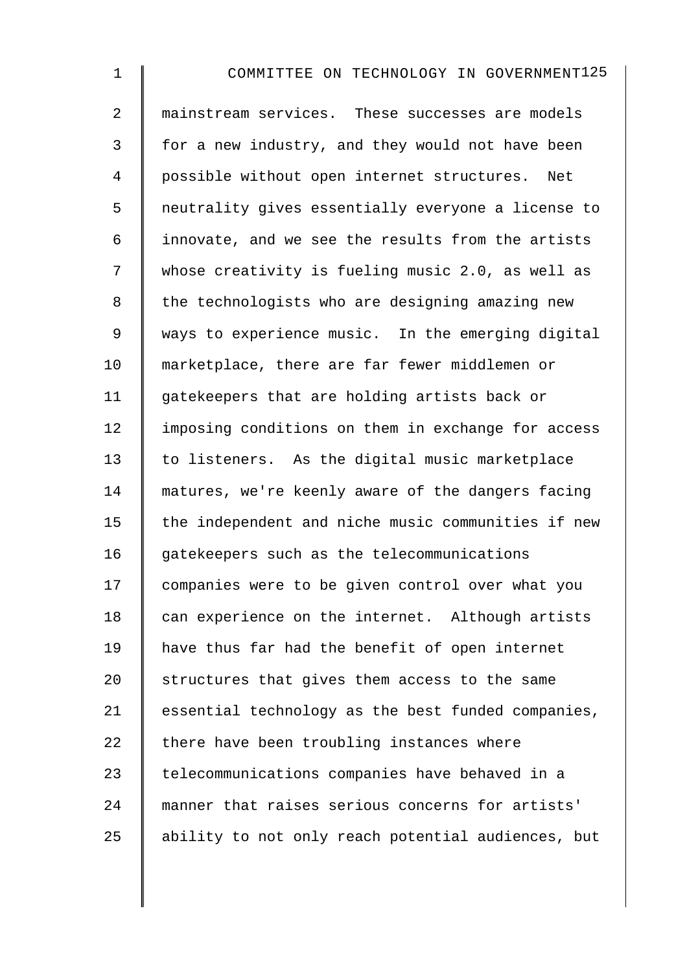1 COMMITTEE ON TECHNOLOGY IN GOVERNMENT125 2 mainstream services. These successes are models 3 for a new industry, and they would not have been 4 possible without open internet structures. Net 5 neutrality gives essentially everyone a license to 6  $\parallel$  innovate, and we see the results from the artists 7 whose creativity is fueling music 2.0, as well as 8 | the technologists who are designing amazing new 9 Ways to experience music. In the emerging digital 10 | marketplace, there are far fewer middlemen or 11 | gatekeepers that are holding artists back or 12 | imposing conditions on them in exchange for access 13 to listeners. As the digital music marketplace 14 matures, we're keenly aware of the dangers facing  $15$  the independent and niche music communities if new  $16$   $\parallel$  gatekeepers such as the telecommunications 17 | companies were to be given control over what you  $18$  can experience on the internet. Although artists 19 have thus far had the benefit of open internet 20  $\parallel$  structures that gives them access to the same 21  $\parallel$  essential technology as the best funded companies,  $22$  there have been troubling instances where  $23$  | telecommunications companies have behaved in a 24 manner that raises serious concerns for artists' 25 ability to not only reach potential audiences, but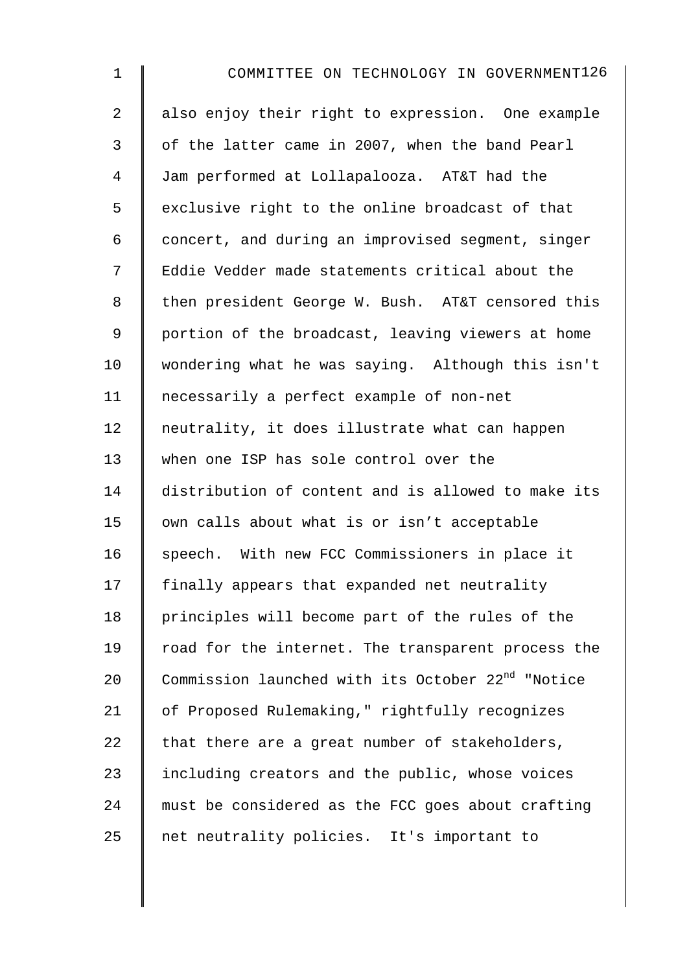1 COMMITTEE ON TECHNOLOGY IN GOVERNMENT126 2 || also enjoy their right to expression. One example 3 | of the latter came in 2007, when the band Pearl 4 Jam performed at Lollapalooza. AT&T had the 5 s exclusive right to the online broadcast of that 6 | concert, and during an improvised segment, singer 7 Eddie Vedder made statements critical about the 8 then president George W. Bush. AT&T censored this 9 | portion of the broadcast, leaving viewers at home 10 Wondering what he was saying. Although this isn't 11 necessarily a perfect example of non-net  $12$  | neutrality, it does illustrate what can happen 13 when one ISP has sole control over the 14 distribution of content and is allowed to make its  $15$  | own calls about what is or isn't acceptable 16 | speech. With new FCC Commissioners in place it 17 | finally appears that expanded net neutrality 18 | principles will become part of the rules of the 19 Toad for the internet. The transparent process the 20  $\parallel$  Commission launched with its October 22<sup>nd</sup> "Notice 21 | of Proposed Rulemaking," rightfully recognizes 22  $\parallel$  that there are a great number of stakeholders, 23 | including creators and the public, whose voices 24 must be considered as the FCC goes about crafting 25 met neutrality policies. It's important to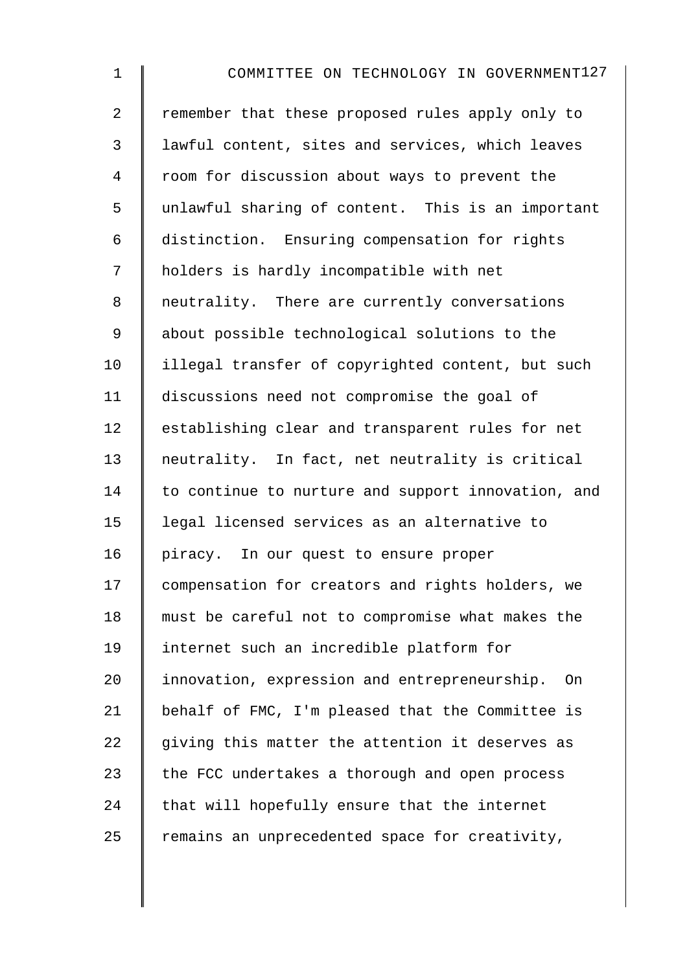| $\mathbf 1$    | COMMITTEE ON TECHNOLOGY IN GOVERNMENT127           |
|----------------|----------------------------------------------------|
| $\overline{a}$ | remember that these proposed rules apply only to   |
| 3              | lawful content, sites and services, which leaves   |
| 4              | room for discussion about ways to prevent the      |
| 5              | unlawful sharing of content. This is an important  |
| 6              | distinction. Ensuring compensation for rights      |
| 7              | holders is hardly incompatible with net            |
| 8              | neutrality. There are currently conversations      |
| 9              | about possible technological solutions to the      |
| 10             | illegal transfer of copyrighted content, but such  |
| 11             | discussions need not compromise the goal of        |
| 12             | establishing clear and transparent rules for net   |
| 13             | neutrality. In fact, net neutrality is critical    |
| 14             | to continue to nurture and support innovation, and |
| 15             | legal licensed services as an alternative to       |
| 16             | piracy. In our quest to ensure proper              |
| 17             | compensation for creators and rights holders, we   |
| 18             | must be careful not to compromise what makes the   |
| 19             | internet such an incredible platform for           |
| 20             | innovation, expression and entrepreneurship.<br>On |
| 21             | behalf of FMC, I'm pleased that the Committee is   |
| 22             | giving this matter the attention it deserves as    |
| 23             | the FCC undertakes a thorough and open process     |
| 24             | that will hopefully ensure that the internet       |
| 25             | remains an unprecedented space for creativity,     |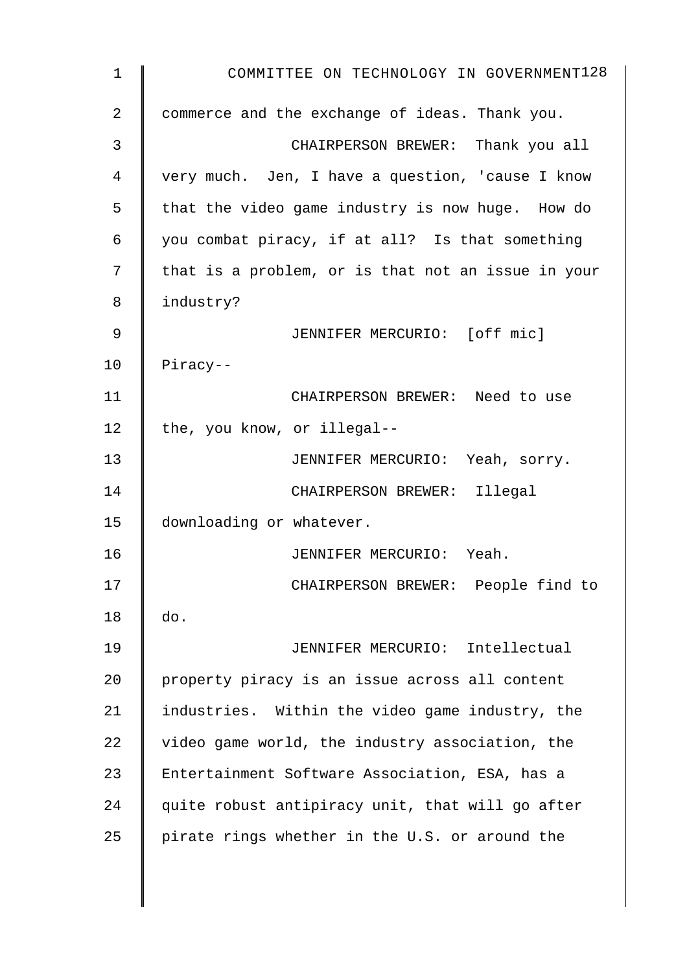1 **||** COMMITTEE ON TECHNOLOGY IN GOVERNMENT128 2 | commerce and the exchange of ideas. Thank you. 3 || CHAIRPERSON BREWER: Thank you all 4 very much. Jen, I have a question, 'cause I know  $5 \parallel$  that the video game industry is now huge. How do 6 you combat piracy, if at all? Is that something  $7 \parallel$  that is a problem, or is that not an issue in your 8 | industry? 9 JENNIFER MERCURIO: [off mic] 10 Piracy-- 11 | CHAIRPERSON BREWER: Need to use 12  $\parallel$  the, you know, or illegal--13 | JENNIFER MERCURIO: Yeah, sorry. 14 CHAIRPERSON BREWER: Illegal 15 | downloading or whatever. 16 JENNIFER MERCURIO: Yeah. 17 | CHAIRPERSON BREWER: People find to 18 do. 19 JENNIFER MERCURIO: Intellectual 20 property piracy is an issue across all content 21 | industries. Within the video game industry, the 22  $\parallel$  video game world, the industry association, the 23 | Entertainment Software Association, ESA, has a  $24$   $\parallel$  quite robust antipiracy unit, that will go after 25 | pirate rings whether in the U.S. or around the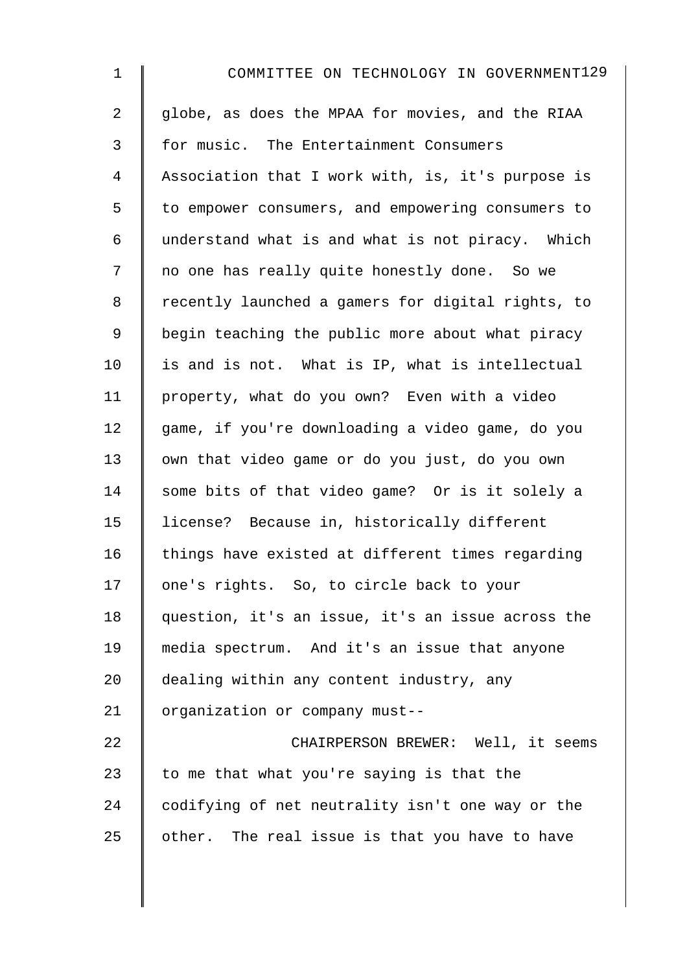| $\mathbf 1$    | COMMITTEE ON TECHNOLOGY IN GOVERNMENT129          |
|----------------|---------------------------------------------------|
| $\overline{a}$ | globe, as does the MPAA for movies, and the RIAA  |
| 3              | for music. The Entertainment Consumers            |
| 4              | Association that I work with, is, it's purpose is |
| 5              | to empower consumers, and empowering consumers to |
| 6              | understand what is and what is not piracy. Which  |
| 7              | no one has really quite honestly done. So we      |
| 8              | recently launched a gamers for digital rights, to |
| 9              | begin teaching the public more about what piracy  |
| 10             | is and is not. What is IP, what is intellectual   |
| 11             | property, what do you own? Even with a video      |
| 12             | game, if you're downloading a video game, do you  |
| 13             | own that video game or do you just, do you own    |
| 14             | some bits of that video game? Or is it solely a   |
| 15             | license? Because in, historically different       |
| 16             | things have existed at different times regarding  |
| 17             | one's rights. So, to circle back to your          |
| 18             | question, it's an issue, it's an issue across the |
| 19             | media spectrum. And it's an issue that anyone     |
| 20             | dealing within any content industry, any          |
| 21             | organization or company must--                    |
| 22             | CHAIRPERSON BREWER: Well, it seems                |
| 23             | to me that what you're saying is that the         |
| 24             | codifying of net neutrality isn't one way or the  |
| 25             | other. The real issue is that you have to have    |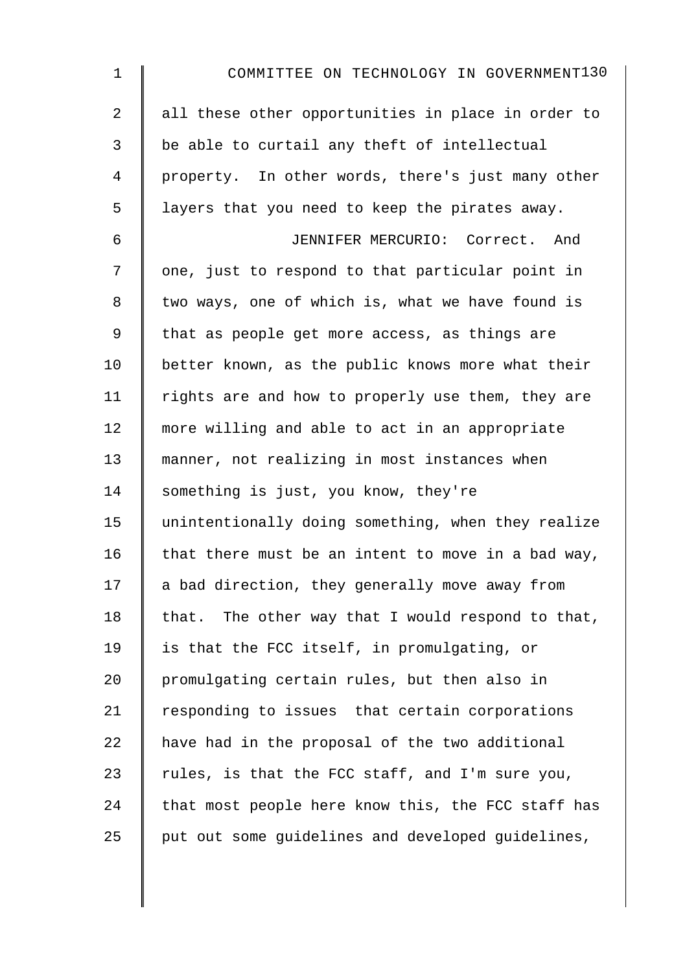| 1              | COMMITTEE ON TECHNOLOGY IN GOVERNMENT130           |
|----------------|----------------------------------------------------|
| $\overline{2}$ | all these other opportunities in place in order to |
| 3              | be able to curtail any theft of intellectual       |
| 4              | property. In other words, there's just many other  |
| 5              | layers that you need to keep the pirates away.     |
| 6              | JENNIFER MERCURIO: Correct. And                    |
| 7              | one, just to respond to that particular point in   |
| 8              | two ways, one of which is, what we have found is   |
| 9              | that as people get more access, as things are      |
| 10             | better known, as the public knows more what their  |
| 11             | rights are and how to properly use them, they are  |
| 12             | more willing and able to act in an appropriate     |
| 13             | manner, not realizing in most instances when       |
| 14             | something is just, you know, they're               |
| 15             | unintentionally doing something, when they realize |
| 16             | that there must be an intent to move in a bad way, |
| 17             | a bad direction, they generally move away from     |
| 18             | that. The other way that I would respond to that,  |
| 19             | is that the FCC itself, in promulgating, or        |
| 20             | promulgating certain rules, but then also in       |
| 21             | responding to issues that certain corporations     |
| 22             | have had in the proposal of the two additional     |
| 23             | rules, is that the FCC staff, and I'm sure you,    |
| 24             | that most people here know this, the FCC staff has |
| 25             | put out some guidelines and developed guidelines,  |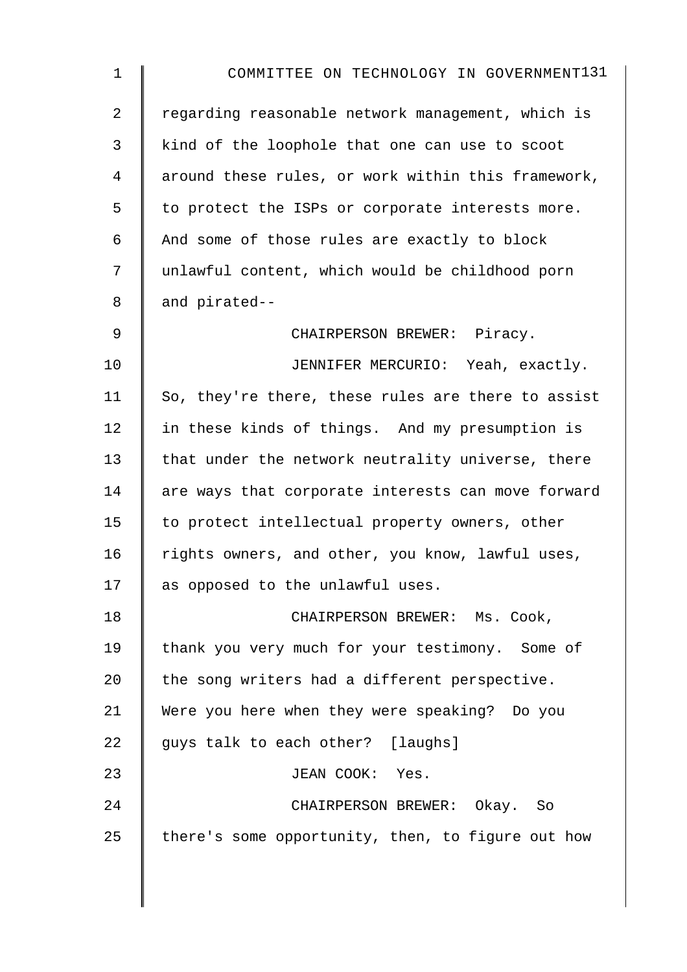| $\mathbf 1$    | COMMITTEE ON TECHNOLOGY IN GOVERNMENT131           |
|----------------|----------------------------------------------------|
| $\overline{a}$ | regarding reasonable network management, which is  |
| $\mathsf{3}$   | kind of the loophole that one can use to scoot     |
| $\overline{4}$ | around these rules, or work within this framework, |
| 5              | to protect the ISPs or corporate interests more.   |
| 6              | And some of those rules are exactly to block       |
| 7              | unlawful content, which would be childhood porn    |
| 8              | and pirated--                                      |
| 9              | CHAIRPERSON BREWER: Piracy.                        |
| 10             | JENNIFER MERCURIO: Yeah, exactly.                  |
| 11             | So, they're there, these rules are there to assist |
| 12             | in these kinds of things. And my presumption is    |
| 13             | that under the network neutrality universe, there  |
| 14             | are ways that corporate interests can move forward |
| 15             | to protect intellectual property owners, other     |
| 16             | rights owners, and other, you know, lawful uses,   |
| 17             | as opposed to the unlawful uses.                   |
| 18             | CHAIRPERSON BREWER: Ms. Cook,                      |
| 19             | thank you very much for your testimony. Some of    |
| 20             | the song writers had a different perspective.      |
| 21             | Were you here when they were speaking? Do you      |
| 22             | guys talk to each other? [laughs]                  |
| 23             | JEAN COOK: Yes.                                    |
| 24             | CHAIRPERSON BREWER: Okay. So                       |
| 25             | there's some opportunity, then, to figure out how  |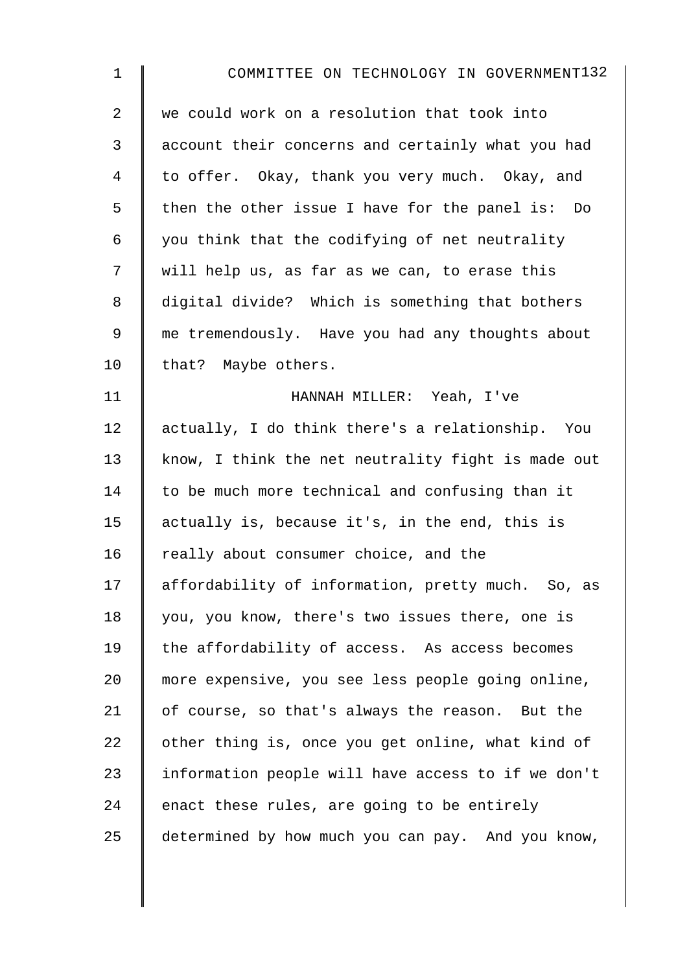| $\mathbf 1$    | COMMITTEE ON TECHNOLOGY IN GOVERNMENT132           |
|----------------|----------------------------------------------------|
| $\overline{a}$ | we could work on a resolution that took into       |
| 3              | account their concerns and certainly what you had  |
| 4              | to offer. Okay, thank you very much. Okay, and     |
| 5              | then the other issue I have for the panel is: Do   |
| 6              | you think that the codifying of net neutrality     |
| 7              | will help us, as far as we can, to erase this      |
| 8              | digital divide? Which is something that bothers    |
| $\mathsf 9$    | me tremendously. Have you had any thoughts about   |
| 10             | that? Maybe others.                                |
| 11             | HANNAH MILLER: Yeah, I've                          |
| 12             | actually, I do think there's a relationship. You   |
| 13             | know, I think the net neutrality fight is made out |
| 14             | to be much more technical and confusing than it    |
| 15             | actually is, because it's, in the end, this is     |
| 16             | really about consumer choice, and the              |
| 17             | affordability of information, pretty much. So, as  |
| 18             | you, you know, there's two issues there, one is    |
| 19             | the affordability of access. As access becomes     |
| 20             | more expensive, you see less people going online,  |
| 21             | of course, so that's always the reason. But the    |
| 22             | other thing is, once you get online, what kind of  |
| 23             | information people will have access to if we don't |
| 24             | enact these rules, are going to be entirely        |
| 25             | determined by how much you can pay. And you know,  |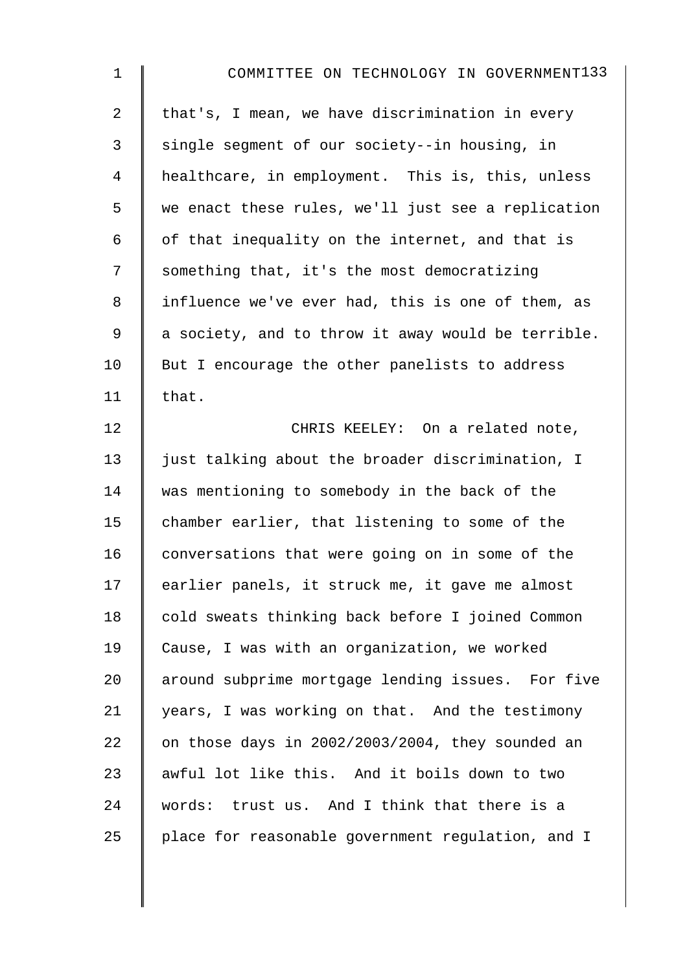| $\mathbf 1$    | COMMITTEE ON TECHNOLOGY IN GOVERNMENT133           |
|----------------|----------------------------------------------------|
| $\overline{a}$ | that's, I mean, we have discrimination in every    |
| 3              | single segment of our society--in housing, in      |
| $\overline{4}$ | healthcare, in employment. This is, this, unless   |
| 5              | we enact these rules, we'll just see a replication |
| 6              | of that inequality on the internet, and that is    |
| 7              | something that, it's the most democratizing        |
| 8              | influence we've ever had, this is one of them, as  |
| 9              | a society, and to throw it away would be terrible. |
| 10             | But I encourage the other panelists to address     |
| 11             | that.                                              |
| 12             | CHRIS KEELEY: On a related note,                   |
| 13             | just talking about the broader discrimination, I   |
| 14             | was mentioning to somebody in the back of the      |
| 15             | chamber earlier, that listening to some of the     |
| 16             | conversations that were going on in some of the    |
| 17             | earlier panels, it struck me, it gave me almost    |
| 18             | cold sweats thinking back before I joined Common   |
| 19             | Cause, I was with an organization, we worked       |
| 20             | around subprime mortgage lending issues. For five  |
| 21             | years, I was working on that. And the testimony    |
| 22             | on those days in 2002/2003/2004, they sounded an   |
| 23             | awful lot like this. And it boils down to two      |
| 24             | words: trust us. And I think that there is a       |
| 25             | place for reasonable government regulation, and I  |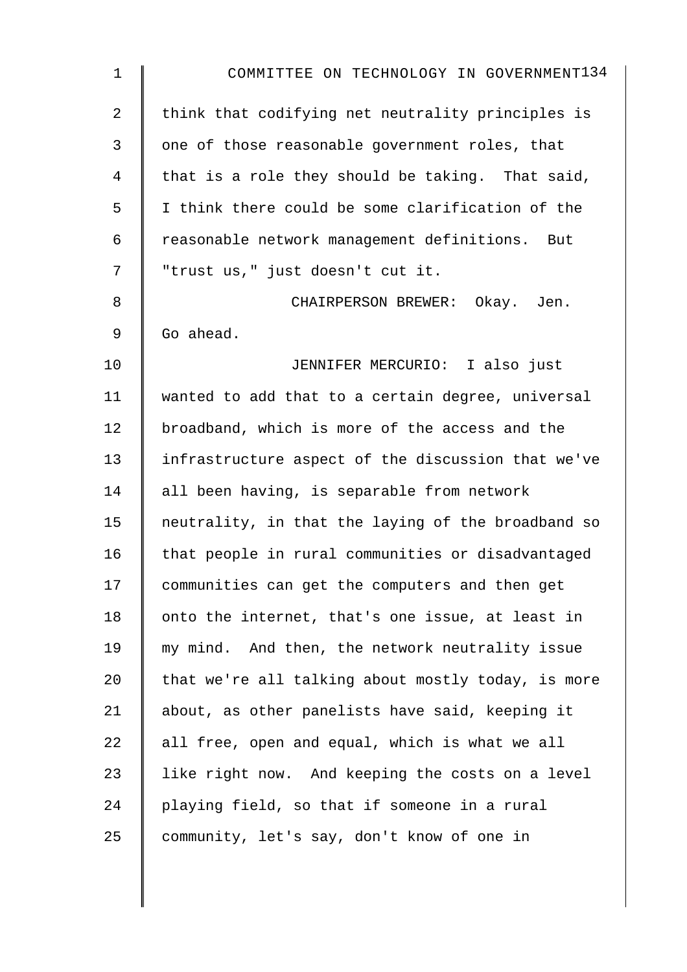| $\mathbf 1$ | COMMITTEE ON TECHNOLOGY IN GOVERNMENT134           |
|-------------|----------------------------------------------------|
| 2           | think that codifying net neutrality principles is  |
| 3           | one of those reasonable government roles, that     |
| 4           | that is a role they should be taking. That said,   |
| 5           | I think there could be some clarification of the   |
| 6           | reasonable network management definitions. But     |
| 7           | "trust us," just doesn't cut it.                   |
| 8           | CHAIRPERSON BREWER: Okay. Jen.                     |
| 9           | Go ahead.                                          |
| 10          | JENNIFER MERCURIO: I also just                     |
| 11          | wanted to add that to a certain degree, universal  |
| 12          | broadband, which is more of the access and the     |
| 13          | infrastructure aspect of the discussion that we've |
| 14          | all been having, is separable from network         |
| 15          | neutrality, in that the laying of the broadband so |
| 16          | that people in rural communities or disadvantaged  |
| 17          | communities can get the computers and then get     |
| 18          | onto the internet, that's one issue, at least in   |
| 19          | my mind. And then, the network neutrality issue    |
| 20          | that we're all talking about mostly today, is more |
| 21          | about, as other panelists have said, keeping it    |
| 22          | all free, open and equal, which is what we all     |
| 23          | like right now. And keeping the costs on a level   |
| 24          | playing field, so that if someone in a rural       |
| 25          | community, let's say, don't know of one in         |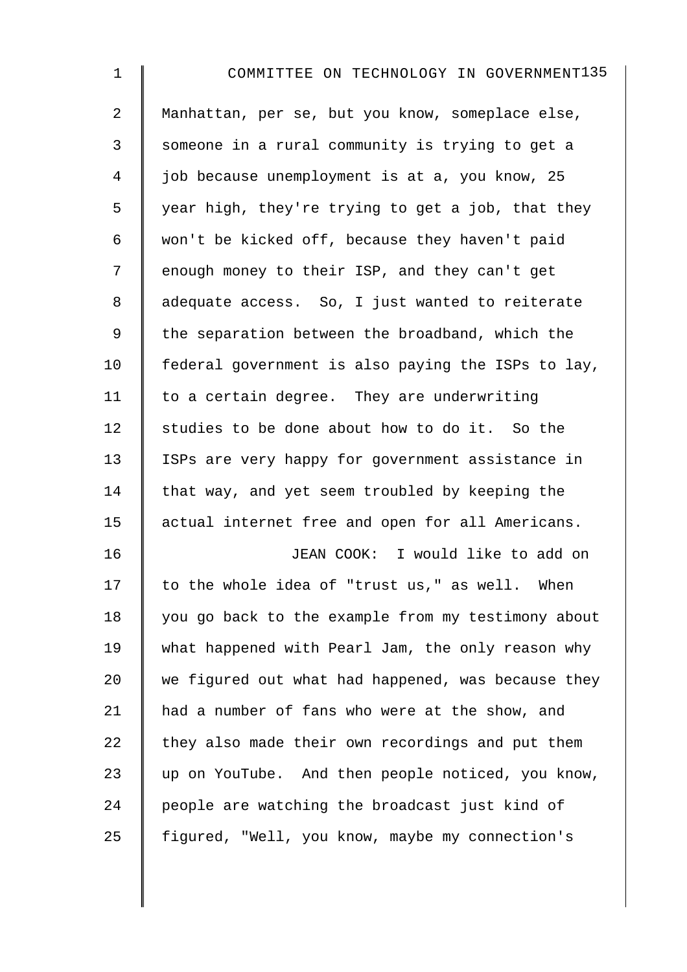| 1           | COMMITTEE ON TECHNOLOGY IN GOVERNMENT135           |
|-------------|----------------------------------------------------|
| 2           | Manhattan, per se, but you know, someplace else,   |
| 3           | someone in a rural community is trying to get a    |
| 4           | job because unemployment is at a, you know, 25     |
| 5           | year high, they're trying to get a job, that they  |
| 6           | won't be kicked off, because they haven't paid     |
| 7           | enough money to their ISP, and they can't get      |
| 8           | adequate access. So, I just wanted to reiterate    |
| $\mathsf 9$ | the separation between the broadband, which the    |
| 10          | federal government is also paying the ISPs to lay, |
| 11          | to a certain degree. They are underwriting         |
| 12          | studies to be done about how to do it. So the      |
| 13          | ISPs are very happy for government assistance in   |
| 14          | that way, and yet seem troubled by keeping the     |
| 15          | actual internet free and open for all Americans.   |
| 16          | JEAN COOK: I would like to add on                  |
| 17          | to the whole idea of "trust us," as well. When     |
| 18          | you go back to the example from my testimony about |
| 19          | what happened with Pearl Jam, the only reason why  |
| 20          | we figured out what had happened, was because they |
| 21          | had a number of fans who were at the show, and     |
| 22          | they also made their own recordings and put them   |
| 23          | up on YouTube. And then people noticed, you know,  |
| 24          | people are watching the broadcast just kind of     |
| 25          | figured, "Well, you know, maybe my connection's    |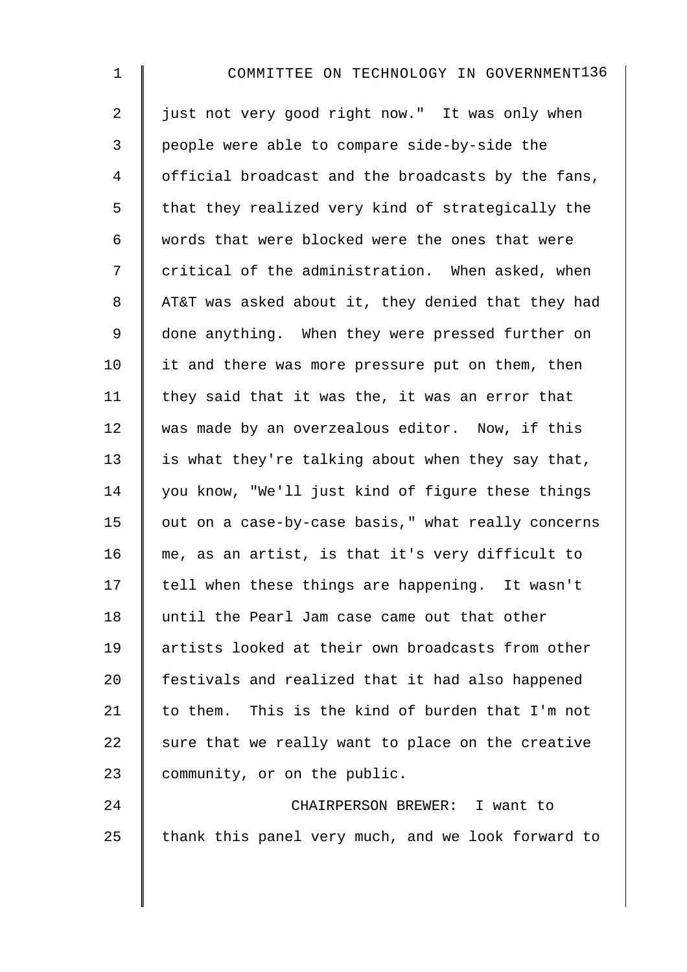1 COMMITTEE ON TECHNOLOGY IN GOVERNMENT136 2 | just not very good right now." It was only when 3 people were able to compare side-by-side the 4 | official broadcast and the broadcasts by the fans,  $5 \parallel$  that they realized very kind of strategically the 6 words that were blocked were the ones that were 7 | critical of the administration. When asked, when 8 | AT&T was asked about it, they denied that they had 9 | done anything. When they were pressed further on 10 | it and there was more pressure put on them, then 11  $\parallel$  they said that it was the, it was an error that 12 was made by an overzealous editor. Now, if this 13  $\parallel$  is what they're talking about when they say that, 14 you know, "We'll just kind of figure these things  $15$   $\parallel$  out on a case-by-case basis," what really concerns 16 me, as an artist, is that it's very difficult to 17 tell when these things are happening. It wasn't 18 until the Pearl Jam case came out that other 19 | artists looked at their own broadcasts from other 20 Festivals and realized that it had also happened 21  $\parallel$  to them. This is the kind of burden that I'm not 22  $\parallel$  sure that we really want to place on the creative 23  $\parallel$  community, or on the public. 24 **CHAIRPERSON BREWER:** I want to

25  $\parallel$  thank this panel very much, and we look forward to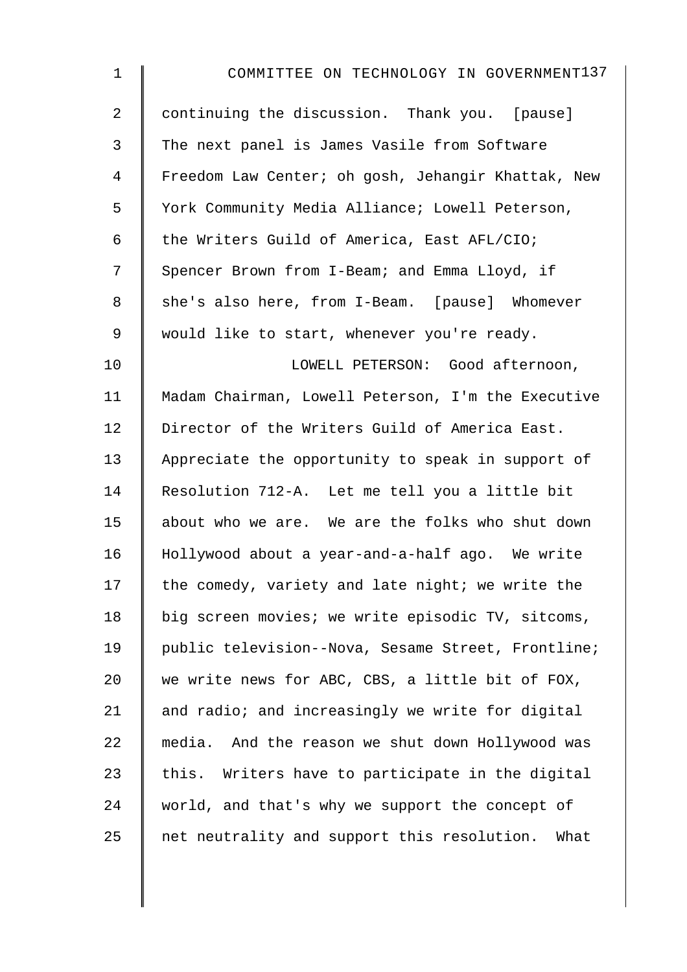| 1              | COMMITTEE ON TECHNOLOGY IN GOVERNMENT137            |
|----------------|-----------------------------------------------------|
| 2              | continuing the discussion. Thank you. [pause]       |
| 3              | The next panel is James Vasile from Software        |
| $\overline{4}$ | Freedom Law Center; oh gosh, Jehangir Khattak, New  |
| 5              | York Community Media Alliance; Lowell Peterson,     |
| 6              | the Writers Guild of America, East AFL/CIO;         |
| 7              | Spencer Brown from I-Beam; and Emma Lloyd, if       |
| 8              | she's also here, from I-Beam. [pause] Whomever      |
| $\mathsf 9$    | would like to start, whenever you're ready.         |
| 10             | LOWELL PETERSON: Good afternoon,                    |
| 11             | Madam Chairman, Lowell Peterson, I'm the Executive  |
| 12             | Director of the Writers Guild of America East.      |
| 13             | Appreciate the opportunity to speak in support of   |
| 14             | Resolution 712-A. Let me tell you a little bit      |
| 15             | about who we are. We are the folks who shut down    |
| 16             | Hollywood about a year-and-a-half ago. We write     |
| 17             | the comedy, variety and late night; we write the    |
| 18             | big screen movies; we write episodic TV, sitcoms,   |
| 19             | public television--Nova, Sesame Street, Frontline;  |
| 20             | we write news for ABC, CBS, a little bit of FOX,    |
| 21             | and radio; and increasingly we write for digital    |
| 22             | media. And the reason we shut down Hollywood was    |
| 23             | Writers have to participate in the digital<br>this. |
| 24             | world, and that's why we support the concept of     |
| 25             | net neutrality and support this resolution.<br>What |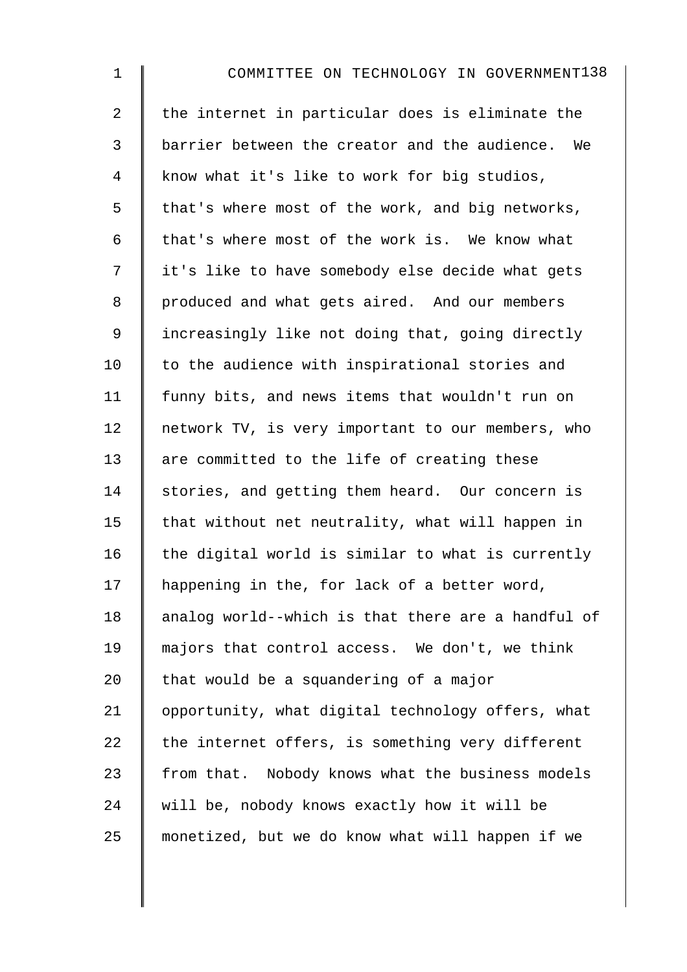| 1              | COMMITTEE ON TECHNOLOGY IN GOVERNMENT138           |
|----------------|----------------------------------------------------|
| $\overline{2}$ | the internet in particular does is eliminate the   |
| 3              | barrier between the creator and the audience. We   |
| 4              | know what it's like to work for big studios,       |
| 5              | that's where most of the work, and big networks,   |
| 6              | that's where most of the work is. We know what     |
| 7              | it's like to have somebody else decide what gets   |
| 8              | produced and what gets aired. And our members      |
| 9              | increasingly like not doing that, going directly   |
| 10             | to the audience with inspirational stories and     |
| 11             | funny bits, and news items that wouldn't run on    |
| 12             | network TV, is very important to our members, who  |
| 13             | are committed to the life of creating these        |
| 14             | stories, and getting them heard. Our concern is    |
| 15             | that without net neutrality, what will happen in   |
| 16             | the digital world is similar to what is currently  |
| 17             | happening in the, for lack of a better word,       |
| 18             | analog world--which is that there are a handful of |
| 19             | majors that control access. We don't, we think     |
| 20             | that would be a squandering of a major             |
| 21             | opportunity, what digital technology offers, what  |
| 22             | the internet offers, is something very different   |
| 23             | from that. Nobody knows what the business models   |
| 24             | will be, nobody knows exactly how it will be       |
| 25             | monetized, but we do know what will happen if we   |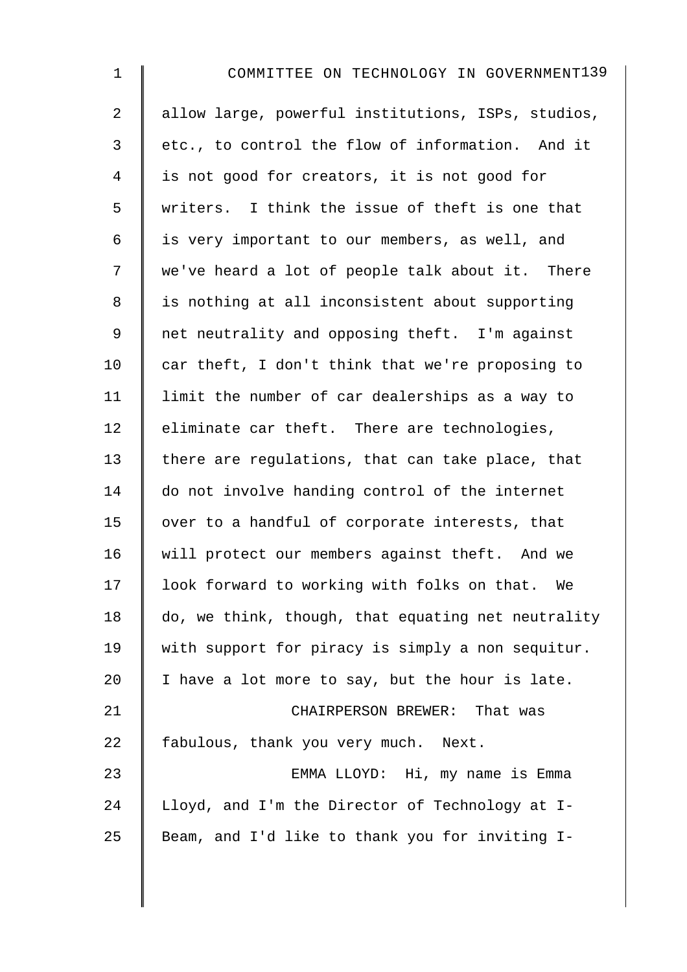| $\mathbf 1$    | COMMITTEE ON TECHNOLOGY IN GOVERNMENT139           |
|----------------|----------------------------------------------------|
| $\overline{2}$ | allow large, powerful institutions, ISPs, studios, |
| 3              | etc., to control the flow of information. And it   |
| 4              | is not good for creators, it is not good for       |
| 5              | writers. I think the issue of theft is one that    |
| 6              | is very important to our members, as well, and     |
| 7              | we've heard a lot of people talk about it. There   |
| 8              | is nothing at all inconsistent about supporting    |
| 9              | net neutrality and opposing theft. I'm against     |
| 10             | car theft, I don't think that we're proposing to   |
| 11             | limit the number of car dealerships as a way to    |
| 12             | eliminate car theft. There are technologies,       |
| 13             | there are regulations, that can take place, that   |
| 14             | do not involve handing control of the internet     |
| 15             | over to a handful of corporate interests, that     |
| 16             | will protect our members against theft. And we     |
| 17             | look forward to working with folks on that. We     |
| 18             | do, we think, though, that equating net neutrality |
| 19             | with support for piracy is simply a non sequitur.  |
| 20             | I have a lot more to say, but the hour is late.    |
| 21             | CHAIRPERSON BREWER: That was                       |
| 22             | fabulous, thank you very much.<br>Next.            |
| 23             | EMMA LLOYD: Hi, my name is Emma                    |
| 24             | Lloyd, and I'm the Director of Technology at I-    |
| 25             | Beam, and I'd like to thank you for inviting I-    |
|                |                                                    |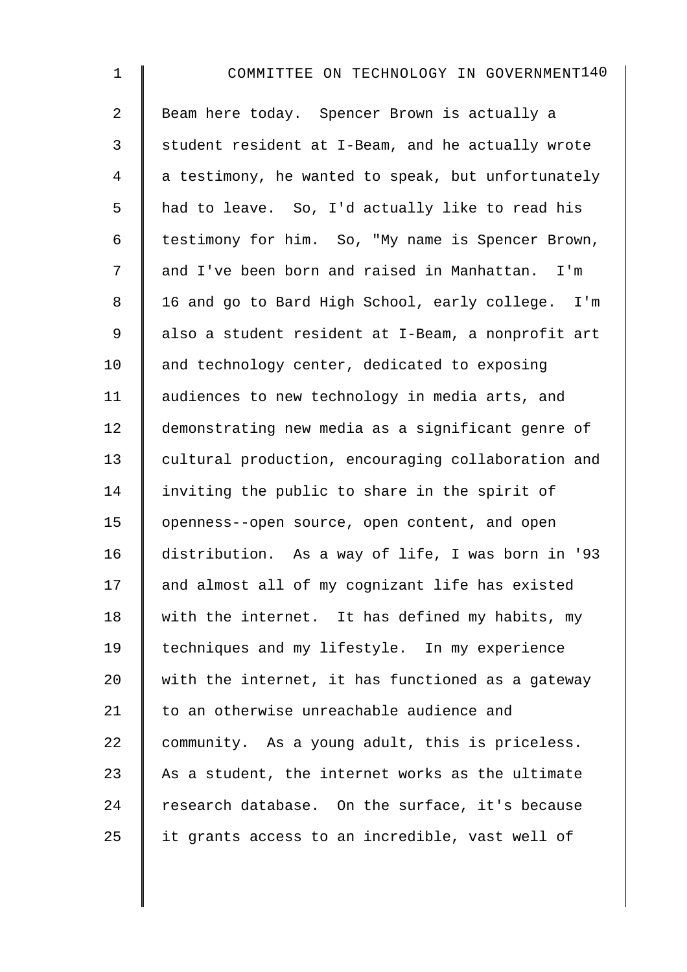| 1              | COMMITTEE ON TECHNOLOGY IN GOVERNMENT140           |
|----------------|----------------------------------------------------|
| $\overline{2}$ | Beam here today. Spencer Brown is actually a       |
| $\mathfrak{Z}$ | student resident at I-Beam, and he actually wrote  |
| 4              | a testimony, he wanted to speak, but unfortunately |
| 5              | had to leave. So, I'd actually like to read his    |
| 6              | testimony for him. So, "My name is Spencer Brown,  |
| 7              | and I've been born and raised in Manhattan. I'm    |
| 8              | 16 and go to Bard High School, early college. I'm  |
| 9              | also a student resident at I-Beam, a nonprofit art |
| 10             | and technology center, dedicated to exposing       |
| 11             | audiences to new technology in media arts, and     |
| 12             | demonstrating new media as a significant genre of  |
| 13             | cultural production, encouraging collaboration and |
| 14             | inviting the public to share in the spirit of      |
| 15             | openness--open source, open content, and open      |
| 16             | distribution. As a way of life, I was born in '93  |
| 17             | and almost all of my cognizant life has existed    |
| 18             | with the internet. It has defined my habits, my    |
| 19             | techniques and my lifestyle. In my experience      |
| 20             | with the internet, it has functioned as a gateway  |
| 21             | to an otherwise unreachable audience and           |
| 22             | community. As a young adult, this is priceless.    |
| 23             | As a student, the internet works as the ultimate   |
| 24             | research database. On the surface, it's because    |
| 25             | it grants access to an incredible, vast well of    |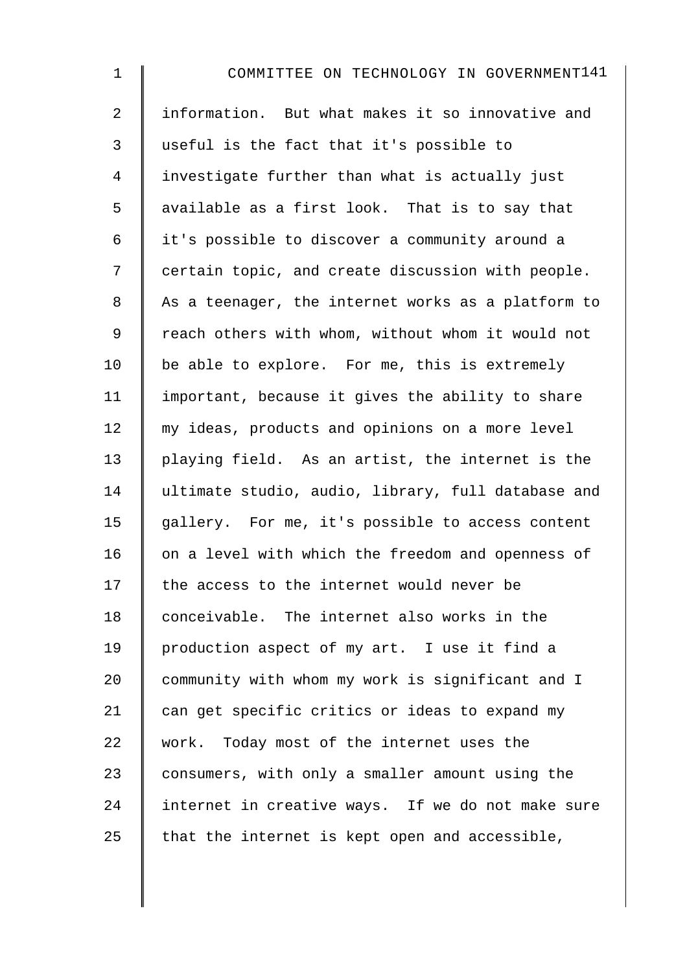1 COMMITTEE ON TECHNOLOGY IN GOVERNMENT141 2 information. But what makes it so innovative and 3 useful is the fact that it's possible to 4 investigate further than what is actually just 5  $\parallel$  available as a first look. That is to say that 6 it's possible to discover a community around a 7 | certain topic, and create discussion with people. 8 As a teenager, the internet works as a platform to 9 | reach others with whom, without whom it would not 10  $\parallel$  be able to explore. For me, this is extremely 11 important, because it gives the ability to share 12 || my ideas, products and opinions on a more level 13 | playing field. As an artist, the internet is the 14 Ultimate studio, audio, library, full database and  $15$  | gallery. For me, it's possible to access content 16  $\parallel$  on a level with which the freedom and openness of  $17$  | the access to the internet would never be 18 | conceivable. The internet also works in the 19 | production aspect of my art. I use it find a 20 community with whom my work is significant and I 21  $\parallel$  can get specific critics or ideas to expand my 22 work. Today most of the internet uses the 23 consumers, with only a smaller amount using the 24 internet in creative ways. If we do not make sure 25  $\parallel$  that the internet is kept open and accessible,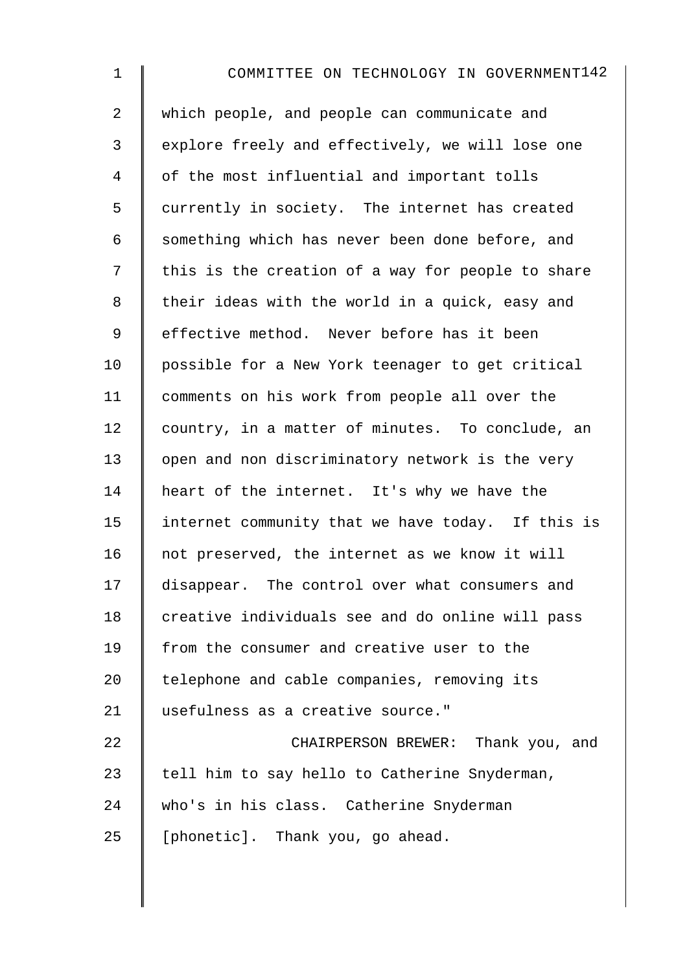1 COMMITTEE ON TECHNOLOGY IN GOVERNMENT142 2 which people, and people can communicate and 3 explore freely and effectively, we will lose one 4 | of the most influential and important tolls 5 currently in society. The internet has created 6 Something which has never been done before, and  $7 \parallel$  this is the creation of a way for people to share 8 | their ideas with the world in a quick, easy and 9 | effective method. Never before has it been 10 | possible for a New York teenager to get critical 11 comments on his work from people all over the 12 country, in a matter of minutes. To conclude, an 13 | open and non discriminatory network is the very 14 | heart of the internet. It's why we have the 15 | internet community that we have today. If this is 16  $\parallel$  not preserved, the internet as we know it will 17 disappear. The control over what consumers and 18 creative individuals see and do online will pass 19 Trom the consumer and creative user to the 20 telephone and cable companies, removing its 21 | usefulness as a creative source." 22 **CHAIRPERSON BREWER:** Thank you, and 23  $\parallel$  tell him to say hello to Catherine Snyderman, 24 who's in his class. Catherine Snyderman  $25$  [phonetic]. Thank you, go ahead.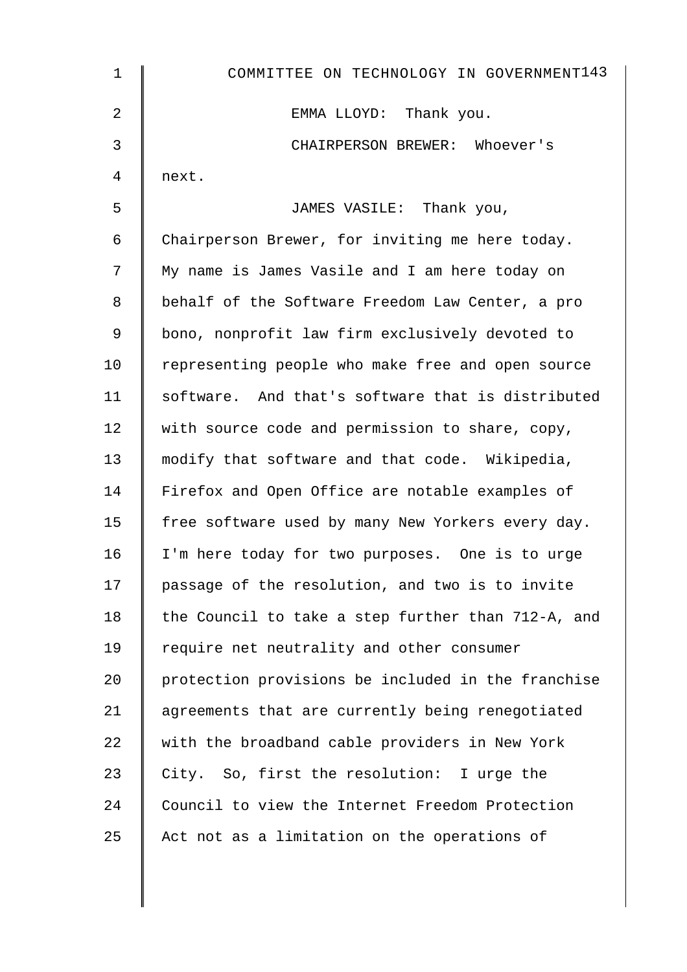| 1  | COMMITTEE ON TECHNOLOGY IN GOVERNMENT143           |
|----|----------------------------------------------------|
| 2  | EMMA LLOYD: Thank you.                             |
| 3  | CHAIRPERSON BREWER: Whoever's                      |
| 4  | next.                                              |
| 5  | JAMES VASILE: Thank you,                           |
| 6  | Chairperson Brewer, for inviting me here today.    |
| 7  | My name is James Vasile and I am here today on     |
| 8  | behalf of the Software Freedom Law Center, a pro   |
| 9  | bono, nonprofit law firm exclusively devoted to    |
| 10 | representing people who make free and open source  |
| 11 | software. And that's software that is distributed  |
| 12 | with source code and permission to share, copy,    |
| 13 | modify that software and that code. Wikipedia,     |
| 14 | Firefox and Open Office are notable examples of    |
| 15 | free software used by many New Yorkers every day.  |
| 16 | I'm here today for two purposes. One is to urge    |
| 17 | passage of the resolution, and two is to invite    |
| 18 | the Council to take a step further than 712-A, and |
| 19 | require net neutrality and other consumer          |
| 20 | protection provisions be included in the franchise |
| 21 | agreements that are currently being renegotiated   |
| 22 | with the broadband cable providers in New York     |
| 23 | City. So, first the resolution: I urge the         |
| 24 | Council to view the Internet Freedom Protection    |
| 25 | Act not as a limitation on the operations of       |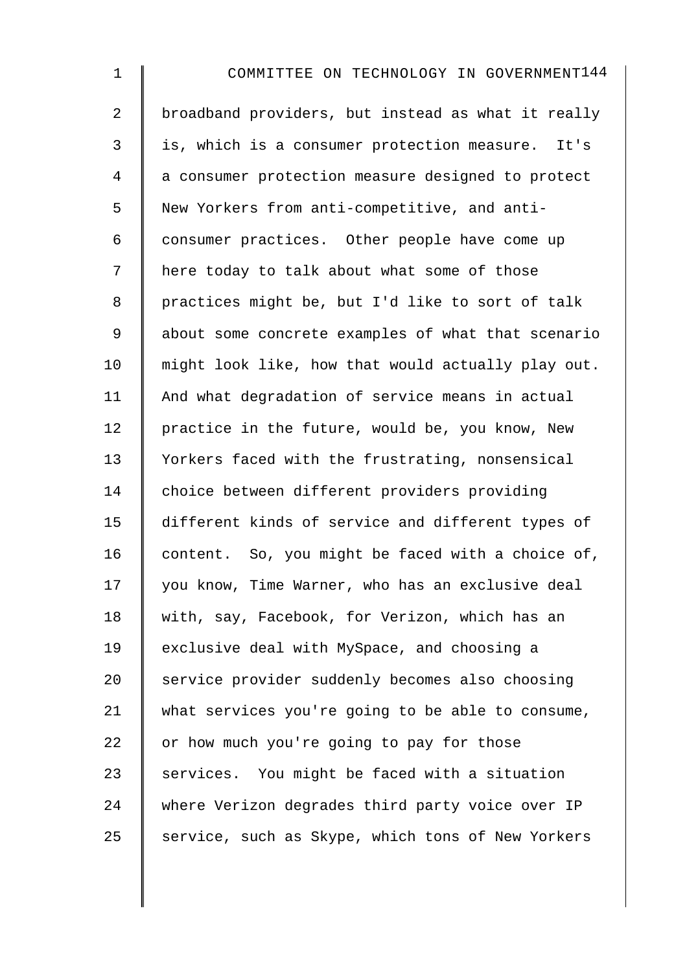| 1              | COMMITTEE ON TECHNOLOGY IN GOVERNMENT144           |
|----------------|----------------------------------------------------|
| $\overline{a}$ | broadband providers, but instead as what it really |
| 3              | is, which is a consumer protection measure. It's   |
| 4              | a consumer protection measure designed to protect  |
| 5              | New Yorkers from anti-competitive, and anti-       |
| 6              | consumer practices. Other people have come up      |
| 7              | here today to talk about what some of those        |
| 8              | practices might be, but I'd like to sort of talk   |
| 9              | about some concrete examples of what that scenario |
| 10             | might look like, how that would actually play out. |
| 11             | And what degradation of service means in actual    |
| 12             | practice in the future, would be, you know, New    |
| 13             | Yorkers faced with the frustrating, nonsensical    |
| 14             | choice between different providers providing       |
| 15             | different kinds of service and different types of  |
| 16             | content. So, you might be faced with a choice of,  |
| 17             | you know, Time Warner, who has an exclusive deal   |
| 18             | with, say, Facebook, for Verizon, which has an     |
| 19             | exclusive deal with MySpace, and choosing a        |
| 20             | service provider suddenly becomes also choosing    |
| 21             | what services you're going to be able to consume,  |
| 22             | or how much you're going to pay for those          |
| 23             | services. You might be faced with a situation      |
| 24             | where Verizon degrades third party voice over IP   |
| 25             | service, such as Skype, which tons of New Yorkers  |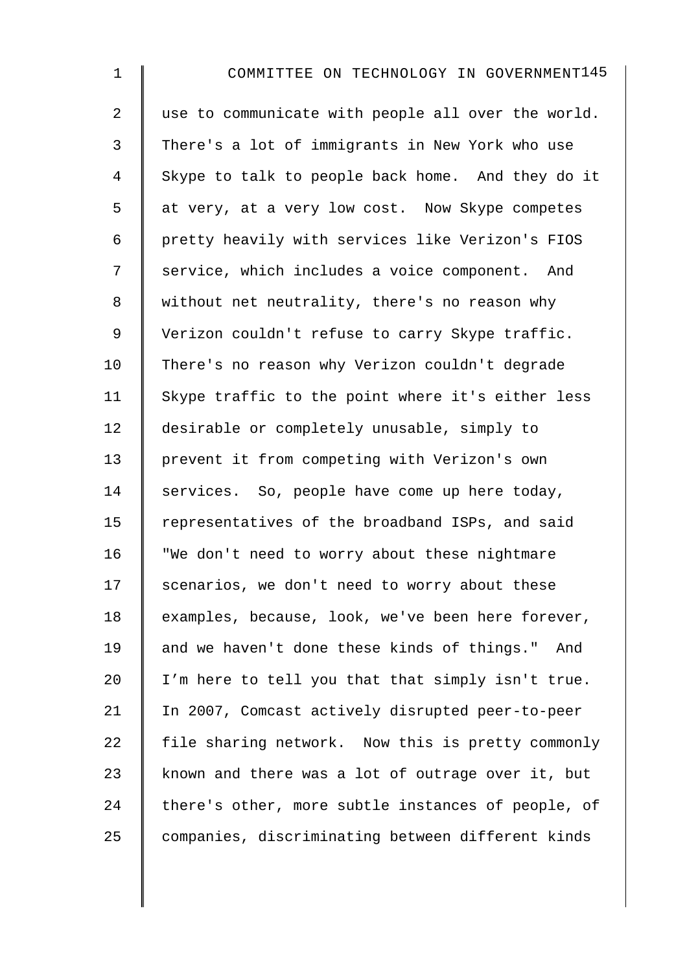| $\mathbf 1$    | COMMITTEE ON TECHNOLOGY IN GOVERNMENT145           |
|----------------|----------------------------------------------------|
| $\overline{2}$ | use to communicate with people all over the world. |
| 3              | There's a lot of immigrants in New York who use    |
| 4              | Skype to talk to people back home. And they do it  |
| 5              | at very, at a very low cost. Now Skype competes    |
| 6              | pretty heavily with services like Verizon's FIOS   |
| 7              | service, which includes a voice component. And     |
| 8              | without net neutrality, there's no reason why      |
| $\mathsf 9$    | Verizon couldn't refuse to carry Skype traffic.    |
| 10             | There's no reason why Verizon couldn't degrade     |
| 11             | Skype traffic to the point where it's either less  |
| 12             | desirable or completely unusable, simply to        |
| 13             | prevent it from competing with Verizon's own       |
| 14             | services. So, people have come up here today,      |
| 15             | representatives of the broadband ISPs, and said    |
| 16             | "We don't need to worry about these nightmare      |
| 17             | scenarios, we don't need to worry about these      |
| 18             | examples, because, look, we've been here forever,  |
| 19             | and we haven't done these kinds of things." And    |
| 20             | I'm here to tell you that that simply isn't true.  |
| 21             | In 2007, Comcast actively disrupted peer-to-peer   |
| 22             | file sharing network. Now this is pretty commonly  |
| 23             | known and there was a lot of outrage over it, but  |
| 24             | there's other, more subtle instances of people, of |
| 25             | companies, discriminating between different kinds  |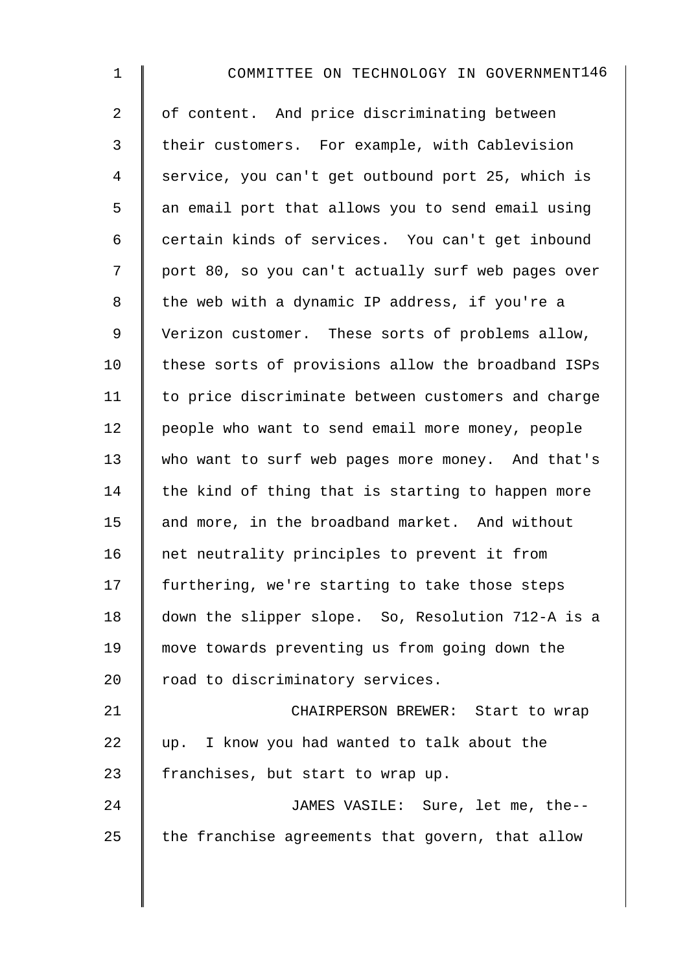| $\mathbf 1$    | COMMITTEE ON TECHNOLOGY IN GOVERNMENT146           |
|----------------|----------------------------------------------------|
| $\overline{2}$ | of content. And price discriminating between       |
| 3              | their customers. For example, with Cablevision     |
| 4              | service, you can't get outbound port 25, which is  |
| 5              | an email port that allows you to send email using  |
| 6              | certain kinds of services. You can't get inbound   |
| 7              | port 80, so you can't actually surf web pages over |
| 8              | the web with a dynamic IP address, if you're a     |
| 9              | Verizon customer. These sorts of problems allow,   |
| 10             | these sorts of provisions allow the broadband ISPs |
| 11             | to price discriminate between customers and charge |
| 12             | people who want to send email more money, people   |
| 13             | who want to surf web pages more money. And that's  |
| 14             | the kind of thing that is starting to happen more  |
| 15             | and more, in the broadband market. And without     |
| 16             | net neutrality principles to prevent it from       |
| 17             | furthering, we're starting to take those steps     |
| 18             | down the slipper slope. So, Resolution 712-A is a  |
| 19             | move towards preventing us from going down the     |
| 20             | road to discriminatory services.                   |
| 21             | CHAIRPERSON BREWER: Start to wrap                  |
| 22             | up. I know you had wanted to talk about the        |
| 23             | franchises, but start to wrap up.                  |
| 24             | JAMES VASILE: Sure, let me, the--                  |
| 25             | the franchise agreements that govern, that allow   |
|                |                                                    |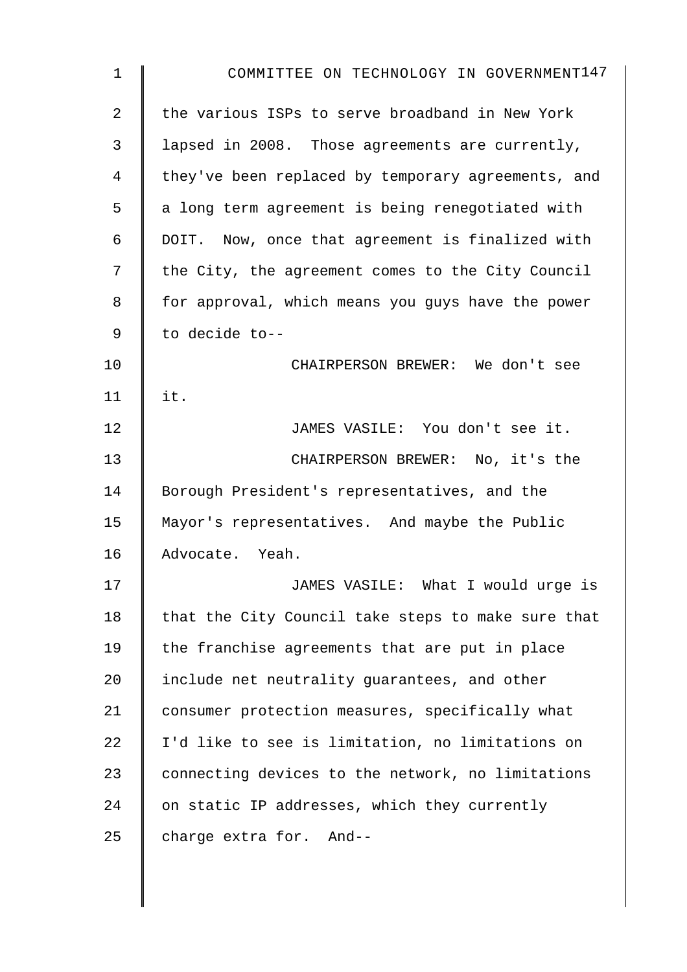| 1              | COMMITTEE ON TECHNOLOGY IN GOVERNMENT147           |
|----------------|----------------------------------------------------|
| $\overline{2}$ | the various ISPs to serve broadband in New York    |
| 3              | lapsed in 2008. Those agreements are currently,    |
| 4              | they've been replaced by temporary agreements, and |
| 5              | a long term agreement is being renegotiated with   |
| 6              | DOIT. Now, once that agreement is finalized with   |
| 7              | the City, the agreement comes to the City Council  |
| 8              | for approval, which means you guys have the power  |
| $\mathsf 9$    | to decide to--                                     |
| 10             | CHAIRPERSON BREWER: We don't see                   |
| 11             | it.                                                |
| 12             | JAMES VASILE: You don't see it.                    |
| 13             | CHAIRPERSON BREWER: No, it's the                   |
| 14             | Borough President's representatives, and the       |
| 15             | Mayor's representatives. And maybe the Public      |
| 16             | Advocate. Yeah.                                    |
| 17             | JAMES VASILE: What I would urge is                 |
| 18             | that the City Council take steps to make sure that |
| 19             | the franchise agreements that are put in place     |
| 20             | include net neutrality guarantees, and other       |
| 21             | consumer protection measures, specifically what    |
| 22             | I'd like to see is limitation, no limitations on   |
| 23             | connecting devices to the network, no limitations  |
| 24             | on static IP addresses, which they currently       |
| 25             | charge extra for. And--                            |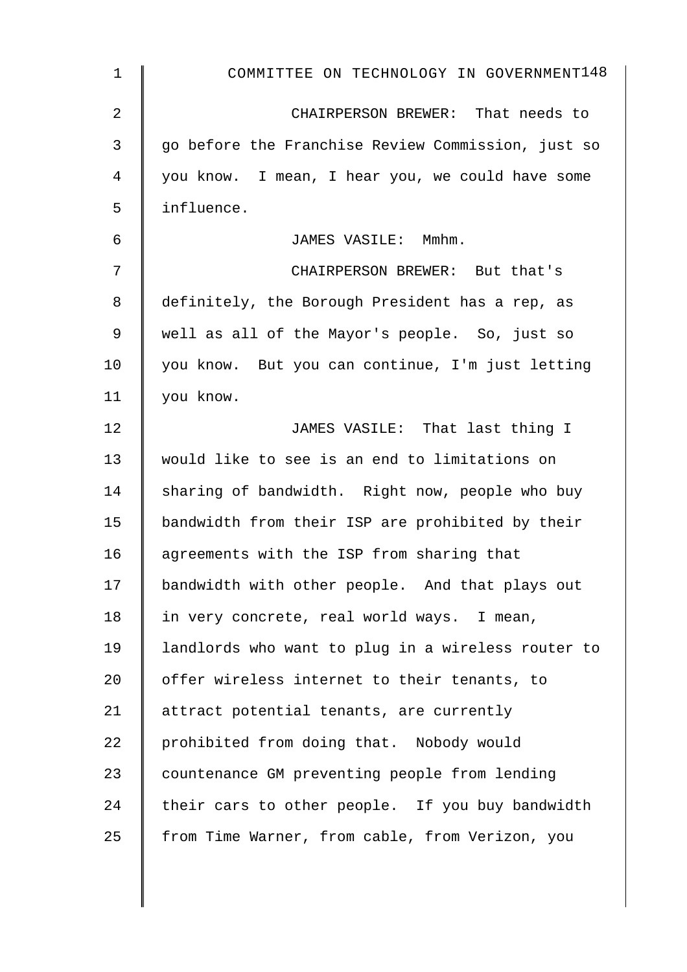| $\mathbf 1$ | COMMITTEE ON TECHNOLOGY IN GOVERNMENT148           |
|-------------|----------------------------------------------------|
| 2           | CHAIRPERSON BREWER: That needs to                  |
| 3           | go before the Franchise Review Commission, just so |
| 4           | you know. I mean, I hear you, we could have some   |
| 5           | influence.                                         |
| 6           | JAMES VASILE: Mmhm.                                |
| 7           | CHAIRPERSON BREWER: But that's                     |
| 8           | definitely, the Borough President has a rep, as    |
| 9           | well as all of the Mayor's people. So, just so     |
| 10          | you know. But you can continue, I'm just letting   |
| 11          | you know.                                          |
| 12          | JAMES VASILE: That last thing I                    |
| 13          | would like to see is an end to limitations on      |
| 14          | sharing of bandwidth. Right now, people who buy    |
| 15          | bandwidth from their ISP are prohibited by their   |
| 16          | agreements with the ISP from sharing that          |
| 17          | bandwidth with other people. And that plays out    |
| 18          | in very concrete, real world ways. I mean,         |
| 19          | landlords who want to plug in a wireless router to |
| 20          | offer wireless internet to their tenants, to       |
| 21          | attract potential tenants, are currently           |
| 22          | prohibited from doing that. Nobody would           |
| 23          | countenance GM preventing people from lending      |
| 24          | their cars to other people. If you buy bandwidth   |
| 25          | from Time Warner, from cable, from Verizon, you    |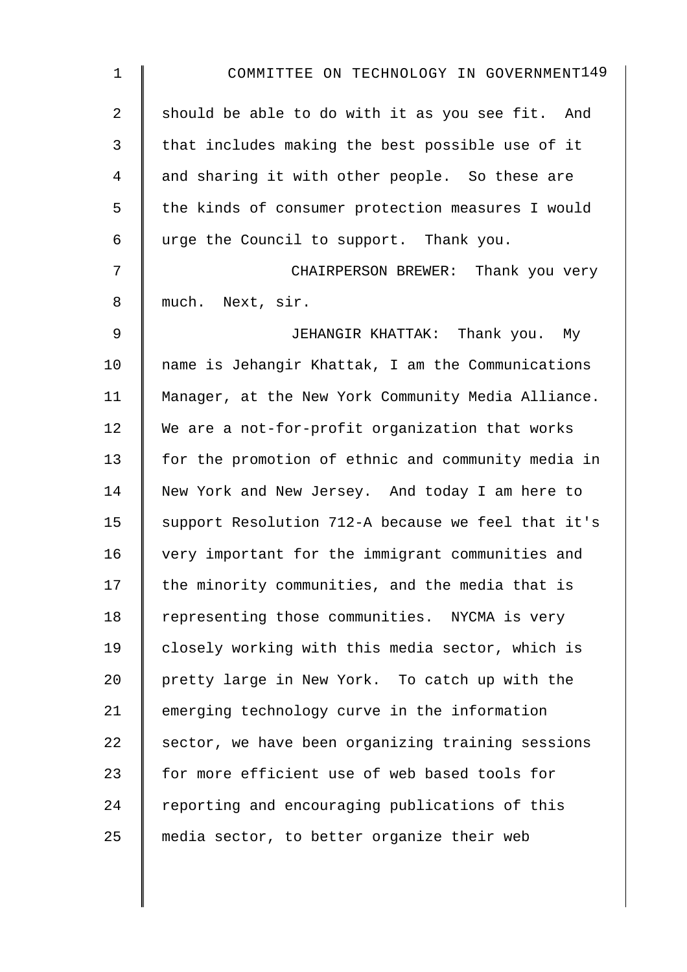| $\mathbf 1$ | COMMITTEE ON TECHNOLOGY IN GOVERNMENT149           |
|-------------|----------------------------------------------------|
| 2           | should be able to do with it as you see fit. And   |
| 3           | that includes making the best possible use of it   |
| 4           | and sharing it with other people. So these are     |
| 5           | the kinds of consumer protection measures I would  |
| 6           | urge the Council to support. Thank you.            |
| 7           | CHAIRPERSON BREWER: Thank you very                 |
| 8           | much. Next, sir.                                   |
| 9           | JEHANGIR KHATTAK: Thank you. My                    |
| 10          | name is Jehangir Khattak, I am the Communications  |
| 11          | Manager, at the New York Community Media Alliance. |
| 12          | We are a not-for-profit organization that works    |
| 13          | for the promotion of ethnic and community media in |
| 14          | New York and New Jersey. And today I am here to    |
| 15          | support Resolution 712-A because we feel that it's |
| 16          | very important for the immigrant communities and   |
| 17          | the minority communities, and the media that is    |
| 18          | representing those communities. NYCMA is very      |
| 19          | closely working with this media sector, which is   |
| 20          | pretty large in New York. To catch up with the     |
| 21          | emerging technology curve in the information       |
| 22          | sector, we have been organizing training sessions  |
| 23          | for more efficient use of web based tools for      |
| 24          | reporting and encouraging publications of this     |
| 25          | media sector, to better organize their web         |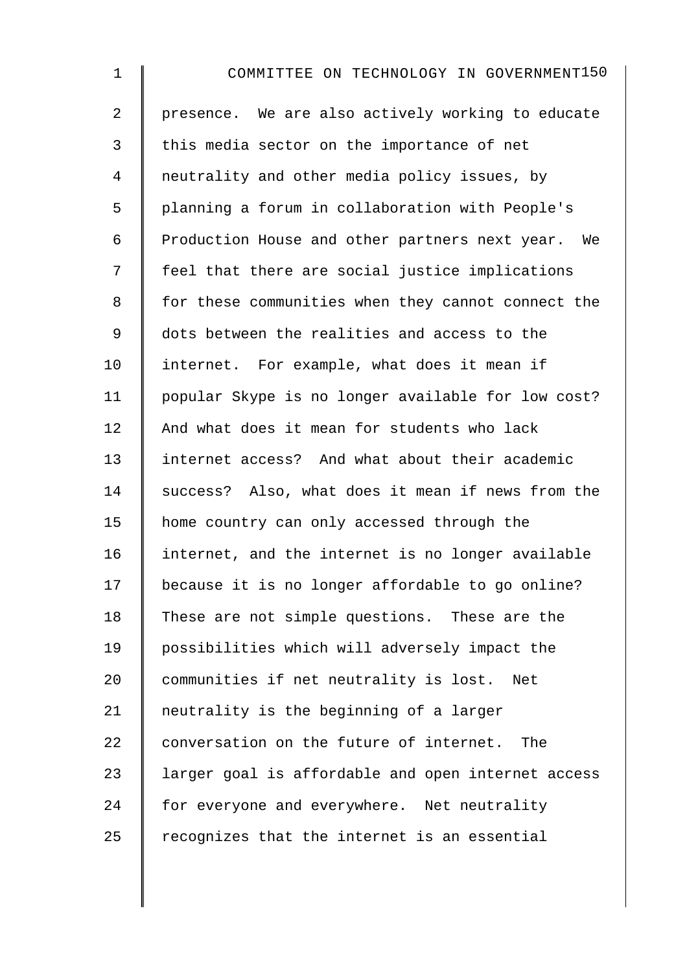1 COMMITTEE ON TECHNOLOGY IN GOVERNMENT150 2 | presence. We are also actively working to educate 3 Ithis media sector on the importance of net 4 neutrality and other media policy issues, by 5 | planning a forum in collaboration with People's 6 | Production House and other partners next year. We 7 | feel that there are social justice implications 8 | for these communities when they cannot connect the 9 dots between the realities and access to the 10 | internet. For example, what does it mean if 11 popular Skype is no longer available for low cost? 12  $\parallel$  And what does it mean for students who lack 13 internet access? And what about their academic 14 success? Also, what does it mean if news from the 15 home country can only accessed through the 16 internet, and the internet is no longer available 17 because it is no longer affordable to go online? 18 These are not simple questions. These are the 19 possibilities which will adversely impact the 20 communities if net neutrality is lost. Net 21  $\parallel$  neutrality is the beginning of a larger 22 conversation on the future of internet. The 23 | larger goal is affordable and open internet access 24 for everyone and everywhere. Net neutrality  $25$  recognizes that the internet is an essential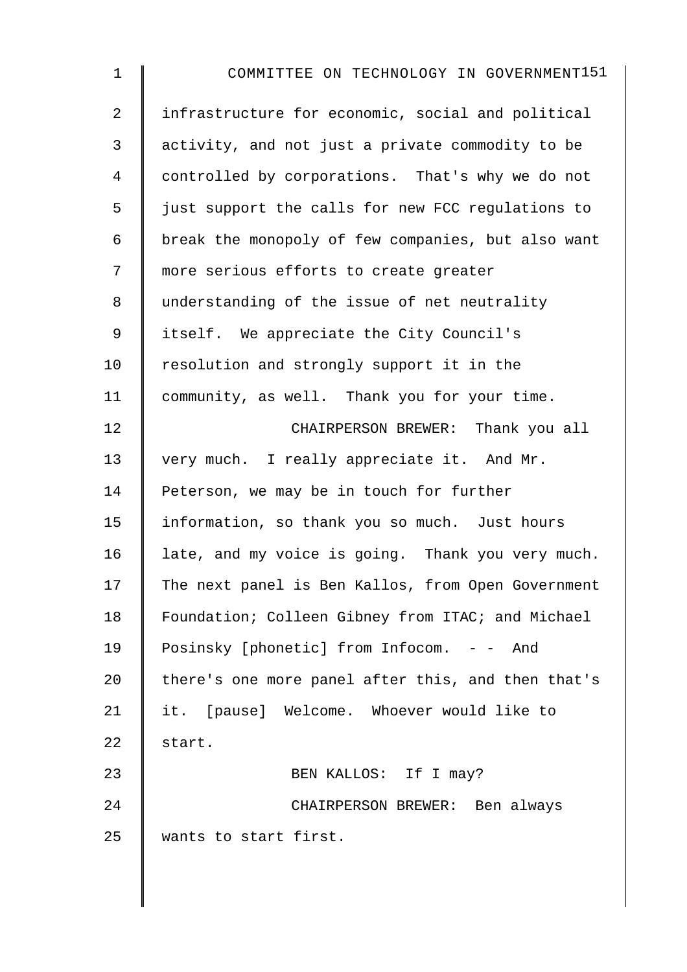| $\mathbf 1$    | COMMITTEE ON TECHNOLOGY IN GOVERNMENT151           |
|----------------|----------------------------------------------------|
| $\overline{a}$ | infrastructure for economic, social and political  |
| 3              | activity, and not just a private commodity to be   |
| 4              | controlled by corporations. That's why we do not   |
| 5              | just support the calls for new FCC regulations to  |
| 6              | break the monopoly of few companies, but also want |
| 7              | more serious efforts to create greater             |
| 8              | understanding of the issue of net neutrality       |
| 9              | itself. We appreciate the City Council's           |
| 10             | resolution and strongly support it in the          |
| 11             | community, as well. Thank you for your time.       |
| 12             | CHAIRPERSON BREWER: Thank you all                  |
| 13             | very much. I really appreciate it. And Mr.         |
| 14             | Peterson, we may be in touch for further           |
| 15             | information, so thank you so much. Just hours      |
| 16             | late, and my voice is going. Thank you very much.  |
| 17             | The next panel is Ben Kallos, from Open Government |
| 18             | Foundation; Colleen Gibney from ITAC; and Michael  |
| 19             | Posinsky [phonetic] from Infocom. - -<br>And       |
| 20             | there's one more panel after this, and then that's |
| 21             | it. [pause] Welcome. Whoever would like to         |
| 22             | start.                                             |
| 23             | BEN KALLOS: If I may?                              |
| 24             | CHAIRPERSON BREWER: Ben always                     |
| 25             | wants to start first.                              |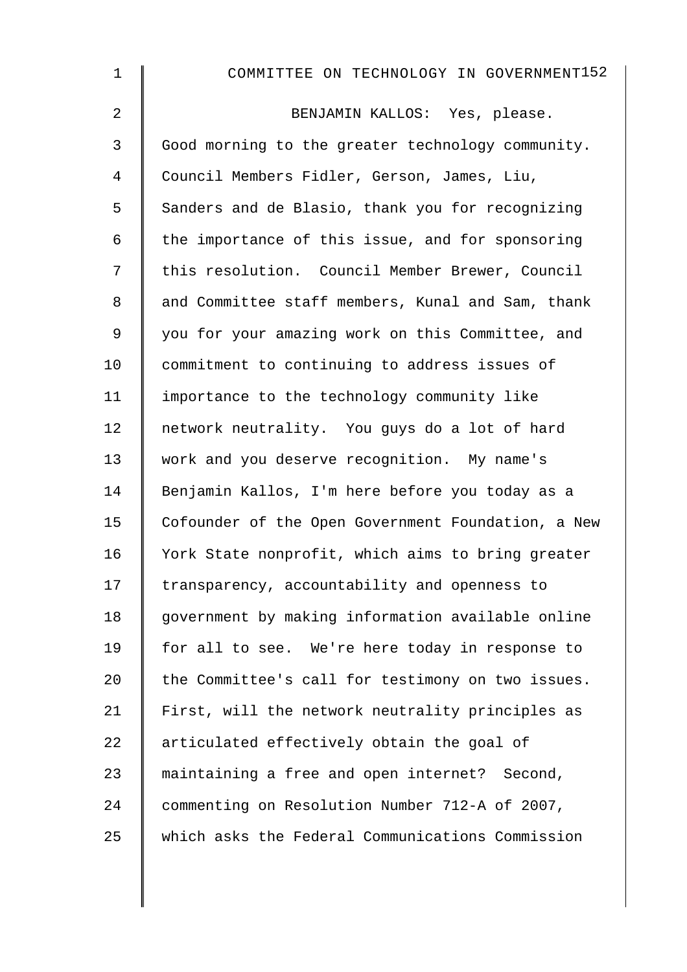| $\mathbf 1$    | COMMITTEE ON TECHNOLOGY IN GOVERNMENT152           |
|----------------|----------------------------------------------------|
| $\overline{2}$ | BENJAMIN KALLOS: Yes, please.                      |
| 3              | Good morning to the greater technology community.  |
| 4              | Council Members Fidler, Gerson, James, Liu,        |
| 5              | Sanders and de Blasio, thank you for recognizing   |
| 6              | the importance of this issue, and for sponsoring   |
| 7              | this resolution. Council Member Brewer, Council    |
| 8              | and Committee staff members, Kunal and Sam, thank  |
| 9              | you for your amazing work on this Committee, and   |
| 10             | commitment to continuing to address issues of      |
| 11             | importance to the technology community like        |
| 12             | network neutrality. You guys do a lot of hard      |
| 13             | work and you deserve recognition. My name's        |
| 14             | Benjamin Kallos, I'm here before you today as a    |
| 15             | Cofounder of the Open Government Foundation, a New |
| 16             | York State nonprofit, which aims to bring greater  |
| 17             | transparency, accountability and openness to       |
| 18             | government by making information available online  |
| 19             | for all to see. We're here today in response to    |
| 20             | the Committee's call for testimony on two issues.  |
| 21             | First, will the network neutrality principles as   |
| 22             | articulated effectively obtain the goal of         |
| 23             | maintaining a free and open internet? Second,      |
| 24             | commenting on Resolution Number 712-A of 2007,     |
| 25             | which asks the Federal Communications Commission   |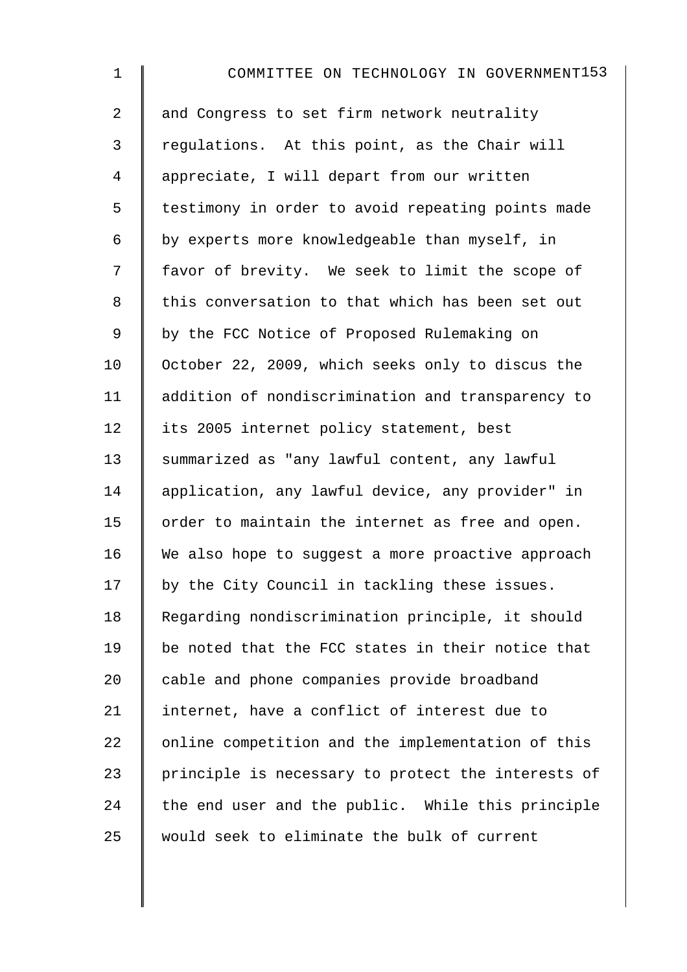1 COMMITTEE ON TECHNOLOGY IN GOVERNMENT153 2 and Congress to set firm network neutrality 3 | regulations. At this point, as the Chair will 4 | appreciate, I will depart from our written 5 | testimony in order to avoid repeating points made 6 | by experts more knowledgeable than myself, in 7 | favor of brevity. We seek to limit the scope of 8 | this conversation to that which has been set out 9 | by the FCC Notice of Proposed Rulemaking on 10 | October 22, 2009, which seeks only to discus the 11 | addition of nondiscrimination and transparency to 12 | its 2005 internet policy statement, best 13 Summarized as "any lawful content, any lawful 14 | application, any lawful device, any provider" in 15  $\parallel$  order to maintain the internet as free and open. 16 We also hope to suggest a more proactive approach  $17$  by the City Council in tackling these issues. 18 Regarding nondiscrimination principle, it should 19  $\parallel$  be noted that the FCC states in their notice that 20 cable and phone companies provide broadband 21 internet, have a conflict of interest due to  $22$   $\parallel$  online competition and the implementation of this 23 | principle is necessary to protect the interests of 24 the end user and the public. While this principle  $25$  would seek to eliminate the bulk of current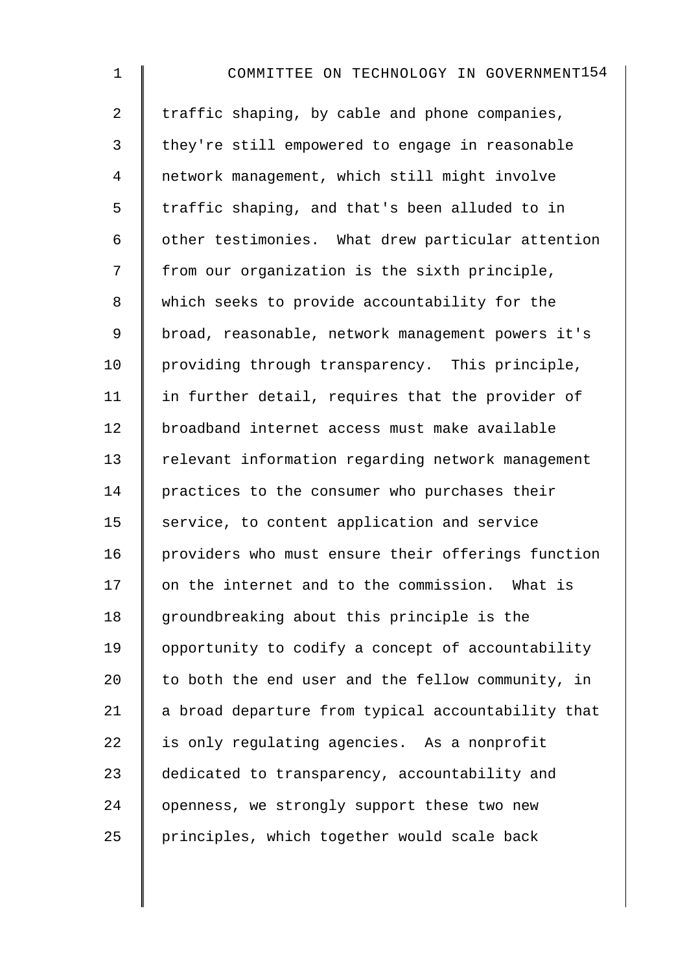| $\mathbf 1$    | COMMITTEE ON TECHNOLOGY IN GOVERNMENT154           |
|----------------|----------------------------------------------------|
| $\overline{2}$ | traffic shaping, by cable and phone companies,     |
| 3              | they're still empowered to engage in reasonable    |
| 4              | network management, which still might involve      |
| 5              | traffic shaping, and that's been alluded to in     |
| 6              | other testimonies. What drew particular attention  |
| 7              | from our organization is the sixth principle,      |
| 8              | which seeks to provide accountability for the      |
| 9              | broad, reasonable, network management powers it's  |
| 10             | providing through transparency. This principle,    |
| 11             | in further detail, requires that the provider of   |
| 12             | broadband internet access must make available      |
| 13             | relevant information regarding network management  |
| 14             | practices to the consumer who purchases their      |
| 15             | service, to content application and service        |
| 16             | providers who must ensure their offerings function |
| 17             | on the internet and to the commission. What is     |
| 18             | groundbreaking about this principle is the         |
| 19             | opportunity to codify a concept of accountability  |
| 20             | to both the end user and the fellow community, in  |
| 21             | a broad departure from typical accountability that |
| 22             | is only regulating agencies. As a nonprofit        |
| 23             | dedicated to transparency, accountability and      |
| 24             | openness, we strongly support these two new        |
| 25             | principles, which together would scale back        |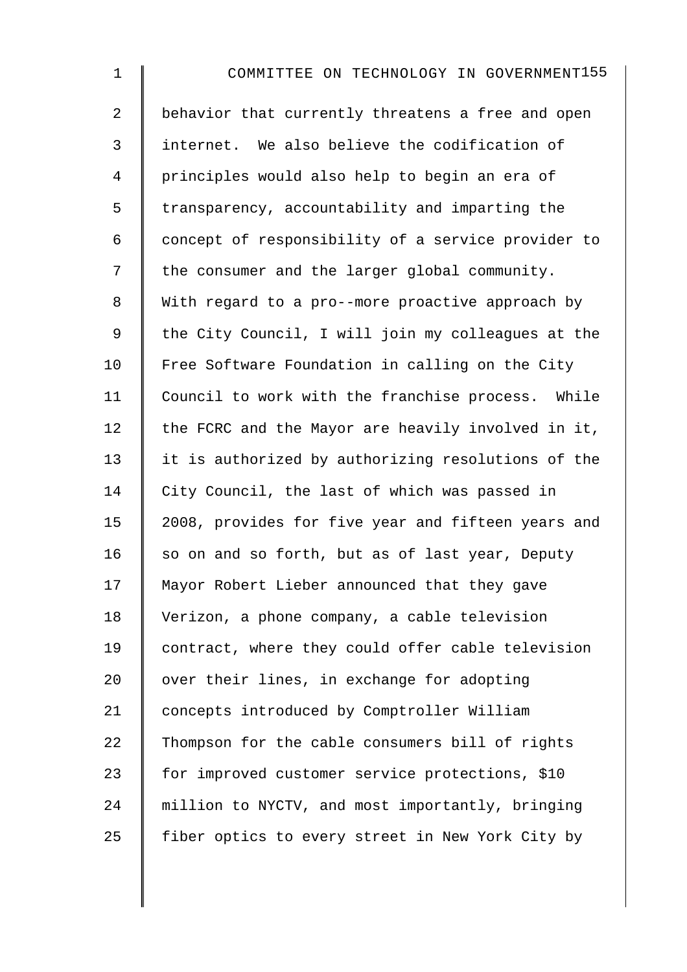| 1           | COMMITTEE ON TECHNOLOGY IN GOVERNMENT155           |
|-------------|----------------------------------------------------|
| 2           | behavior that currently threatens a free and open  |
| 3           | internet. We also believe the codification of      |
| 4           | principles would also help to begin an era of      |
| 5           | transparency, accountability and imparting the     |
| 6           | concept of responsibility of a service provider to |
| 7           | the consumer and the larger global community.      |
| 8           | With regard to a pro--more proactive approach by   |
| $\mathsf 9$ | the City Council, I will join my colleagues at the |
| 10          | Free Software Foundation in calling on the City    |
| 11          | Council to work with the franchise process. While  |
| 12          | the FCRC and the Mayor are heavily involved in it, |
| 13          | it is authorized by authorizing resolutions of the |
| 14          | City Council, the last of which was passed in      |
| 15          | 2008, provides for five year and fifteen years and |
| 16          | so on and so forth, but as of last year, Deputy    |
| 17          | Mayor Robert Lieber announced that they gave       |
| 18          | Verizon, a phone company, a cable television       |
| 19          | contract, where they could offer cable television  |
| 20          | over their lines, in exchange for adopting         |
| 21          | concepts introduced by Comptroller William         |
| 22          | Thompson for the cable consumers bill of rights    |
| 23          | for improved customer service protections, \$10    |
| 24          | million to NYCTV, and most importantly, bringing   |
| 25          | fiber optics to every street in New York City by   |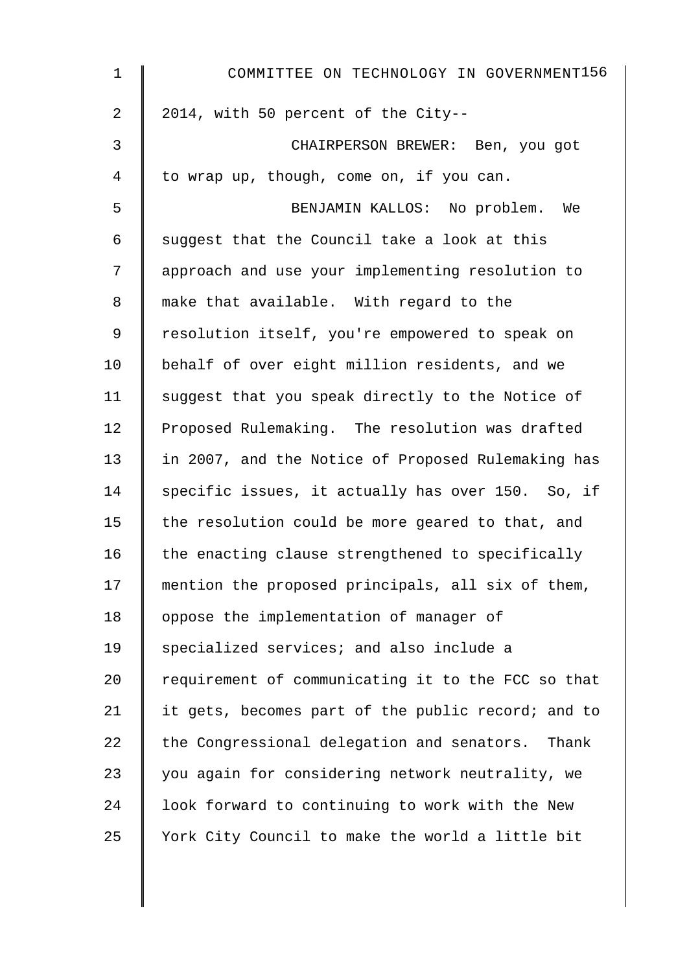| 1               | COMMITTEE ON TECHNOLOGY IN GOVERNMENT156           |
|-----------------|----------------------------------------------------|
| 2               | 2014, with 50 percent of the City--                |
| 3               | CHAIRPERSON BREWER: Ben, you got                   |
| 4               | to wrap up, though, come on, if you can.           |
| 5               | BENJAMIN KALLOS: No problem. We                    |
| 6               | suggest that the Council take a look at this       |
| 7               | approach and use your implementing resolution to   |
| 8               | make that available. With regard to the            |
| 9               | resolution itself, you're empowered to speak on    |
| 10 <sub>1</sub> | behalf of over eight million residents, and we     |
| 11              | suggest that you speak directly to the Notice of   |
| 12              | Proposed Rulemaking. The resolution was drafted    |
| 13              | in 2007, and the Notice of Proposed Rulemaking has |
| 14              | specific issues, it actually has over 150. So, if  |
| 15              | the resolution could be more geared to that, and   |
| 16              | the enacting clause strengthened to specifically   |
| 17              | mention the proposed principals, all six of them,  |
| 18              | oppose the implementation of manager of            |
| 19              | specialized services; and also include a           |
| 20              | requirement of communicating it to the FCC so that |
| 21              | it gets, becomes part of the public record; and to |
| 22              | the Congressional delegation and senators. Thank   |
| 23              | you again for considering network neutrality, we   |
| 24              | look forward to continuing to work with the New    |
| 25              | York City Council to make the world a little bit   |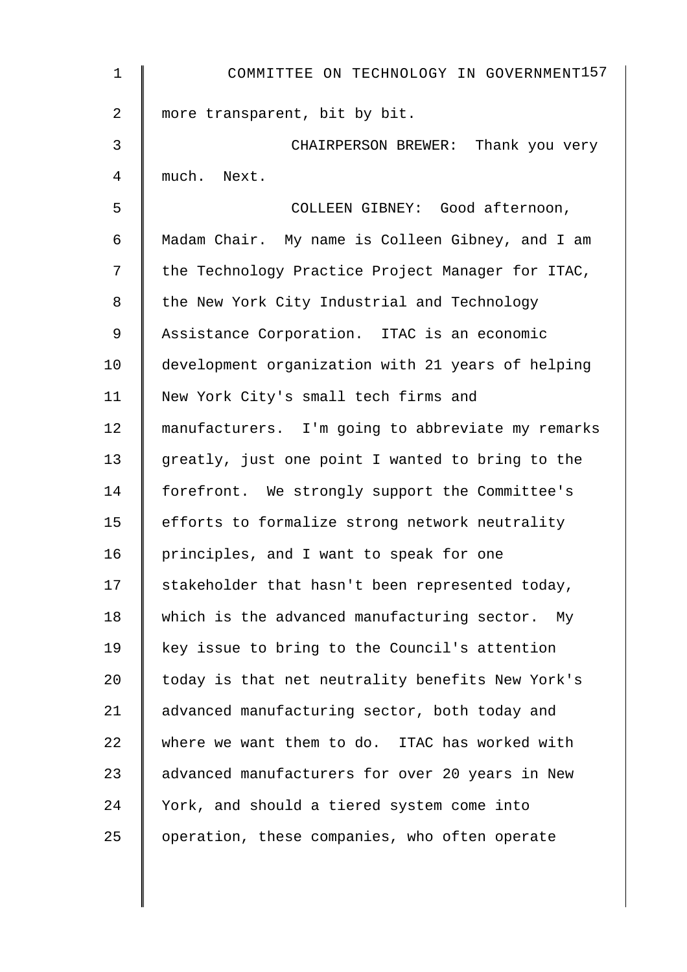| $\mathbf 1$ | COMMITTEE ON TECHNOLOGY IN GOVERNMENT157          |
|-------------|---------------------------------------------------|
| 2           | more transparent, bit by bit.                     |
| 3           | CHAIRPERSON BREWER: Thank you very                |
| 4           | much. Next.                                       |
| 5           | COLLEEN GIBNEY: Good afternoon,                   |
| 6           | Madam Chair. My name is Colleen Gibney, and I am  |
| 7           | the Technology Practice Project Manager for ITAC, |
| 8           | the New York City Industrial and Technology       |
| 9           | Assistance Corporation. ITAC is an economic       |
| 10          | development organization with 21 years of helping |
| 11          | New York City's small tech firms and              |
| 12          | manufacturers. I'm going to abbreviate my remarks |
| 13          | greatly, just one point I wanted to bring to the  |
| 14          | forefront. We strongly support the Committee's    |
| 15          | efforts to formalize strong network neutrality    |
| 16          | principles, and I want to speak for one           |
| 17          | stakeholder that hasn't been represented today,   |
| 18          | which is the advanced manufacturing sector. My    |
| 19          | key issue to bring to the Council's attention     |
| 20          | today is that net neutrality benefits New York's  |
| 21          | advanced manufacturing sector, both today and     |
| 22          | where we want them to do. ITAC has worked with    |
| 23          | advanced manufacturers for over 20 years in New   |
| 24          | York, and should a tiered system come into        |
| 25          | operation, these companies, who often operate     |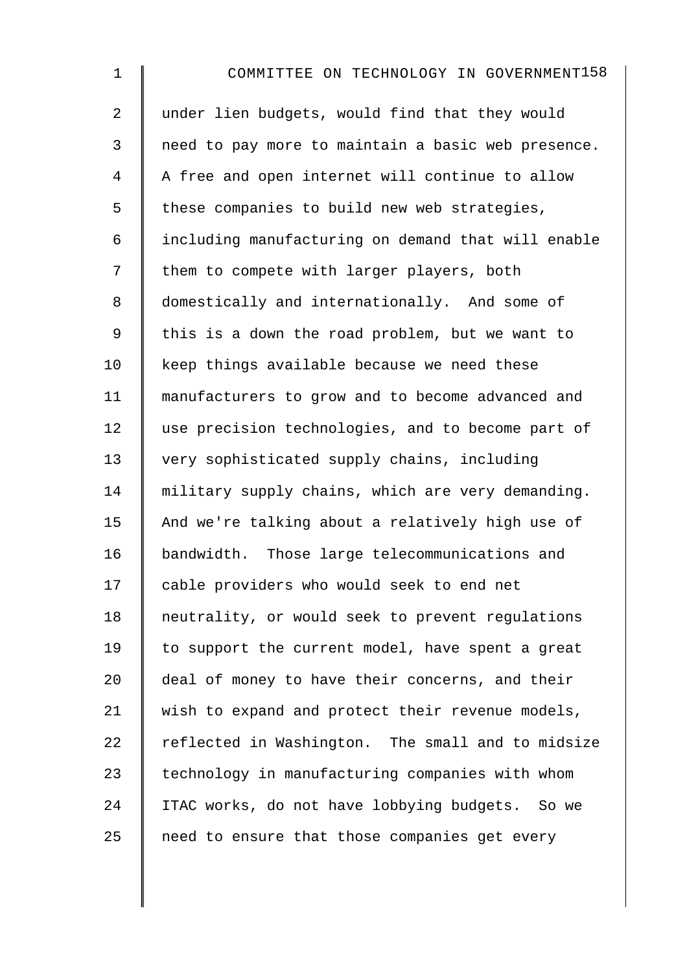| 1              | COMMITTEE ON TECHNOLOGY IN GOVERNMENT158           |
|----------------|----------------------------------------------------|
| $\overline{2}$ | under lien budgets, would find that they would     |
| 3              | need to pay more to maintain a basic web presence. |
| 4              | A free and open internet will continue to allow    |
| 5              | these companies to build new web strategies,       |
| 6              | including manufacturing on demand that will enable |
| 7              | them to compete with larger players, both          |
| 8              | domestically and internationally. And some of      |
| 9              | this is a down the road problem, but we want to    |
| 10             | keep things available because we need these        |
| 11             | manufacturers to grow and to become advanced and   |
| 12             | use precision technologies, and to become part of  |
| 13             | very sophisticated supply chains, including        |
| 14             | military supply chains, which are very demanding.  |
| 15             | And we're talking about a relatively high use of   |
| 16             | bandwidth. Those large telecommunications and      |
| 17             | cable providers who would seek to end net          |
| 18             | neutrality, or would seek to prevent regulations   |
| 19             | to support the current model, have spent a great   |
| 20             | deal of money to have their concerns, and their    |
| 21             | wish to expand and protect their revenue models,   |
| 22             | reflected in Washington. The small and to midsize  |
| 23             | technology in manufacturing companies with whom    |
| 24             | ITAC works, do not have lobbying budgets. So we    |
| 25             | need to ensure that those companies get every      |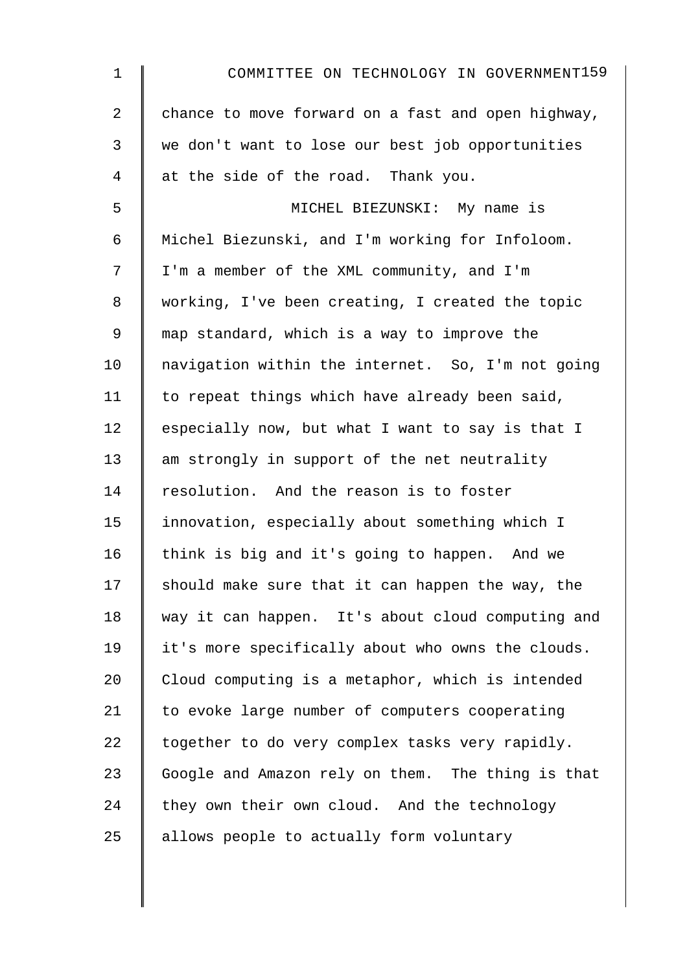| 1               | COMMITTEE ON TECHNOLOGY IN GOVERNMENT159           |
|-----------------|----------------------------------------------------|
| 2               | chance to move forward on a fast and open highway, |
| 3               | we don't want to lose our best job opportunities   |
| 4               | at the side of the road. Thank you.                |
| 5               | MICHEL BIEZUNSKI: My name is                       |
| 6               | Michel Biezunski, and I'm working for Infoloom.    |
| 7               | I'm a member of the XML community, and I'm         |
| 8               | working, I've been creating, I created the topic   |
| 9               | map standard, which is a way to improve the        |
| 10 <sub>1</sub> | navigation within the internet. So, I'm not going  |
| 11              | to repeat things which have already been said,     |
| 12              | especially now, but what I want to say is that I   |
| 13              | am strongly in support of the net neutrality       |
| 14              | resolution. And the reason is to foster            |
| 15              | innovation, especially about something which I     |
| 16              | think is big and it's going to happen. And we      |
| 17              | should make sure that it can happen the way, the   |
| 18              | way it can happen. It's about cloud computing and  |
| 19              | it's more specifically about who owns the clouds.  |
| 20              | Cloud computing is a metaphor, which is intended   |
| 21              | to evoke large number of computers cooperating     |
| 22              | together to do very complex tasks very rapidly.    |
| 23              | Google and Amazon rely on them. The thing is that  |
| 24              | they own their own cloud. And the technology       |
| 25              | allows people to actually form voluntary           |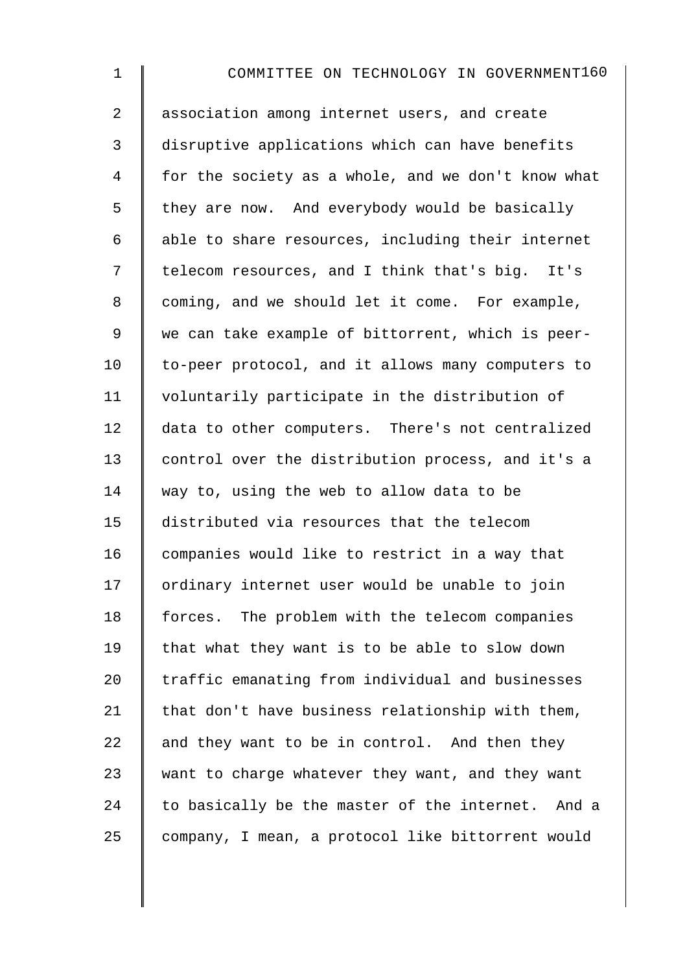1 COMMITTEE ON TECHNOLOGY IN GOVERNMENT160 2 association among internet users, and create 3 disruptive applications which can have benefits 4 for the society as a whole, and we don't know what  $5 \parallel$  they are now. And everybody would be basically 6  $\parallel$  able to share resources, including their internet 7 | telecom resources, and I think that's big. It's 8 coming, and we should let it come. For example, 9 we can take example of bittorrent, which is peer-10 | to-peer protocol, and it allows many computers to 11 voluntarily participate in the distribution of 12 data to other computers. There's not centralized 13 control over the distribution process, and it's a 14 way to, using the web to allow data to be 15 distributed via resources that the telecom  $16$  companies would like to restrict in a way that 17 ordinary internet user would be unable to join 18 | forces. The problem with the telecom companies  $19$  that what they want is to be able to slow down 20 Traffic emanating from individual and businesses 21  $\parallel$  that don't have business relationship with them, 22  $\parallel$  and they want to be in control. And then they 23 want to charge whatever they want, and they want 24  $\parallel$  to basically be the master of the internet. And a  $25$   $\parallel$  company, I mean, a protocol like bittorrent would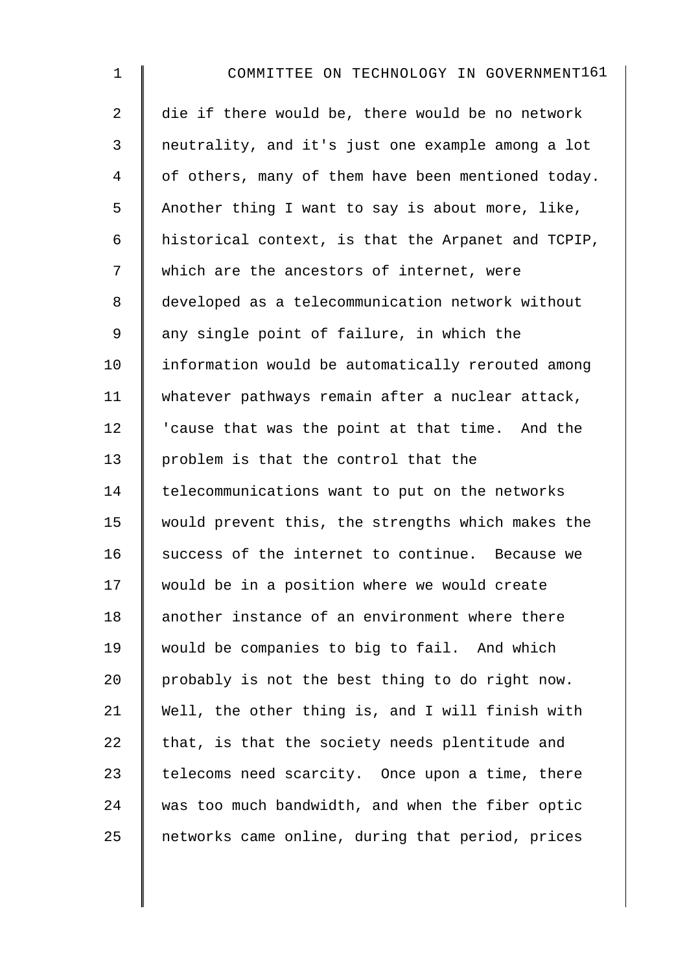| $\mathbf 1$    | COMMITTEE ON TECHNOLOGY IN GOVERNMENT161           |
|----------------|----------------------------------------------------|
| $\overline{2}$ | die if there would be, there would be no network   |
| 3              | neutrality, and it's just one example among a lot  |
| 4              | of others, many of them have been mentioned today. |
| 5              | Another thing I want to say is about more, like,   |
| 6              | historical context, is that the Arpanet and TCPIP, |
| 7              | which are the ancestors of internet, were          |
| 8              | developed as a telecommunication network without   |
| 9              | any single point of failure, in which the          |
| 10             | information would be automatically rerouted among  |
| 11             | whatever pathways remain after a nuclear attack,   |
| 12             | 'cause that was the point at that time. And the    |
| 13             | problem is that the control that the               |
| 14             | telecommunications want to put on the networks     |
| 15             | would prevent this, the strengths which makes the  |
| 16             | success of the internet to continue. Because we    |
| 17             | would be in a position where we would create       |
| 18             | another instance of an environment where there     |
| 19             | would be companies to big to fail. And which       |
| 20             | probably is not the best thing to do right now.    |
| 21             | Well, the other thing is, and I will finish with   |
| 22             | that, is that the society needs plentitude and     |
| 23             | telecoms need scarcity. Once upon a time, there    |
| 24             | was too much bandwidth, and when the fiber optic   |
| 25             | networks came online, during that period, prices   |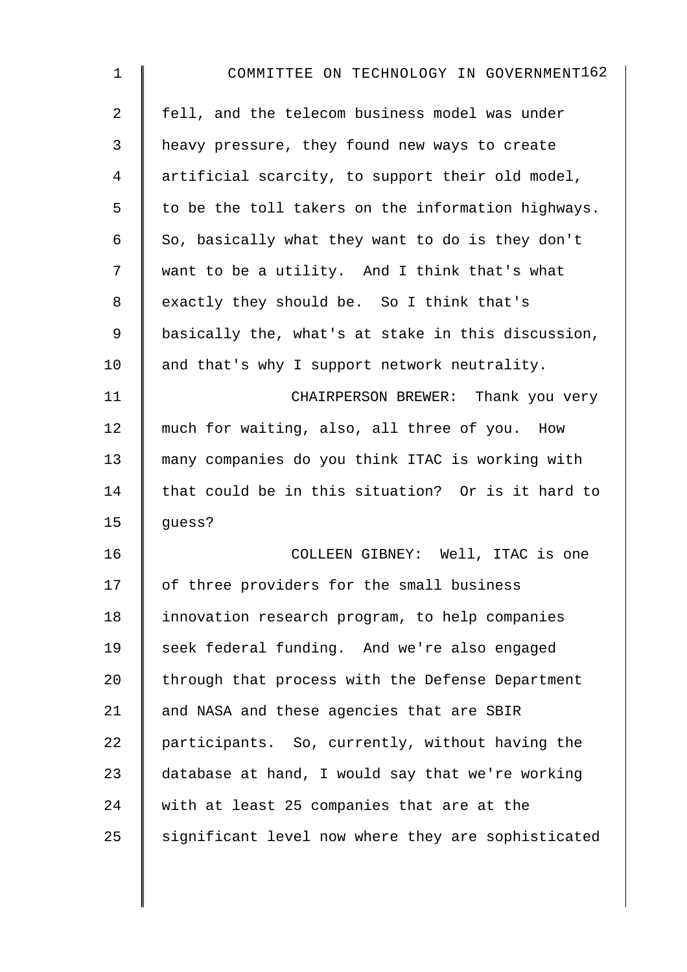| 1  | COMMITTEE ON TECHNOLOGY IN GOVERNMENT162           |
|----|----------------------------------------------------|
| 2  | fell, and the telecom business model was under     |
| 3  | heavy pressure, they found new ways to create      |
| 4  | artificial scarcity, to support their old model,   |
| 5  | to be the toll takers on the information highways. |
| 6  | So, basically what they want to do is they don't   |
| 7  | want to be a utility. And I think that's what      |
| 8  | exactly they should be. So I think that's          |
| 9  | basically the, what's at stake in this discussion, |
| 10 | and that's why I support network neutrality.       |
| 11 | CHAIRPERSON BREWER: Thank you very                 |
| 12 | much for waiting, also, all three of you. How      |
| 13 | many companies do you think ITAC is working with   |
| 14 | that could be in this situation? Or is it hard to  |
| 15 | guess?                                             |
| 16 | COLLEEN GIBNEY: Well, ITAC is one                  |
| 17 | of three providers for the small business          |
| 18 | innovation research program, to help companies     |
| 19 | seek federal funding. And we're also engaged       |
| 20 | through that process with the Defense Department   |
| 21 | and NASA and these agencies that are SBIR          |
| 22 | participants. So, currently, without having the    |
| 23 | database at hand, I would say that we're working   |
| 24 | with at least 25 companies that are at the         |
| 25 | significant level now where they are sophisticated |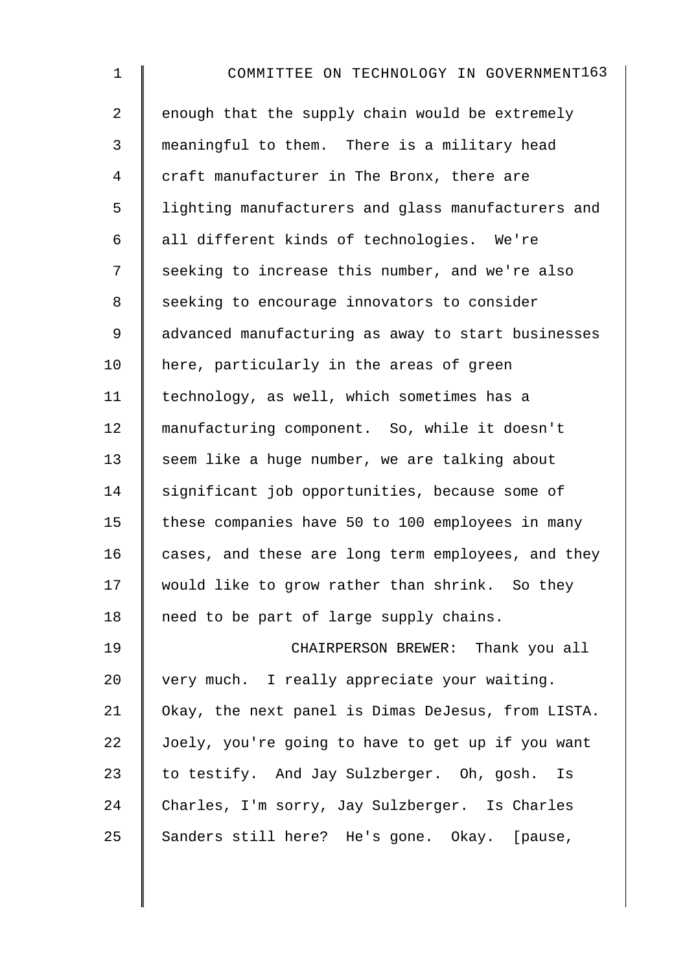| 1              | COMMITTEE ON TECHNOLOGY IN GOVERNMENT163           |
|----------------|----------------------------------------------------|
| $\overline{a}$ | enough that the supply chain would be extremely    |
| 3              | meaningful to them. There is a military head       |
| 4              | craft manufacturer in The Bronx, there are         |
| 5              | lighting manufacturers and glass manufacturers and |
| 6              | all different kinds of technologies. We're         |
| 7              | seeking to increase this number, and we're also    |
| 8              | seeking to encourage innovators to consider        |
| $\mathsf 9$    | advanced manufacturing as away to start businesses |
| 10             | here, particularly in the areas of green           |
| 11             | technology, as well, which sometimes has a         |
| 12             | manufacturing component. So, while it doesn't      |
| 13             | seem like a huge number, we are talking about      |
| 14             | significant job opportunities, because some of     |
| 15             | these companies have 50 to 100 employees in many   |
| 16             | cases, and these are long term employees, and they |
| 17             | would like to grow rather than shrink. So they     |
| 18             | need to be part of large supply chains.            |
| 19             | CHAIRPERSON BREWER: Thank you all                  |
| 20             | very much. I really appreciate your waiting.       |
| 21             | Okay, the next panel is Dimas DeJesus, from LISTA. |
| 22             | Joely, you're going to have to get up if you want  |
| 23             | to testify. And Jay Sulzberger. Oh, gosh. Is       |
| 24             | Charles, I'm sorry, Jay Sulzberger. Is Charles     |
| 25             | Sanders still here? He's gone. Okay. [pause,       |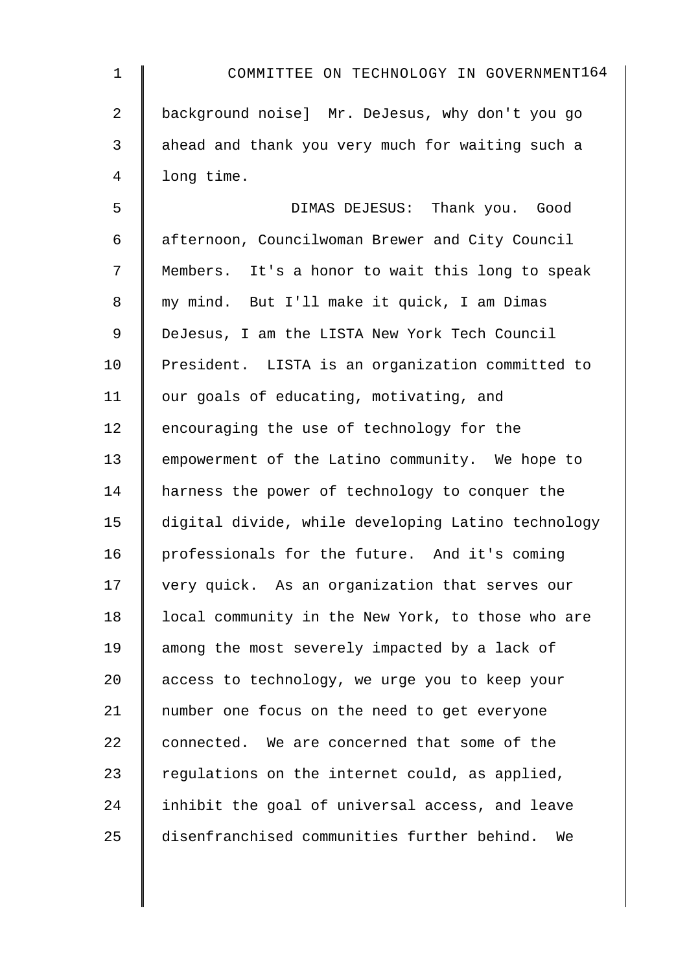| $\mathbf 1$ | COMMITTEE ON TECHNOLOGY IN GOVERNMENT164           |
|-------------|----------------------------------------------------|
| 2           | background noise] Mr. DeJesus, why don't you go    |
| 3           | ahead and thank you very much for waiting such a   |
| 4           | long time.                                         |
| 5           | DIMAS DEJESUS: Thank you. Good                     |
| 6           | afternoon, Councilwoman Brewer and City Council    |
| 7           | Members. It's a honor to wait this long to speak   |
| 8           | my mind. But I'll make it quick, I am Dimas        |
| 9           | DeJesus, I am the LISTA New York Tech Council      |
| 10          | President. LISTA is an organization committed to   |
| 11          | our goals of educating, motivating, and            |
| 12          | encouraging the use of technology for the          |
| 13          | empowerment of the Latino community. We hope to    |
| 14          | harness the power of technology to conquer the     |
| 15          | digital divide, while developing Latino technology |
| 16          | professionals for the future. And it's coming      |
| 17          | very quick. As an organization that serves our     |
| 18          | local community in the New York, to those who are  |
| 19          | among the most severely impacted by a lack of      |
| 20          | access to technology, we urge you to keep your     |
| 21          | number one focus on the need to get everyone       |
| 22          | connected. We are concerned that some of the       |
| 23          | regulations on the internet could, as applied,     |
| 24          | inhibit the goal of universal access, and leave    |
| 25          | disenfranchised communities further behind.<br>We  |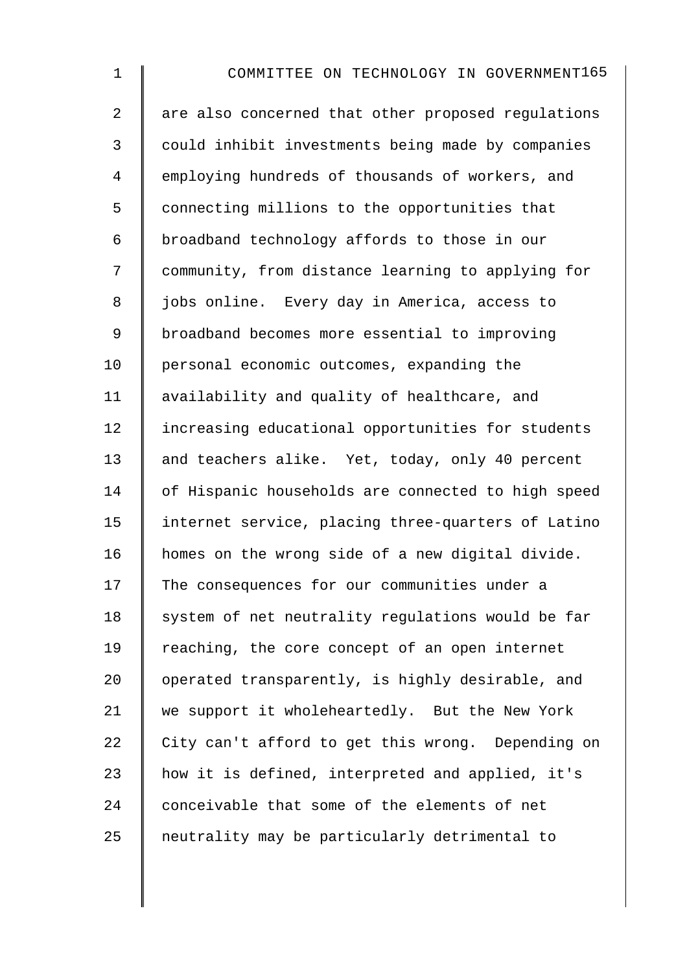| 1              | COMMITTEE ON TECHNOLOGY IN GOVERNMENT165           |
|----------------|----------------------------------------------------|
| $\overline{2}$ | are also concerned that other proposed regulations |
| 3              | could inhibit investments being made by companies  |
| 4              | employing hundreds of thousands of workers, and    |
| 5              | connecting millions to the opportunities that      |
| 6              | broadband technology affords to those in our       |
| 7              | community, from distance learning to applying for  |
| 8              | jobs online. Every day in America, access to       |
| $\mathsf 9$    | broadband becomes more essential to improving      |
| 10             | personal economic outcomes, expanding the          |
| 11             | availability and quality of healthcare, and        |
| 12             | increasing educational opportunities for students  |
| 13             | and teachers alike. Yet, today, only 40 percent    |
| 14             | of Hispanic households are connected to high speed |
| 15             | internet service, placing three-quarters of Latino |
| 16             | homes on the wrong side of a new digital divide.   |
| 17             | The consequences for our communities under a       |
| 18             | system of net neutrality regulations would be far  |
| 19             | reaching, the core concept of an open internet     |
| 20             | operated transparently, is highly desirable, and   |
| 21             | we support it wholeheartedly. But the New York     |
| 22             | City can't afford to get this wrong. Depending on  |
| 23             | how it is defined, interpreted and applied, it's   |
| 24             | conceivable that some of the elements of net       |
| 25             | neutrality may be particularly detrimental to      |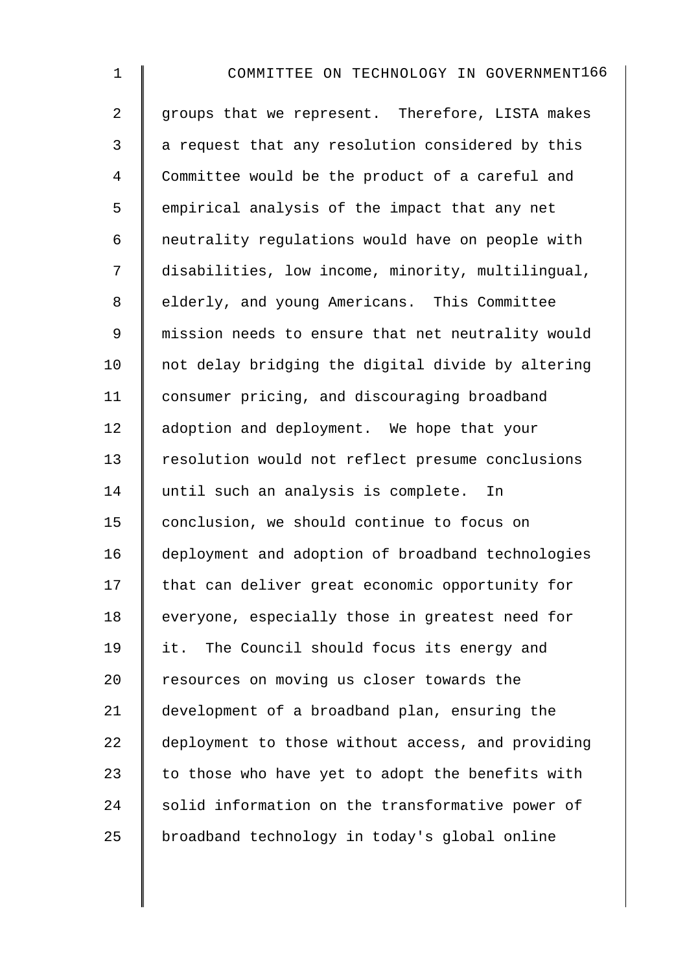1 COMMITTEE ON TECHNOLOGY IN GOVERNMENT166 2 | groups that we represent. Therefore, LISTA makes  $3 \parallel a$  request that any resolution considered by this 4 Committee would be the product of a careful and  $5 \parallel$  empirical analysis of the impact that any net 6 neutrality regulations would have on people with 7 disabilities, low income, minority, multilingual, 8 | elderly, and young Americans. This Committee 9 | mission needs to ensure that net neutrality would  $10$  | not delay bridging the digital divide by altering 11 | consumer pricing, and discouraging broadband 12 | adoption and deployment. We hope that your 13 Tesolution would not reflect presume conclusions 14 until such an analysis is complete. In 15 conclusion, we should continue to focus on 16 | deployment and adoption of broadband technologies 17 | that can deliver great economic opportunity for 18 everyone, especially those in greatest need for 19 | it. The Council should focus its energy and 20 Tesources on moving us closer towards the 21 development of a broadband plan, ensuring the 22 deployment to those without access, and providing 23  $\parallel$  to those who have yet to adopt the benefits with  $24$  solid information on the transformative power of 25 | broadband technology in today's global online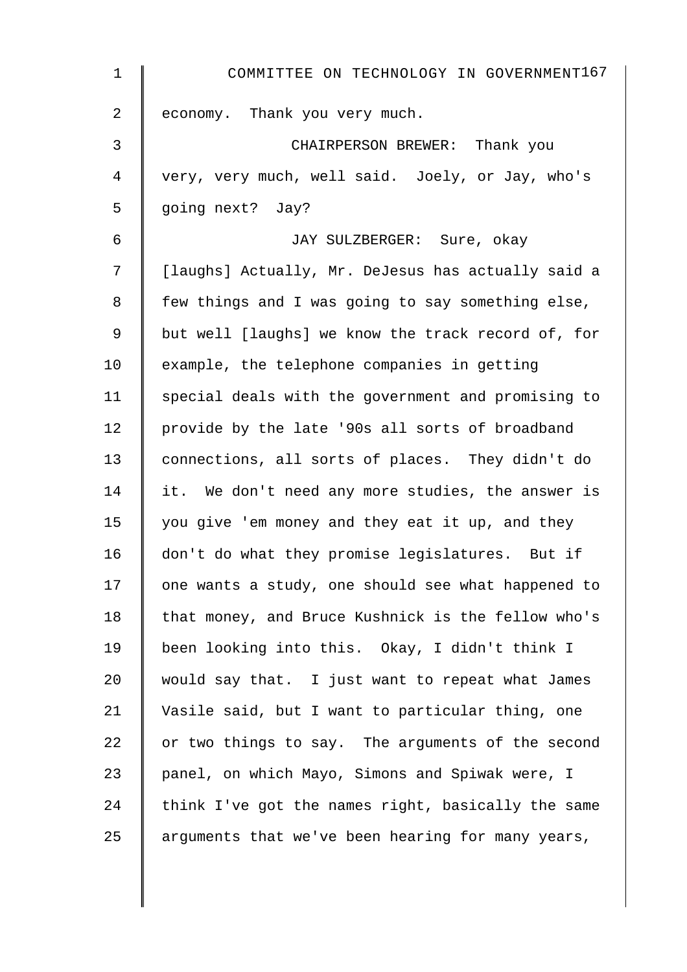| 1  | COMMITTEE ON TECHNOLOGY IN GOVERNMENT167           |
|----|----------------------------------------------------|
| 2  | economy. Thank you very much.                      |
| 3  | CHAIRPERSON BREWER: Thank you                      |
| 4  | very, very much, well said. Joely, or Jay, who's   |
| 5  | going next? Jay?                                   |
| 6  | JAY SULZBERGER: Sure, okay                         |
| 7  | [laughs] Actually, Mr. DeJesus has actually said a |
| 8  | few things and I was going to say something else,  |
| 9  | but well [laughs] we know the track record of, for |
| 10 | example, the telephone companies in getting        |
| 11 | special deals with the government and promising to |
| 12 | provide by the late '90s all sorts of broadband    |
| 13 | connections, all sorts of places. They didn't do   |
| 14 | it. We don't need any more studies, the answer is  |
| 15 | you give 'em money and they eat it up, and they    |
| 16 | don't do what they promise legislatures. But if    |
| 17 | one wants a study, one should see what happened to |
| 18 | that money, and Bruce Kushnick is the fellow who's |
| 19 | been looking into this. Okay, I didn't think I     |
| 20 | would say that. I just want to repeat what James   |
| 21 | Vasile said, but I want to particular thing, one   |
| 22 | or two things to say. The arguments of the second  |
| 23 | panel, on which Mayo, Simons and Spiwak were, I    |
| 24 | think I've got the names right, basically the same |
| 25 | arguments that we've been hearing for many years,  |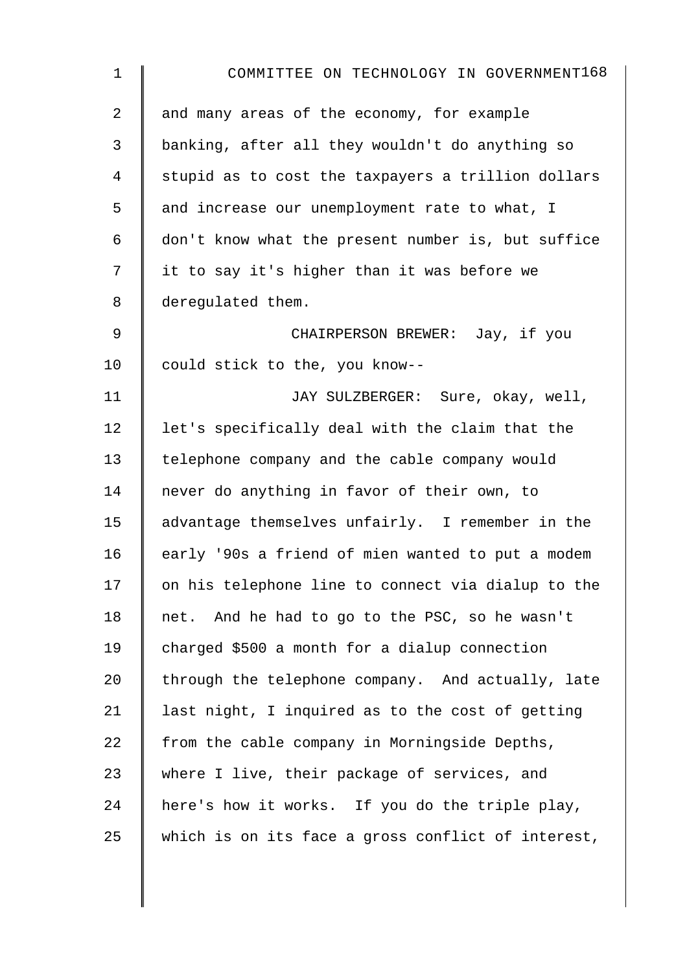| 1  | COMMITTEE ON TECHNOLOGY IN GOVERNMENT168           |
|----|----------------------------------------------------|
| 2  | and many areas of the economy, for example         |
| 3  | banking, after all they wouldn't do anything so    |
| 4  | stupid as to cost the taxpayers a trillion dollars |
| 5  | and increase our unemployment rate to what, I      |
| 6  | don't know what the present number is, but suffice |
| 7  | it to say it's higher than it was before we        |
| 8  | deregulated them.                                  |
| 9  | CHAIRPERSON BREWER: Jay, if you                    |
| 10 | could stick to the, you know--                     |
| 11 | JAY SULZBERGER: Sure, okay, well,                  |
| 12 | let's specifically deal with the claim that the    |
| 13 | telephone company and the cable company would      |
| 14 | never do anything in favor of their own, to        |
| 15 | advantage themselves unfairly. I remember in the   |
| 16 | early '90s a friend of mien wanted to put a modem  |
| 17 | on his telephone line to connect via dialup to the |
| 18 | net. And he had to go to the PSC, so he wasn't     |
| 19 | charged \$500 a month for a dialup connection      |
| 20 | through the telephone company. And actually, late  |
| 21 | last night, I inquired as to the cost of getting   |
| 22 | from the cable company in Morningside Depths,      |
| 23 | where I live, their package of services, and       |
| 24 | here's how it works. If you do the triple play,    |
| 25 | which is on its face a gross conflict of interest, |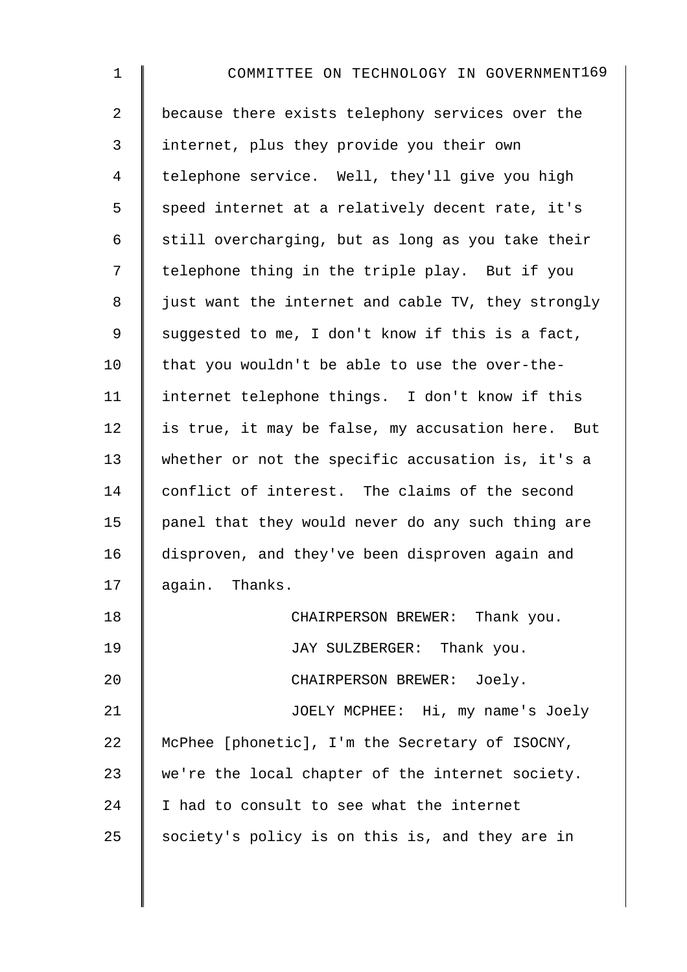| 1              | COMMITTEE ON TECHNOLOGY IN GOVERNMENT169           |
|----------------|----------------------------------------------------|
| $\overline{2}$ | because there exists telephony services over the   |
| 3              | internet, plus they provide you their own          |
| $\overline{4}$ | telephone service. Well, they'll give you high     |
| 5              | speed internet at a relatively decent rate, it's   |
| 6              | still overcharging, but as long as you take their  |
| 7              | telephone thing in the triple play. But if you     |
| $\,8\,$        | just want the internet and cable TV, they strongly |
| 9              | suggested to me, I don't know if this is a fact,   |
| 10             | that you wouldn't be able to use the over-the-     |
| 11             | internet telephone things. I don't know if this    |
| 12             | is true, it may be false, my accusation here. But  |
| 13             | whether or not the specific accusation is, it's a  |
| 14             | conflict of interest. The claims of the second     |
| 15             | panel that they would never do any such thing are  |
| 16             | disproven, and they've been disproven again and    |
| 17             | again. Thanks.                                     |
| 18             | CHAIRPERSON BREWER: Thank you.                     |
| 19             | JAY SULZBERGER: Thank you.                         |
| 20             | CHAIRPERSON BREWER: Joely.                         |
| 21             | JOELY MCPHEE: Hi, my name's Joely                  |
| 22             | McPhee [phonetic], I'm the Secretary of ISOCNY,    |
| 23             | we're the local chapter of the internet society.   |
| 24             | I had to consult to see what the internet          |
| 25             | society's policy is on this is, and they are in    |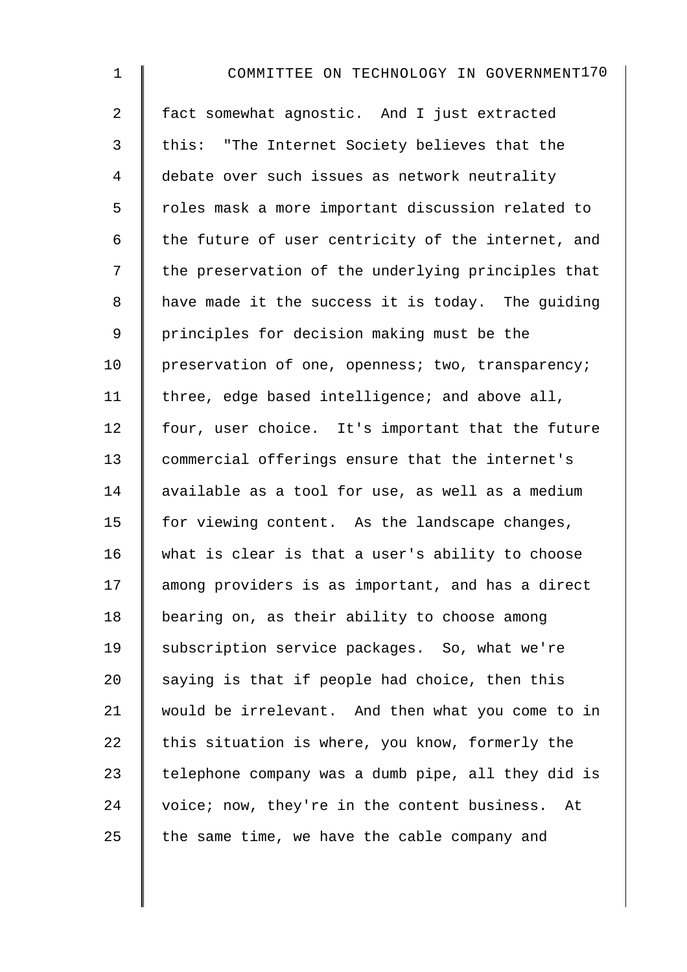1 COMMITTEE ON TECHNOLOGY IN GOVERNMENT170 2 fact somewhat agnostic. And I just extracted 3 || this: "The Internet Society believes that the 4 debate over such issues as network neutrality 5 | roles mask a more important discussion related to 6  $\parallel$  the future of user centricity of the internet, and 7 | the preservation of the underlying principles that 8 | have made it the success it is today. The guiding 9 | principles for decision making must be the 10 | preservation of one, openness; two, transparency; 11 | three, edge based intelligence; and above all, 12 four, user choice. It's important that the future 13 commercial offerings ensure that the internet's 14 available as a tool for use, as well as a medium 15  $\parallel$  for viewing content. As the landscape changes, 16 what is clear is that a user's ability to choose 17 among providers is as important, and has a direct 18 | bearing on, as their ability to choose among 19 Subscription service packages. So, what we're 20  $\parallel$  saying is that if people had choice, then this 21 would be irrelevant. And then what you come to in 22  $\parallel$  this situation is where, you know, formerly the 23  $\parallel$  telephone company was a dumb pipe, all they did is 24 voice; now, they're in the content business. At 25  $\parallel$  the same time, we have the cable company and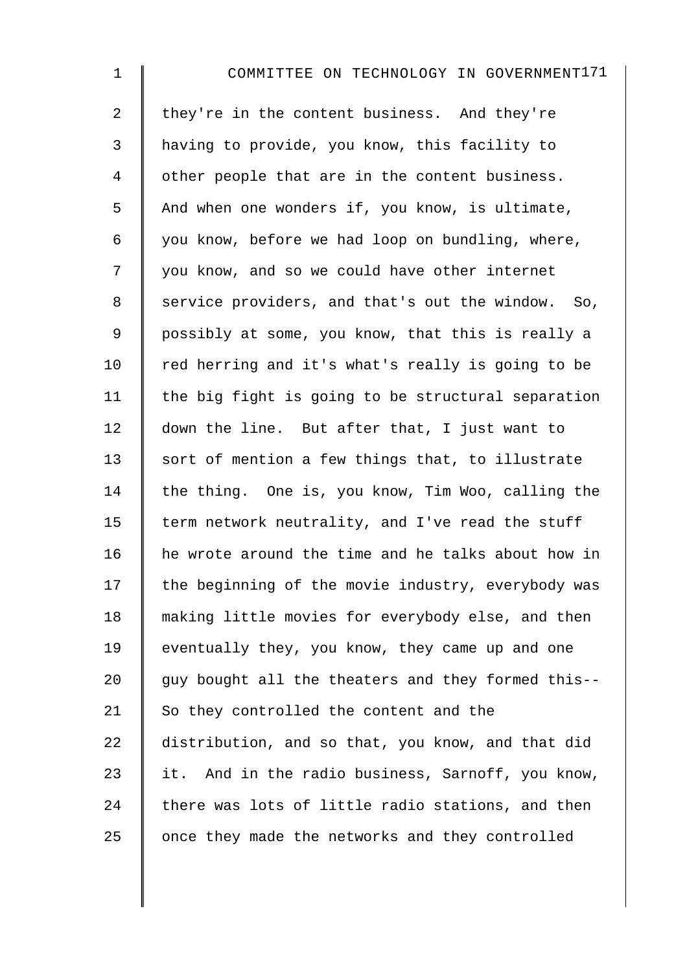| 1              | COMMITTEE ON TECHNOLOGY IN GOVERNMENT171           |
|----------------|----------------------------------------------------|
| $\overline{a}$ | they're in the content business. And they're       |
| 3              | having to provide, you know, this facility to      |
| 4              | other people that are in the content business.     |
| 5              | And when one wonders if, you know, is ultimate,    |
| 6              | you know, before we had loop on bundling, where,   |
| 7              | you know, and so we could have other internet      |
| 8              | service providers, and that's out the window. So,  |
| 9              | possibly at some, you know, that this is really a  |
| 10             | red herring and it's what's really is going to be  |
| 11             | the big fight is going to be structural separation |
| 12             | down the line. But after that, I just want to      |
| 13             | sort of mention a few things that, to illustrate   |
| 14             | the thing. One is, you know, Tim Woo, calling the  |
| 15             | term network neutrality, and I've read the stuff   |
| 16             | he wrote around the time and he talks about how in |
| 17             | the beginning of the movie industry, everybody was |
| 18             | making little movies for everybody else, and then  |
| 19             | eventually they, you know, they came up and one    |
| 20             | guy bought all the theaters and they formed this-- |
| 21             | So they controlled the content and the             |
| 22             | distribution, and so that, you know, and that did  |
| 23             | it. And in the radio business, Sarnoff, you know,  |
| 24             | there was lots of little radio stations, and then  |
| 25             | once they made the networks and they controlled    |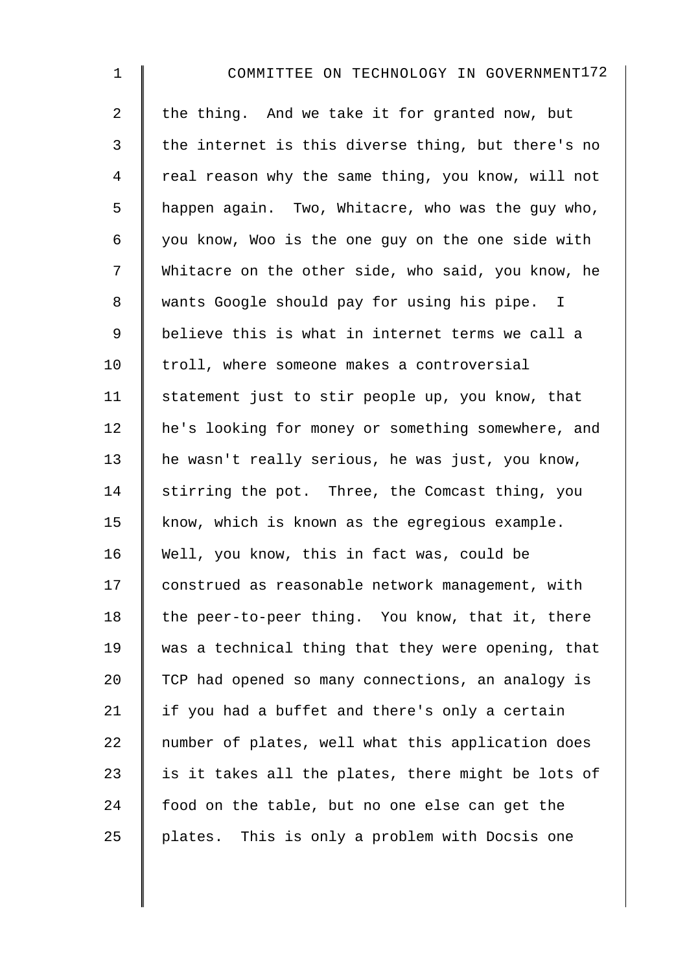| $\mathbf 1$    | COMMITTEE ON TECHNOLOGY IN GOVERNMENT172           |
|----------------|----------------------------------------------------|
| $\overline{2}$ | the thing. And we take it for granted now, but     |
| 3              | the internet is this diverse thing, but there's no |
| 4              | real reason why the same thing, you know, will not |
| 5              | happen again. Two, Whitacre, who was the guy who,  |
| 6              | you know, Woo is the one guy on the one side with  |
| 7              | Whitacre on the other side, who said, you know, he |
| $\,8\,$        | wants Google should pay for using his pipe. I      |
| $\mathsf 9$    | believe this is what in internet terms we call a   |
| 10             | troll, where someone makes a controversial         |
| 11             | statement just to stir people up, you know, that   |
| 12             | he's looking for money or something somewhere, and |
| 13             | he wasn't really serious, he was just, you know,   |
| 14             | stirring the pot. Three, the Comcast thing, you    |
| 15             | know, which is known as the egregious example.     |
| 16             | Well, you know, this in fact was, could be         |
| 17             | construed as reasonable network management, with   |
| 18             | the peer-to-peer thing. You know, that it, there   |
| 19             | was a technical thing that they were opening, that |
| 20             | TCP had opened so many connections, an analogy is  |
| 21             | if you had a buffet and there's only a certain     |
| 22             | number of plates, well what this application does  |
| 23             | is it takes all the plates, there might be lots of |
| 24             | food on the table, but no one else can get the     |
| 25             | plates. This is only a problem with Docsis one     |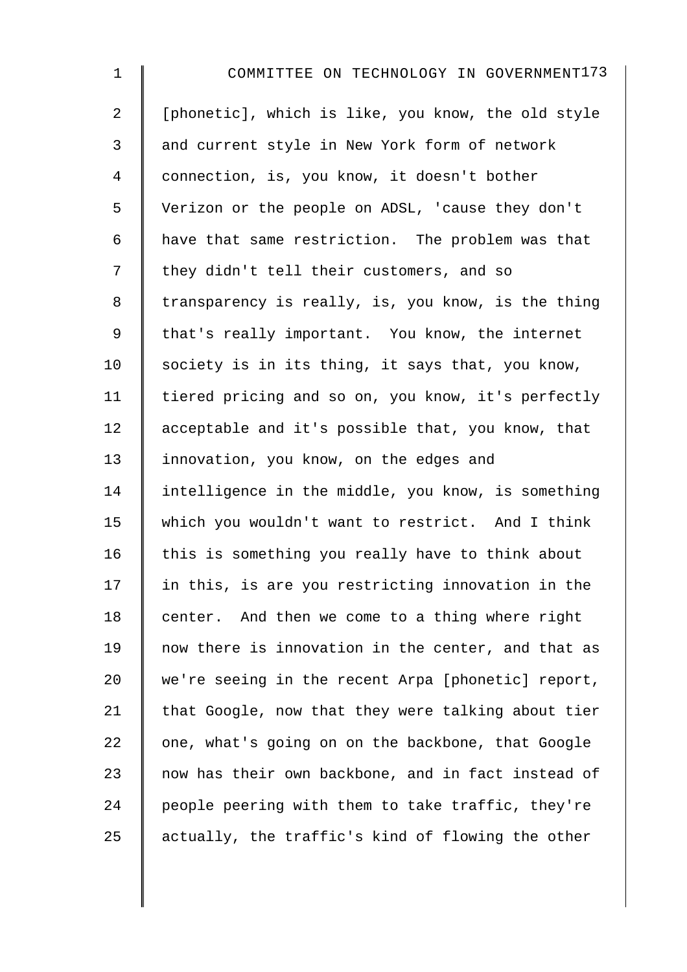1 COMMITTEE ON TECHNOLOGY IN GOVERNMENT173 2 | [phonetic], which is like, you know, the old style 3 and current style in New York form of network 4 Connection, is, you know, it doesn't bother 5 Verizon or the people on ADSL, 'cause they don't 6  $\parallel$  have that same restriction. The problem was that 7 | they didn't tell their customers, and so  $8 \parallel$  transparency is really, is, you know, is the thing 9 that's really important. You know, the internet 10 | society is in its thing, it says that, you know, 11 | tiered pricing and so on, you know, it's perfectly 12  $\parallel$  acceptable and it's possible that, you know, that 13 | innovation, you know, on the edges and 14 Intelligence in the middle, you know, is something 15 which you wouldn't want to restrict. And I think  $16$  this is something you really have to think about 17 in this, is are you restricting innovation in the 18  $\parallel$  center. And then we come to a thing where right 19  $\parallel$  now there is innovation in the center, and that as 20 we're seeing in the recent Arpa [phonetic] report, 21  $\parallel$  that Google, now that they were talking about tier  $22$   $\parallel$  one, what's going on on the backbone, that Google  $23$  now has their own backbone, and in fact instead of 24  $\parallel$  people peering with them to take traffic, they're 25  $\parallel$  actually, the traffic's kind of flowing the other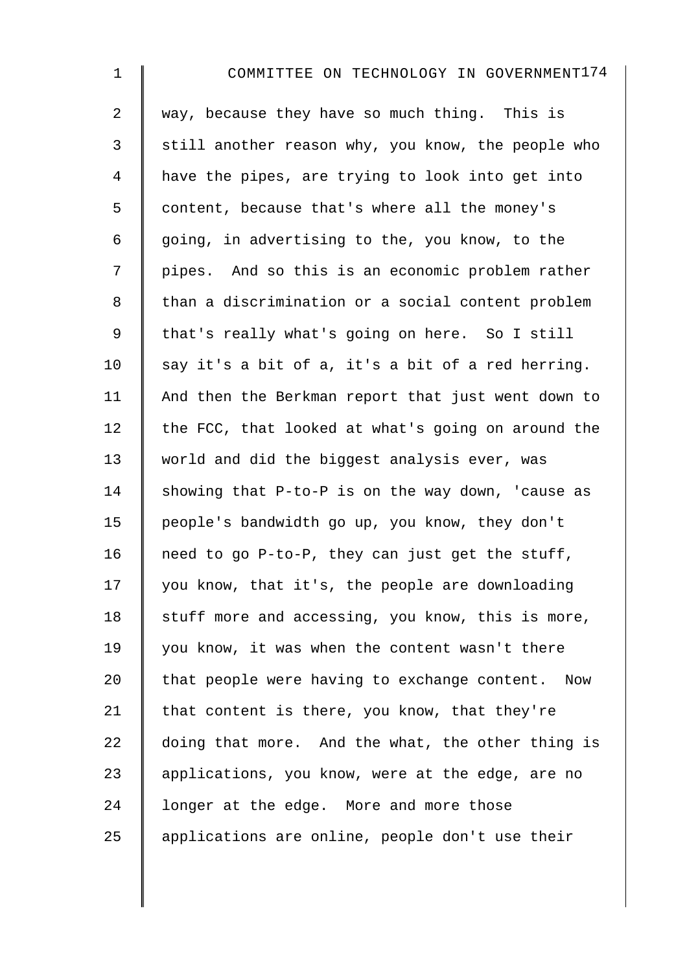| 1              | COMMITTEE ON TECHNOLOGY IN GOVERNMENT174           |
|----------------|----------------------------------------------------|
| $\overline{2}$ | way, because they have so much thing. This is      |
| 3              | still another reason why, you know, the people who |
| 4              | have the pipes, are trying to look into get into   |
| 5              | content, because that's where all the money's      |
| 6              | going, in advertising to the, you know, to the     |
| 7              | pipes. And so this is an economic problem rather   |
| 8              | than a discrimination or a social content problem  |
| $\mathsf 9$    | that's really what's going on here. So I still     |
| 10             | say it's a bit of a, it's a bit of a red herring.  |
| 11             | And then the Berkman report that just went down to |
| 12             | the FCC, that looked at what's going on around the |
| 13             | world and did the biggest analysis ever, was       |
| 14             | showing that P-to-P is on the way down, 'cause as  |
| 15             | people's bandwidth go up, you know, they don't     |
| 16             | need to go P-to-P, they can just get the stuff,    |
| 17             | you know, that it's, the people are downloading    |
| 18             | stuff more and accessing, you know, this is more,  |
| 19             | you know, it was when the content wasn't there     |
| 20             | that people were having to exchange content. Now   |
| 21             | that content is there, you know, that they're      |
| 22             | doing that more. And the what, the other thing is  |
| 23             | applications, you know, were at the edge, are no   |
| 24             | longer at the edge. More and more those            |
| 25             | applications are online, people don't use their    |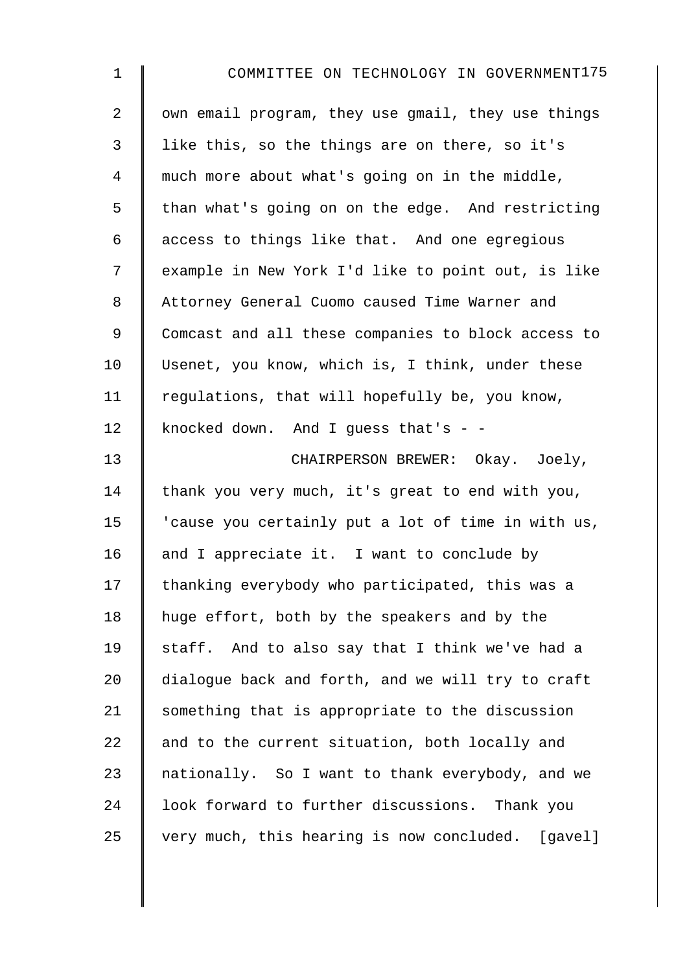| 1              | COMMITTEE ON TECHNOLOGY IN GOVERNMENT175           |
|----------------|----------------------------------------------------|
| $\overline{a}$ | own email program, they use gmail, they use things |
| 3              | like this, so the things are on there, so it's     |
| 4              | much more about what's going on in the middle,     |
| 5              | than what's going on on the edge. And restricting  |
| 6              | access to things like that. And one egregious      |
| 7              | example in New York I'd like to point out, is like |
| 8              | Attorney General Cuomo caused Time Warner and      |
| 9              | Comcast and all these companies to block access to |
| 10             | Usenet, you know, which is, I think, under these   |
| 11             | regulations, that will hopefully be, you know,     |
| 12             | knocked down. And I guess that's - -               |
| 13             | CHAIRPERSON BREWER: Okay. Joely,                   |
| 14             | thank you very much, it's great to end with you,   |
| 15             | 'cause you certainly put a lot of time in with us, |
| 16             | and I appreciate it. I want to conclude by         |
| 17             | thanking everybody who participated, this was a    |
| 18             | huge effort, both by the speakers and by the       |
| 19             | staff. And to also say that I think we've had a    |
| 20             | dialogue back and forth, and we will try to craft  |
| 21             | something that is appropriate to the discussion    |
| 22             | and to the current situation, both locally and     |
| 23             | nationally. So I want to thank everybody, and we   |
| 24             | look forward to further discussions. Thank you     |
| 25             | very much, this hearing is now concluded. [gavel]  |